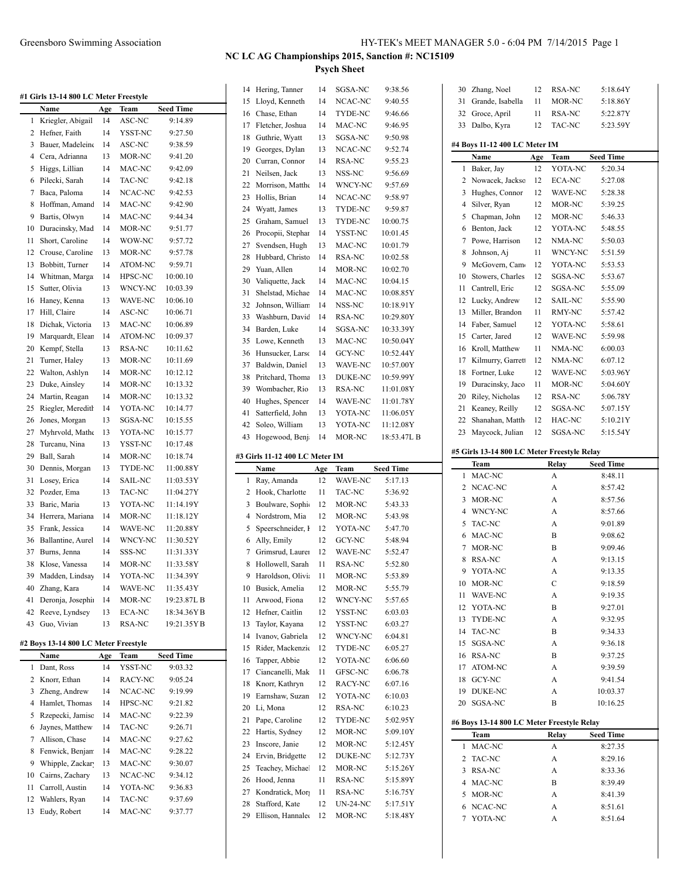|  | #1 Girls 13-14 800 LC Meter Freestyle |
|--|---------------------------------------|
|--|---------------------------------------|

|                | <b>CHIP 12-14 000 LC</b> |     | <b>METEL FICESTVIC</b> |                  |
|----------------|--------------------------|-----|------------------------|------------------|
|                | Name                     | Age | Team                   | <b>Seed Time</b> |
| 1              | Kriegler, Abigail        | 14  | ASC-NC                 | 9:14.89          |
| $\overline{c}$ | Hefner, Faith            | 14  | YSST-NC                | 9:27.50          |
| 3              | Bauer, Madeleine         | 14  | ASC-NC                 | 9:38.59          |
| $\overline{4}$ | Cera, Adrianna           | 13  | MOR-NC                 | 9:41.20          |
| 5              | Higgs, Lillian           | 14  | MAC-NC                 | 9:42.09          |
| 6              | Pilecki, Sarah           | 14  | TAC-NC                 | 9:42.18          |
| $\overline{7}$ | Baca, Paloma             | 14  | NCAC-NC                | 9:42.53          |
| 8              | Hoffman, Amand           | 14  | MAC-NC                 | 9:42.90          |
| 9              | Bartis, Olwyn            | 14  | MAC-NC                 | 9:44.34          |
| 10             | Duracinsky, Mad          | 14  | MOR-NC                 | 9:51.77          |
| 11             | Short, Caroline          | 14  | WOW-NC                 | 9:57.72          |
| 12             | Crouse, Caroline         | 13  | MOR-NC                 | 9:57.78          |
| 13             | Bobbitt, Turner          | 14  | ATOM-NC                | 9:59.71          |
| 14             | Whitman, Marga           | 14  | HPSC-NC                | 10:00.10         |
| 15             | Sutter, Olivia           | 13  | WNCY-NC                | 10:03.39         |
| 16             | Haney, Kenna             | 13  | WAVE-NC                | 10:06.10         |
| 17             | Hill, Claire             | 14  | ASC-NC                 | 10:06.71         |
| 18             | Dichak, Victoria         | 13  | MAC-NC                 | 10:06.89         |
| 19             | Marquardt, Elear         | 14  | ATOM-NC                | 10:09.37         |
| 20             | Kempf, Stella            | 13  | RSA-NC                 | 10:11.62         |
| 21             | Turner, Haley            | 13  | MOR-NC                 | 10:11.69         |
| 22             | Walton, Ashlyn           | 14  | MOR-NC                 | 10:12.12         |
| 23             | Duke, Ainsley            | 14  | MOR-NC                 | 10:13.32         |
| 24             | Martin, Reagan           | 14  | MOR-NC                 | 10:13.32         |
| 25             | Riegler, Mereditl        | 14  | YOTA-NC                | 10:14.77         |
| 26             | Jones, Morgan            | 13  | SGSA-NC                | 10:15.55         |
| 27             | Myhrvold, Mathe          | 13  | YOTA-NC                | 10:15.77         |
| 28             | Turcanu, Nina            | 13  | YSST-NC                | 10:17.48         |
| 29             | Ball, Sarah              | 14  | MOR-NC                 | 10:18.74         |
| 30             | Dennis, Morgan           | 13  | TYDE-NC                | 11:00.88Y        |
| 31             | Losey, Erica             | 14  | <b>SAIL-NC</b>         | 11:03.53Y        |
| 32             | Pozder, Ema              | 13  | TAC-NC                 | 11:04.27Y        |
| 33             | Baric, Maria             | 13  | YOTA-NC                | 11:14.19Y        |
| 34             | Herrera, Mariana         | 14  | MOR-NC                 | 11:18.12Y        |
| 35             | Frank, Jessica           | 14  | WAVE-NC                | 11:20.88Y        |
| 36             | Ballantine, Aurel        | 14  | WNCY-NC                | 11:30.52Y        |
| 37             | Burns, Jenna             | 14  | SSS-NC                 | 11:31.33Y        |
| 38             | Klose, Vanessa           | 14  | MOR-NC                 | 11:33.58Y        |
| 39             | Madden, Lindsay          | 14  | YOTA-NC                | 11:34.39Y        |
| 40             | Zhang, Kara              | 14  | WAVE-NC                | 11:35.43Y        |
| 41             | Deronja, Josephi         | 14  | MOR-NC                 | 19:23.87L B      |
| 42             | Reeve, Lyndsey           | 13  | <b>ECA-NC</b>          | 18:34.36YB       |
| 43             | Guo, Vivian              | 13  | <b>RSA-NC</b>          | 19:21.35YB       |
|                |                          |     |                        |                  |

### **#2 Boys 13-14 800 LC Meter Freestyle**

 $\overline{a}$ 

|    | Name             | Age | Team    | <b>Seed Time</b> |
|----|------------------|-----|---------|------------------|
| 1  | Dant, Ross       | 14  | YSST-NC | 9:03.32          |
| 2  | Knorr, Ethan     | 14  | RACY-NC | 9:05.24          |
| 3  | Zheng, Andrew    | 14  | NCAC-NC | 9:19.99          |
| 4  | Hamlet, Thomas   | 14  | HPSC-NC | 9:21.82          |
| 5  | Rzepecki, Jamisc | 14  | MAC-NC  | 9:22.39          |
| 6  | Jaynes, Matthew  | 14  | TAC-NC  | 9:26.71          |
| 7  | Allison, Chase   | 14  | MAC-NC  | 9:27.62          |
| 8  | Fenwick, Benjan  | 14  | MAC-NC  | 9:28.22          |
| 9  | Whipple, Zackar  | 13  | MAC-NC  | 9:30.07          |
| 10 | Cairns, Zachary  | 13  | NCAC-NC | 9:34.12          |
| 11 | Carroll, Austin  | 14  | YOTA-NC | 9:36.83          |
| 12 | Wahlers, Ryan    | 14  | TAC-NC  | 9:37.69          |
| 13 | Eudy, Robert     | 14  | MAC-NC  | 9:37.77          |

| 14 | Hering, Tanner                 | 14  | SGSA-NC         | 9:38.56          |
|----|--------------------------------|-----|-----------------|------------------|
| 15 | Lloyd, Kenneth                 | 14  | NCAC-NC         | 9:40.55          |
| 16 | Chase, Ethan                   | 14  | TYDE-NC         | 9:46.66          |
| 17 | Fletcher, Joshua               | 14  | MAC-NC          | 9:46.95          |
| 18 | Guthrie, Wyatt                 | 13  | SGSA-NC         | 9:50.98          |
| 19 | Georges, Dylan                 | 13  | NCAC-NC         | 9:52.74          |
| 20 | Curran, Connor                 | 14  | RSA-NC          | 9:55.23          |
| 21 | Neilsen, Jack                  | 13  | NSS-NC          | 9:56.69          |
| 22 | Morrison, Matthe               | 14  | WNCY-NC         | 9:57.69          |
| 23 | Hollis, Brian                  | 14  | NCAC-NC         | 9:58.97          |
| 24 | Wyatt, James                   | 13  | TYDE-NC         | 9:59.87          |
| 25 | Graham, Samuel                 | 13  | TYDE-NC         | 10:00.75         |
| 26 | Procopii, Stephar              | 14  | YSST-NC         | 10:01.45         |
| 27 | Svendsen, Hugh                 | 13  | MAC-NC          | 10:01.79         |
| 28 | Hubbard, Christo               | 14  | RSA-NC          | 10:02.58         |
| 29 | Yuan, Allen                    | 14  | MOR-NC          | 10:02.70         |
| 30 | Valiquette, Jack               | 14  | MAC-NC          | 10:04.15         |
| 31 | Shelstad, Michae               | 14  | MAC-NC          | 10:08.85Y        |
| 32 | Johnson, William               | 14  | NSS-NC          | 10:18.91Y        |
| 33 | Washburn, David                | 14  | <b>RSA-NC</b>   | 10:29.80Y        |
| 34 | Barden, Luke                   | 14  | SGSA-NC         | 10:33.39Y        |
| 35 | Lowe, Kenneth                  | 13  | MAC-NC          | 10:50.04Y        |
| 36 | Hunsucker, Larso               | 14  | GCY-NC          | 10:52.44Y        |
| 37 | Baldwin, Daniel                | 13  | <b>WAVE-NC</b>  | 10:57.00Y        |
| 38 | Pritchard, Thoma               | 13  | DUKE-NC         | 10:59.99Y        |
| 39 | Wombacher, Rio                 | 13  | <b>RSA-NC</b>   | 11:01.08Y        |
| 40 | Hughes, Spencer                | 14  | WAVE-NC         | 11:01.78Y        |
| 41 | Satterfield, John              | 13  | YOTA-NC         | 11:06.05Y        |
| 42 | Soleo, William                 | 13  | YOTA-NC         | 11:12.08Y        |
| 43 | Hogewood, Benj                 | 14  | MOR-NC          | 18:53.47L B      |
|    |                                |     |                 |                  |
|    |                                |     |                 |                  |
|    | #3 Girls 11-12 400 LC Meter IM |     |                 |                  |
|    | Name                           | Age | Team            | <b>Seed Time</b> |
| 1  | Ray, Amanda                    | 12  | WAVE-NC         | 5:17.13          |
| 2  | Hook, Charlotte                | 11  | <b>TAC-NC</b>   | 5:36.92          |
| 3  | Boulware, Sophi                | 12  | MOR-NC          | 5:43.33          |
| 4  | Nordstrom, Mia                 | 12  | MOR-NC          | 5:43.98          |
| 5  | Speerschneider, I              | 12  | YOTA-NC         | 5:47.70          |
| 6  | Ally, Emily                    | 12  | GCY-NC          | 5:48.94          |
| 7  | Grimsrud, Laurer               | 12  | WAVE-NC         | 5:52.47          |
| 8  | Hollowell, Sarah               | 11  | RSA-NC          | 5:52.80          |
| 9  | Haroldson, Olivia              | 11  | MOR-NC          | 5:53.89          |
| 10 | Busick, Amelia                 | 12  | MOR-NC          | 5:55.79          |
| 11 | Arwood, Fiona                  | 12  | WNCY-NC         | 5:57.65          |
| 12 | Hefner, Caitlin                | 12  | YSST-NC         | 6:03.03          |
| 13 | Taylor, Kayana                 | 12  | YSST-NC         | 6:03.27          |
| 14 | Ivanov, Gabriela               | 12  | WNCY-NC         | 6:04.81          |
| 15 | Rider, Mackenzie               | 12  | TYDE-NC         | 6:05.27          |
| 16 | Tapper, Abbie                  | 12  | YOTA-NC         | 6:06.60          |
| 17 | Ciancanelli, Mak               | 11  | GFSC-NC         | 6:06.78          |
| 18 | Knorr, Kathryn                 | 12  | RACY-NC         | 6:07.16          |
| 19 | Earnshaw, Suzan                | 12  | YOTA-NC         | 6:10.03          |
| 20 | Li, Mona                       | 12  | RSA-NC          | 6:10.23          |
| 21 | Pape, Caroline                 | 12  | TYDE-NC         | 5:02.95Y         |
| 22 | Hartis, Sydney                 | 12  | MOR-NC          | 5:09.10Y         |
| 23 | Inscore, Janie                 | 12  | MOR-NC          | 5:12.45Y         |
| 24 | Ervin, Bridgette               | 12  | DUKE-NC         | 5:12.73Y         |
| 25 | Teachey, Michael               | 12  | MOR-NC          | 5:15.26Y         |
| 26 | Hood, Jenna                    | 11  | RSA-NC          | 5:15.89Y         |
| 27 | Kondratick, Morg               | 11  | RSA-NC          | 5:16.75Y         |
| 28 | Stafford, Kate                 | 12  | <b>UN-24-NC</b> | 5:17.51Y         |

| 30     | Zhang, Noel                                 | 12  | RSA-NC        | 5:18.64Y           |
|--------|---------------------------------------------|-----|---------------|--------------------|
| 31     | Grande, Isabella                            | 11  | MOR-NC        | 5:18.86Y           |
| 32     | Groce, April                                | 11  | RSA-NC        | 5:22.87Y           |
| 33     | Dalbo, Kyra                                 | 12  | TAC-NC        | 5:23.59Y           |
|        |                                             |     |               |                    |
|        | #4 Boys 11-12 400 LC Meter IM               |     |               |                    |
|        | Name                                        | Age | Team          | <b>Seed Time</b>   |
| 1      | Baker, Jay                                  | 12  | YOTA-NC       | 5:20.34            |
| 2      | Nowacek, Jackso                             | 12  | <b>ECA-NC</b> | 5:27.08            |
| 3      | Hughes, Connor                              | 12  | WAVE-NC       | 5:28.38            |
| 4      | Silver, Ryan                                | 12  | MOR-NC        | 5:39.25            |
| 5      | Chapman, John                               | 12  | MOR-NC        | 5:46.33            |
| 6      | Benton, Jack                                | 12  | YOTA-NC       | 5:48.55            |
| 7      | Powe, Harrison                              | 12  | NMA-NC        | 5:50.03            |
| 8      | Johnson, Aj                                 | 11  | WNCY-NC       | 5:51.59            |
| 9      | McGovern, Cam                               | 12  | YOTA-NC       | 5:53.53            |
| 10     | Stowers, Charles                            | 12  | SGSA-NC       | 5:53.67            |
| 11     | Cantrell, Eric                              | 12  | SGSA-NC       | 5:55.09            |
| 12     | Lucky, Andrew                               | 12  | SAIL-NC       | 5:55.90            |
| 13     | Miller, Brandon                             | 11  | RMY-NC        | 5:57.42            |
| 14     | Faber, Samuel                               | 12  | YOTA-NC       | 5:58.61            |
| 15     | Carter, Jared                               | 12  | WAVE-NC       | 5:59.98            |
| 16     | Kroll, Matthew                              | 11  | NMA-NC        | 6:00.03            |
| 17     | Kilmurry, Garrett                           | 12  | NMA-NC        | 6:07.12            |
| 18     | Fortner, Luke                               | 12  | WAVE-NC       | 5:03.96Y           |
|        | Duracinsky, Jaco                            |     |               | 5:04.60Y           |
| 19     |                                             | 11  | MOR-NC        |                    |
| 20     | Riley, Nicholas                             | 12  | RSA-NC        | 5:06.78Y           |
| 21     | Keaney, Reilly                              | 12  | SGSA-NC       | 5:07.15Y           |
| 22     | Shanahan, Matth                             | 12  | HAC-NC        | 5:10.21Y           |
| 23     | Maycock, Julian                             | 12  | SGSA-NC       | 5:15.54Y           |
|        | #5 Girls 13-14 800 LC Meter Freestyle Relay |     |               |                    |
|        |                                             |     |               |                    |
|        | Team                                        |     |               | <b>Seed Time</b>   |
| 1      | MAC-NC                                      |     | Relay<br>А    | 8:48.11            |
| 2      | NCAC-NC                                     |     | A             | 8:57.42            |
| 3      | MOR-NC                                      |     | A             | 8:57.56            |
| 4      | WNCY-NC                                     |     | A             | 8:57.66            |
| 5      | <b>TAC-NC</b>                               |     | A             | 9:01.89            |
| 6      | MAC-NC                                      |     | B             | 9:08.62            |
|        |                                             |     |               |                    |
| 7      | MOR-NC                                      |     | B             | 9:09.46            |
| 8      | <b>RSA-NC</b>                               |     | A             | 9:13.15            |
| 9      | YOTA-NC                                     |     | A             | 9:13.35            |
| 10     | MOR-NC                                      |     | С             | 9:18.59            |
| 11     | WAVE-NC                                     |     | А             | 9:19.35            |
| 12     | YOTA-NC                                     |     | B             | 9:27.01            |
| 13     | TYDE-NC                                     |     | A             | 9:32.95            |
| 14     | TAC-NC                                      |     | B             | 9:34.33            |
| 15     | SGSA-NC                                     |     | A             | 9:36.18            |
| 16     | RSA-NC                                      |     | B             | 9:37.25            |
| 17     | ATOM-NC                                     |     | A             | 9:39.59            |
| 18     | GCY-NC                                      |     | A             | 9:41.54            |
| 19     | <b>DUKE-NC</b>                              |     | А             | 10:03.37           |
| 20     | SGSA-NC                                     |     | B             | 10:16.25           |
|        |                                             |     |               |                    |
|        | #6 Boys 13-14 800 LC Meter Freestyle Relay  |     |               |                    |
| 1      | Team                                        |     | Relay         | <b>Seed Time</b>   |
|        | MAC-NC                                      |     | А             | 8:27.35            |
| 2      | TAC-NC                                      |     | A             | 8:29.16            |
| 3      | RSA-NC                                      |     | A             | 8:33.36            |
| 4      | MAC-NC                                      |     | B             | 8:39.49            |
| 5      | MOR-NC                                      |     | A             | 8:41.39            |
| 6<br>7 | NCAC-NC<br>YOTA-NC                          |     | A<br>A        | 8:51.61<br>8:51.64 |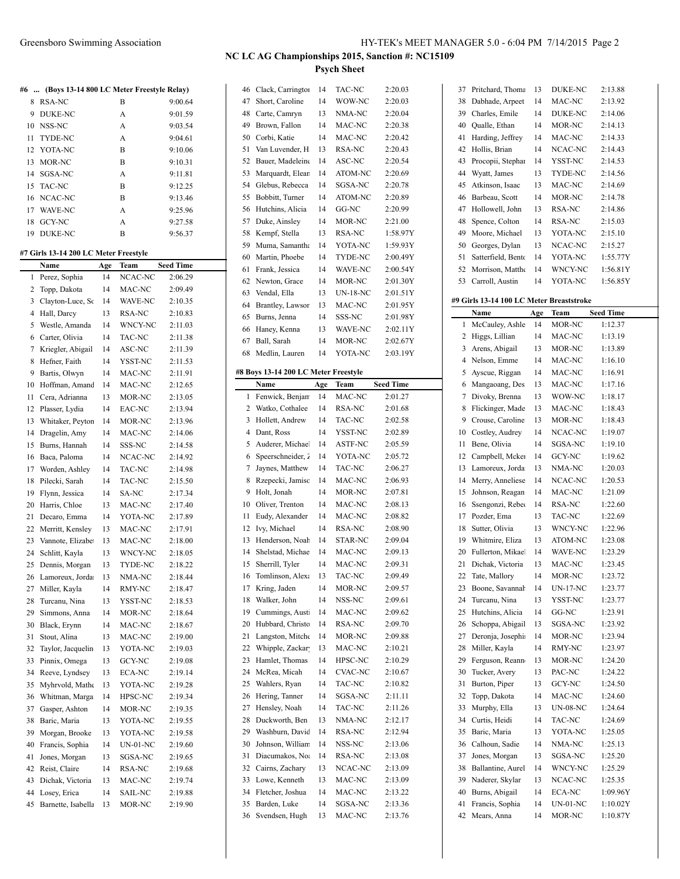Greensboro Swimming Association HY-TEK's MEET MANAGER 5.0 - 6:04 PM 7/14/2015 Page 2

**NC LC AG Championships 2015, Sanction #: NC15109**

**Psych Sheet**

Clack, Carrington 14 TAC-NC 2:20.03

| #6 | (Boys 13-14 800 LC Meter Freestyle Relay) |           |                 |                             |
|----|-------------------------------------------|-----------|-----------------|-----------------------------|
| 8  | <b>RSA-NC</b>                             |           | В               | 9:00.64                     |
| 9  | <b>DUKE-NC</b>                            |           | A               | 9:01.59                     |
| 10 | NSS-NC                                    |           | A               | 9:03.54                     |
| 11 | <b>TYDE-NC</b>                            |           | A               | 9:04.61                     |
| 12 | YOTA-NC                                   |           | B               | 9:10.06                     |
| 13 | MOR-NC                                    |           | Β               | 9:10.31                     |
| 14 | SGSA-NC                                   |           | A               | 9:11.81                     |
| 15 | TAC-NC                                    |           | B               | 9:12.25                     |
| 16 | NCAC-NC                                   |           | Β               | 9:13.46                     |
| 17 | WAVE-NC                                   |           | A               | 9:25.96                     |
| 18 | GCY-NC                                    |           | A               | 9:27.58                     |
| 19 | <b>DUKE-NC</b>                            |           | B               | 9:56.37                     |
|    |                                           |           |                 |                             |
|    | #7 Girls 13-14 200 LC Meter Freestyle     |           |                 |                             |
| 1  | Name<br>Perez, Sophia                     | Age<br>14 | Team<br>NCAC-NC | <b>Seed Time</b><br>2:06.29 |
| 2  | Topp, Dakota                              | 14        | MAC-NC          | 2:09.49                     |
| 3  | Clayton-Luce, So                          | 14        | WAVE-NC         | 2:10.35                     |
|    | Hall, Darcy                               |           | <b>RSA-NC</b>   | 2:10.83                     |
| 4  |                                           | 13        |                 |                             |
| 5  | Westle, Amanda                            | 14        | WNCY-NC         | 2:11.03                     |
| 6  | Carter, Olivia                            | 14        | TAC-NC          | 2:11.38                     |
| 7  | Kriegler, Abigail                         | 14        | ASC-NC          | 2:11.39                     |
| 8  | Hefner, Faith                             | 14        | YSST-NC         | 2:11.53                     |
| 9  | Bartis, Olwyn                             | 14        | MAC-NC          | 2:11.91                     |
| 10 | Hoffman, Amand                            | 14        | MAC-NC          | 2:12.65                     |
| 11 | Cera, Adrianna                            | 13        | MOR-NC          | 2:13.05                     |
| 12 | Plasser, Lydia                            | 14        | EAC-NC          | 2:13.94                     |
| 13 | Whitaker, Peyton                          | 14        | MOR-NC          | 2:13.96                     |
| 14 | Dragelin, Amy                             | 14        | MAC-NC          | 2:14.06                     |
| 15 | Burns, Hannah                             | 14        | SSS-NC          | 2:14.58                     |
| 16 | Baca, Paloma                              | 14        | NCAC-NC         | 2:14.92                     |
| 17 | Worden, Ashley                            | 14        | TAC-NC          | 2:14.98                     |
| 18 | Pilecki, Sarah                            | 14        | TAC-NC          | 2:15.50                     |
| 19 | Flynn, Jessica                            | 14        | SA-NC           | 2:17.34                     |
| 20 | Harris, Chloe                             | 13        | MAC-NC          | 2:17.40                     |
| 21 | Decaro, Emma                              | 14        | YOTA-NC         | 2:17.89                     |
| 22 | Merritt, Kensley                          | 13        | MAC-NC          | 2:17.91                     |
| 23 | Vannote, Elizabe                          | 13        | MAC-NC          | 2:18.00                     |
| 24 | Schlitt, Kayla                            | 13        | WNCY-NC         | 2:18.05                     |
| 25 | Dennis, Morgan                            | 13        | <b>TYDE-NC</b>  | 2:18.22                     |
|    | 26 Lamoreux, Jorda                        | 13        | NMA-NC          | 2:18.44                     |
| 27 | Miller, Kayla                             | 14        | RMY-NC          | 2:18.47                     |
| 28 | Turcanu, Nina                             | 13        | YSST-NC         | 2:18.53                     |
| 29 | Simmons, Anna                             | 14        | MOR-NC          | 2:18.64                     |
| 30 | Black, Erynn                              | 14        | MAC-NC          | 2:18.67                     |
| 31 | Stout, Alina                              | 13        | MAC-NC          | 2:19.00                     |
| 32 | Taylor, Jacquelin                         | 13        | YOTA-NC         | 2:19.03                     |
| 33 | Pinnix, Omega                             | 13        | GCY-NC          | 2:19.08                     |
| 34 | Reeve, Lyndsey                            | 13        | ECA-NC          | 2:19.14                     |
| 35 | Myhrvold, Mathe                           | 13        | YOTA-NC         | 2:19.28                     |
| 36 | Whitman, Marga                            | 14        | HPSC-NC         | 2:19.34                     |
| 37 | Gasper, Ashton                            | 14        | MOR-NC          | 2:19.35                     |
| 38 | Baric, Maria                              | 13        | YOTA-NC         | 2:19.55                     |
| 39 | Morgan, Brooke                            | 13        | YOTA-NC         | 2:19.58                     |
| 40 | Francis, Sophia                           | 14        | <b>UN-01-NC</b> | 2:19.60                     |
| 41 | Jones, Morgan                             | 13        | SGSA-NC         | 2:19.65                     |
| 42 | Reist, Claire                             | 14        | RSA-NC          | 2:19.68                     |
| 43 | Dichak, Victoria                          | 13        | MAC-NC          | 2:19.74                     |
| 44 | Losey, Erica                              | 14        | SAIL-NC         | 2:19.88                     |
| 45 | Barnette, Isabella                        | 13        | MOR-NC          | 2:19.90                     |

| 47       | Short, Caroline                      | 14       | WOW-NC            | 2:20.03            |
|----------|--------------------------------------|----------|-------------------|--------------------|
| 48       | Carte, Camryn                        | 13       | NMA-NC            | 2:20.04            |
| 49       | Brown, Fallon                        | 14       | MAC-NC            | 2:20.38            |
| 50       | Corbi, Katie                         | 14       | MAC-NC            | 2:20.42            |
| 51       | Van Luvender, H                      | 13       | RSA-NC            | 2:20.43            |
| 52       | Bauer, Madeleine                     | 14       | ASC-NC            | 2:20.54            |
| 53       | Marquardt, Elean                     | 14       | ATOM-NC           | 2:20.69            |
| 54       | Glebus, Rebecca                      | 14       | SGSA-NC           | 2:20.78            |
| 55       | Bobbitt, Turner                      | 14       | ATOM-NC           | 2:20.89            |
| 56       | Hutchins, Alicia                     | 14       | GG-NC             | 2:20.99            |
| 57       | Duke, Ainsley                        | 14       | MOR-NC            | 2:21.00            |
| 58       | Kempf, Stella                        | 13       | RSA-NC            | 1:58.97Y           |
| 59       | Muma, Samantha                       | 14       | YOTA-NC           | 1:59.93Y           |
| 60       | Martin, Phoebe                       | 14       | TYDE-NC           | 2:00.49Y           |
| 61       | Frank, Jessica                       | 14       | WAVE-NC           | 2:00.54Y           |
| 62       | Newton, Grace                        | 14       | MOR-NC            | 2:01.30Y           |
| 63       | Vendal, Ella                         | 13       | <b>UN-18-NC</b>   | 2:01.51Y           |
| 64       | Brantley, Lawsor                     | 13       | MAC-NC            | 2:01.95Y           |
| 65       | Burns, Jenna                         | 14       | SSS-NC            | 2:01.98Y           |
| 66       | Haney, Kenna                         | 13       | <b>WAVE-NC</b>    | 2:02.11Y           |
| 67       |                                      |          | MOR-NC            |                    |
|          | Ball, Sarah                          | 14       |                   | 2:02.67Y           |
| 68       | Medlin, Lauren                       | 14       | YOTA-NC           | 2:03.19Y           |
|          | #8 Boys 13-14 200 LC Meter Freestyle |          |                   |                    |
|          | Name                                 | Age      | Team              | <b>Seed Time</b>   |
| 1        | Fenwick, Benjan                      | 14       | MAC-NC            | 2:01.27            |
| 2        | Watko, Cothalee                      | 14       | RSA-NC            | 2:01.68            |
| 3        | Hollett, Andrew                      | 14       | TAC-NC            | 2:02.58            |
| 4        | Dant, Ross                           | 14       | YSST-NC           | 2:02.89            |
| 5        | Auderer, Michael                     | 14       | <b>ASTF-NC</b>    | 2:05.59            |
| 6        | Speerschneider, 2                    | 14       | YOTA-NC           | 2:05.72            |
| 7        | Jaynes, Matthew                      | 14       | TAC-NC            | 2:06.27            |
| 8        | Rzepecki, Jamisc                     | 14       | MAC-NC            | 2:06.93            |
|          |                                      |          |                   |                    |
| 9        | Holt, Jonah                          | 14       | MOR-NC            | 2:07.81            |
| 10       | Oliver, Trenton                      | 14       | MAC-NC            | 2:08.13            |
| 11       | Eudy, Alexander                      | 14       | MAC-NC            | 2:08.82            |
| 12       | Ivy, Michael                         | 14       | <b>RSA-NC</b>     | 2:08.90            |
| 13       | Henderson, Noah                      | 14       | <b>STAR-NC</b>    | 2:09.04            |
| 14       | Shelstad, Michae                     | 14       | MAC-NC            | 2:09.13            |
| 15       | Sherrill, Tyler                      | 14       | MAC-NC            | 2:09.31            |
| 16       | Tomlinson, Alexa                     | 13       | <b>TAC-NC</b>     | 2:09.49            |
| 17       | Kring, Jaden                         | 14       | MOR-NC            | 2:09.57            |
| 18       | Walker, John                         | 14       | NSS-NC            | 2:09.61            |
| 19       | Cummings, Austi                      | 14       | MAC-NC            | 2:09.62            |
| 20       | Hubbard, Christo                     | 14       | RSA-NC            | 2:09.70            |
| 21       | Langston, Mitche                     | 14       | MOR-NC            | 2:09.88            |
| 22       | Whipple, Zackar                      | 13       | MAC-NC            | 2:10.21            |
| 23       |                                      | 14       | HPSC-NC           | 2:10.29            |
| 24       | Hamlet, Thomas<br>McRea, Micah       | 14       | <b>CVAC-NC</b>    | 2:10.67            |
|          |                                      | 14       | TAC-NC            | 2:10.82            |
| 25       | Wahlers, Ryan                        | 14       |                   |                    |
| 26       | Hering, Tanner                       |          | SGSA-NC           | 2:11.11            |
| 27       | Hensley, Noah<br>Duckworth, Ben      | 14       | TAC-NC            | 2:11.26<br>2:12.17 |
| 28       |                                      | 13<br>14 | NMA-NC            |                    |
| 29       | Washburn, David                      |          | RSA-NC            | 2:12.94            |
| 30       | Johnson, William                     | 14       | NSS-NC            | 2:13.06            |
| 31       | Diacumakos, Noa                      | 14       | RSA-NC            | 2:13.08            |
| 32       | Cairns, Zachary                      | 13       | NCAC-NC           | 2:13.09            |
| 33       | Lowe, Kenneth                        | 13       | MAC-NC            | 2:13.09            |
| 34       | Fletcher, Joshua                     | 14       | MAC-NC            | 2:13.22            |
| 35<br>36 | Barden, Luke<br>Svendsen, Hugh       | 14<br>13 | SGSA-NC<br>MAC-NC | 2:13.36<br>2:13.76 |

| 37 | Pritchard, Thoma                         | 13  | DUKE-NC         | 2:13.88          |
|----|------------------------------------------|-----|-----------------|------------------|
| 38 | Dabhade, Arpeet                          | 14  | MAC-NC          | 2:13.92          |
| 39 | Charles, Emile                           | 14  | DUKE-NC         | 2:14.06          |
| 40 | Qualle, Ethan                            | 14  | MOR-NC          | 2:14.13          |
| 41 | Harding, Jeffrey                         | 14  | MAC-NC          | 2:14.33          |
| 42 | Hollis, Brian                            | 14  | NCAC-NC         | 2:14.43          |
| 43 | Procopii, Stephar                        | 14  | YSST-NC         | 2:14.53          |
| 44 | Wyatt, James                             | 13  | TYDE-NC         | 2:14.56          |
|    |                                          |     |                 |                  |
| 45 | Atkinson, Isaac                          | 13  | MAC-NC          | 2:14.69          |
| 46 | Barbeau, Scott                           | 14  | MOR-NC          | 2:14.78          |
| 47 | Hollowell, John                          | 13  | RSA-NC          | 2:14.86          |
| 48 | Spence, Colton                           | 14  | RSA-NC          | 2:15.03          |
| 49 | Moore, Michael                           | 13  | YOTA-NC         | 2:15.10          |
| 50 | Georges, Dylan                           | 13  | NCAC-NC         | 2:15.27          |
| 51 | Satterfield, Bento                       | 14  | YOTA-NC         | 1:55.77Y         |
| 52 | Morrison, Matthe                         | 14  | WNCY-NC         | 1:56.81Y         |
| 53 | Carroll, Austin                          | 14  | YOTA-NC         | 1:56.85Y         |
|    |                                          |     |                 |                  |
|    | #9 Girls 13-14 100 LC Meter Breaststroke |     |                 |                  |
|    | Name                                     | Age | Team            | <b>Seed Time</b> |
| 1  | McCauley, Ashle                          | 14  | MOR-NC          | 1:12.37          |
| 2  | Higgs, Lillian                           | 14  | MAC-NC          | 1:13.19          |
| 3  | Arens, Abigail                           | 13  | MOR-NC          | 1:13.89          |
| 4  | Nelson, Emme                             | 14  | MAC-NC          | 1:16.10          |
| 5  | Ayscue, Riggan                           | 14  | MAC-NC          | 1:16.91          |
| 6  | Mangaoang, Des                           | 13  | MAC-NC          | 1:17.16          |
| 7  | Divoky, Brenna                           | 13  | WOW-NC          | 1:18.17          |
| 8  | Flickinger, Made                         | 13  | MAC-NC          | 1:18.43          |
| 9  | Crouse, Caroline                         | 13  | MOR-NC          | 1:18.43          |
| 10 | Costley, Audrey                          | 14  | NCAC-NC         | 1:19.07          |
| 11 | Bene, Olivia                             | 14  | SGSA-NC         | 1:19.10          |
| 12 | Campbell, Mcker                          | 14  | GCY-NC          | 1:19.62          |
|    |                                          |     | NMA-NC          | 1:20.03          |
| 13 | Lamoreux, Jorda                          | 13  |                 |                  |
| 14 | Merry, Anneliese                         | 14  | NCAC-NC         | 1:20.53          |
| 15 | Johnson, Reagan                          | 14  | MAC-NC          | 1:21.09          |
| 16 | Ssengonzi, Reber                         | 14  | RSA-NC          | 1:22.60          |
| 17 | Pozder, Ema                              | 13  | TAC-NC          | 1:22.69          |
| 18 | Sutter, Olivia                           | 13  | WNCY-NC         | 1:22.96          |
| 19 | Whitmire, Eliza                          | 13  | ATOM-NC         | 1:23.08          |
| 20 | Fullerton, Mikael                        | 14  | WAVE-NC         | 1:23.29          |
| 21 | Dichak, Victoria                         | 13  | MAC-NC          | 1:23.45          |
| 22 | Tate, Mallory                            | 14  | MOR-NC          | 1:23.72          |
| 23 | Boone, Savannah                          | 14  | <b>UN-17-NC</b> | 1:23.77          |
| 24 | Turcanu, Nina                            | 13  | YSST-NC         | 1:23.77          |
| 25 | Hutchins, Alicia                         | 14  | GG-NC           | 1:23.91          |
| 26 | Schoppa, Abigail                         | 13  | SGSA-NC         | 1:23.92          |
| 27 | Deronja, Josephia                        | 14  | MOR-NC          | 1:23.94          |
| 28 | Miller, Kayla                            | 14  | RMY-NC          | 1:23.97          |
| 29 | Ferguson, Reann                          | 13  | MOR-NC          | 1:24.20          |
| 30 | Tucker, Avery                            | 13  | PAC-NC          | 1:24.22          |
| 31 | Burton, Piper                            | 13  | GCY-NC          | 1:24.50          |
| 32 | Topp, Dakota                             | 14  | MAC-NC          | 1:24.60          |
|    |                                          |     |                 |                  |
| 33 | Murphy, Ella                             | 13  | <b>UN-08-NC</b> | 1:24.64          |
| 34 | Curtis, Heidi                            | 14  | TAC-NC          | 1:24.69          |
| 35 | Baric, Maria                             | 13  | YOTA-NC         | 1:25.05          |
| 36 | Calhoun, Sadie                           | 14  | NMA-NC          | 1:25.13          |
| 37 | Jones, Morgan                            | 13  | SGSA-NC         | 1:25.20          |
| 38 | Ballantine, Aurel                        | 14  | WNCY-NC         | 1:25.29          |
| 39 | Naderer, Skylar                          | 13  | NCAC-NC         | 1:25.35          |
| 40 | Burns, Abigail                           | 14  | ECA-NC          | 1:09.96Y         |
| 41 | Francis, Sophia                          | 14  | <b>UN-01-NC</b> | 1:10.02Y         |
| 42 | Mears, Anna                              | 14  | MOR-NC          | 1:10.87Y         |
|    |                                          |     |                 |                  |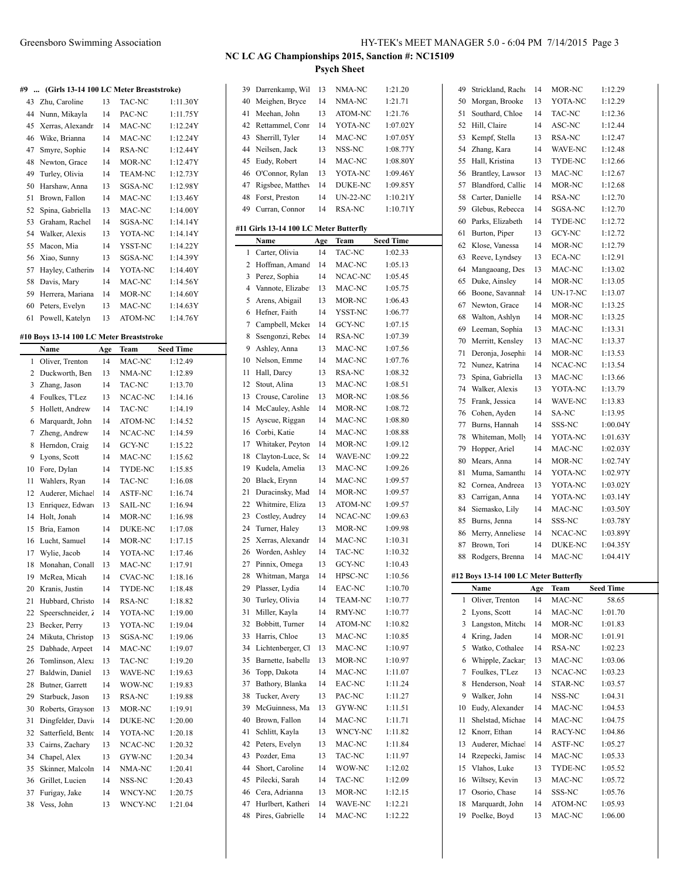#### **#9 ... (Girls 13-14 100 LC Meter Breaststroke)**

| 43<br>Zhu, Caroline | 13 | TAC-NC         | 1:11.30Y |
|---------------------|----|----------------|----------|
| Nunn, Mikayla       | 14 | PAC-NC         | 1:11.75Y |
| Xerras, Alexandr    | 14 | MAC-NC         | 1:12.24Y |
| Wike, Brianna       | 14 | MAC-NC         | 1:12.24Y |
| Smyre, Sophie       | 14 | RSA-NC         | 1:12.44Y |
| Newton, Grace       | 14 | MOR-NC         | 1:12.47Y |
| Turley, Olivia      | 14 | <b>TEAM-NC</b> | 1:12.73Y |
| Harshaw, Anna       | 13 | SGSA-NC        | 1:12.98Y |
| Brown, Fallon       | 14 | MAC-NC         | 1:13.46Y |
| Spina, Gabriella    | 13 | MAC-NC         | 1:14.00Y |
| Graham, Rachel      | 14 | SGSA-NC        | 1:14.14Y |
| Walker, Alexis      | 13 | YOTA-NC        | 1:14.14Y |
| Macon, Mia          | 14 | YSST-NC        | 1:14.22Y |
| Xiao, Sunny         | 13 | SGSA-NC        | 1:14.39Y |
| Hayley, Catherin    | 14 | YOTA-NC        | 1:14.40Y |
| Davis, Mary         | 14 | MAC-NC         | 1:14.56Y |
| Herrera, Mariana    | 14 | MOR-NC         | 1:14.60Y |
| Peters, Evelyn      | 13 | MAC-NC         | 1:14.63Y |
| Powell, Katelyn     | 13 | <b>ATOM-NC</b> | 1:14.76Y |
|                     |    |                |          |

#### **#10 Boys 13-14 100 LC Meter Breaststroke**

|    | Name               | Age | Team           | <b>Seed Time</b> |
|----|--------------------|-----|----------------|------------------|
| 1  | Oliver, Trenton    | 14  | MAC-NC         | 1:12.49          |
| 2  | Duckworth, Ben     | 13  | NMA-NC         | 1:12.89          |
| 3  | Zhang, Jason       | 14  | TAC-NC         | 1:13.70          |
| 4  | Foulkes, T'Lez     | 13  | NCAC-NC        | 1:14.16          |
| 5  | Hollett, Andrew    | 14  | <b>TAC-NC</b>  | 1:14.19          |
| 6  | Marquardt, John    | 14  | ATOM-NC        | 1:14.52          |
| 7  | Zheng, Andrew      | 14  | NCAC-NC        | 1:14.59          |
| 8  | Herndon, Craig     | 14  | <b>GCY-NC</b>  | 1:15.22          |
| 9  | Lyons, Scott       | 14  | MAC-NC         | 1:15.62          |
| 10 | Fore, Dylan        | 14  | TYDE-NC        | 1:15.85          |
| 11 | Wahlers, Ryan      | 14  | TAC-NC         | 1:16.08          |
| 12 | Auderer, Michae.   | 14  | <b>ASTF-NC</b> | 1:16.74          |
| 13 | Enriquez, Edwar    | 13  | SAIL-NC        | 1:16.94          |
| 14 | Holt, Jonah        | 14  | MOR-NC         | 1:16.98          |
| 15 | Bria, Eamon        | 14  | <b>DUKE-NC</b> | 1:17.08          |
| 16 | Lucht, Samuel      | 14  | MOR-NC         | 1:17.15          |
| 17 | Wylie, Jacob       | 14  | YOTA-NC        | 1:17.46          |
| 18 | Monahan, Conall    | 13  | MAC-NC         | 1:17.91          |
| 19 | McRea, Micah       | 14  | <b>CVAC-NC</b> | 1:18.16          |
| 20 | Kranis, Justin     | 14  | TYDE-NC        | 1:18.48          |
| 21 | Hubbard, Christc   | 14  | <b>RSA-NC</b>  | 1:18.82          |
| 22 | Speerschneider, 2  | 14  | YOTA-NC        | 1:19.00          |
| 23 | Becker, Perry      | 13  | YOTA-NC        | 1:19.04          |
| 24 | Mikuta, Christop   | 13  | SGSA-NC        | 1:19.06          |
| 25 | Dabhade, Arpeet    | 14  | MAC-NC         | 1:19.07          |
| 26 | Tomlinson, Alexa   | 13  | TAC-NC         | 1:19.20          |
| 27 | Baldwin, Daniel    | 13  | WAVE-NC        | 1:19.63          |
| 28 | Butner, Garrett    | 14  | WOW-NC         | 1:19.83          |
| 29 | Starbuck, Jason    | 13  | RSA-NC         | 1:19.88          |
| 30 | Roberts, Graysor   | 13  | MOR-NC         | 1:19.91          |
| 31 | Dingfelder, Davi   | 14  | DUKE-NC        | 1:20.00          |
| 32 | Satterfield, Bento | 14  | YOTA-NC        | 1:20.18          |
| 33 | Cairns, Zachary    | 13  | NCAC-NC        | 1:20.32          |
| 34 | Chapel, Alex       | 13  | GYW-NC         | 1:20.34          |
| 35 | Skinner, Malcoln   | 14  | NMA-NC         | 1:20.41          |
| 36 | Grillet, Lucien    | 14  | NSS-NC         | 1:20.43          |
| 37 | Furigay, Jake      | 14  | <b>WNCY-NC</b> | 1:20.75          |
| 38 | Vess, John         | 13  | <b>WNCY-NC</b> | 1:21.04          |
|    |                    |     |                |                  |

| 39       | Darrenkamp, Wil                        | 13       | NMA-NC            | 1:21.20            |
|----------|----------------------------------------|----------|-------------------|--------------------|
| 40       | Meighen, Bryce                         | 14       | NMA-NC            | 1:21.71            |
| 41       | Meehan, John                           | 13       | ATOM-NC           | 1:21.76            |
| 42       | Rettammel, Conr                        | 14       | YOTA-NC           | 1:07.02Y           |
| 43       | Sherrill, Tyler                        | 14       | MAC-NC            | 1:07.05Y           |
| 44       | Neilsen, Jack                          | 13       | NSS-NC            | 1:08.77Y           |
| 45       | Eudy, Robert                           | 14       | MAC-NC            | 1:08.80Y           |
| 46       | O'Connor, Rylan                        | 13       | YOTA-NC           | 1:09.46Y           |
| 47       | Rigsbee, Matthey                       | 14       | <b>DUKE-NC</b>    | 1:09.85Y           |
| 48       | Forst. Preston                         | 14       | $UN-22-NC$        | 1:10.21Y           |
| 49       | Curran, Connor                         | 14       | <b>RSA-NC</b>     | 1:10.71Y           |
|          | #11 Girls 13-14 100 LC Meter Butterfly |          |                   |                    |
|          | Name                                   | Age      | Team              | <b>Seed Time</b>   |
| 1        | Carter, Olivia                         | 14       | TAC-NC            | 1:02.33            |
| 2        | Hoffman, Amand                         | 14       | MAC-NC            | 1:05.13            |
| 3        | Perez, Sophia                          | 14       | NCAC-NC           | 1:05.45            |
| 4        | Vannote, Elizabe                       | 13       | MAC-NC            | 1:05.75            |
| 5        | Arens, Abigail                         | 13       | MOR-NC            | 1:06.43            |
| 6        | Hefner, Faith                          | 14       | YSST-NC           | 1:06.77            |
| 7        | Campbell, Mcker                        | 14       | GCY-NC            | 1:07.15            |
| 8        | Ssengonzi, Rebec                       | 14       | RSA-NC            | 1:07.39            |
| 9        | Ashley, Anna                           | 13       | MAC-NC            | 1:07.56            |
| 10       | Nelson, Emme                           | 14       | MAC-NC            | 1:07.76            |
| 11       | Hall, Darcy                            | 13       | RSA-NC            | 1:08.32            |
| 12       | Stout, Alina                           | 13       | MAC-NC            | 1:08.51            |
| 13       | Crouse, Caroline                       | 13       | MOR-NC            | 1:08.56            |
| 14       | McCauley, Ashle                        | 14       | MOR-NC            | 1:08.72            |
| 15       | Ayscue, Riggan                         | 14       | MAC-NC            | 1:08.80            |
| 16       | Corbi, Katie                           | 14       | MAC-NC            | 1:08.88            |
| 17       | Whitaker, Peyton                       | 14       | MOR-NC            | 1:09.12            |
| 18       | Clayton-Luce, Sc                       | 14       | WAVE-NC           | 1:09.22            |
| 19       | Kudela, Amelia                         | 13       | MAC-NC            | 1:09.26            |
| 20       | Black, Erynn                           | 14       | MAC-NC            | 1:09.57            |
| 21       | Duracinsky, Mad                        | 14       | MOR-NC            | 1:09.57            |
| 22       | Whitmire, Eliza                        | 13       | ATOM-NC           | 1:09.57            |
| 23       | Costley, Audrey                        | 14       | NCAC-NC           | 1:09.63            |
| 24       | Turner, Haley                          | 13       | MOR-NC            | 1:09.98            |
| 25       | Xerras, Alexandr                       | 14       | MAC-NC            | 1:10.31            |
| 26       | Worden, Ashley                         | 14       | TAC-NC            | 1:10.32            |
| 27       | Pinnix, Omega                          | 13       | <b>GCY-NC</b>     | 1:10.43            |
| 28       | Whitman, Marga                         | 14       | HPSC-NC           | 1:10.56            |
| 29       | Plasser, Lydia                         | 14       | EAC-NC            | 1:10.70            |
| 30       | Turley, Olivia                         | 14       | <b>TEAM-NC</b>    | 1:10.77            |
| 31       | Miller, Kayla                          | 14       | RMY-NC            | 1:10.77            |
| 32       | Bobbitt, Turner                        | 14       | ATOM-NC           | 1:10.82            |
| 33       | Harris, Chloe                          | 13       | MAC-NC            | 1:10.85            |
| 34       | Lichtenberger, Cl                      | 13       | MAC-NC            | 1:10.97            |
| 35       | Barnette, Isabella                     | 13       | MOR-NC            | 1:10.97            |
| 36       | Topp, Dakota                           | 14       | MAC-NC            | 1:11.07            |
| 37       | Bathory, Blanka                        | 14       | EAC-NC            | 1:11.24            |
| 38       | Tucker, Avery                          | 13       | PAC-NC            | 1:11.27            |
| 39       | McGuinness, Ma<br>Brown, Fallon        | 13       | GYW-NC            | 1:11.51            |
| 40<br>41 | Schlitt, Kayla                         | 14       | MAC-NC            | 1:11.71            |
| 42       | Peters, Evelyn                         | 13<br>13 | WNCY-NC<br>MAC-NC | 1:11.82<br>1:11.84 |
| 43       | Pozder, Ema                            | 13       | TAC-NC            | 1:11.97            |
| 44       | Short, Caroline                        | 14       | WOW-NC            | 1:12.02            |
| 45       | Pilecki, Sarah                         | 14       | TAC-NC            | 1:12.09            |
| 46       | Cera, Adrianna                         | 13       | MOR-NC            | 1:12.15            |
| 47       | Hurlbert, Katheri                      | 14       | WAVE-NC           | 1:12.21            |
| 48       | Pires, Gabrielle                       | 14       | MAC-NC            | 1:12.22            |
|          |                                        |          |                   |                    |

| 49       | Strickland, Rache                     | 14       | MOR-NC            | 1:12.29            |
|----------|---------------------------------------|----------|-------------------|--------------------|
| 50       | Morgan, Brooke                        | 13       | YOTA-NC           | 1:12.29            |
| 51       | Southard, Chloe                       | 14       | TAC-NC            | 1:12.36            |
| 52       | Hill, Claire                          | 14       | ASC-NC            | 1:12.44            |
| 53       | Kempf, Stella                         | 13       | RSA-NC            | 1:12.47            |
| 54       | Zhang, Kara                           | 14       | WAVE-NC           | 1:12.48            |
| 55       | Hall, Kristina                        | 13       | TYDE-NC           | 1:12.66            |
| 56       | Brantley, Lawsor                      | 13       | MAC-NC            | 1:12.67            |
| 57       | Blandford, Callie                     | 14       | MOR-NC            | 1:12.68            |
| 58       | Carter, Danielle                      | 14       | <b>RSA-NC</b>     | 1:12.70            |
| 59       | Glebus, Rebecca                       | 14       | SGSA-NC           | 1:12.70            |
| 60       | Parks, Elizabeth                      | 14       | TYDE-NC           | 1:12.72            |
|          |                                       | 13       |                   | 1:12.72            |
| 61       | Burton, Piper                         |          | GCY-NC            |                    |
| 62       | Klose, Vanessa                        | 14       | MOR-NC            | 1:12.79            |
| 63       | Reeve, Lyndsey                        | 13       | <b>ECA-NC</b>     | 1:12.91            |
| 64       | Mangaoang, Des                        | 13       | MAC-NC            | 1:13.02            |
| 65       | Duke, Ainsley                         | 14       | MOR-NC            | 1:13.05            |
| 66       | Boone, Savannah                       | 14       | <b>UN-17-NC</b>   | 1:13.07            |
| 67       | Newton, Grace                         | 14       | MOR-NC            | 1:13.25            |
| 68       | Walton, Ashlyn                        | 14       | MOR-NC            | 1:13.25            |
| 69       | Leeman, Sophia                        | 13       | MAC-NC            | 1:13.31            |
| 70       | Merritt, Kensley                      | 13       | MAC-NC            | 1:13.37            |
| 71       | Deronja, Josephia                     | 14       | MOR-NC            | 1:13.53            |
| 72       | Nunez, Katrina                        | 14       | NCAC-NC           | 1:13.54            |
| 73       | Spina, Gabriella                      | 13       | MAC-NC            | 1:13.66            |
| 74       | Walker, Alexis                        | 13       | YOTA-NC           | 1:13.79            |
| 75       | Frank, Jessica                        | 14       | WAVE-NC           | 1:13.83            |
| 76       | Cohen, Ayden                          | 14       | SA-NC             | 1:13.95            |
| 77       | Burns, Hannah                         | 14       | SSS-NC            | 1:00.04Y           |
|          | Whiteman, Molly                       |          |                   |                    |
| 78       |                                       | 14       | YOTA-NC           | 1:01.63Y           |
| 79       | Hopper, Ariel                         | 14       | MAC-NC            | 1:02.03Y           |
|          |                                       |          |                   |                    |
| 80       | Mears, Anna                           | 14       | MOR-NC            | 1:02.74Y           |
| 81       | Muma, Samantha                        | 14       | YOTA-NC           | 1:02.97Y           |
| 82       | Cornea, Andreea                       | 13       | YOTA-NC           | 1:03.02Y           |
| 83       | Carrigan, Anna                        | 14       | YOTA-NC           | 1:03.14Y           |
| 84       | Siemasko, Lily                        | 14       | MAC-NC            | 1:03.50Y           |
| 85       | Burns, Jenna                          | 14       | SSS-NC            | 1:03.78Y           |
| 86       | Merry, Anneliese                      | 14       | NCAC-NC           | 1:03.89Y           |
| 87       | Brown, Tori                           | 14       | <b>DUKE-NC</b>    | 1:04.35Y           |
| 88       | Rodgers, Brenna                       | 14       | MAC-NC            | 1:04.41Y           |
|          |                                       |          |                   |                    |
|          | #12 Boys 13-14 100 LC Meter Butterfly |          |                   |                    |
|          | Name                                  | Age      | Team              | <b>Seed Time</b>   |
| 1        | Oliver, Trenton                       | 14       | MAC-NC            | 58.65              |
| 2        | Lyons, Scott                          | 14       | MAC-NC            | 1:01.70            |
| 3        | Langston, Mitche                      | 14       | MOR-NC            | 1:01.83            |
| 4        | Kring, Jaden                          | 14       | MOR-NC            | 1:01.91            |
| 5        | Watko, Cothalee                       | 14       | RSA-NC            | 1:02.23            |
| 6        | Whipple, Zackar                       | 13       | MAC-NC            | 1:03.06            |
| 7        | Foulkes, T'Lez                        | 13       | NCAC-NC           | 1:03.23            |
| 8        | Henderson, Noah                       | 14       | STAR-NC           | 1:03.57            |
| 9        | Walker, John                          | 14       | NSS-NC            | 1:04.31            |
| 10       | Eudy, Alexander                       | 14       | MAC-NC            | 1:04.53            |
| 11       | Shelstad, Michae                      | 14       | MAC-NC            | 1:04.75            |
| 12       | Knorr, Ethan                          | 14       | RACY-NC           | 1:04.86            |
| 13       | Auderer, Michae.                      | 14       | ASTF-NC           |                    |
|          |                                       | 14       |                   | 1:05.27            |
| 14       | Rzepecki, Jamisc                      |          | MAC-NC            | 1:05.33            |
| 15       | Vlahos, Luke                          | 13       | TYDE-NC           | 1:05.52            |
| 16       | Wiltsey, Kevin                        | 13       | MAC-NC            | 1:05.72            |
| 17       | Osorio, Chase                         | 14       | SSS-NC            | 1:05.76            |
| 18<br>19 | Marquardt, John<br>Poelke, Boyd       | 14<br>13 | ATOM-NC<br>MAC-NC | 1:05.93<br>1:06.00 |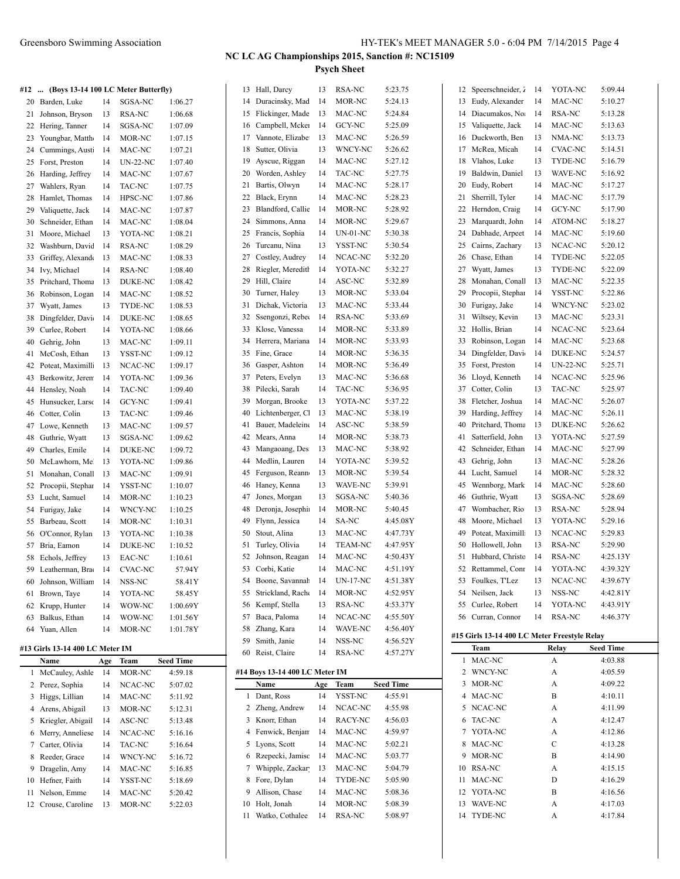Crouse, Caroline 13 MOR-NC 5:22.03

 WAVE-NC A 4:17.03 TYDE-NC A 4:17.84

# **NC LC AG Championships 2015, Sanction #: NC15109**

**Psych Sheet**

| #12 | (Boys 13-14 100 LC Meter Butterfly) |     |                |                  |    | 13 Hall, Darcy                     | 13  | RSA-NC          | 5:23.75          |    | 12 Speerschneider, 2                         | 14 | YOTA-NC         | 5:09.44          |
|-----|-------------------------------------|-----|----------------|------------------|----|------------------------------------|-----|-----------------|------------------|----|----------------------------------------------|----|-----------------|------------------|
|     | 20 Barden, Luke                     | 14  | SGSA-NC        | 1:06.27          |    | 14 Duracinsky, Mad                 | 14  | MOR-NC          | 5:24.13          |    | 13 Eudy, Alexander                           | 14 | MAC-NC          | 5:10.27          |
| 21  | Johnson, Bryson                     | 13  | RSA-NC         | 1:06.68          | 15 | Flickinger, Made                   | 13  | MAC-NC          | 5:24.84          | 14 | Diacumakos, No.                              | 14 | RSA-NC          | 5:13.28          |
|     | 22 Hering, Tanner                   | 14  | SGSA-NC        | 1:07.09          | 16 | Campbell, Mcker                    | 14  | GCY-NC          | 5:25.09          | 15 | Valiquette, Jack                             | 14 | MAC-NC          | 5:13.63          |
| 23  | Youngbar, Matth                     | 14  | MOR-NC         | 1:07.15          | 17 | Vannote, Elizabe                   | 13  | MAC-NC          | 5:26.59          | 16 | Duckworth, Ben                               | 13 | NMA-NC          | 5:13.73          |
|     | 24 Cummings, Aust                   | 14  | MAC-NC         | 1:07.21          | 18 | Sutter, Olivia                     | 13  | WNCY-NC         | 5:26.62          |    | 17 McRea, Micah                              | 14 | CVAC-NC         | 5:14.51          |
|     | 25 Forst, Preston                   | 14  | UN-22-NC       | 1:07.40          | 19 | Ayscue, Riggan                     | 14  | MAC-NC          | 5:27.12          | 18 | Vlahos, Luke                                 | 13 | TYDE-NC         | 5:16.79          |
|     | 26 Harding, Jeffrey                 | 14  | MAC-NC         | 1:07.67          | 20 | Worden, Ashley                     | 14  | TAC-NC          | 5:27.75          | 19 | Baldwin, Daniel                              | 13 | WAVE-NC         | 5:16.92          |
| 27  | Wahlers, Ryan                       | 14  | TAC-NC         | 1:07.75          | 21 | Bartis, Olwyn                      | 14  | MAC-NC          | 5:28.17          | 20 | Eudy, Robert                                 | 14 | MAC-NC          | 5:17.27          |
| 28  | Hamlet, Thomas                      | 14  | HPSC-NC        | 1:07.86          | 22 | Black, Erynn                       | 14  | MAC-NC          | 5:28.23          | 21 | Sherrill, Tyler                              | 14 | MAC-NC          | 5:17.79          |
| 29  | Valiquette, Jack                    | 14  | MAC-NC         | 1:07.87          | 23 | Blandford, Callie                  | 14  | MOR-NC          | 5:28.92          |    | 22 Herndon, Craig                            | 14 | GCY-NC          | 5:17.90          |
| 30  | Schneider, Ethan                    | 14  | MAC-NC         | 1:08.04          | 24 | Simmons, Anna                      | 14  | MOR-NC          | 5:29.67          | 23 | Marquardt, John                              | 14 | ATOM-NC         | 5:18.27          |
|     | 31 Moore, Michael                   | 13  | YOTA-NC        | 1:08.21          | 25 | Francis, Sophia                    | 14  | $UN-01-NC$      | 5:30.38          | 24 | Dabhade, Arpeet                              | 14 | MAC-NC          | 5:19.60          |
| 32  | Washburn, Davic                     | 14  | RSA-NC         | 1:08.29          | 26 | Turcanu, Nina                      | 13  | YSST-NC         | 5:30.54          | 25 | Cairns, Zachary                              | 13 | NCAC-NC         | 5:20.12          |
| 33  | Griffey, Alexand                    | 13  | MAC-NC         | 1:08.33          | 27 | Costley, Audrey                    | 14  | NCAC-NC         | 5:32.20          | 26 | Chase, Ethan                                 | 14 | TYDE-NC         | 5:22.05          |
|     | 34 Ivy, Michael                     | 14  | RSA-NC         | 1:08.40          | 28 | Riegler, Meredith                  | 14  | YOTA-NC         | 5:32.27          | 27 | Wyatt, James                                 | 13 | TYDE-NC         | 5:22.09          |
|     | 35 Pritchard, Thoma                 | 13  | DUKE-NC        | 1:08.42          | 29 | Hill, Claire                       | 14  | ASC-NC          | 5:32.89          | 28 | Monahan, Conall                              | 13 | MAC-NC          | 5:22.35          |
| 36  | Robinson, Logan                     | 14  | MAC-NC         | 1:08.52          | 30 | Turner, Haley                      | 13  | MOR-NC          | 5:33.04          | 29 | Procopii, Stephar                            | 14 | YSST-NC         | 5:22.86          |
| 37  | Wyatt, James                        | 13  | TYDE-NC        | 1:08.53          | 31 | Dichak, Victoria                   | 13  | MAC-NC          | 5:33.44          | 30 | Furigay, Jake                                | 14 | WNCY-NC         | 5:23.02          |
| 38  | Dingfelder, Davi                    | 14  | DUKE-NC        | 1:08.65          | 32 | Ssengonzi, Rebec                   | 14  | RSA-NC          | 5:33.69          | 31 | Wiltsey, Kevin                               | 13 | MAC-NC          | 5:23.31          |
| 39  | Curlee, Robert                      | 14  | YOTA-NC        | 1:08.66          | 33 | Klose, Vanessa                     | 14  | MOR-NC          | 5:33.89          |    | 32 Hollis, Brian                             | 14 | NCAC-NC         | 5:23.64          |
| 40  | Gehrig, John                        | 13  | MAC-NC         | 1:09.11          | 34 | Herrera, Mariana                   | 14  | MOR-NC          | 5:33.93          | 33 | Robinson, Logan                              | 14 | MAC-NC          | 5:23.68          |
|     | 41 McCosh, Ethan                    | 13  | YSST-NC        | 1:09.12          | 35 | Fine, Grace                        | 14  | MOR-NC          | 5:36.35          | 34 | Dingfelder, Davi                             | 14 | DUKE-NC         | 5:24.57          |
| 42  | Poteat, Maximill                    | 13  | NCAC-NC        | 1:09.17          | 36 | Gasper, Ashton                     | 14  | MOR-NC          | 5:36.49          | 35 | Forst, Preston                               | 14 | <b>UN-22-NC</b> | 5:25.71          |
| 43  | Berkowitz, Jeren                    | 14  | YOTA-NC        | 1:09.36          | 37 | Peters, Evelyn                     | 13  | MAC-NC          | 5:36.68          | 36 | Lloyd, Kenneth                               | 14 | NCAC-NC         | 5:25.96          |
|     | 44 Hensley, Noah                    | 14  | TAC-NC         | 1:09.40          |    | 38 Pilecki, Sarah                  | 14  | TAC-NC          | 5:36.95          | 37 | Cotter, Colin                                | 13 | TAC-NC          | 5:25.97          |
|     | 45 Hunsucker, Larso                 | 14  | GCY-NC         | 1:09.41          | 39 | Morgan, Brooke                     | 13  | YOTA-NC         | 5:37.22          | 38 | Fletcher, Joshua                             | 14 | MAC-NC          | 5:26.07          |
| 46  | Cotter, Colin                       | 13  | TAC-NC         | 1:09.46          | 40 | Lichtenberger, Cl                  | 13  | MAC-NC          | 5:38.19          | 39 | Harding, Jeffrey                             | 14 | MAC-NC          | 5:26.11          |
|     | 47 Lowe, Kenneth                    | 13  | MAC-NC         | 1:09.57          | 41 | Bauer, Madeleine                   | 14  | ASC-NC          | 5:38.59          | 40 | Pritchard, Thoma                             | 13 | DUKE-NC         | 5:26.62          |
| 48  | Guthrie, Wyatt                      | 13  | SGSA-NC        | 1:09.62          | 42 | Mears, Anna                        | 14  | MOR-NC          | 5:38.73          | 41 | Satterfield, John                            | 13 | YOTA-NC         | 5:27.59          |
| 49  | Charles, Emile                      | 14  | DUKE-NC        | 1:09.72          | 43 | Mangaoang, Des                     | 13  | MAC-NC          | 5:38.92          | 42 | Schneider, Ethan                             | 14 | MAC-NC          | 5:27.99          |
| 50  | McLawhorn, Me                       | 13  | YOTA-NC        | 1:09.86          | 44 | Medlin, Lauren                     | 14  | YOTA-NC         | 5:39.52          | 43 | Gehrig, John                                 | 13 | MAC-NC          | 5:28.26          |
|     | 51 Monahan, Conall                  | 13  | MAC-NC         | 1:09.91          | 45 | Ferguson, Reann                    | 13  | MOR-NC          | 5:39.54          | 44 | Lucht, Samuel                                | 14 | MOR-NC          | 5:28.32          |
|     | 52 Procopii, Stephar                | 14  | YSST-NC        | 1:10.07          | 46 | Haney, Kenna                       | 13  | WAVE-NC         | 5:39.91          | 45 | Wennborg, Mark                               | 14 | MAC-NC          | 5:28.60          |
|     | 53 Lucht, Samuel                    | 14  | MOR-NC         | 1:10.23          | 47 | Jones, Morgan                      | 13  | SGSA-NC         | 5:40.36          | 46 | Guthrie, Wyatt                               | 13 | SGSA-NC         | 5:28.69          |
|     | 54 Furigay, Jake                    | 14  | WNCY-NC        | 1:10.25          | 48 | Deronja, Josephi                   | 14  | MOR-NC          | 5:40.45          | 47 | Wombacher, Rio                               | 13 | RSA-NC          | 5:28.94          |
|     | 55 Barbeau, Scott                   | 14  | MOR-NC         | 1:10.31          | 49 | Flynn, Jessica                     | 14  | SA-NC           | 4:45.08Y         | 48 | Moore, Michael                               | 13 | YOTA-NC         | 5:29.16          |
|     | 56 O'Connor, Rylan                  | 13  | YOTA-NC        | 1:10.38          | 50 | Stout, Alina                       | 13  | MAC-NC          | 4:47.73Y         | 49 | Poteat, Maximill                             | 13 | NCAC-NC         | 5:29.83          |
|     | 57 Bria, Eamon                      | 14  | DUKE-NC        | 1:10.52          | 51 | Turley, Olivia                     | 14  | <b>TEAM-NC</b>  | 4:47.95Y         | 50 | Hollowell, John                              | 13 | RSA-NC          | 5:29.90          |
|     | 58 Echols, Jeffrey                  | 13  | EAC-NC         | 1:10.61          | 52 | Johnson, Reagan                    | 14  | MAC-NC          | 4:50.43Y         |    | 51 Hubbard, Christo                          | 14 | RSA-NC          | 4:25.13Y         |
|     | 59 Leatherman, Bra                  | 14  | <b>CVAC-NC</b> | 57.94Y           |    | 53 Corbi, Katie                    | 14  | MAC-NC          | 4:51.19Y         | 52 | Rettammel, Conr                              | 14 | YOTA-NC         | 4:39.32Y         |
|     | 60 Johnson, William                 | 14  | NSS-NC         | 58.41Y           |    | 54 Boone, Savannah                 | 14  | <b>UN-17-NC</b> | 4:51.38Y         |    | 53 Foulkes, T'Lez                            | 13 | NCAC-NC         | 4:39.67Y         |
| 61  | Brown, Taye                         | 14  | YOTA-NC        | 58.45Y           |    | 55 Strickland, Rache               | 14  | MOR-NC          | 4:52.95Y         |    | 54 Neilsen, Jack                             | 13 | NSS-NC          | 4:42.81Y         |
|     | 62 Krupp, Hunter                    | 14  | WOW-NC         | 1:00.69Y         |    | 56 Kempf, Stella                   | 13  | RSA-NC          | 4:53.37Y         |    | 55 Curlee, Robert                            | 14 | YOTA-NC         | 4:43.91Y         |
| 63  | Balkus, Ethan                       | 14  | WOW-NC         | 1:01.56Y         | 57 | Baca, Paloma                       | 14  | NCAC-NC         | 4:55.50Y         |    | 56 Curran, Connor                            | 14 | RSA-NC          | 4:46.37Y         |
|     | 64 Yuan, Allen                      | 14  | MOR-NC         | 1:01.78Y         |    | 58 Zhang, Kara                     | 14  | WAVE-NC         | 4:56.40Y         |    |                                              |    |                 |                  |
|     |                                     |     |                |                  |    | 59 Smith, Janie                    | 14  | NSS-NC          | 4:56.52Y         |    | #15 Girls 13-14 400 LC Meter Freestyle Relay |    |                 |                  |
|     | #13 Girls 13-14 400 LC Meter IM     |     |                |                  |    | 60 Reist, Claire                   | 14  | RSA-NC          | 4:57.27Y         |    | Team                                         |    | Relay           | <b>Seed Time</b> |
|     | Name                                | Age | Team           | <b>Seed Time</b> |    |                                    |     |                 |                  |    | 1 MAC-NC                                     |    | A               | 4:03.88          |
|     | 1 McCauley, Ashle                   | 14  | MOR-NC         | 4:59.18          |    | #14 Boys 13-14 400 LC Meter IM     |     |                 |                  |    | 2 WNCY-NC<br>3 MOR-NC                        |    | A               | 4:05.59          |
|     | 2 Perez, Sophia                     | 14  | NCAC-NC        | 5:07.02          |    | Name                               | Age | <b>Team</b>     | <b>Seed Time</b> |    |                                              |    | A               | 4:09.22          |
|     | 3 Higgs, Lillian                    | 14  | MAC-NC         | 5:11.92          |    | 1 Dant, Ross                       | 14  | YSST-NC         | 4:55.91          |    | 4 MAC-NC                                     |    | B               | 4:10.11          |
|     | 4 Arens, Abigail                    | 13  | MOR-NC         | 5:12.31          |    | 2 Zheng, Andrew                    | 14  | NCAC-NC         | 4:55.98          |    | 5 NCAC-NC                                    |    | A               | 4:11.99          |
|     | 5 Kriegler, Abigail                 | 14  | ASC-NC         | 5:13.48          |    | 3 Knorr, Ethan<br>Fenwick, Benjarr | 14  | RACY-NC         | 4:56.03          |    | 6 TAC-NC                                     |    | A               | 4:12.47          |
| 6   | Merry, Anneliese                    | 14  | NCAC-NC        | 5:16.16          | 4  |                                    | 14  | MAC-NC          | 4:59.97          |    | 7 YOTA-NC                                    |    | A               | 4:12.86          |
| 7   | Carter, Olivia                      | 14  | TAC-NC         | 5:16.64          | 5  | Lyons, Scott                       | 14  | MAC-NC          | 5:02.21          |    | 8 MAC-NC<br>9 MOR-NC                         |    | C               | 4:13.28          |
| 8   | Reeder, Grace                       | 14  | WNCY-NC        | 5:16.72          | 6  | Rzepecki, Jamisc                   | 14  | MAC-NC          | 5:03.77          |    |                                              |    | B               | 4:14.90          |
|     | 9 Dragelin, Amy                     | 14  | MAC-NC         | 5:16.85          |    | 7 Whipple, Zackar                  | 13  | MAC-NC          | 5:04.79          |    | 10 RSA-NC                                    |    | A               | 4:15.15          |
|     | 10 Hefner, Faith                    | 14  | YSST-NC        | 5:18.69          | 8  | Fore, Dylan                        | 14  | TYDE-NC         | 5:05.90          |    | 11 MAC-NC                                    |    | D               | 4:16.29          |
|     | 11 Nelson, Emme                     | 14  | MAC-NC         | 5:20.42          |    | 9 Allison, Chase                   | 14  | MAC-NC          | 5:08.36          |    | 12 YOTA-NC                                   |    | B               | 4:16.56          |

 Holt, Jonah 14 MOR-NC 5:08.39 Watko, Cothalee 14 RSA-NC 5:08.97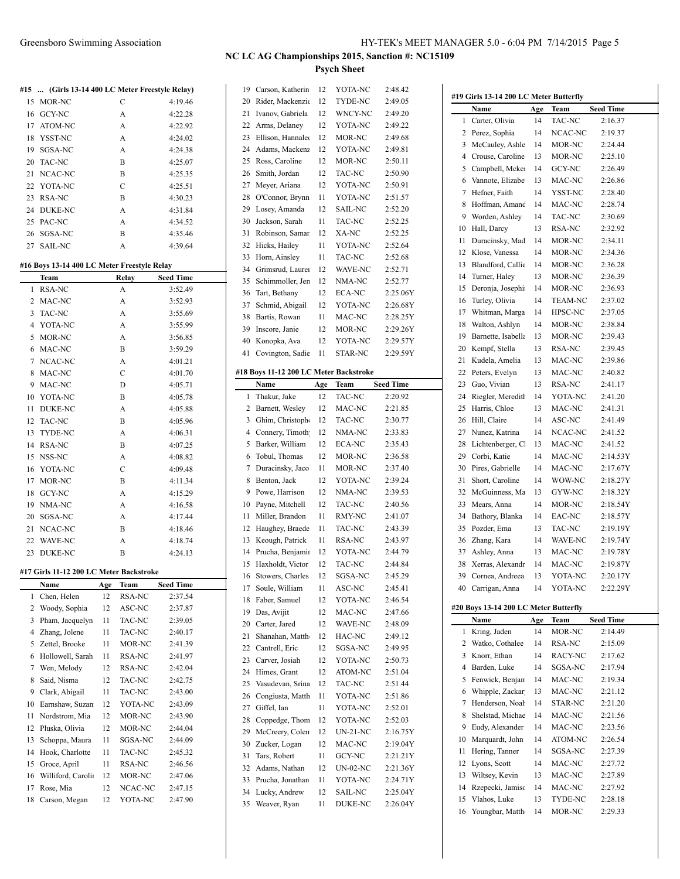|     |            | #15  (Girls 13-14 400 LC Meter Freestyle Relay) |         |
|-----|------------|-------------------------------------------------|---------|
|     | 15 MOR-NC  | C                                               | 4:19.46 |
|     | 16 GCY-NC  | A                                               | 4:22.28 |
|     | 17 ATOM-NC | A                                               | 4:22.92 |
| 18. | YSST-NC    | A                                               | 4:24.02 |
| 19. | SGSA-NC    | A                                               | 4:24.38 |
| 20  | TAC-NC     | B                                               | 4:25.07 |
| 21. | NCAC-NC    | B                                               | 4:25.35 |
|     | 22 YOTA-NC | C                                               | 4:25.51 |
| 23. | RSA-NC     | R                                               | 4:30.23 |
| 24  | DUKE-NC    | A                                               | 4:31.84 |
|     | 25 PAC-NC  | A                                               | 4:34.52 |
| 26  | SGSA-NC    | B                                               | 4:35.46 |
| 27  | SAIL-NC    | A                                               | 4:39.64 |
|     |            |                                                 |         |

#### **#16 Boys 13-14 400 LC Meter Freestyle Relay**

|                | Team                                    |     | Relay         | <b>Seed Time</b> |
|----------------|-----------------------------------------|-----|---------------|------------------|
| 1              | <b>RSA-NC</b>                           |     | A             | 3:52.49          |
| 2              | MAC-NC                                  |     | A             | 3:52.93          |
| 3              | <b>TAC-NC</b>                           |     | A             | 3:55.69          |
| 4              | YOTA-NC                                 |     | A             | 3:55.99          |
| 5              | MOR-NC                                  |     | A             | 3:56.85          |
| 6              | MAC-NC                                  |     | B             | 3:59.29          |
| 7              | NCAC-NC                                 |     | A             | 4:01.21          |
| 8              | MAC-NC                                  |     | C             | 4:01.70          |
| 9              | MAC-NC                                  |     | D             | 4:05.71          |
| 10             | YOTA-NC                                 |     | B             | 4:05.78          |
| 11             | <b>DUKE-NC</b>                          |     | A             | 4:05.88          |
| 12             | TAC-NC                                  |     | B             | 4:05.96          |
| 13             | TYDE-NC                                 |     | A             | 4:06.31          |
| 14             | <b>RSA-NC</b>                           |     | B             | 4:07.25          |
| 15             | NSS-NC                                  |     | A             | 4:08.82          |
| 16             | YOTA-NC                                 |     | $\mathcal{C}$ | 4:09.48          |
| 17             | MOR-NC                                  |     | B             | 4:11.34          |
| 18             | <b>GCY-NC</b>                           |     | A             | 4:15.29          |
| 19             | NMA-NC                                  |     | A             | 4:16.58          |
| 20             | SGSA-NC                                 |     | A             | 4:17.44          |
| 21             | NCAC-NC                                 |     | B             | 4:18.46          |
| 22             | WAVE-NC                                 |     | A             | 4:18.74          |
| 23             | <b>DUKE-NC</b>                          |     | B             | 4:24.13          |
|                | #17 Girls 11-12 200 LC Meter Backstroke |     |               |                  |
|                | Name                                    | Age | Team          | <b>Seed Time</b> |
| 1              | Chen, Helen                             | 12  | RSA-NC        | 2:37.54          |
| $\overline{c}$ | Woody, Sophia                           | 12  | ASC-NC        | 2:37.87          |
| 3              | Pham, Jacquelyn                         | 11  | TAC-NC        | 2:39.05          |
| 4              | Zhang, Jolene                           | 11  | TAC-NC        | 2:40.17          |
| 5              | Zettel, Brooke                          | 11  | MOR-NC        | 2:41.39          |
| 6              | Hollowell, Sarah                        | 11  | <b>RSA-NC</b> | 2:41.97          |
| 7              | Wen, Melody                             | 12  | <b>RSA-NC</b> | 2:42.04          |
| 8              | Said, Nisma                             | 12  | TAC-NC        | 2:42.75          |
| 9              | Clark, Abigail                          | 11  | TAC-NC        | 2:43.00          |
| 10             | Earnshaw, Suzan                         | 12  | YOTA-NC       | 2:43.09          |
| 11             | Nordstrom, Mia                          | 12  | MOR-NC        | 2:43.90          |
| 12             | Pluska, Olivia                          | 12  | MOR-NC        | 2:44.04          |
| 13             | Schoppa, Maura                          | 11  | SGSA-NC       | 2:44.09          |
| 14             | Hook, Charlotte                         | 11  | <b>TAC-NC</b> | 2:45.32          |
| 15             | Groce, April                            | 11  | <b>RSA-NC</b> | 2:46.56          |
| 16             | Williford, Carolin                      | 12  | MOR-NC        | 2:47.06          |
| 17             | Rose, Mia                               | 12  | NCAC-NC       | 2:47.15          |
| 18             | Carson, Megan                           | 12  | YOTA-NC       | 2:47.90          |
|                |                                         |     |               |                  |

| 19       | Carson, Katherin                       | 12       | YOTA-NC                   | 2:48.42              |
|----------|----------------------------------------|----------|---------------------------|----------------------|
| 20       | Rider, Mackenzie                       | 12       | TYDE-NC                   | 2:49.05              |
| 21       | Ivanov, Gabriela                       | 12       | WNCY-NC                   | 2:49.20              |
| 22       | Arms, Delaney                          | 12       | YOTA-NC                   | 2:49.22              |
| 23       | Ellison, Hannalee                      | 12       | MOR-NC                    | 2:49.68              |
| 24       | Adams, Mackenz                         | 12       | YOTA-NC                   | 2:49.81              |
| 25       |                                        | 12       | MOR-NC                    | 2:50.11              |
|          | Ross, Caroline                         |          |                           |                      |
| 26       | Smith, Jordan                          | 12       | TAC-NC                    | 2:50.90              |
| 27       | Meyer, Ariana                          | 12       | YOTA-NC                   | 2:50.91              |
| 28       | O'Connor, Brynn                        | 11       | YOTA-NC                   | 2:51.57              |
| 29       | Losey, Amanda                          | 12       | <b>SAIL-NC</b>            | 2:52.20              |
| 30       | Jackson, Sarah                         | 11       | TAC-NC                    | 2:52.25              |
| 31       | Robinson, Samar                        | 12       | XA-NC                     | 2:52.25              |
| 32       | Hicks, Hailey                          | 11       | YOTA-NC                   | 2:52.64              |
| 33       | Horn, Ainsley                          | 11       | <b>TAC-NC</b>             | 2:52.68              |
| 34       | Grimsrud, Laurer                       | 12       | WAVE-NC                   | 2:52.71              |
| 35       | Schimmoller, Jen                       | 12       | NMA-NC                    | 2:52.77              |
|          |                                        |          |                           |                      |
| 36       | Tart, Bethany                          | 12       | <b>ECA-NC</b>             | 2:25.06Y             |
| 37       | Schmid, Abigail                        | 12       | YOTA-NC                   | 2:26.68Y             |
| 38       | Bartis, Rowan                          | 11       | MAC-NC                    | 2:28.25Y             |
| 39       | Inscore, Janie                         | 12       | MOR-NC                    | 2:29.26Y             |
| 40       | Konopka, Ava                           | 12       | YOTA-NC                   | 2:29.57Y             |
| 41       | Covington, Sadie                       | 11       | STAR-NC                   | 2:29.59Y             |
|          |                                        |          |                           |                      |
|          | #18 Boys 11-12 200 LC Meter Backstroke |          |                           |                      |
|          | Name                                   | Age      | Team                      | <b>Seed Time</b>     |
| 1        | Thakur, Jake                           | 12       | <b>TAC-NC</b>             | 2:20.92              |
|          |                                        |          |                           |                      |
| 2        | Barnett, Wesley                        | 12       | MAC-NC                    | 2:21.85              |
| 3        | Ghim, Christophe                       | 12       | TAC-NC                    | 2:30.77              |
| 4        | Connery, Timoth                        | 12       | NMA-NC                    | 2:33.83              |
| 5        | Barker, William                        | 12       | <b>ECA-NC</b>             | 2:35.43              |
| 6        | Tobul, Thomas                          | 12       | MOR-NC                    | 2:36.58              |
|          |                                        |          |                           |                      |
| 7        | Duracinsky, Jaco                       | 11       | MOR-NC                    | 2:37.40              |
| 8        | Benton, Jack                           | 12       | YOTA-NC                   | 2:39.24              |
| 9        | Powe, Harrison                         | 12       | NMA-NC                    | 2:39.53              |
| 10       |                                        | 12       | TAC-NC                    | 2:40.56              |
| 11       | Payne, Mitchell                        | 11       | <b>RMY-NC</b>             |                      |
|          | Miller, Brandon                        |          |                           | 2:41.07              |
| 12       | Haughey, Braede                        | 11       | TAC-NC                    | 2:43.39              |
| 13       | Keough, Patrick                        | 11       | <b>RSA-NC</b>             | 2:43.97              |
| 14       | Prucha, Benjamir                       | 12       | YOTA-NC                   | 2:44.79              |
| 15       | Haxholdt, Victor                       | 12       | TAC-NC                    | 2:44.84              |
| 16       | Stowers, Charles                       | 12       | SGSA-NC                   | 2:45.29              |
| 17       | Soule, William                         | 11       | ASC-NC                    | 2:45.41              |
| 18       | Faber, Samuel                          | 12       | YOTA-NC                   | 2:46.54              |
| 19       | Das, Avijit                            | 12       | MAC-NC                    | 2:47.66              |
| 20       | Carter, Jared                          | 12       | WAVE-NC                   | 2:48.09              |
| 21       | Shanahan, Matth                        | 12       | HAC-NC                    | 2:49.12              |
|          |                                        |          |                           |                      |
| 22       | Cantrell, Eric                         | 12       | SGSA-NC                   | 2:49.95              |
| 23       | Carver, Josiah                         | 12       | YOTA-NC                   | 2:50.73              |
| 24       | Himes, Grant                           | 12       | ATOM-NC                   | 2:51.04              |
| 25       | Vasudevan, Srina                       | 12       | TAC-NC                    | 2:51.44              |
| 26       | Congiusta, Matth                       | 11       | YOTA-NC                   | 2:51.86              |
| 27       | Giffel, Ian                            | 11       | YOTA-NC                   | 2:52.01              |
| 28       | Coppedge, Thom                         | 12       | YOTA-NC                   | 2:52.03              |
| 29       | McCreery, Colen                        | 12       | $UN-21-NC$                | 2:16.75Y             |
| 30       | Zucker, Logan                          | 12       | MAC-NC                    | 2:19.04Y             |
| 31       | Tars, Robert                           | 11       | GCY-NC                    | 2:21.21Y             |
| 32       | Adams, Nathan                          | 12       | UN-02-NC                  | 2:21.36Y             |
|          |                                        |          |                           |                      |
| 33       | Prucha, Jonathan                       | 11       | YOTA-NC                   | 2:24.71Y             |
| 34<br>35 | Lucky, Andrew<br>Weaver, Ryan          | 12<br>11 | <b>SAIL-NC</b><br>DUKE-NC | 2:25.04Y<br>2:26.04Y |

|          | Name                                  | Age | Team              | <b>Seed Time</b>   |  |
|----------|---------------------------------------|-----|-------------------|--------------------|--|
| 1        | Carter, Olivia                        | 14  | TAC-NC            | 2:16.37            |  |
| 2        | Perez, Sophia                         | 14  | NCAC-NC           | 2:19.37            |  |
| 3        | McCauley, Ashle                       | 14  | MOR-NC            | 2:24.44            |  |
| 4        | Crouse, Caroline                      | 13  | MOR-NC            | 2:25.10            |  |
| 5        | Campbell, Mcker                       | 14  | GCY-NC            | 2:26.49            |  |
| 6        | Vannote, Elizabe                      | 13  | MAC-NC            | 2:26.86            |  |
| 7        | Hefner, Faith                         | 14  | YSST-NC           | 2:28.40            |  |
| 8        | Hoffman, Amand                        | 14  | MAC-NC            | 2:28.74            |  |
| 9        | Worden, Ashley                        | 14  | TAC-NC            | 2:30.69            |  |
| 10       | Hall, Darcy                           | 13  | RSA-NC            | 2:32.92            |  |
| 11       | Duracinsky, Mad                       | 14  | MOR-NC            | 2:34.11            |  |
| 12       | Klose, Vanessa                        | 14  | MOR-NC            | 2:34.36            |  |
| 13       | Blandford, Callie                     | 14  | MOR-NC            | 2:36.28            |  |
| 14       | Turner, Haley                         | 13  | MOR-NC            | 2:36.39            |  |
| 15       | Deronja, Josephia                     | 14  | MOR-NC            | 2:36.93            |  |
| 16       | Turley, Olivia                        | 14  | <b>TEAM-NC</b>    | 2:37.02            |  |
| 17       | Whitman, Marga                        | 14  | HPSC-NC           | 2:37.05            |  |
| 18       | Walton, Ashlyn                        | 14  | MOR-NC            | 2:38.84            |  |
| 19       | Barnette, Isabella                    | 13  | MOR-NC            | 2:39.43            |  |
| 20       | Kempf, Stella                         | 13  | RSA-NC            | 2:39.45            |  |
| 21       | Kudela, Amelia                        | 13  | MAC-NC            | 2:39.86            |  |
| 22       | Peters, Evelyn                        | 13  | MAC-NC            | 2:40.82            |  |
| 23       | Guo, Vivian                           | 13  | RSA-NC            | 2:41.17            |  |
| 24       | Riegler, Meredith                     | 14  | YOTA-NC           | 2:41.20            |  |
| 25       | Harris, Chloe                         | 13  | MAC-NC            | 2:41.31            |  |
| 26       | Hill, Claire                          | 14  | ASC-NC            | 2:41.49            |  |
| 27       | Nunez, Katrina                        | 14  | NCAC-NC           | 2:41.52            |  |
| 28       | Lichtenberger, Cl                     | 13  | MAC-NC            | 2:41.52            |  |
| 29       | Corbi, Katie                          | 14  | MAC-NC            | 2:14.53Y           |  |
| 30       | Pires, Gabrielle                      | 14  | MAC-NC            | 2:17.67Y           |  |
| 31       | Short, Caroline                       | 14  | WOW-NC            | 2:18.27Y           |  |
| 32       | McGuinness, Ma                        | 13  | GYW-NC            | 2:18.32Y           |  |
| 33       | Mears, Anna                           | 14  | MOR-NC            | 2:18.54Y           |  |
| 34       | Bathory, Blanka                       | 14  | EAC-NC            | 2:18.57Y           |  |
| 35       | Pozder, Ema                           | 13  | TAC-NC            | 2:19.19Y           |  |
| 36       | Zhang, Kara                           | 14  | WAVE-NC           | 2:19.74Y           |  |
| 37       | Ashley, Anna                          | 13  | MAC-NC            | 2:19.78Y           |  |
| 38       | Xerras, Alexandr                      | 14  | MAC-NC            | 2:19.87Y           |  |
| 39       | Cornea, Andreea                       | 13  | YOTA-NC           | 2:20.17Y           |  |
| 40       | Carrigan, Anna                        | 14  | YOTA-NC           | 2:22.29Y           |  |
|          | #20 Boys 13-14 200 LC Meter Butterfly |     |                   |                    |  |
|          | Name                                  | Age | Team              | <b>Seed Time</b>   |  |
| 1        | Kring, Jaden                          | 14  | MOR-NC            | 2:14.49            |  |
| 2        | Watko, Cothalee                       | 14  | RSA-NC            | 2:15.09            |  |
| 3        | Knorr, Ethan                          | 14  | RACY-NC           | 2:17.62            |  |
| 4        | Barden, Luke                          | 14  | SGSA-NC           | 2:17.94            |  |
|          |                                       |     |                   |                    |  |
| 5        | Fenwick, Benjan                       | 14  | MAC-NC            | 2:19.34            |  |
| 6        | Whipple, Zackar                       | 13  | MAC-NC            | 2:21.12            |  |
| 7        | Henderson, Noah                       | 14  | STAR-NC           | 2:21.20            |  |
| 8        | Shelstad, Michae                      | 14  | MAC-NC            | 2:21.56            |  |
| 9        | Eudy, Alexander                       | 14  | MAC-NC            | 2:23.56            |  |
| 10       | Marquardt, John                       | 14  | ATOM-NC           | 2:26.54            |  |
| 11       | Hering, Tanner                        | 14  | SGSA-NC           | 2:27.39            |  |
| 12       | Lyons, Scott                          | 14  | MAC-NC            | 2:27.72            |  |
| 13       | Wiltsey, Kevin                        | 13  | MAC-NC            | 2:27.89            |  |
| 14       | Rzepecki, Jamisc                      | 14  | MAC-NC            | 2:27.92            |  |
| 15<br>16 | Vlahos, Luke<br>Youngbar, Matth       | 13  | TYDE-NC<br>MOR-NC | 2:28.18<br>2:29.33 |  |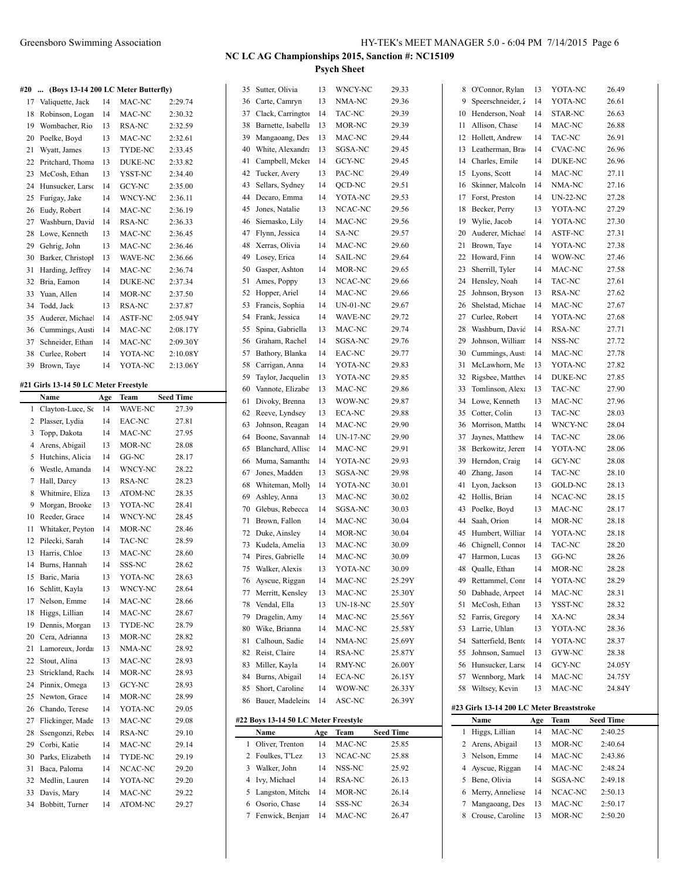|     |                                                 |     |         |                  |          |                                      |          | 1 зуси энесс              |                  |          |                                           |          |                   |                  |
|-----|-------------------------------------------------|-----|---------|------------------|----------|--------------------------------------|----------|---------------------------|------------------|----------|-------------------------------------------|----------|-------------------|------------------|
| #20 | (Boys 13-14 200 LC Meter Butterfly)<br>$\cdots$ |     |         |                  |          | 35 Sutter, Olivia                    | 13       | WNCY-NC                   | 29.33            |          | 8 O'Connor, Rylan                         | 13       | YOTA-NC           | 26.49            |
| 17  | Valiquette, Jack                                | 14  | MAC-NC  | 2:29.74          |          | 36 Carte, Camryn                     | 13       | NMA-NC                    | 29.36            | 9        | Speerschneider, 2                         | 14       | YOTA-NC           | 26.61            |
| 18  | Robinson, Logan                                 | 14  | MAC-NC  | 2:30.32          | 37       | Clack, Carrington                    | 14       | TAC-NC                    | 29.39            | 10       | Henderson, Noah                           | 14       | STAR-NC           | 26.63            |
|     | 19 Wombacher, Rio                               | 13  | RSA-NC  | 2:32.59          |          | 38 Barnette, Isabella                | 13       | MOR-NC                    | 29.39            | 11       | Allison, Chase                            | 14       | MAC-NC            | 26.88            |
| 20  | Poelke, Boyd                                    | 13  | MAC-NC  | 2:32.61          | 39       | Mangaoang, Des                       | 13       | MAC-NC                    | 29.44            | 12       | Hollett, Andrew                           | 14       | TAC-NC            | 26.91            |
| 21  | Wyatt, James                                    | 13  | TYDE-NC | 2:33.45          | 40       | White, Alexandra                     | 13       | SGSA-NC                   | 29.45            | 13       | Leatherman, Bra                           | 14       | <b>CVAC-NC</b>    | 26.96            |
| 22  | Pritchard, Thoma                                | 13  | DUKE-NC | 2:33.82          | 41       | Campbell, Mcker                      | 14       | GCY-NC                    | 29.45            | 14       | Charles, Emile                            | 14       | DUKE-NC           | 26.96            |
| 23  | McCosh, Ethan                                   | 13  | YSST-NC | 2:34.40          | 42       | Tucker, Avery                        | 13       | PAC-NC                    | 29.49            | 15       | Lyons, Scott                              | 14       | MAC-NC            | 27.11            |
|     | 24 Hunsucker, Larso                             | 14  | GCY-NC  | 2:35.00          | 43       | Sellars, Sydney                      | 14       | QCD-NC                    | 29.51            | 16       | Skinner, Malcoln                          | 14       | NMA-NC            | 27.16            |
| 25  | Furigay, Jake                                   | 14  | WNCY-NC | 2:36.11          | 44       | Decaro, Emma                         | 14       | YOTA-NC                   | 29.53            | 17       | Forst, Preston                            | 14       | <b>UN-22-NC</b>   | 27.28            |
| 26  | Eudy, Robert                                    | 14  | MAC-NC  | 2:36.19          | 45       | Jones, Natalie                       | 13       | NCAC-NC                   | 29.56            | 18       | Becker, Perry                             | 13       | YOTA-NC           | 27.29            |
| 27  | Washburn, Davić                                 | 14  | RSA-NC  | 2:36.33          | 46       | Siemasko, Lily                       | 14       | MAC-NC                    | 29.56            | 19       | Wylie, Jacob                              | 14       | YOTA-NC           | 27.30            |
| 28  | Lowe, Kenneth                                   | 13  | MAC-NC  | 2:36.45          | 47       | Flynn, Jessica                       | 14       | SA-NC                     | 29.57            | 20       | Auderer, Michae                           | 14       | ASTF-NC           | 27.31            |
|     | 29 Gehrig, John                                 | 13  | MAC-NC  | 2:36.46          |          | 48 Xerras, Olivia                    | 14       | MAC-NC                    | 29.60            | 21       | Brown, Taye                               | 14       | YOTA-NC           | 27.38            |
| 30  | Barker, Christopl                               | 13  | WAVE-NC | 2:36.66          |          | 49 Losey, Erica                      | 14       | <b>SAIL-NC</b>            | 29.64            | 22       | Howard, Finn                              | 14       | WOW-NC            | 27.46            |
|     | 31 Harding, Jeffrey                             | 14  | MAC-NC  | 2:36.74          | 50       | Gasper, Ashton                       | 14       | MOR-NC                    | 29.65            | 23       | Sherrill, Tyler                           | 14       | MAC-NC            | 27.58            |
| 32  | Bria, Eamon                                     | 14  | DUKE-NC | 2:37.34          | 51       | Ames, Poppy                          | 13       | NCAC-NC                   | 29.66            | 24       | Hensley, Noah                             | 14       | TAC-NC            | 27.61            |
|     | 33 Yuan, Allen                                  | 14  | MOR-NC  | 2:37.50          |          | 52 Hopper, Ariel                     | 14       | MAC-NC                    | 29.66            | 25       | Johnson, Bryson                           | 13       | RSA-NC            | 27.62            |
|     | 34 Todd, Jack                                   | 13  | RSA-NC  | 2:37.87          |          | 53 Francis, Sophia                   | 14       | <b>UN-01-NC</b>           | 29.67            | 26       | Shelstad, Michae                          | 14       | MAC-NC            | 27.67            |
| 35  | Auderer, Michae                                 | 14  | ASTF-NC | 2:05.94Y         |          | 54 Frank, Jessica                    | 14       | WAVE-NC                   | 29.72            | 27       | Curlee, Robert                            | 14       | YOTA-NC           | 27.68            |
| 36  | Cummings, Aust                                  | 14  | MAC-NC  | 2:08.17Y         | 55       | Spina, Gabriella                     | 13       | MAC-NC                    | 29.74            | 28       | Washburn, David                           | 14       | RSA-NC            | 27.71            |
| 37  | Schneider, Ethan                                | 14  | MAC-NC  | 2:09.30Y         | 56       | Graham, Rachel                       | 14       | SGSA-NC                   | 29.76            | 29       | Johnson, William                          | 14       | NSS-NC            | 27.72            |
| 38  | Curlee, Robert                                  | 14  | YOTA-NC | 2:10.08Y         |          | 57 Bathory, Blanka                   | 14       | EAC-NC                    | 29.77            | 30       | Cummings, Aust                            | 14       | MAC-NC            | 27.78            |
|     | 39 Brown, Taye                                  | 14  | YOTA-NC | 2:13.06Y         | 58       | Carrigan, Anna                       | 14       | YOTA-NC                   | 29.83            | 31       | McLawhorn, Me                             | 13       | YOTA-NC           | 27.82            |
|     | #21 Girls 13-14 50 LC Meter Freestyle           |     |         |                  | 59       | Taylor, Jacquelin                    | 13       | YOTA-NC                   | 29.85            | 32       | Rigsbee, Matthey                          | 14       | <b>DUKE-NC</b>    | 27.85            |
|     | Name                                            | Age | Team    | <b>Seed Time</b> | 60       | Vannote, Elizabe                     | 13       | MAC-NC                    | 29.86            | 33       | Tomlinson, Alexa                          | 13       | TAC-NC            | 27.90            |
|     | 1 Clayton-Luce, So                              | 14  | WAVE-NC | 27.39            | 61       | Divoky, Brenna                       | 13       | WOW-NC                    | 29.87            | 34       | Lowe, Kenneth                             | 13       | MAC-NC            | 27.96            |
|     | 2 Plasser, Lydia                                | 14  | EAC-NC  | 27.81            | 62       | Reeve, Lyndsey                       | 13       | ECA-NC                    | 29.88            | 35       | Cotter, Colin                             | 13       | TAC-NC            | 28.03            |
| 3   | Topp, Dakota                                    | 14  | MAC-NC  | 27.95            | 63       | Johnson, Reagan                      | 14       | MAC-NC                    | 29.90            | 36       | Morrison, Matthe                          | 14       | WNCY-NC           | 28.04            |
|     | 4 Arens, Abigail                                | 13  | MOR-NC  | 28.08            | 64       | Boone, Savannah<br>Blanchard, Allisc | 14<br>14 | <b>UN-17-NC</b><br>MAC-NC | 29.90<br>29.91   | 37<br>38 | Jaynes, Matthew<br>Berkowitz, Jeren       | 14<br>14 | TAC-NC<br>YOTA-NC | 28.06<br>28.06   |
|     | 5 Hutchins, Alicia                              | 14  | GG-NC   | 28.17            | 65       |                                      | 14       |                           | 29.93            | 39       |                                           | 14       | GCY-NC            | 28.08            |
| 6   | Westle, Amanda                                  | 14  | WNCY-NC | 28.22            | 66<br>67 | Muma, Samantha<br>Jones, Madden      | 13       | YOTA-NC<br>SGSA-NC        | 29.98            | 40       | Herndon, Craig<br>Zhang, Jason            | 14       | TAC-NC            | 28.10            |
|     | 7 Hall, Darcy                                   | 13  | RSA-NC  | 28.23            |          | Whiteman, Molly                      | 14       | YOTA-NC                   | 30.01            | 41       | Lyon, Jackson                             | 13       | GOLD-NC           | 28.13            |
|     | 8 Whitmire, Eliza                               | 13  | ATOM-NC | 28.35            | 68       | Ashley, Anna                         | 13       | MAC-NC                    | 30.02            | 42       | Hollis, Brian                             | 14       | NCAC-NC           | 28.15            |
|     | 9 Morgan, Brooke                                | 13  | YOTA-NC | 28.41            | 69<br>70 | Glebus, Rebecca                      | 14       | SGSA-NC                   | 30.03            | 43       | Poelke, Boyd                              | 13       | MAC-NC            | 28.17            |
|     | 10 Reeder, Grace                                | 14  | WNCY-NC | 28.45            | 71       | Brown, Fallon                        | 14       | MAC-NC                    | 30.04            | 44       | Saah, Orion                               | 14       | MOR-NC            | 28.18            |
|     | 11 Whitaker, Peyton                             | 14  | MOR-NC  | 28.46            |          | 72 Duke, Ainsley                     | 14       | MOR-NC                    | 30.04            | 45       | Humbert, Williar                          | 14       | YOTA-NC           | 28.18            |
|     | 12 Pilecki, Sarah                               | 14  | TAC-NC  | 28.59            |          | 73 Kudela, Amelia                    | 13       | MAC-NC                    | 30.09            | 46       | Chignell, Connor                          | 14       | TAC-NC            | 28.20            |
|     | 13 Harris, Chloe                                | 13  | MAC-NC  | 28.60            |          | 74 Pires, Gabrielle                  | 14       | MAC-NC                    | 30.09            |          | 47 Harmon, Lucas                          | 13       | GG-NC             | 28.26            |
|     | 14 Burns, Hannah                                | 14  | SSS-NC  | 28.62            |          | 75 Walker, Alexis                    | 13       | YOTA-NC                   | 30.09            |          | Qualle, Ethan                             | 14       | MOR-NC            | 28.28            |
|     | 15 Baric, Maria                                 | 13  | YOTA-NC | 28.63            |          | 76 Ayscue, Riggan                    | 14       | MAC-NC                    | 25.29Y           | 49       | Rettammel, Conr                           | 14       | YOTA-NC           | 28.29            |
|     | 16 Schlitt, Kayla                               | 13  | WNCY-NC | 28.64            |          | 77 Merritt, Kensley                  | 13       | MAC-NC                    | 25.30Y           | 50       | Dabhade, Arpeet                           | 14       | MAC-NC            | 28.31            |
|     | 17 Nelson, Emme                                 | 14  | MAC-NC  | 28.66            |          | 78 Vendal, Ella                      | 13       | <b>UN-18-NC</b>           | 25.50Y           |          | 51 McCosh, Ethan                          | 13       | YSST-NC           | 28.32            |
|     | 18 Higgs, Lillian                               | 14  | MAC-NC  | 28.67            | 79       | Dragelin, Amy                        | 14       | MAC-NC                    | 25.56Y           | 52       | Farris, Gregory                           | 14       | XA-NC             | 28.34            |
|     | 19 Dennis, Morgan                               | 13  | TYDE-NC | 28.79            | 80       | Wike, Brianna                        | 14       | MAC-NC                    | 25.58Y           | 53       | Larrie, Uhlan                             | 13       | YOTA-NC           | 28.36            |
| 20  | Cera, Adrianna                                  | 13  | MOR-NC  | 28.82            | 81       | Calhoun, Sadie                       | 14       | NMA-NC                    | 25.69Y           | 54       | Satterfield, Bento                        | 14       | YOTA-NC           | 28.37            |
|     | 21 Lamoreux, Jorda                              | 13  | NMA-NC  | 28.92            |          | 82 Reist, Claire                     | 14       | RSA-NC                    | 25.87Y           | 55       | Johnson, Samuel                           | 13       | GYW-NC            | 28.38            |
| 22  | Stout, Alina                                    | 13  | MAC-NC  | 28.93            |          | 83 Miller, Kayla                     | 14       | RMY-NC                    | 26.00Y           | 56       | Hunsucker, Larso                          | 14       | GCY-NC            | 24.05Y           |
|     | 23 Strickland, Rache                            | 14  | MOR-NC  | 28.93            |          | 84 Burns, Abigail                    | 14       | ECA-NC                    | 26.15Y           | 57       | Wennborg, Mark                            | 14       | MAC-NC            | 24.75Y           |
|     | 24 Pinnix, Omega                                | 13  | GCY-NC  | 28.93            |          | 85 Short, Caroline                   | 14       | WOW-NC                    | 26.33Y           | 58       | Wiltsey, Kevin                            | 13       | MAC-NC            | 24.84Y           |
| 25  | Newton, Grace                                   | 14  | MOR-NC  | 28.99            |          | 86 Bauer, Madeleine                  | 14       | ASC-NC                    | 26.39Y           |          |                                           |          |                   |                  |
| 26  | Chando, Terese                                  | 14  | YOTA-NC | 29.05            |          |                                      |          |                           |                  |          | #23 Girls 13-14 200 LC Meter Breaststroke |          |                   |                  |
| 27  | Flickinger, Made                                | 13  | MAC-NC  | 29.08            |          | #22 Boys 13-14 50 LC Meter Freestyle |          |                           |                  |          | Name                                      | Age      | Team              | <b>Seed Time</b> |
| 28  | Ssengonzi, Rebec                                | 14  | RSA-NC  | 29.10            |          | Name                                 | Age      | Team                      | <b>Seed Time</b> |          | 1 Higgs, Lillian                          | 14       | MAC-NC            | 2:40.25          |
| 29  | Corbi, Katie                                    | 14  | MAC-NC  | 29.14            |          | 1 Oliver, Trenton                    | 14       | MAC-NC                    | 25.85            |          | 2 Arens, Abigail                          | 13       | MOR-NC            | 2:40.64          |
| 30  | Parks, Elizabeth                                | 14  | TYDE-NC | 29.19            |          | 2 Foulkes, T'Lez                     | 13       | NCAC-NC                   | 25.88            |          | 3 Nelson, Emme                            | 14       | MAC-NC            | 2:43.86          |
|     | 31 Baca, Paloma                                 | 14  | NCAC-NC | 29.20            |          | 3 Walker, John                       | 14       | NSS-NC                    | 25.92            | 4        | Ayscue, Riggan                            | 14       | MAC-NC            | 2:48.24          |
|     | 32 Medlin, Lauren                               | 14  | YOTA-NC | 29.20            |          | 4 Ivy, Michael                       | 14       | RSA-NC                    | 26.13            |          | 5 Bene, Olivia                            | 14       | SGSA-NC           | 2:49.18          |
|     | 33 Davis, Mary                                  | 14  | MAC-NC  | 29.22            |          | 5 Langston, Mitche                   | -14      | MOR-NC                    | 26.14            |          | 6 Merry, Anneliese                        | 14       | NCAC-NC           | 2:50.13          |
|     | 34 Bobbitt, Turner                              | 14  | ATOM-NC | 29.27            |          | 6 Osorio, Chase                      | 14       | SSS-NC                    | 26.34            |          | 7 Mangaoang, Des                          | 13       | MAC-NC            | 2:50.17          |
|     |                                                 |     |         |                  |          | 7 Fenwick, Benjam                    | 14       | MAC-NC                    | 26.47            |          | 8 Crouse, Caroline                        | 13       | MOR-NC            | 2:50.20          |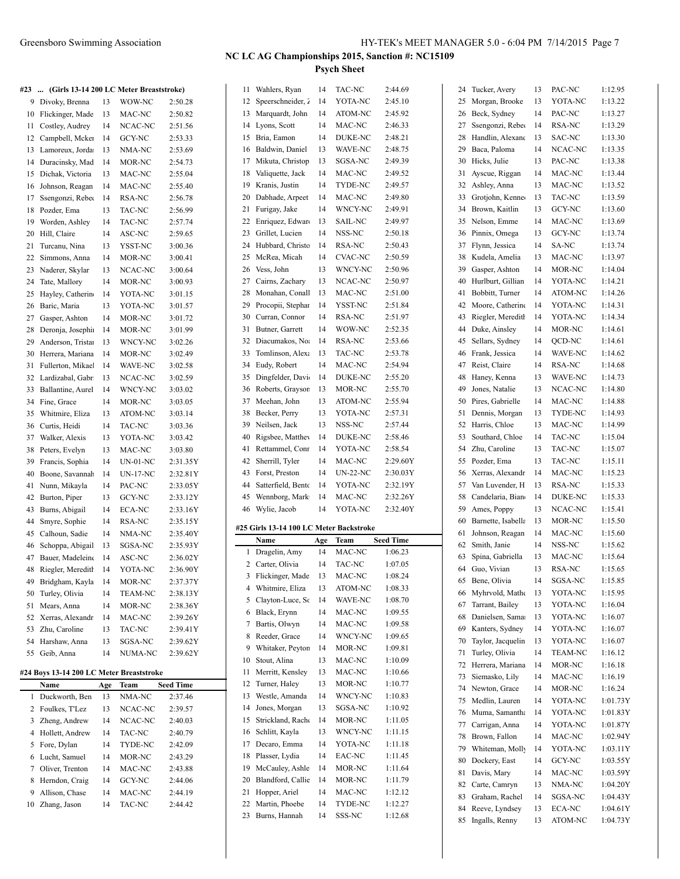# **NC LC AG Championships 2015, Sanction #: NC15109**

**Psych Sheet**

| #23 | (Girls 13-14 200 LC Meter Breaststroke)  |     |                |           | 11           | Wahler           |
|-----|------------------------------------------|-----|----------------|-----------|--------------|------------------|
| 9   | Divoky, Brenna                           | 13  | WOW-NC         | 2:50.28   | 12           | <b>Speers</b>    |
| 10  | Flickinger, Made                         | 13  | MAC-NC         | 2:50.82   | 13           | Marqu            |
| 11  | Costley, Audrey                          | 14  | NCAC-NC        | 2:51.56   | 14           | Lyons,           |
| 12  | Campbell, Mcker                          | 14  | GCY-NC         | 2:53.33   | 15           | Bria, E          |
| 13  | Lamoreux, Jorda                          | 13  | NMA-NC         | 2:53.69   | 16           | Baldwi           |
| 14  | Duracinsky, Mad                          | 14  | MOR-NC         | 2:54.73   | 17           | Mikuta           |
| 15  | Dichak, Victoria                         | 13  | MAC-NC         | 2:55.04   | 18           | Valique          |
| 16  | Johnson, Reagan                          | 14  | MAC-NC         | 2:55.40   | 19           | Kranis.          |
| 17  | Ssengonzi, Reber                         | 14  | RSA-NC         | 2:56.78   | 20           | Dabha            |
| 18  | Pozder, Ema                              | 13  | TAC-NC         | 2:56.99   | 21           | Furiga           |
| 19  | Worden, Ashley                           | 14  | TAC-NC         | 2:57.74   | 22           | Enriqu           |
| 20  | Hill, Claire                             | 14  | ASC-NC         | 2:59.65   | 23           | Grillet,         |
| 21  | Turcanu, Nina                            | 13  | YSST-NC        | 3:00.36   | 24           | Hubba            |
| 22  | Simmons, Anna                            | 14  | MOR-NC         | 3:00.41   | 25           | McRea            |
| 23  | Naderer, Skylar                          | 13  | NCAC-NC        | 3:00.64   | 26           | Vess, J          |
| 24  | Tate, Mallory                            | 14  | MOR-NC         | 3:00.93   | 27           | Cairns,          |
| 25  | Hayley, Catherin                         | 14  | YOTA-NC        | 3:01.15   | 28           | Monah            |
| 26  | Baric, Maria                             | 13  | YOTA-NC        | 3:01.57   | 29           | Procop           |
| 27  | Gasper, Ashton                           | 14  | MOR-NC         | 3:01.72   | 30           | Curran           |
| 28  | Deronja, Josephi                         | 14  | MOR-NC         | 3:01.99   | 31           | <b>Butner</b>    |
| 29  | Anderson, Tristar                        | 13  | WNCY-NC        |           | 32           | Diacun           |
| 30  | Herrera, Mariana                         | 14  |                | 3:02.26   | 33           | Tomlin           |
|     |                                          | 14  | MOR-NC         | 3:02.49   | 34           | Eudy, I          |
| 31  | Fullerton, Mikae<br>Lardizabal, Gabr     |     | WAVE-NC        | 3:02.58   | 35           | Dingfe           |
| 32  |                                          | 13  | NCAC-NC        | 3:02.59   | 36           | Robert           |
| 33  | Ballantine, Aurel                        | 14  | WNCY-NC        | 3:03.02   | 37           | Meeha            |
| 34  | Fine, Grace                              | 14  | MOR-NC         | 3:03.05   | 38           |                  |
| 35  | Whitmire, Eliza                          | 13  | ATOM-NC        | 3:03.14   |              | Becker           |
| 36  | Curtis, Heidi                            | 14  | TAC-NC         | 3:03.36   | 39           | Neilser          |
| 37  | Walker, Alexis                           | 13  | YOTA-NC        | 3:03.42   | 40           | Rigsbe           |
| 38  | Peters, Evelyn                           | 13  | MAC-NC         | 3:03.80   | 41           | Rettam           |
| 39  | Francis, Sophia                          | 14  | UN-01-NC       | 2:31.35Y  | 42           | Sherril          |
| 40  | Boone, Savannah                          | 14  | UN-17-NC       | 2:32.81Y  | 43           | Forst, 1         |
| 41  | Nunn, Mikayla                            | 14  | PAC-NC         | 2:33.05Y  | 44           | Satterf          |
| 42  | Burton, Piper                            | 13  | GCY-NC         | 2:33.12Y  | 45           | Wennb            |
| 43  | Burns, Abigail                           | 14  | ECA-NC         | 2:33.16Y  | 46           | Wylie,           |
| 44  | Smyre, Sophie                            | 14  | RSA-NC         | 2:35.15Y  |              | #25 Girls 13     |
| 45  | Calhoun, Sadie                           | 14  | NMA-NC         | 2:35.40Y  |              | Name             |
| 46  | Schoppa, Abigail                         | 13  | SGSA-NC        | 2:35.93Y  | $\mathbf{1}$ | Dragel           |
| 47  | Bauer, Madeleine                         | 14  | ASC-NC         | 2:36.02Y  | 2            | Carter,          |
| 48  | Riegler, Meredith                        | 14  | YOTA-NC        | 2:36.90Y  |              | 3 Flickin        |
| 49  | Bridgham, Kayla                          | 14  | MOR-NC         | 2:37.37Y  | 4            | Whitm            |
| 50  | Turley, Olivia                           | 14  | <b>TEAM-NC</b> | 2:38.13Y  | 5            | Clayto           |
| 51  | Mears, Anna                              | 14  | MOR-NC         | 2:38.36Y  | 6            | Black,           |
|     | 52 Xerras, Alexandr                      | 14  | MAC-NC         | 2:39.26Y  |              | Bartis,          |
| 53  | Zhu, Caroline                            | 13  | TAC-NC         | 2:39.41Y  | 7            |                  |
| 54  | Harshaw, Anna                            | 13  | SGSA-NC        | 2:39.62Y  | 8            | Reeder           |
| 55  | Geib, Anna                               | 14  | NUMA-NC        | 2:39.62Y  | 9            | Whitak           |
|     |                                          |     |                |           | 10           | Stout, $\lambda$ |
|     | #24 Boys 13-14 200 LC Meter Breaststroke |     |                |           | 11           | Merritt          |
|     | Name                                     | Age | Team           | Seed Time | 12           | Turner           |
| 1   | Duckworth, Ben                           | 13  | NMA-NC         | 2:37.46   | 13           | Westle           |
|     | 2 Foulkes, T'Lez                         | 13  | NCAC-NC        | 2:39.57   | 14           | Jones.           |
|     | 3 Zheng, Andrew                          | 14  | NCAC-NC        | 2:40.03   | 15           | Strickl          |
|     | 4 Hollett, Andrew                        | 14  | TAC-NC         | 2:40.79   | 16           | Schlitt.         |
| 5   | Fore, Dylan                              | 14  | TYDE-NC        | 2:42.09   | 17           | Decard           |
| 6   | Lucht, Samuel                            | 14  | MOR-NC         | 2:43.29   | 18           | Plasser          |
|     | 7 Oliver, Trenton                        | 14  | MAC-NC         | 2:43.88   | 19           | McCau            |
| 8   | Herndon, Craig                           | 14  | GCY-NC         | 2:44.06   | 20           | Blandf           |
| 9   | Allison, Chase                           | 14  | MAC-NC         | 2:44.19   | 21           | Hopper           |
| 10  | Zhang, Jason                             | 14  | TAC-NC         | 2:44.42   | 22           | Martin           |
|     |                                          |     |                |           | 23           | Burns,           |
|     |                                          |     |                |           |              |                  |

| 11             | Wahlers, Ryan                           | 14       | TAC-NC             | 2:44.69          |
|----------------|-----------------------------------------|----------|--------------------|------------------|
| 12             | Speerschneider, 2                       | 14       | YOTA-NC            | 2:45.10          |
| 13             | Marquardt, John                         | 14       | ATOM-NC            | 2:45.92          |
| 14             | Lyons, Scott                            | 14       | MAC-NC             | 2:46.33          |
| 15             | Bria, Eamon                             | 14       | DUKE-NC            | 2:48.21          |
| 16             | Baldwin, Daniel                         | 13       | WAVE-NC            | 2:48.75          |
| 17             | Mikuta, Christop                        | 13       | SGSA-NC            | 2:49.39          |
| 18             | Valiquette, Jack                        | 14       | MAC-NC             | 2:49.52          |
| 19             | Kranis, Justin                          | 14       | TYDE-NC            | 2:49.57          |
| 20             | Dabhade, Arpeet                         | 14       | MAC-NC             | 2:49.80          |
| 21             | Furigay, Jake                           | 14       | WNCY-NC            | 2:49.91          |
|                |                                         | 13       |                    | 2:49.97          |
| 22             | Enriquez, Edwar                         |          | <b>SAIL-NC</b>     |                  |
| 23             | Grillet, Lucien                         | 14       | NSS-NC             | 2:50.18          |
| 24             | Hubbard, Christo                        | 14       | RSA-NC             | 2:50.43          |
| 25             | McRea, Micah                            | 14       | <b>CVAC-NC</b>     | 2:50.59          |
| 26             | Vess, John                              | 13       | WNCY-NC            | 2:50.96          |
| 27             | Cairns, Zachary                         | 13       | NCAC-NC            | 2:50.97          |
| 28             | Monahan, Conall                         | 13       | MAC-NC             | 2:51.00          |
| 29             | Procopii, Stephar                       | 14       | YSST-NC            | 2:51.84          |
| 30             | Curran, Connor                          | 14       | RSA-NC             | 2:51.97          |
| 31             | Butner, Garrett                         | 14       | WOW-NC             | 2:52.35          |
| 32             | Diacumakos, No.                         | 14       | RSA-NC             | 2:53.66          |
| 33             | Tomlinson, Alexa                        | 13       | TAC-NC             | 2:53.78          |
| 34             | Eudy, Robert                            | 14       | MAC-NC             | 2:54.94          |
| 35             | Dingfelder, Davi                        | 14       | <b>DUKE-NC</b>     | 2:55.20          |
| 36             | Roberts, Grayson                        | 13       | MOR-NC             | 2:55.70          |
| 37             | Meehan, John                            | 13       | ATOM-NC            | 2:55.94          |
| 38             | Becker, Perry                           | 13       | YOTA-NC            | 2:57.31          |
| 39             | Neilsen, Jack                           | 13       | NSS-NC             | 2:57.44          |
| 40             | Rigsbee, Matthey                        | 14       | DUKE-NC            | 2:58.46          |
| 41             | Rettammel, Conr                         | 14       | YOTA-NC            | 2:58.54          |
|                |                                         |          |                    |                  |
|                |                                         |          |                    |                  |
| 42             | Sherrill, Tyler                         | 14       | MAC-NC             | 2:29.60Y         |
| 43             | Forst, Preston                          | 14       | <b>UN-22-NC</b>    | 2:30.03Y         |
| 44             | Satterfield, Bento                      | 14       | YOTA-NC            | 2:32.19Y         |
| 45             | Wennborg, Mark                          | 14       | MAC-NC             | 2:32.26Y         |
| 46             | Wylie, Jacob                            | 14       | YOTA-NC            | 2:32.40Y         |
|                | #25 Girls 13-14 100 LC Meter Backstroke |          |                    |                  |
|                | Name                                    | Age      | Team               | <b>Seed Time</b> |
| 1              | Dragelin, Amy                           | 14       | MAC-NC             | 1:06.23          |
| 2              | Carter, Olivia                          | 14       | TAC-NC             | 1:07.05          |
| $\overline{3}$ | Flickinger, Made                        | 13       | MAC-NC             | 1:08.24          |
| 4              | Whitmire, Eliza                         | 13       | ATOM-NC            | 1:08.33          |
| 5              | Clayton-Luce, Sc                        | 14       | WAVE-NC            | 1:08.70          |
| 6              | Black, Erynn                            | 14       | MAC-NC             | 1:09.55          |
| 7              | Bartis, Olwyn                           | 14       | MAC-NC             | 1:09.58          |
| 8              | Reeder, Grace                           | 14       | WNCY-NC            | 1:09.65          |
| 9              | Whitaker, Peyton                        | 14       | MOR-NC             | 1:09.81          |
| 10             | Stout, Alina                            | 13       | MAC-NC             | 1:10.09          |
| 11             | Merritt, Kensley                        | 13       | MAC-NC             | 1:10.66          |
| 12             | Turner, Haley                           | 13       |                    |                  |
|                |                                         |          | MOR-NC             | 1:10.77          |
| 13<br>14       | Westle, Amanda<br>Jones, Morgan         | 14<br>13 | WNCY-NC<br>SGSA-NC | 1:10.83          |
|                |                                         |          |                    | 1:10.92          |
| 15             | Strickland, Rache                       | 14       | MOR-NC             | 1:11.05          |
| 16             | Schlitt, Kayla                          | 13       | WNCY-NC            | 1:11.15          |
| 17             | Decaro, Emma                            | 14       | YOTA-NC            | 1:11.18          |
| 18             | Plasser, Lydia                          | 14       | EAC-NC             | 1:11.45          |
| 19             | McCauley, Ashle                         | 14       | MOR-NC             | 1:11.64          |
| 20             | Blandford, Callie                       | 14       | MOR-NC             | 1:11.79          |
| 21             | Hopper, Ariel                           | 14       | MAC-NC             | 1:12.12          |
| 22             | Martin, Phoebe                          | 14       | TYDE-NC            | 1:12.27          |
| 23             | Burns, Hannah                           | 14       | SSS-NC             | 1:12.68          |

| 24 | Tucker, Avery      | 13 | PAC-NC         | 1:12.95  |
|----|--------------------|----|----------------|----------|
| 25 | Morgan, Brooke     | 13 | YOTA-NC        | 1:13.22  |
| 26 | Beck, Sydney       | 14 | PAC-NC         | 1:13.27  |
| 27 | Ssengonzi, Reber   | 14 | RSA-NC         | 1:13.29  |
| 28 | Handlin, Alexand   | 13 | <b>SAC-NC</b>  | 1:13.30  |
| 29 | Baca, Paloma       | 14 | NCAC-NC        | 1:13.35  |
| 30 | Hicks, Julie       | 13 | PAC-NC         | 1:13.38  |
| 31 | Ayscue, Riggan     | 14 | MAC-NC         | 1:13.44  |
|    |                    |    |                |          |
| 32 | Ashley, Anna       | 13 | MAC-NC         | 1:13.52  |
| 33 | Grotjohn, Kenne    | 13 | TAC-NC         | 1:13.59  |
| 34 | Brown, Kaitlin     | 13 | GCY-NC         | 1:13.60  |
| 35 | Nelson, Emme       | 14 | MAC-NC         | 1:13.69  |
| 36 | Pinnix, Omega      | 13 | GCY-NC         | 1:13.74  |
| 37 | Flynn, Jessica     | 14 | SA-NC          | 1:13.74  |
| 38 | Kudela, Amelia     | 13 | MAC-NC         | 1:13.97  |
| 39 | Gasper, Ashton     | 14 | MOR-NC         | 1:14.04  |
| 40 | Hurlburt, Gillian  | 14 | YOTA-NC        | 1:14.21  |
| 41 | Bobbitt, Turner    | 14 | <b>ATOM-NC</b> | 1:14.26  |
| 42 | Moore, Catherine   | 14 | YOTA-NC        | 1:14.31  |
| 43 | Riegler, Meredith  | 14 | YOTA-NC        | 1:14.34  |
| 44 | Duke, Ainsley      | 14 | MOR-NC         | 1:14.61  |
|    |                    |    |                |          |
| 45 | Sellars, Sydney    | 14 | QCD-NC         | 1:14.61  |
| 46 | Frank, Jessica     | 14 | WAVE-NC        | 1:14.62  |
| 47 | Reist, Claire      | 14 | RSA-NC         | 1:14.68  |
| 48 | Haney, Kenna       | 13 | <b>WAVE-NC</b> | 1:14.73  |
| 49 | Jones, Natalie     | 13 | NCAC-NC        | 1:14.80  |
| 50 | Pires, Gabrielle   | 14 | MAC-NC         | 1:14.88  |
| 51 | Dennis, Morgan     | 13 | TYDE-NC        | 1:14.93  |
| 52 | Harris, Chloe      | 13 | MAC-NC         | 1:14.99  |
| 53 | Southard, Chloe    | 14 | TAC-NC         | 1:15.04  |
| 54 | Zhu, Caroline      | 13 | TAC-NC         | 1:15.07  |
| 55 | Pozder, Ema        | 13 | TAC-NC         | 1:15.11  |
| 56 | Xerras, Alexandr   | 14 | MAC-NC         | 1:15.23  |
| 57 | Van Luvender, H    | 13 | RSA-NC         | 1:15.33  |
| 58 | Candelaria, Biano  | 14 | DUKE-NC        | 1:15.33  |
| 59 | Ames, Poppy        | 13 | NCAC-NC        | 1:15.41  |
|    | Barnette, Isabella |    |                |          |
| 60 |                    | 13 | MOR-NC         | 1:15.50  |
| 61 | Johnson, Reagan    | 14 | MAC-NC         | 1:15.60  |
| 62 | Smith, Janie       | 14 | NSS-NC         | 1:15.62  |
| 63 | Spina, Gabriella   | 13 | MAC-NC         | 1:15.64  |
| 64 | Guo, Vivian        | 13 | RSA-NC         | 1:15.65  |
| 65 | Bene, Olivia       | 14 | SGSA-NC        | 1:15.85  |
| 66 | Myhrvold, Mathe    | 13 | YOTA-NC        | 1:15.95  |
| 67 | Tarrant, Bailey    | 13 | YOTA-NC        | 1:16.04  |
| 68 | Danielsen, Sama    | 13 | YOTA-NC        | 1:16.07  |
| 69 | Kanters, Sydney    | 14 | YOTA-NC        | 1:16.07  |
| 70 | Taylor, Jacquelin  | 13 | YOTA-NC        | 1:16.07  |
| 71 | Turley, Olivia     | 14 | <b>TEAM-NC</b> | 1:16.12  |
| 72 | Herrera, Mariana   | 14 | MOR-NC         | 1:16.18  |
| 73 | Siemasko, Lily     | 14 | MAC-NC         | 1:16.19  |
| 74 | Newton, Grace      | 14 | MOR-NC         | 1:16.24  |
| 75 | Medlin, Lauren     | 14 | YOTA-NC        | 1:01.73Y |
|    |                    |    |                |          |
| 76 | Muma, Samantha     | 14 | YOTA-NC        | 1:01.83Y |
| 77 | Carrigan, Anna     | 14 | YOTA-NC        | 1:01.87Y |
| 78 | Brown, Fallon      | 14 | MAC-NC         | 1:02.94Y |
| 79 | Whiteman, Molly    | 14 | YOTA-NC        | 1:03.11Y |
| 80 | Dockery, East      | 14 | GCY-NC         | 1:03.55Y |
| 81 | Davis, Mary        | 14 | MAC-NC         | 1:03.59Y |
| 82 | Carte, Camryn      | 13 | NMA-NC         | 1:04.20Y |
| 83 | Graham, Rachel     | 14 | SGSA-NC        | 1:04.43Y |
| 84 | Reeve, Lyndsey     | 13 | <b>ECA-NC</b>  | 1:04.61Y |
| 85 | Ingalls, Renny     | 13 | ATOM-NC        | 1:04.73Y |
|    |                    |    |                |          |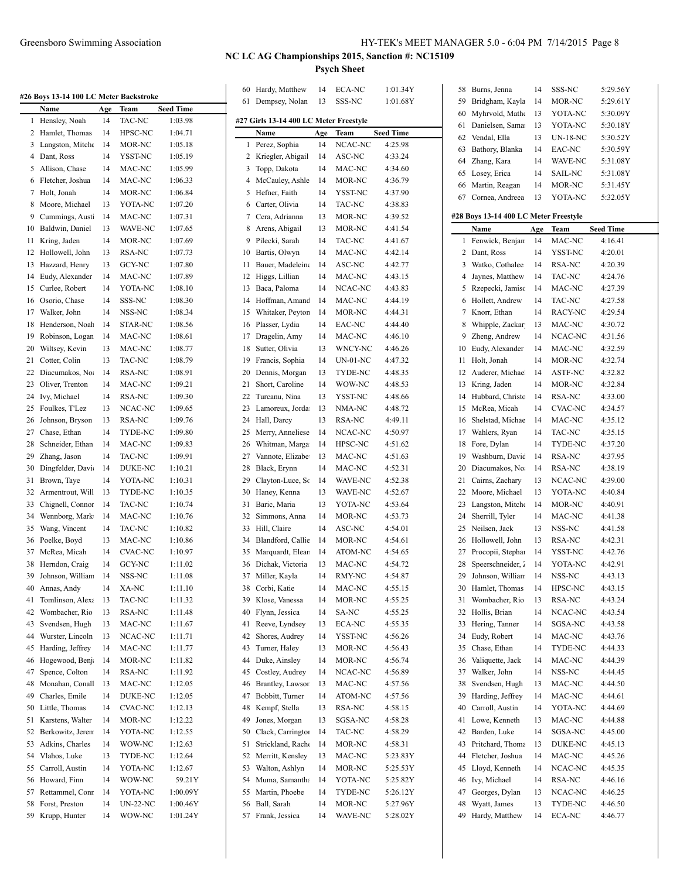|  | HY-TEK's MEET MANAGER 5.0 - 6:04 PM 7/14/2015 Page 8 |  |  |  |  |
|--|------------------------------------------------------|--|--|--|--|
|--|------------------------------------------------------|--|--|--|--|

|    | #26 Boys 13-14 100 LC Meter Backstroke |     |                |                  | 60 | Hardy, Matthew                         | 14<br>13 | ECA-NC<br>SSS-NC | 1:01.34Y         | 58<br>59 | Burns,<br>Bridgh |
|----|----------------------------------------|-----|----------------|------------------|----|----------------------------------------|----------|------------------|------------------|----------|------------------|
|    | Name                                   | Age | Team           | <b>Seed Time</b> |    | 61 Dempsey, Nolan                      |          |                  | 1:01.68Y         | 60       | Myhrv            |
|    | 1 Hensley, Noah                        | 14  | TAC-NC         | 1:03.98          |    | #27 Girls 13-14 400 LC Meter Freestyle |          |                  |                  | 61       | Daniel           |
|    | 2 Hamlet, Thomas                       | 14  | HPSC-NC        | 1:04.71          |    | Name                                   | Age      | Team             | <b>Seed Time</b> | 62       | Vendal           |
|    | 3 Langston, Mitche                     | 14  | MOR-NC         | 1:05.18          |    | 1 Perez, Sophia                        | 14       | NCAC-NC          | 4:25.98          | 63       | Bathor           |
|    | 4 Dant, Ross                           | 14  | YSST-NC        | 1:05.19          | 2  | Kriegler, Abigail                      | 14       | ASC-NC           | 4:33.24          | 64       | <b>Zhang</b>     |
|    | 5 Allison, Chase                       | 14  | MAC-NC         | 1:05.99          | 3  | Topp, Dakota                           | 14       | MAC-NC           | 4:34.60          | 65       | Losey,           |
|    | 6 Fletcher, Joshua                     | 14  | MAC-NC         | 1:06.33          | 4  | McCauley, Ashle                        | 14       | MOR-NC           | 4:36.79          | 66       | Martin           |
|    | 7 Holt, Jonah                          | 14  | MOR-NC         | 1:06.84          | 5  | Hefner, Faith                          | 14       | YSST-NC          | 4:37.90          |          | 67 Cornea        |
|    | 8 Moore, Michael                       | 13  | YOTA-NC        | 1:07.20          | 6  | Carter, Olivia                         | 14       | TAC-NC           | 4:38.83          |          |                  |
| 9  | Cummings, Aust                         | 14  | MAC-NC         | 1:07.31          | 7  | Cera, Adrianna                         | 13       | MOR-NC           | 4:39.52          |          | #28 Boys 13      |
| 10 | Baldwin, Daniel                        | 13  | WAVE-NC        | 1:07.65          | 8  | Arens, Abigail                         | 13       | MOR-NC           | 4:41.54          |          | Name             |
| 11 | Kring, Jaden                           | 14  | MOR-NC         | 1:07.69          | 9  | Pilecki, Sarah                         | 14       | TAC-NC           | 4:41.67          |          | 1 Fenwi          |
| 12 | Hollowell, John                        | 13  | RSA-NC         | 1:07.73          | 10 | Bartis, Olwyn                          | 14       | MAC-NC           | 4:42.14          | 2        | Dant, l          |
|    | 13 Hazzard, Henry                      | 13  | GCY-NC         | 1:07.80          | 11 | Bauer, Madeleine                       | 14       | ASC-NC           | 4:42.77          | 3        | Watko            |
| 14 | Eudy, Alexander                        | 14  | MAC-NC         | 1:07.89          | 12 | Higgs, Lillian                         | 14       | MAC-NC           | 4:43.15          | 4        | Jaynes           |
| 15 | Curlee, Robert                         | 14  | YOTA-NC        | 1:08.10          | 13 | Baca, Paloma                           | 14       | NCAC-NC          | 4:43.83          | 5        | <b>Rzepe</b>     |
| 16 | Osorio, Chase                          | 14  | SSS-NC         | 1:08.30          | 14 | Hoffman, Amand                         | 14       | MAC-NC           | 4:44.19          | 6        | Hollett          |
| 17 | Walker, John                           | 14  | NSS-NC         | 1:08.34          | 15 | Whitaker, Peyton                       | 14       | MOR-NC           | 4:44.31          | 7        | Knorr,           |
|    | 18 Henderson, Noah                     | 14  | STAR-NC        | 1:08.56          | 16 | Plasser, Lydia                         | 14       | EAC-NC           | 4:44.40          | 8        | Whipp            |
| 19 | Robinson, Logan                        | 14  | MAC-NC         | 1:08.61          | 17 | Dragelin, Amy                          | 14       | MAC-NC           | 4:46.10          | 9        | Zheng            |
| 20 | Wiltsey, Kevin                         | 13  | MAC-NC         | 1:08.77          | 18 | Sutter, Olivia                         | 13       | WNCY-NC          | 4:46.26          | 10       | Eudy,            |
| 21 | Cotter, Colin                          | 13  | TAC-NC         | 1:08.79          | 19 | Francis, Sophia                        | 14       | UN-01-NC         | 4:47.32          | 11       | Holt, J          |
| 22 | Diacumakos, No.                        | 14  | <b>RSA-NC</b>  | 1:08.91          | 20 | Dennis, Morgan                         | 13       | TYDE-NC          | 4:48.35          | 12       | Auder            |
| 23 | Oliver, Trenton                        | 14  | MAC-NC         | 1:09.21          | 21 | Short, Caroline                        | 14       | WOW-NC           | 4:48.53          |          | 13 Kring,        |
| 24 | Ivy, Michael                           | 14  | RSA-NC         | 1:09.30          | 22 | Turcanu, Nina                          | 13       | YSST-NC          | 4:48.66          | 14       | Hubba            |
| 25 | Foulkes, T'Lez                         | 13  | NCAC-NC        | 1:09.65          | 23 | Lamoreux, Jorda                        | 13       | NMA-NC           | 4:48.72          | 15       | McRea            |
| 26 | Johnson, Bryson                        | 13  | RSA-NC         | 1:09.76          | 24 | Hall, Darcy                            | 13       | RSA-NC           | 4:49.11          | 16       | Shelsta          |
| 27 | Chase, Ethan                           | 14  | TYDE-NC        | 1:09.80          | 25 | Merry, Anneliese                       | 14       | NCAC-NC          | 4:50.97          | 17       | Wahle            |
| 28 | Schneider, Ethan                       | 14  | MAC-NC         | 1:09.83          | 26 | Whitman, Marga                         | 14       | HPSC-NC          | 4:51.62          | 18       | Fore, I          |
| 29 | Zhang, Jason                           | 14  | TAC-NC         | 1:09.91          | 27 | Vannote, Elizabe                       | 13       | MAC-NC           | 4:51.63          | 19       | Washb            |
| 30 | Dingfelder, Davi                       | 14  | DUKE-NC        | 1:10.21          | 28 | Black, Erynn                           | 14       | MAC-NC           | 4:52.31          | 20       | Diacur           |
| 31 | Brown, Taye                            | 14  | YOTA-NC        | 1:10.31          | 29 | Clayton-Luce, Sc                       | 14       | WAVE-NC          | 4:52.38          | 21       | Cairns           |
| 32 | Armentrout, Will                       | 13  | TYDE-NC        | 1:10.35          | 30 | Haney, Kenna                           | 13       | WAVE-NC          | 4:52.67          | 22       | Moore            |
| 33 | Chignell, Connor                       | 14  | TAC-NC         | 1:10.74          | 31 | Baric, Maria                           | 13       | YOTA-NC          | 4:53.64          | 23       | Langst           |
| 34 | Wennborg, Mark                         | 14  | MAC-NC         | 1:10.76          | 32 | Simmons, Anna                          | 14       | MOR-NC           | 4:53.73          | 24       | Sherril          |
| 35 | Wang, Vincent                          | 14  | TAC-NC         | 1:10.82          | 33 | Hill, Claire                           | 14       | ASC-NC           | 4:54.01          | 25       | Neilse           |
| 36 | Poelke, Boyd                           | 13  | MAC-NC         | 1:10.86          | 34 | Blandford, Callie                      | 14       | MOR-NC           | 4:54.61          | 26       | Hollov           |
| 37 | McRea, Micah                           | 14  | <b>CVAC-NC</b> | 1:10.97          | 35 | Marquardt, Elean                       | 14       | ATOM-NC          | 4:54.65          | 27       | Procop           |
|    | 38 Herndon, Craig                      | 14  | GCY-NC         | 1:11.02          |    | 36 Dichak, Victoria                    | 13       | MAC-NC           | 4:54.72          | 28       | Speers           |
| 39 | Johnson, William                       | 14  | NSS-NC         | 1:11.08          | 37 | Miller, Kayla                          | 14       | RMY-NC           | 4:54.87          |          | 29 Johnso        |
| 40 | Annas, Andy                            | 14  | XA-NC          | 1:11.10          | 38 | Corbi, Katie                           | 14       | MAC-NC           | 4:55.15          |          | 30 Hamle         |
| 41 | Tomlinson, Alexa                       | 13  | TAC-NC         | 1:11.32          | 39 | Klose, Vanessa                         | 14       | MOR-NC           | 4:55.25          | 31       | Womb             |
| 42 | Wombacher, Rio                         | 13  | RSA-NC         | 1:11.48          | 40 | Flynn, Jessica                         | 14       | SA-NC            | 4:55.25          | 32       | Hollis,          |
| 43 | Svendsen, Hugh                         | 13  | MAC-NC         | 1:11.67          | 41 | Reeve, Lyndsey                         | 13       | ECA-NC           | 4:55.35          |          | 33 Hering        |
| 44 | Wurster, Lincoln                       | 13  | NCAC-NC        | 1:11.71          | 42 | Shores, Audrey                         | 14       | YSST-NC          | 4:56.26          |          | 34 Eudy,         |
| 45 | Harding, Jeffrey                       | 14  | MAC-NC         | 1:11.77          | 43 | Turner, Haley                          | 13       | MOR-NC           | 4:56.43          | 35       | Chase,           |
| 46 | Hogewood, Benj                         | 14  | MOR-NC         | 1:11.82          | 44 | Duke, Ainsley                          | 14       | MOR-NC           | 4:56.74          | 36       | Valiqu           |
| 47 | Spence, Colton                         | 14  | RSA-NC         | 1:11.92          | 45 | Costley, Audrey                        | 14       | NCAC-NC          | 4:56.89          | 37       | Walke            |
| 48 | Monahan, Conall                        | 13  | MAC-NC         | 1:12.05          | 46 | Brantley, Lawsor                       | 13       | MAC-NC           | 4:57.56          | 38       | Svend:           |
| 49 | Charles, Emile                         | 14  | DUKE-NC        | 1:12.05          | 47 | Bobbitt, Turner                        | 14       | ATOM-NC          | 4:57.56          | 39       | Hardin           |
|    | 50 Little, Thomas                      | 14  | CVAC-NC        | 1:12.13          | 48 | Kempf, Stella                          | 13       | RSA-NC           | 4:58.15          | 40       | Carrol           |
| 51 | Karstens, Walter                       | 14  | MOR-NC         | 1:12.22          | 49 | Jones, Morgan                          | 13       | SGSA-NC          | 4:58.28          |          | 41 Lowe,         |
| 52 | Berkowitz, Jeren                       | 14  | YOTA-NC        | 1:12.55          | 50 | Clack, Carrington                      | 14       | TAC-NC           | 4:58.29          | 42       | Barder           |
| 53 | Adkins, Charles                        | 14  | WOW-NC         | 1:12.63          | 51 | Strickland, Rache                      | 14       | MOR-NC           | 4:58.31          |          | 43 Pritcha       |
| 54 | Vlahos, Luke                           | 13  | TYDE-NC        | 1:12.64          | 52 | Merritt, Kensley                       | 13       | MAC-NC           | 5:23.83Y         | 44       | Fletch           |
| 55 | Carroll, Austin                        | 14  | YOTA-NC        | 1:12.67          | 53 | Walton, Ashlyn                         | 14       | MOR-NC           | 5:25.53Y         | 45       | Lloyd,           |
|    | 56 Howard, Finn                        | 14  | WOW-NC         | 59.21Y           | 54 | Muma, Samantha                         | 14       | YOTA-NC          | 5:25.82Y         |          | 46 Ivy, M        |
| 57 | Rettammel, Conr                        | 14  | YOTA-NC        | 1:00.09Y         | 55 | Martin, Phoebe                         | 14       | TYDE-NC          | 5:26.12Y         | 47       | George           |
| 58 | Forst, Preston                         | 14  | UN-22-NC       | 1:00.46Y         | 56 | Ball, Sarah                            | 14       | MOR-NC           | 5:27.96Y         | 48       | Wyatt,           |
|    | 59 Krupp, Hunter                       | 14  | WOW-NC         | 1:01.24Y         |    | 57 Frank, Jessica                      | 14       | WAVE-NC          | 5:28.02Y         |          | 49 Hardy,        |

| 58       | Burns, Jenna                          | 14  | SSS-NC            | 5:29.56Y         |
|----------|---------------------------------------|-----|-------------------|------------------|
| 59       | Bridgham, Kayla                       | 14  | MOR-NC            | 5:29.61Y         |
| 60       | Myhrvold, Matho                       | 13  | YOTA-NC           | 5:30.09Y         |
| 61       | Danielsen, Sama                       | 13  | YOTA-NC           | 5:30.18Y         |
| 62       | Vendal, Ella                          | 13  | <b>UN-18-NC</b>   | 5:30.52Y         |
| 63       | Bathory, Blanka                       | 14  | EAC-NC            | 5:30.59Y         |
| 64       | Zhang, Kara                           | 14  | WAVE-NC           | 5:31.08Y         |
| 65       | Losey, Erica                          | 14  | SAIL-NC           | 5:31.08Y         |
| 66       | Martin, Reagan                        | 14  | MOR-NC            | 5:31.45Y         |
| 67       | Cornea, Andreea                       | 13  | YOTA-NC           | 5:32.05Y         |
|          |                                       |     |                   |                  |
|          | #28 Boys 13-14 400 LC Meter Freestyle |     |                   |                  |
|          | Name                                  | Age | Team              | <b>Seed Time</b> |
| 1        | Fenwick, Benjan                       | 14  | MAC-NC            | 4:16.41          |
| 2        | Dant, Ross                            | 14  | YSST-NC           | 4:20.01          |
| 3        | Watko, Cothalee                       | 14  | RSA-NC            | 4:20.39          |
| 4        | Jaynes, Matthew                       | 14  | TAC-NC            | 4:24.76          |
| 5        | Rzepecki, Jamisc                      | 14  | MAC-NC            | 4:27.39          |
| 6        | Hollett, Andrew                       | 14  | TAC-NC            | 4:27.58          |
| 7        | Knorr, Ethan                          | 14  | RACY-NC           | 4:29.54          |
| 8        | Whipple, Zackar                       | 13  | MAC-NC            | 4:30.72          |
| 9        | Zheng, Andrew                         | 14  | NCAC-NC           | 4:31.56          |
| 10       | Eudy, Alexander                       | 14  | MAC-NC            | 4:32.59          |
| 11       | Holt, Jonah                           | 14  | MOR-NC            | 4:32.74          |
| 12       | Auderer, Michae.                      | 14  | ASTF-NC           | 4:32.82          |
| 13       | Kring, Jaden                          | 14  | MOR-NC            | 4:32.84          |
| 14       | Hubbard, Christo                      | 14  | RSA-NC            | 4:33.00          |
|          | McRea, Micah                          | 14  | <b>CVAC-NC</b>    |                  |
| 15       |                                       |     |                   | 4:34.57          |
| 16       | Shelstad, Michae                      | 14  | MAC-NC            | 4:35.12          |
| 17       | Wahlers, Ryan                         | 14  | TAC-NC            | 4:35.15          |
| 18       | Fore, Dylan                           | 14  | TYDE-NC           | 4:37.20          |
| 19       | Washburn, David                       | 14  | RSA-NC            | 4:37.95          |
| 20       | Diacumakos, No.                       | 14  | RSA-NC            | 4:38.19          |
| 21       | Cairns, Zachary                       | 13  | NCAC-NC           | 4:39.00          |
| 22       | Moore, Michael                        | 13  | YOTA-NC           | 4:40.84          |
| 23       | Langston, Mitche                      | 14  | MOR-NC            | 4:40.91          |
| 24       | Sherrill, Tyler                       | 14  | MAC-NC            | 4:41.38          |
| 25       | Neilsen, Jack                         | 13  | NSS-NC            | 4:41.58          |
| 26       | Hollowell, John                       | 13  | RSA-NC            | 4:42.31          |
| 27       | Procopii, Stephar                     | 14  | YSST-NC           | 4:42.76          |
| 28       | Speerschneider, 2                     | 14  | YOTA-NC           | 4:42.91          |
| 29       | Johnson, William                      | 14  | NSS-NC            | 4:43.13          |
| 30       | Hamlet, Thomas                        | 14  | HPSC-NC           | 4:43.15          |
| 31       | Wombacher, Rio                        | 13  | RSA-NC            | 4:43.24          |
| 32       | Hollis, Brian                         | 14  | NCAC-NC           | 4:43.54          |
| 33       | Hering, Tanner                        | 14  | SGSA-NC           | 4:43.58          |
| 34       | Eudy, Robert                          | 14  | MAC-NC            | 4:43.76          |
| 35       | Chase, Ethan                          | 14  | TYDE-NC           | 4:44.33          |
| 36       | Valiquette, Jack                      | 14  | MAC-NC            | 4:44.39          |
| 37       | Walker, John                          | 14  | NSS-NC            | 4:44.45          |
| 38       | Svendsen, Hugh                        | 13  | MAC-NC            | 4:44.50          |
| 39       | Harding, Jeffrey                      | 14  | MAC-NC            | 4:44.61          |
| 40       | Carroll, Austin                       | 14  | YOTA-NC           | 4:44.69          |
| 41       | Lowe, Kenneth                         | 13  | MAC-NC            | 4:44.88          |
| 42       | Barden, Luke                          | 14  | SGSA-NC           | 4:45.00          |
| 43       | Pritchard, Thoma                      | 13  | DUKE-NC           | 4:45.13          |
| 44       | Fletcher, Joshua                      | 14  | MAC-NC            | 4:45.26          |
| 45       | Lloyd, Kenneth                        | 14  | NCAC-NC           | 4:45.35          |
| 46       | Ivy, Michael                          | 14  | RSA-NC            | 4:46.16          |
| 47       | Georges, Dylan                        | 13  |                   |                  |
|          |                                       |     | NCAC-NC           | 4:46.25          |
| 48<br>49 | Wyatt, James<br>Hardy, Matthew        | 13  | TYDE-NC<br>ECA-NC | 4:46.50          |
|          |                                       | 14  |                   | 4:46.77          |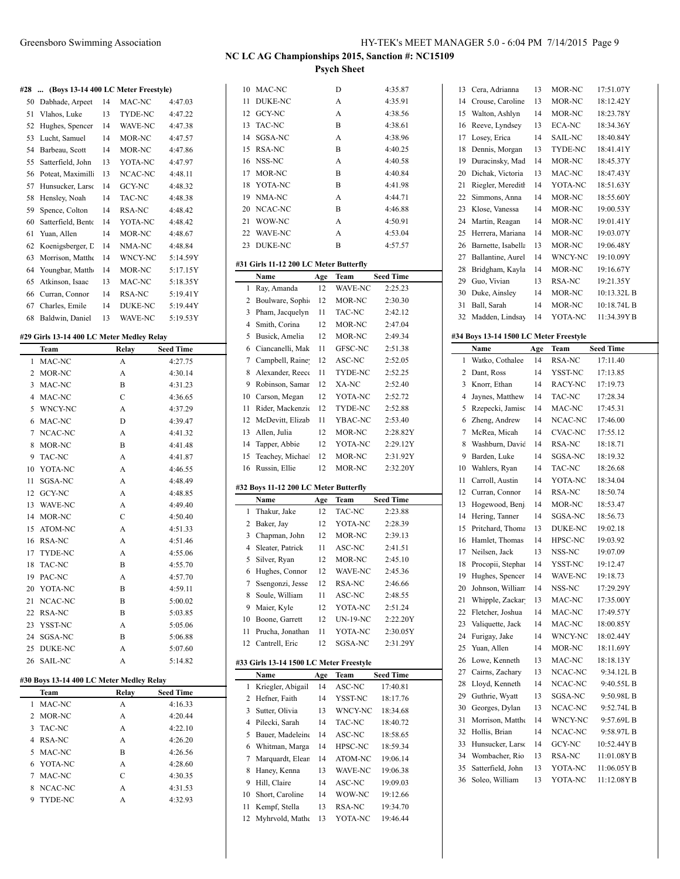#### **#28 ... (Boys 13-14 400 LC Meter Freestyle)**

| Dabhade, Arpeet    | 14 | MAC-NC         | 4:47.03  |
|--------------------|----|----------------|----------|
| Vlahos, Luke       | 13 | <b>TYDE-NC</b> | 4:47.22  |
| Hughes, Spencer    | 14 | WAVE-NC        | 4:47.38  |
| Lucht, Samuel      | 14 | MOR-NC         | 4:47.57  |
| Barbeau, Scott     | 14 | MOR-NC         | 4:47.86  |
| Satterfield, John  | 13 | YOTA-NC        | 4:47.97  |
| Poteat, Maximill   | 13 | NCAC-NC        | 4:48.11  |
| Hunsucker, Larso   | 14 | GCY-NC         | 4:48.32  |
| Hensley, Noah      | 14 | TAC-NC         | 4:48.38  |
| Spence, Colton     | 14 | RSA-NC         | 4:48.42  |
| Satterfield, Bento | 14 | YOTA-NC        | 4:48.42  |
| Yuan, Allen        | 14 | MOR-NC         | 4:48.67  |
| Koenigsberger, L   | 14 | NMA-NC         | 4:48.84  |
| Morrison, Mattho   | 14 | WNCY-NC        | 5:14.59Y |
| Youngbar, Matth    | 14 | MOR-NC         | 5:17.15Y |
| Atkinson, Isaac    | 13 | MAC-NC         | 5:18.35Y |
| Curran, Connor     | 14 | RSA-NC         | 5:19.41Y |
| Charles, Emile     | 14 | <b>DUKE-NC</b> | 5:19.44Y |
| Baldwin, Daniel    | 13 | WAVE-NC        | 5:19.53Y |
|                    |    |                |          |

#### **#29 Girls 13-14 400 LC Meter Medley Relay**

|                | Team                                     | Relay          | <b>Seed Time</b> |  |
|----------------|------------------------------------------|----------------|------------------|--|
| 1              | MAC-NC                                   | A              | 4:27.75          |  |
| $\overline{c}$ | MOR-NC                                   | А              | 4:30.14          |  |
| 3              | MAC-NC                                   | B              | 4:31.23          |  |
| 4              | MAC-NC                                   | $\overline{C}$ | 4:36.65          |  |
| 5              | WNCY-NC                                  | A              | 4:37.29          |  |
| 6              | MAC-NC                                   | D              | 4:39.47          |  |
| 7              | NCAC-NC                                  | A              | 4:41.32          |  |
| 8              | MOR-NC                                   | B              | 4:41.48          |  |
| 9              | <b>TAC-NC</b>                            | A              | 4:41.87          |  |
| 10             | YOTA-NC                                  | A              | 4:46.55          |  |
| 11             | SGSA-NC                                  | A              | 4:48.49          |  |
| 12             | GCY-NC                                   | A              | 4:48.85          |  |
| 13             | <b>WAVE-NC</b>                           | A              | 4:49.40          |  |
| 14             | MOR-NC                                   | $\mathcal{C}$  | 4:50.40          |  |
| 15             | ATOM-NC                                  | A              | 4:51.33          |  |
| 16             | RSA-NC                                   | A              | 4:51.46          |  |
| 17             | TYDE-NC                                  | A              | 4:55.06          |  |
| 18             | <b>TAC-NC</b>                            | B              | 4:55.70          |  |
| 19             | PAC-NC                                   | A              | 4:57.70          |  |
| 20             | YOTA-NC                                  | B              | 4:59.11          |  |
| 21             | NCAC-NC                                  | B              | 5:00.02          |  |
| 22             | RSA-NC                                   | B              | 5:03.85          |  |
| 23             | YSST-NC                                  | A              | 5:05.06          |  |
| 24             | SGSA-NC                                  | B              | 5:06.88          |  |
| 25             | <b>DUKE-NC</b>                           | A              | 5:07.60          |  |
| 26             | <b>SAIL-NC</b>                           | A              | 5:14.82          |  |
|                | #30 Boys 13-14 400 LC Meter Medley Relay |                |                  |  |
|                | Team                                     | Relay          | <b>Seed Time</b> |  |
| 1              | MAC-NC                                   | A              | 4:16.33          |  |
| $\overline{c}$ | MOR-NC                                   | A              | 4:20.44          |  |
| 3              | TAC-NC                                   | A              | 4:22.10          |  |
| 4              | <b>RSA-NC</b>                            | A              | 4:26.20          |  |
| 5              | MAC-NC                                   | B              | 4:26.56          |  |

 YOTA-NC A 4:28.60 MAC-NC C 4:30.35 NCAC-NC A 4:31.53 TYDE-NC A 4:32.93

| 10             | MAC-NC                                  |     | D                        | 4:35.87          |
|----------------|-----------------------------------------|-----|--------------------------|------------------|
| 11             | DUKE-NC                                 |     | А                        | 4:35.91          |
| 12             | GCY-NC                                  |     | A                        | 4:38.56          |
| 13             | TAC-NC                                  |     | B                        | 4:38.61          |
| 14             | SGSA-NC                                 |     | A                        | 4:38.96          |
| 15             | RSA-NC                                  |     | B                        | 4:40.25          |
| 16             | NSS-NC                                  |     | A                        | 4:40.58          |
| 17             | MOR-NC                                  |     | В                        | 4:40.84          |
| 18             | YOTA-NC                                 |     | B                        | 4:41.98          |
| 19             | NMA-NC                                  |     | A                        | 4:44.71          |
| 20             | NCAC-NC                                 |     | B                        | 4:46.88          |
| 21             | WOW-NC                                  |     | A                        | 4:50.91          |
| 22             | WAVE-NC                                 |     | А                        | 4:53.04          |
| 23             | <b>DUKE-NC</b>                          |     | B                        | 4:57.57          |
|                |                                         |     |                          |                  |
|                | #31 Girls 11-12 200 LC Meter Butterfly  |     |                          |                  |
|                | Name                                    | Age | Team                     | Seed Time        |
| 1              | Ray, Amanda                             | 12  | WAVE-NC                  | 2:25.23          |
| 2              | Boulware, Sophie                        | 12  | MOR-NC                   | 2:30.30          |
| 3              | Pham, Jacquelyn                         | 11  | TAC-NC                   | 2:42.12          |
| 4              | Smith, Corina                           | 12  | MOR-NC                   | 2:47.04          |
| 5              | Busick, Amelia                          | 12  | MOR-NC                   | 2:49.34          |
| 6              | Ciancanelli, Mak                        | 11  | GFSC-NC                  | 2:51.38          |
| 7              | Campbell, Raine                         | 12  | ASC-NC                   | 2:52.05          |
| 8              | Alexander, Reece                        | 11  | TYDE-NC                  | 2:52.25          |
| 9              | Robinson, Samar                         | 12  | XA-NC                    | 2:52.40          |
| 10             | Carson, Megan                           | 12  | YOTA-NC                  | 2:52.72          |
| 11             | Rider, Mackenzie                        | 12  | TYDE-NC                  | 2:52.88          |
| 12             | McDevitt, Elizab                        | 11  | YBAC-NC                  | 2:53.40          |
| 13             | Allen, Julia                            | 12  | MOR-NC                   | 2:28.82Y         |
| 14             | Tapper, Abbie                           | 12  | YOTA-NC                  | 2:29.12Y         |
|                |                                         |     |                          |                  |
|                |                                         |     |                          |                  |
| 15             | Teachey, Michael                        | 12  | MOR-NC                   | 2:31.92Y         |
| 16             | Russin, Ellie                           | 12  | MOR-NC                   | 2:32.20Y         |
|                | #32 Boys 11-12 200 LC Meter Butterfly   |     |                          |                  |
|                | Name                                    | Age | Team                     | Seed Time        |
| 1              | Thakur, Jake                            | 12  | TAC-NC                   | 2:23.88          |
| 2              | Baker, Jay                              | 12  | YOTA-NC                  | 2:28.39          |
| 3              | Chapman, John                           | 12  | MOR-NC                   | 2:39.13          |
| $\overline{4}$ | Sleater, Patrick                        | 11  | ASC-NC                   | 2:41.51          |
| 5              | Silver, Ryan                            | 12  | MOR-NC                   | 2:45.10          |
| 6              |                                         | 12  |                          | 2:45.36          |
| 7              | Hughes, Connor<br>Ssengonzi, Jesse      | 12  | WAVE-NC<br><b>RSA-NC</b> | 2:46.66          |
| 8              | Soule, William                          | 11  | ASC-NC                   | 2:48.55          |
|                |                                         | 12  | YOTA-NC                  |                  |
| 9              | Maier, Kyle                             |     |                          | 2:51.24          |
| 10             | Boone, Garrett                          | 12  | UN-19-NC                 | 2:22.20Y         |
| 11             | Prucha, Jonathan                        | 11  | YOTA-NC                  | 2:30.05Y         |
| 12             | Cantrell, Eric                          | 12  | SGSA-NC                  | 2:31.29Y         |
|                | #33 Girls 13-14 1500 LC Meter Freestyle |     |                          |                  |
|                | <b>Name</b>                             | Age | Team                     | <b>Seed Time</b> |
| 1              | Kriegler, Abigail                       | 14  | ASC-NC                   | 17:40.81         |
| 2              | Hefner, Faith                           | 14  | YSST-NC                  | 18:17.76         |
| 3              | Sutter, Olivia                          | 13  | WNCY-NC                  | 18:34.68         |
| 4              | Pilecki, Sarah                          | 14  | TAC-NC                   | 18:40.72         |
| 5              | Bauer, Madeleine                        | 14  | ASC-NC                   | 18:58.65         |
| 6              | Whitman, Marga                          | 14  | HPSC-NC                  | 18:59.34         |
| 7              | Marquardt, Elean                        | 14  | ATOM-NC                  | 19:06.14         |
| 8              | Haney, Kenna                            | 13  | WAVE-NC                  | 19:06.38         |
| 9              | Hill, Claire                            | 14  | ASC-NC                   | 19:09.03         |
| 10             | Short, Caroline                         | 14  | WOW-NC                   | 19:12.66         |
| 11             | Kempf, Stella                           | 13  | RSA-NC                   | 19:34.70         |

| 13       | Cera, Adrianna                         | 13       | MOR-NC             | 17:51.07Y                |
|----------|----------------------------------------|----------|--------------------|--------------------------|
|          |                                        |          | MOR-NC             |                          |
| 14       | Crouse, Caroline                       | 13       |                    | 18:12.42Y                |
| 15       | Walton, Ashlyn                         | 14       | MOR-NC             | 18:23.78Y                |
| 16       | Reeve, Lyndsey                         | 13       | ECA-NC             | 18:34.36Y                |
| 17       | Losey, Erica                           | 14       | SAIL-NC            | 18:40.84Y                |
| 18       | Dennis, Morgan                         | 13       | TYDE-NC            | 18:41.41Y                |
| 19       | Duracinsky, Mad                        | 14       | MOR-NC             | 18:45.37Y                |
| 20       | Dichak, Victoria                       | 13       | MAC-NC             | 18:47.43Y                |
| 21       | Riegler, Meredith                      | 14       | YOTA-NC            | 18:51.63Y                |
| 22       | Simmons, Anna                          | 14       | MOR-NC             | 18:55.60Y                |
| 23       | Klose, Vanessa                         | 14       | MOR-NC             | 19:00.53Y                |
| 24       | Martin, Reagan                         | 14       | MOR-NC             | 19:01.41Y                |
| 25       | Herrera, Mariana                       | 14       | MOR-NC             | 19:03.07Y                |
| 26       | Barnette, Isabella                     | 13       | MOR-NC             | 19:06.48Y                |
| 27       | Ballantine, Aurel                      | 14       | WNCY-NC            | 19:10.09Y                |
| 28       | Bridgham, Kayla                        | 14       | MOR-NC             | 19:16.67Y                |
| 29       | Guo, Vivian                            | 13       | RSA-NC             | 19:21.35Y                |
| 30       | Duke, Ainsley                          | 14       | MOR-NC             | 10:13.32L B              |
| 31       | Ball, Sarah                            | 14       | MOR-NC             | 10:18.74L B              |
| 32       | Madden, Lindsay                        | 14       | YOTA-NC            | 11:34.39YB               |
|          | #34 Boys 13-14 1500 LC Meter Freestyle |          |                    |                          |
|          | Name                                   | Age      | Team               | <b>Seed Time</b>         |
| 1        | Watko, Cothalee                        | 14       | RSA-NC             | 17:11.40                 |
|          |                                        | 14       | YSST-NC            | 17:13.85                 |
| 2<br>3   | Dant, Ross<br>Knorr, Ethan             | 14       | RACY-NC            | 17:19.73                 |
| 4        | Jaynes, Matthew                        | 14       | TAC-NC             |                          |
| 5        | Rzepecki, Jamisc                       | 14       | MAC-NC             | 17:28.34                 |
| 6        |                                        | 14       | NCAC-NC            | 17:45.31<br>17:46.00     |
| 7        | Zheng, Andrew<br>McRea, Micah          | 14       | CVAC-NC            | 17:55.12                 |
| 8        | Washburn, David                        | 14       | RSA-NC             | 18:18.71                 |
| 9        | Barden, Luke                           | 14       | SGSA-NC            | 18:19.32                 |
| 10       | Wahlers, Ryan                          | 14       | TAC-NC             | 18:26.68                 |
| 11       | Carroll, Austin                        | 14       | YOTA-NC            | 18:34.04                 |
| 12       | Curran, Connor                         | 14       | RSA-NC             | 18:50.74                 |
| 13       | Hogewood, Benj                         | 14       | MOR-NC             | 18:53.47                 |
|          |                                        |          |                    |                          |
| 14       | Hering, Tanner                         | 14       | SGSA-NC            | 18:56.73                 |
| 15       | Pritchard, Thoma                       | 13       | DUKE-NC            | 19:02.18                 |
| 16       | Hamlet, Thomas                         | 14       | HPSC-NC            | 19:03.92                 |
| 17       | Neilsen, Jack                          | 13       | NSS-NC             | 19:07.09                 |
| 18       | Procopii, Stephar                      | 14       | YSST-NC            | 19:12.47                 |
| 19       | Hughes, Spencer                        | 14       | WAVE-NC            | 19:18.73                 |
| 20       | Johnson, William                       | 14       | NSS-NC             | 17:29.29Y                |
| 21<br>22 | Whipple, Zackar<br>Fletcher, Joshua    | 13<br>14 | MAC-NC<br>MAC-NC   | 17:35.00Y<br>17:49.57Y   |
|          | Valiquette, Jack                       | 14       |                    |                          |
| 23<br>24 | Furigay, Jake                          | 14       | MAC-NC<br>WNCY-NC  | 18:00.85Y<br>18:02.44Y   |
| 25       | Yuan, Allen                            | 14       | MOR-NC             | 18:11.69Y                |
| 26       | Lowe, Kenneth                          | 13       | MAC-NC             | 18:18.13Y                |
| 27       | Cairns, Zachary                        | 13       | NCAC-NC            | 9:34.12LB                |
|          |                                        |          |                    |                          |
| 28<br>29 | Lloyd, Kenneth<br>Guthrie, Wyatt       | 14<br>13 | NCAC-NC<br>SGSA-NC | 9:40.55L B<br>9:50.98L B |
| 30       |                                        |          |                    |                          |
| 31       |                                        |          |                    |                          |
|          | Georges, Dylan                         | 13       | NCAC-NC            | 9:52.74L B               |
|          | Morrison, Matthe                       | 14       | WNCY-NC            | 9:57.69LB                |
| 32       | Hollis, Brian                          | 14       | NCAC-NC            | 9:58.97LB                |
| 33       | Hunsucker, Larso                       | 14       | GCY-NC             | 10:52.44YB               |
| 34       | Wombacher, Rio                         | 13       | RSA-NC             | 11:01.08YB               |
| 35<br>36 | Satterfield, John<br>Soleo, William    | 13<br>13 | YOTA-NC<br>YOTA-NC | 11:06.05YB<br>11:12.08YB |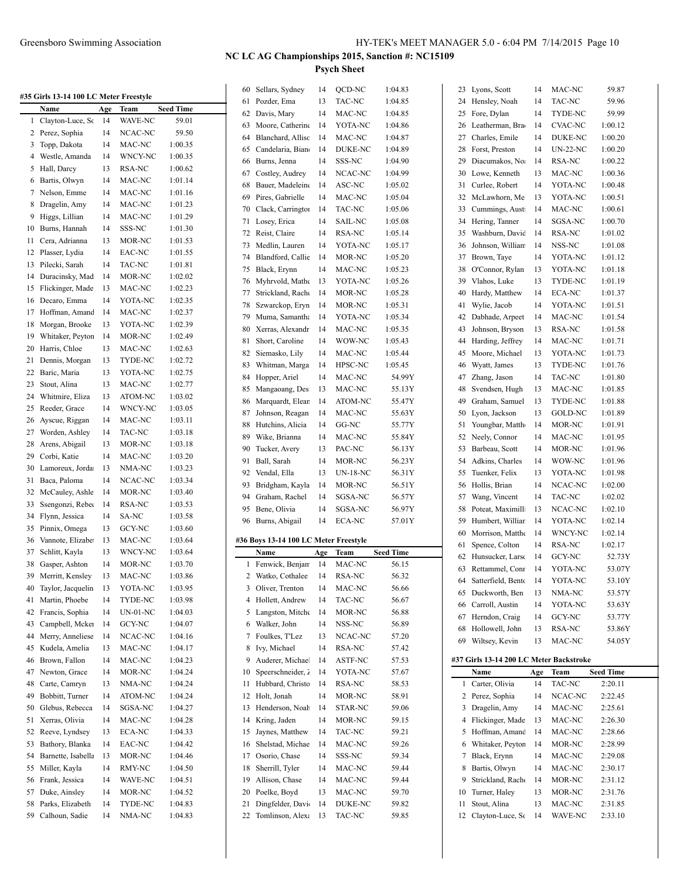| #35 Girls 13-14 100 LC Meter Freestyle |          |               |
|----------------------------------------|----------|---------------|
| Name                                   | Age Team | <b>Seed T</b> |

|    | Name               | Age | Team           | <b>Seed Time</b> |
|----|--------------------|-----|----------------|------------------|
| 1  | Clayton-Luce, So   | 14  | <b>WAVE-NC</b> | 59.01            |
| 2  | Perez, Sophia      | 14  | NCAC-NC        | 59.50            |
| 3  | Topp, Dakota       | 14  | MAC-NC         | 1:00.35          |
| 4  | Westle, Amanda     | 14  | WNCY-NC        | 1:00.35          |
| 5  | Hall, Darcy        | 13  | RSA-NC         | 1:00.62          |
| 6  | Bartis, Olwyn      | 14  | MAC-NC         | 1:01.14          |
| 7  | Nelson, Emme       | 14  | MAC-NC         | 1:01.16          |
| 8  | Dragelin, Amy      | 14  | MAC-NC         | 1:01.23          |
| 9  | Higgs, Lillian     | 14  | MAC-NC         | 1:01.29          |
| 10 | Burns, Hannah      | 14  | SSS-NC         | 1:01.30          |
| 11 | Cera, Adrianna     | 13  | MOR-NC         | 1:01.53          |
| 12 | Plasser, Lydia     | 14  | EAC-NC         | 1:01.55          |
| 13 |                    | 14  | TAC-NC         |                  |
|    | Pilecki, Sarah     |     |                | 1:01.81          |
| 14 | Duracinsky, Mad    | 14  | MOR-NC         | 1:02.02          |
| 15 | Flickinger, Made   | 13  | MAC-NC         | 1:02.23          |
| 16 | Decaro, Emma       | 14  | YOTA-NC        | 1:02.35          |
| 17 | Hoffman, Amanc     | 14  | MAC-NC         | 1:02.37          |
| 18 | Morgan, Brooke     | 13  | YOTA-NC        | 1:02.39          |
| 19 | Whitaker, Peyton   | 14  | MOR-NC         | 1:02.49          |
| 20 | Harris, Chloe      | 13  | MAC-NC         | 1:02.63          |
| 21 | Dennis, Morgan     | 13  | TYDE-NC        | 1:02.72          |
| 22 | Baric, Maria       | 13  | YOTA-NC        | 1:02.75          |
| 23 | Stout, Alina       | 13  | MAC-NC         | 1:02.77          |
| 24 | Whitmire, Eliza    | 13  | ATOM-NC        | 1:03.02          |
| 25 | Reeder, Grace      | 14  | <b>WNCY-NC</b> | 1:03.05          |
| 26 | Ayscue, Riggan     | 14  | MAC-NC         | 1:03.11          |
| 27 | Worden, Ashley     | 14  | TAC-NC         | 1:03.18          |
| 28 | Arens, Abigail     | 13  | MOR-NC         | 1:03.18          |
| 29 | Corbi, Katie       | 14  | MAC-NC         | 1:03.20          |
| 30 | Lamoreux, Jorda    | 13  | NMA-NC         | 1:03.23          |
| 31 | Baca, Paloma       | 14  | NCAC-NC        | 1:03.34          |
| 32 | McCauley, Ashle    | 14  | MOR-NC         | 1:03.40          |
| 33 | Ssengonzi, Rebeo   | 14  | RSA-NC         | 1:03.53          |
| 34 | Flynn, Jessica     | 14  | SA-NC          | 1:03.58          |
| 35 | Pinnix, Omega      | 13  | <b>GCY-NC</b>  | 1:03.60          |
| 36 | Vannote, Elizabe   | 13  | MAC-NC         | 1:03.64          |
| 37 | Schlitt, Kayla     | 13  | WNCY-NC        | 1:03.64          |
| 38 | Gasper, Ashton     | 14  | MOR-NC         | 1:03.70          |
| 39 | Merritt, Kensley   | 13  | MAC-NC         | 1:03.86          |
| 40 | Taylor, Jacquelin  | 13  | YOTA-NC        | 1:03.95          |
| 41 | Martin, Phoebe     | 14  | TYDE-NC        | 1:03.98          |
|    | Francis, Sophia    | 14  |                |                  |
| 42 |                    |     | UN-01-NC       | 1:04.03          |
| 43 | Campbell, Mcker    | 14  | GCY-NC         | 1:04.07          |
| 44 | Merry, Anneliese   | 14  | NCAC-NC        | 1:04.16          |
| 45 | Kudela, Amelia     | 13  | MAC-NC         | 1:04.17          |
| 46 | Brown, Fallon      | 14  | MAC-NC         | 1:04.23          |
| 47 | Newton, Grace      | 14  | MOR-NC         | 1:04.24          |
| 48 | Carte, Camryn      | 13  | NMA-NC         | 1:04.24          |
| 49 | Bobbitt, Turner    | 14  | ATOM-NC        | 1:04.24          |
| 50 | Glebus, Rebecca    | 14  | SGSA-NC        | 1:04.27          |
| 51 | Xerras, Olivia     | 14  | MAC-NC         | 1:04.28          |
| 52 | Reeve, Lyndsey     | 13  | ECA-NC         | 1:04.33          |
| 53 | Bathory, Blanka    | 14  | EAC-NC         | 1:04.42          |
| 54 | Barnette, Isabella | 13  | MOR-NC         | 1:04.46          |
| 55 | Miller, Kayla      | 14  | RMY-NC         | 1:04.50          |
| 56 | Frank, Jessica     | 14  | WAVE-NC        | 1:04.51          |
| 57 | Duke, Ainsley      | 14  | MOR-NC         | 1:04.52          |
| 58 | Parks, Elizabeth   | 14  | TYDE-NC        | 1:04.83          |
| 59 | Calhoun, Sadie     | 14  | NMA-NC         | 1:04.83          |

| 60 | Sellars, Sydney                       | 14  | QCD-NC   | 1:04.83          |   |
|----|---------------------------------------|-----|----------|------------------|---|
| 61 | Pozder, Ema                           | 13  | TAC-NC   | 1:04.85          |   |
| 62 | Davis, Mary                           | 14  | MAC-NC   | 1:04.85          |   |
| 63 | Moore, Catherine                      | 14  | YOTA-NC  | 1:04.86          |   |
| 64 | Blanchard, Allisc                     | 14  | MAC-NC   | 1:04.87          |   |
| 65 | Candelaria, Biano                     | 14  | DUKE-NC  | 1:04.89          |   |
| 66 | Burns, Jenna                          | 14  | SSS-NC   | 1:04.90          |   |
| 67 | Costley, Audrey                       | 14  | NCAC-NC  | 1:04.99          |   |
|    |                                       |     |          |                  |   |
| 68 | Bauer, Madeleine                      | 14  | ASC-NC   | 1:05.02          |   |
| 69 | Pires, Gabrielle                      | 14  | MAC-NC   | 1:05.04          |   |
| 70 | Clack, Carrington                     | 14  | TAC-NC   | 1:05.06          |   |
| 71 | Losey, Erica                          | 14  | SAIL-NC  | 1:05.08          |   |
| 72 | Reist, Claire                         | 14  | RSA-NC   | 1:05.14          |   |
| 73 | Medlin, Lauren                        | 14  | YOTA-NC  | 1:05.17          |   |
| 74 | Blandford, Callie                     | 14  | MOR-NC   | 1:05.20          |   |
| 75 | Black, Erynn                          | 14  | MAC-NC   | 1:05.23          |   |
| 76 | Myhrvold, Mathe                       | 13  | YOTA-NC  | 1:05.26          |   |
| 77 | Strickland, Rache                     | 14  | MOR-NC   | 1:05.28          |   |
| 78 | Szwarckop, Eryn                       | 14  | MOR-NC   | 1:05.31          |   |
| 79 | Muma, Samantha                        | 14  | YOTA-NC  | 1:05.34          |   |
| 80 | Xerras, Alexandr                      | 14  | MAC-NC   | 1:05.35          |   |
| 81 | Short, Caroline                       | 14  | WOW-NC   | 1:05.43          |   |
| 82 | Siemasko, Lily                        | 14  | MAC-NC   | 1:05.44          |   |
| 83 | Whitman, Marga                        | 14  | HPSC-NC  | 1:05.45          |   |
| 84 | Hopper, Ariel                         | 14  | MAC-NC   | 54.99Y           |   |
| 85 | Mangaoang, Des                        | 13  | MAC-NC   | 55.13Y           |   |
| 86 | Marquardt, Elean                      | 14  | ATOM-NC  | 55.47Y           |   |
| 87 | Johnson, Reagan                       | 14  | MAC-NC   | 55.63Y           |   |
| 88 | Hutchins, Alicia                      | 14  | GG-NC    | 55.77Y           |   |
|    | Wike, Brianna                         |     | MAC-NC   |                  |   |
| 89 |                                       | 14  |          | 55.84Y           |   |
| 90 | Tucker, Avery<br>Ball, Sarah          | 13  | PAC-NC   | 56.13Y           |   |
|    |                                       | 14  |          |                  |   |
| 91 |                                       |     | MOR-NC   | 56.23Y           |   |
| 92 | Vendal, Ella                          | 13  | UN-18-NC | 56.31Y           |   |
| 93 | Bridgham, Kayla                       | 14  | MOR-NC   | 56.51Y           |   |
| 94 | Graham, Rachel                        | 14  | SGSA-NC  | 56.57Y           |   |
| 95 | Bene, Olivia                          | 14  | SGSA-NC  | 56.97Y           |   |
| 96 | Burns, Abigail                        | 14  | ECA-NC   | 57.01Y           |   |
|    |                                       |     |          |                  |   |
|    | #36 Boys 13-14 100 LC Meter Freestyle |     |          |                  |   |
|    | Name                                  | Age | Team     | <b>Seed Time</b> |   |
| 1  | Fenwick, Benjan                       | 14  | MAC-NC   | 56.15            |   |
| 2  | Watko, Cothalee                       | 14  | RSA-NC   | 56.32            |   |
| 3  | Oliver, Trenton                       | 14  | MAC-NC   | 56.66            |   |
| 4  | Hollett, Andrew                       | 14  | TAC-NC   | 56.67            |   |
| 5  | Langston, Mitche                      | 14  | MOR-NC   | 56.88            |   |
| 6  | Walker, John                          | 14  | NSS-NC   | 56.89            |   |
| 7  | Foulkes, T'Lez                        | 13  | NCAC-NC  | 57.20            |   |
| 8  | Ivy, Michael                          | 14  | RSA-NC   | 57.42            |   |
| 9  | Auderer, Michael                      | 14  | ASTF-NC  | 57.53            | # |
| 10 | Speerschneider, 2                     | 14  | YOTA-NC  | 57.67            |   |
| 11 | Hubbard, Christo                      | 14  | RSA-NC   | 58.53            |   |
| 12 | Holt, Jonah                           | 14  | MOR-NC   | 58.91            |   |
| 13 | Henderson, Noah                       | 14  | STAR-NC  | 59.06            |   |
| 14 | Kring, Jaden                          | 14  | MOR-NC   | 59.15            |   |
| 15 | Jaynes, Matthew                       | 14  | TAC-NC   | 59.21            |   |
| 16 | Shelstad, Michae                      | 14  | MAC-NC   | 59.26            |   |
| 17 | Osorio, Chase                         | 14  | SSS-NC   | 59.34            |   |
| 18 | Sherrill, Tyler                       | 14  | MAC-NC   | 59.44            |   |
| 19 | Allison, Chase                        | 14  | MAC-NC   | 59.44            |   |
| 20 | Poelke, Boyd                          | 13  | MAC-NC   | 59.70            |   |
| 21 | Dingfelder, Davi                      | 14  | DUKE-NC  | 59.82            |   |
| 22 | Tomlinson, Alexa                      | 13  | TAC-NC   | 59.85            |   |

| 23     |                                         |           |                 |                             |  |
|--------|-----------------------------------------|-----------|-----------------|-----------------------------|--|
|        | Lyons, Scott                            | 14        | MAC-NC          | 59.87                       |  |
| 24     | Hensley, Noah                           | 14        | TAC-NC          | 59.96                       |  |
| 25     | Fore, Dylan                             | 14        | TYDE-NC         | 59.99                       |  |
| 26     | Leatherman, Bra                         | 14        | <b>CVAC-NC</b>  | 1:00.12                     |  |
| 27     | Charles, Emile                          | 14        | <b>DUKE-NC</b>  | 1:00.20                     |  |
| 28     | Forst, Preston                          | 14        | <b>UN-22-NC</b> | 1:00.20                     |  |
| 29     | Diacumakos, No.                         | 14        | RSA-NC          | 1:00.22                     |  |
| 30     | Lowe, Kenneth                           | 13        | MAC-NC          | 1:00.36                     |  |
| 31     | Curlee, Robert                          | 14        | YOTA-NC         | 1:00.48                     |  |
| 32     | McLawhorn, Me                           | 13        | YOTA-NC         | 1:00.51                     |  |
| 33     | Cummings, Austi                         | 14        | MAC-NC          | 1:00.61                     |  |
| 34     | Hering, Tanner                          | 14        | SGSA-NC         | 1:00.70                     |  |
| 35     | Washburn, David                         | 14        | RSA-NC          | 1:01.02                     |  |
| 36     | Johnson, William                        | 14        | NSS-NC          | 1:01.08                     |  |
| 37     | Brown, Taye                             | 14        | YOTA-NC         | 1:01.12                     |  |
| 38     | O'Connor, Rylan                         | 13        | YOTA-NC         | 1:01.18                     |  |
| 39     | Vlahos, Luke                            | 13        | TYDE-NC         | 1:01.19                     |  |
| 40     | Hardy, Matthew                          | 14        | <b>ECA-NC</b>   | 1:01.37                     |  |
| 41     | Wylie, Jacob                            | 14        | YOTA-NC         | 1:01.51                     |  |
| 42     | Dabhade, Arpeet                         | 14        | MAC-NC          | 1:01.54                     |  |
| 43     | Johnson, Bryson                         | 13        | <b>RSA-NC</b>   | 1:01.58                     |  |
| 44     | Harding, Jeffrey                        | 14        | MAC-NC          | 1:01.71                     |  |
| 45     | Moore, Michael                          | 13        | YOTA-NC         | 1:01.73                     |  |
| 46     | Wyatt, James                            | 13        | TYDE-NC         | 1:01.76                     |  |
| 47     | Zhang, Jason                            | 14        | TAC-NC          | 1:01.80                     |  |
| 48     | Svendsen, Hugh                          | 13        | MAC-NC          | 1:01.85                     |  |
| 49     | Graham, Samuel                          | 13        | TYDE-NC         | 1:01.88                     |  |
| 50     | Lyon, Jackson                           | 13        | <b>GOLD-NC</b>  | 1:01.89                     |  |
| 51     | Youngbar, Matth                         | 14        | MOR-NC          | 1:01.91                     |  |
| 52     | Neely, Connor                           | 14        | MAC-NC          | 1:01.95                     |  |
| 53     | Barbeau, Scott                          | 14        | MOR-NC          | 1:01.96                     |  |
| 54     | Adkins, Charles                         | 14        | WOW-NC          | 1:01.96                     |  |
|        |                                         |           |                 |                             |  |
| 55     | Tuenker, Felix                          | 13        | YOTA-NC         | 1:01.98                     |  |
| 56     | Hollis, Brian                           | 14        | NCAC-NC         | 1:02.00                     |  |
| 57     | Wang, Vincent                           | 14        | <b>TAC-NC</b>   | 1:02.02                     |  |
| 58     | Poteat, Maximilli                       | 13        | NCAC-NC         | 1:02.10                     |  |
| 59     | Humbert, Williar                        | 14        | YOTA-NC         | 1:02.14                     |  |
| 60     | Morrison, Matthe                        | 14        | WNCY-NC         | 1:02.14                     |  |
| 61     | Spence, Colton                          | 14        | RSA-NC          | 1:02.17                     |  |
|        |                                         |           |                 |                             |  |
| 62     | Hunsucker, Larso                        | 14        | GCY-NC          | 52.73Y                      |  |
| 63     | Rettammel, Conr                         | 14        | YOTA-NC         | 53.07Y                      |  |
| 64     | Satterfield, Bento                      | 14        | YOTA-NC         | 53.10Y                      |  |
| 65     | Duckworth, Ben                          | 13        | NMA-NC          | 53.57Y                      |  |
| 66     | Carroll, Austin                         | 14        | YOTA-NC         | 53.63Y                      |  |
| 67     | Herndon, Craig                          | 14        | GCY-NC          | 53.77Y                      |  |
| 68     | Hollowell, John                         | 13        | RSA-NC          | 53.86Y                      |  |
| 69     | Wiltsey, Kevin                          | 13        | MAC-NC          | 54.05Y                      |  |
|        |                                         |           |                 |                             |  |
|        | #37 Girls 13-14 200 LC Meter Backstroke |           |                 |                             |  |
| 1      | Name                                    | Age<br>14 | Team<br>TAC-NC  | <b>Seed Time</b><br>2:20.11 |  |
|        | Carter, Olivia                          |           |                 |                             |  |
| 2<br>3 | Perez, Sophia                           | 14<br>14  | NCAC-NC         | 2:22.45                     |  |
|        | Dragelin, Amy                           |           | MAC-NC          | 2:25.61                     |  |
| 4      | Flickinger, Made                        | 13        | MAC-NC          | 2:26.30                     |  |
| 5      | Hoffman, Amand                          | 14        | MAC-NC          | 2:28.66                     |  |
| 6      | Whitaker, Peyton                        | 14        | MOR-NC          | 2:28.99                     |  |
| 7      | Black, Erynn                            | 14        | MAC-NC          | 2:29.08                     |  |
| 8      | Bartis, Olwyn                           | 14        | MAC-NC          | 2:30.17                     |  |
| 9      | Strickland, Rach                        | 14        | MOR-NC          | 2:31.12                     |  |
| 10     | Turner, Haley                           | 13        | MOR-NC          | 2:31.76                     |  |
| 11     | Stout, Alina                            | 13        | MAC-NC          | 2:31.85                     |  |
| 12     | Clayton-Luce, So                        | 14        | WAVE-NC         | 2:33.10                     |  |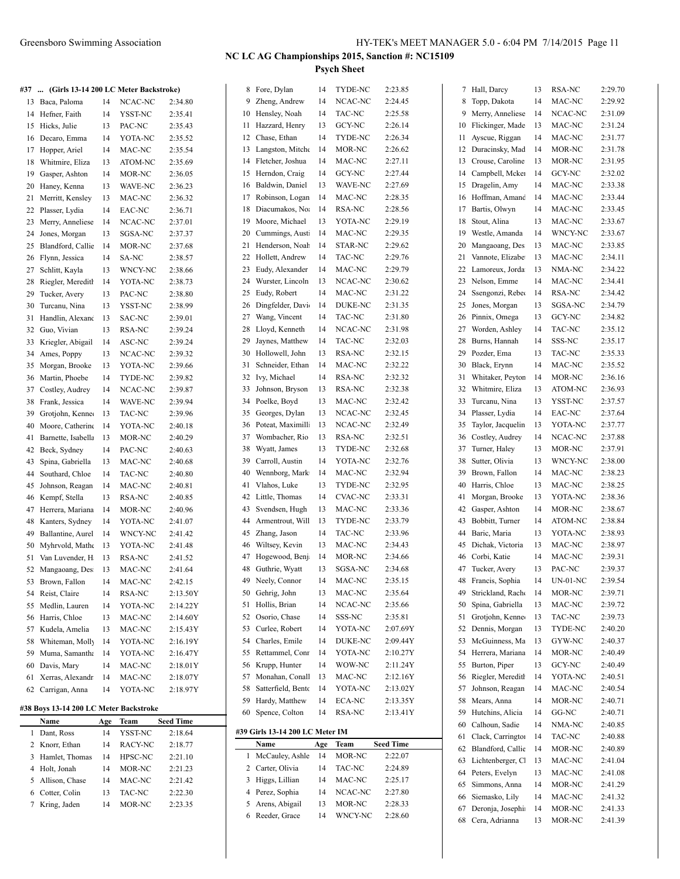Cotter, Colin 13 TAC-NC 2:22.30 Kring, Jaden 14 MOR-NC 2:23.35

 Simmons, Anna 14 MOR-NC 2:41.29 Siemasko, Lily 14 MAC-NC 2:41.32 67 Deronja, Josephine 14 MOR-NC 2:41.33 Cera, Adrianna 13 MOR-NC 2:41.39

## **NC LC AG Championships 2015, Sanction #: NC15109**

**Psych Sheet**

| #37 | (Girls 13-14 200 LC Meter Backstroke)  |           |                 |                  |    | 8 Fore, Dylan                   | 14       | TYDE-NC        | 2:23.85          |    | 7 Hall, Darcy        | 13             | RSA-NC          | 2:29.70            |
|-----|----------------------------------------|-----------|-----------------|------------------|----|---------------------------------|----------|----------------|------------------|----|----------------------|----------------|-----------------|--------------------|
|     | 13 Baca, Paloma                        | 14        | NCAC-NC         | 2:34.80          | 9  | Zheng, Andrew                   | 14       | NCAC-NC        | 2:24.45          | 8  | Topp, Dakota         | 14             | MAC-NC          | 2:29.92            |
|     | 14 Hefner, Faith                       | 14        | YSST-NC         | 2:35.41          |    | 10 Hensley, Noah                | 14       | TAC-NC         | 2:25.58          |    | 9 Merry, Anneliese   | 14             | NCAC-NC         | 2:31.09            |
|     | 15 Hicks, Julie                        | 13        | PAC-NC          | 2:35.43          | 11 | Hazzard, Henry                  | 13       | GCY-NC         | 2:26.14          |    | 10 Flickinger, Made  | 13             | MAC-NC          | 2:31.24            |
|     | 16 Decaro, Emma                        | 14        | YOTA-NC         | 2:35.52          | 12 | Chase, Ethan                    | 14       | TYDE-NC        | 2:26.34          |    | 11 Ayscue, Riggan    | 14             | MAC-NC          | 2:31.77            |
| 17  | Hopper, Ariel                          | 14        | MAC-NC          | 2:35.54          | 13 | Langston, Mitche                | 14       | MOR-NC         | 2:26.62          |    | 12 Duracinsky, Mad   | 14             | MOR-NC          | 2:31.78            |
| 18  | Whitmire, Eliza                        | 13        | ATOM-NC         | 2:35.69          | 14 | Fletcher, Joshua                | 14       | MAC-NC         | 2:27.11          |    | 13 Crouse, Caroline  | 13             | MOR-NC          | 2:31.95            |
| 19  | Gasper, Ashton                         | 14        | MOR-NC          | 2:36.05          | 15 | Herndon, Craig                  | 14       | GCY-NC         | 2:27.44          |    | 14 Campbell, Mcker   | 14             | GCY-NC          | 2:32.02            |
|     | 20 Haney, Kenna                        | 13        | WAVE-NC         | 2:36.23          | 16 | Baldwin, Daniel                 | 13       | WAVE-NC        | 2:27.69          |    | 15 Dragelin, Amy     | 14             | MAC-NC          | 2:33.38            |
| 21  | Merritt, Kensley                       | 13        | MAC-NC          | 2:36.32          | 17 | Robinson, Logan                 | 14       | MAC-NC         | 2:28.35          |    | 16 Hoffman, Amand    | 14             | MAC-NC          | 2:33.44            |
| 22  | Plasser, Lydia                         | 14        | EAC-NC          | 2:36.71          | 18 | Diacumakos, Noa                 | 14       | RSA-NC         | 2:28.56          | 17 | Bartis, Olwyn        | 14             | MAC-NC          | 2:33.45            |
| 23  | Merry, Anneliese                       | 14        | NCAC-NC         | 2:37.01          | 19 | Moore, Michael                  | 13       | YOTA-NC        | 2:29.19          | 18 | Stout, Alina         | 13             | MAC-NC          | 2:33.67            |
| 24  | Jones, Morgan                          | 13        | SGSA-NC         | 2:37.37          | 20 | Cummings, Austi                 | 14       | MAC-NC         | 2:29.35          | 19 | Westle, Amanda       | 14             | WNCY-NC         | 2:33.67            |
|     | 25 Blandford, Callie                   | 14        | MOR-NC          | 2:37.68          | 21 | Henderson, Noah                 | 14       | STAR-NC        | 2:29.62          | 20 | Mangaoang, Des       | 13             | MAC-NC          | 2:33.85            |
| 26  | Flynn, Jessica                         | 14        | SA-NC           | 2:38.57          | 22 | Hollett, Andrew                 | 14       | TAC-NC         | 2:29.76          | 21 | Vannote, Elizabe     | 13             | MAC-NC          | 2:34.11            |
| 27  | Schlitt, Kayla                         | 13        | WNCY-NC         | 2:38.66          | 23 | Eudy, Alexander                 | 14       | MAC-NC         | 2:29.79          | 22 | Lamoreux, Jorda      | 13             | NMA-NC          | 2:34.22            |
| 28  | Riegler, Meredith                      | 14        | YOTA-NC         | 2:38.73          | 24 | Wurster, Lincoln                | 13       | NCAC-NC        | 2:30.62          | 23 | Nelson, Emme         | 14             | MAC-NC          | 2:34.41            |
| 29  | Tucker, Avery                          | 13        | PAC-NC          | 2:38.80          | 25 | Eudy, Robert                    | 14       | MAC-NC         | 2:31.22          |    | 24 Ssengonzi, Rebec  | 14             | RSA-NC          | 2:34.42            |
| 30  | Turcanu, Nina                          | 13        | YSST-NC         | 2:38.99          | 26 | Dingfelder, Davi                | 14       | DUKE-NC        | 2:31.35          | 25 | Jones, Morgan        | 13             | SGSA-NC         | 2:34.79            |
| 31  | Handlin, Alexand                       | 13        | SAC-NC          | 2:39.01          | 27 | Wang, Vincent                   | 14       | TAC-NC         | 2:31.80          | 26 | Pinnix, Omega        | 13             | GCY-NC          | 2:34.82            |
| 32  | Guo, Vivian                            | 13        | RSA-NC          | 2:39.24          | 28 | Lloyd, Kenneth                  | 14       | NCAC-NC        | 2:31.98          | 27 | Worden, Ashley       | 14             | TAC-NC          | 2:35.12            |
| 33  | Kriegler, Abigail                      | 14        | ASC-NC          | 2:39.24          | 29 | Jaynes, Matthew                 | 14       | TAC-NC         | 2:32.03          | 28 | Burns, Hannah        | 14             | SSS-NC          | 2:35.17            |
|     | 34 Ames, Poppy                         | 13        | NCAC-NC         | 2:39.32          | 30 | Hollowell, John                 | 13       | RSA-NC         | 2:32.15          | 29 | Pozder, Ema          | 13             | TAC-NC          | 2:35.33            |
|     | 35 Morgan, Brooke                      | 13        | YOTA-NC         | 2:39.66          | 31 | Schneider, Ethan                | 14       | MAC-NC         | 2:32.22          |    | 30 Black, Erynn      | 14             | MAC-NC          | 2:35.52            |
|     | 36 Martin, Phoebe                      | 14        | TYDE-NC         | 2:39.82          | 32 | Ivy, Michael                    | 14       | RSA-NC         | 2:32.32          | 31 | Whitaker, Peyton     | 14             | MOR-NC          | 2:36.16            |
| 37  | Costley, Audrey                        | 14        | NCAC-NC         | 2:39.87          | 33 | Johnson, Bryson                 | 13       | <b>RSA-NC</b>  | 2:32.38          | 32 | Whitmire, Eliza      | 13             | ATOM-NC         | 2:36.93            |
| 38  | Frank, Jessica                         | 14        | WAVE-NC         | 2:39.94          | 34 | Poelke, Boyd                    | 13       | MAC-NC         | 2:32.42          | 33 | Turcanu, Nina        | 13             | YSST-NC         | 2:37.57            |
| 39  | Grotjohn, Kenne                        | 13        | TAC-NC          | 2:39.96          | 35 | Georges, Dylan                  | 13       | NCAC-NC        | 2:32.45          | 34 | Plasser, Lydia       | 14             | EAC-NC          | 2:37.64            |
| 40  | Moore, Catherine                       | 14        | YOTA-NC         | 2:40.18          | 36 | Poteat, Maximilli               | 13       | NCAC-NC        | 2:32.49          | 35 | Taylor, Jacquelin    | 13             | YOTA-NC         | 2:37.77            |
| 41  | Barnette, Isabella                     | 13        | MOR-NC          | 2:40.29          | 37 | Wombacher, Rio                  | 13       | RSA-NC         | 2:32.51          | 36 | Costley, Audrey      | 14             | NCAC-NC         | 2:37.88            |
| 42  | Beck, Sydney                           | 14        | PAC-NC          | 2:40.63          | 38 | Wyatt, James                    | 13       | TYDE-NC        | 2:32.68          | 37 | Turner, Haley        | 13             | MOR-NC          | 2:37.91            |
| 43  | Spina, Gabriella                       | 13        | MAC-NC          | 2:40.68          | 39 | Carroll, Austin                 | 14       | YOTA-NC        | 2:32.76          | 38 | Sutter, Olivia       | 13             | WNCY-NC         | 2:38.00            |
| 44  | Southard, Chloe                        | 14        | TAC-NC          |                  | 40 | Wennborg, Mark                  | 14       | MAC-NC         | 2:32.94          | 39 | Brown, Fallon        | 14             | MAC-NC          | 2:38.23            |
|     |                                        | 14        |                 | 2:40.80          | 41 | Vlahos, Luke                    | 13       | TYDE-NC        | 2:32.95          | 40 | Harris, Chloe        | 13             | MAC-NC          | 2:38.25            |
|     | 45 Johnson, Reagan                     |           | MAC-NC          | 2:40.81          | 42 | Little, Thomas                  | 14       | <b>CVAC-NC</b> | 2:33.31          | 41 | Morgan, Brooke       | 13             | YOTA-NC         | 2:38.36            |
| 46  | Kempf, Stella                          | 13        | RSA-NC          | 2:40.85          | 43 | Svendsen, Hugh                  | 13       | MAC-NC         | 2:33.36          | 42 | Gasper, Ashton       | 14             | MOR-NC          | 2:38.67            |
| 47  | Herrera, Mariana                       | 14        | MOR-NC          | 2:40.96          |    | Armentrout, Will                | 13       | TYDE-NC        | 2:33.79          | 43 | Bobbitt, Turner      | 14             |                 |                    |
| 48  | Kanters, Sydney                        | 14        | YOTA-NC         | 2:41.07          | 44 |                                 |          | TAC-NC         | 2:33.96          |    |                      |                | ATOM-NC         | 2:38.84<br>2:38.93 |
| 49  | Ballantine, Aurel                      | 14        | WNCY-NC         | 2:41.42          | 45 | Zhang, Jason                    | 14       |                |                  | 44 | Baric, Maria         | 13             | YOTA-NC         |                    |
| 50  | Myhrvold, Mathe                        | 13        | YOTA-NC         | 2:41.48          | 46 | Wiltsey, Kevin                  | 13       | MAC-NC         | 2:34.43          | 45 | Dichak, Victoria     | 13             | MAC-NC          | 2:38.97            |
| 51  | Van Luvender, H                        | 13        | RSA-NC          | 2:41.52          | 47 | Hogewood, Benj                  | 14<br>13 | MOR-NC         | 2:34.66          | 46 | Corbi, Katie         | 14<br>13       | MAC-NC          | 2:39.31            |
|     | 52 Mangaoang, Des                      | 13        | MAC-NC          | 2:41.64          | 48 | Guthrie, Wyatt                  |          | SGSA-NC        | 2:34.68          |    | 47 Tucker, Avery     |                | PAC-NC          | 2:39.37            |
| 53  | Brown, Fallon                          | 14        | MAC-NC          | 2:42.15          | 49 | Neely, Connor                   | 14       | MAC-NC         | 2:35.15          | 48 | Francis, Sophia      | 14             | <b>UN-01-NC</b> | 2:39.54            |
| 54  | Reist, Claire                          | 14        | RSA-NC          | 2:13.50Y         | 50 | Gehrig, John                    | 13       | MAC-NC         | 2:35.64          | 49 | Strickland, Rach     | 14             | MOR-NC          | 2:39.71            |
|     | 55 Medlin, Lauren                      | 14        | YOTA-NC         | 2:14.22Y         | 51 | Hollis, Brian                   | 14       | NCAC-NC        | 2:35.66          |    | 50 Spina, Gabriella  | 13             | MAC-NC          | 2:39.72            |
|     | 56 Harris, Chloe                       | 13        | MAC-NC          | 2:14.60Y         | 52 | Osorio, Chase                   | 14       | SSS-NC         | 2:35.81          | 51 | Grotjohn, Kenne      | 13             | TAC-NC          | 2:39.73            |
| 57  | Kudela, Amelia                         | 13        | MAC-NC          | 2:15.43Y         | 53 | Curlee, Robert                  | 14       | YOTA-NC        | 2:07.69Y         |    | 52 Dennis, Morgan    | 13             | TYDE-NC         | 2:40.20            |
| 58  | Whiteman, Molly                        | 14        | YOTA-NC         | 2:16.19Y         | 54 | Charles, Emile                  | 14       | DUKE-NC        | 2:09.44Y         |    | 53 McGuinness, Ma    | 13             | GYW-NC          | 2:40.37            |
| 59  | Muma, Samantha                         | 14        | YOTA-NC         | 2:16.47Y         | 55 | Rettammel, Conr                 | 14       | YOTA-NC        | 2:10.27Y         |    | 54 Herrera, Mariana  | 14             | MOR-NC          | 2:40.49            |
| 60  | Davis, Mary                            | 14        | MAC-NC          | 2:18.01Y         | 56 | Krupp, Hunter                   | 14       | WOW-NC         | 2:11.24Y         |    | 55 Burton, Piper     | 13             | GCY-NC          | 2:40.49            |
| 61  | Xerras, Alexandr                       | 14        | MAC-NC          | 2:18.07Y         | 57 | Monahan, Conall                 | 13       | MAC-NC         | 2:12.16Y         |    | 56 Riegler, Meredith | 14             | YOTA-NC         | 2:40.51            |
|     | 62 Carrigan, Anna                      | 14        | YOTA-NC         | 2:18.97Y         | 58 | Satterfield, Bento              | 14       | YOTA-NC        | 2:13.02Y         | 57 | Johnson, Reagan      | 14             | MAC-NC          | 2:40.54            |
|     | #38 Boys 13-14 200 LC Meter Backstroke |           |                 |                  | 59 | Hardy, Matthew                  | 14       | ECA-NC         | 2:13.35Y         | 58 | Mears, Anna          | 14             | MOR-NC          | 2:40.71            |
|     | Name                                   |           |                 | <b>Seed Time</b> | 60 | Spence, Colton                  | 14       | RSA-NC         | 2:13.41Y         |    | 59 Hutchins, Alicia  | 14             | GG-NC           | 2:40.71            |
|     | 1 Dant, Ross                           | Age<br>14 | Team<br>YSST-NC | 2:18.64          |    | #39 Girls 13-14 200 LC Meter IM |          |                |                  |    | 60 Calhoun, Sadie    | 14             | NMA-NC          | 2:40.85            |
|     | 2 Knorr, Ethan                         | 14        | RACY-NC         | 2:18.77          |    | Name                            | Age      | Team           | <b>Seed Time</b> | 61 | Clack, Carrington    | 14             | TAC-NC          | 2:40.88            |
|     | 3 Hamlet, Thomas                       | 14        | HPSC-NC         |                  |    | 1 McCauley, Ashle               | 14       | MOR-NC         | 2:22.07          |    | 62 Blandford, Callie | 14             | MOR-NC          | 2:40.89            |
|     | 4 Holt, Jonah                          |           | MOR-NC          | 2:21.10          |    | 2 Carter, Olivia                | 14       | TAC-NC         | 2:24.89          |    | 63 Lichtenberger, Cl | 13             | MAC-NC          | 2:41.04            |
|     |                                        | 14        |                 | 2:21.23          |    | 3 Higgs, Lillian                | 14       | MAC-NC         | 2:25.17          |    | 64 Peters, Evelyn    | 13             | MAC-NC          | 2:41.08            |
|     | 5 Allison, Chase                       | 14        | MAC-NC          | 2:21.42          |    |                                 |          |                |                  |    | 65 Simmone Anna      | 1 <sub>A</sub> | $MOP$ $NC$      | 2.41.20            |

| 1 McCauley, Ashle | 14 | MOR-NC  | 2:22.07 |
|-------------------|----|---------|---------|
| 2 Carter, Olivia  | 14 | TAC-NC  | 2:24.89 |
| 3 Higgs, Lillian  | 14 | MAC-NC  | 2:25.17 |
| 4 Perez, Sophia   | 14 | NCAC-NC | 2:27.80 |
| 5 Arens, Abigail  | 13 | MOR-NC  | 2:28.33 |
| 6 Reeder, Grace   | 14 | WNCY-NC | 2:28.60 |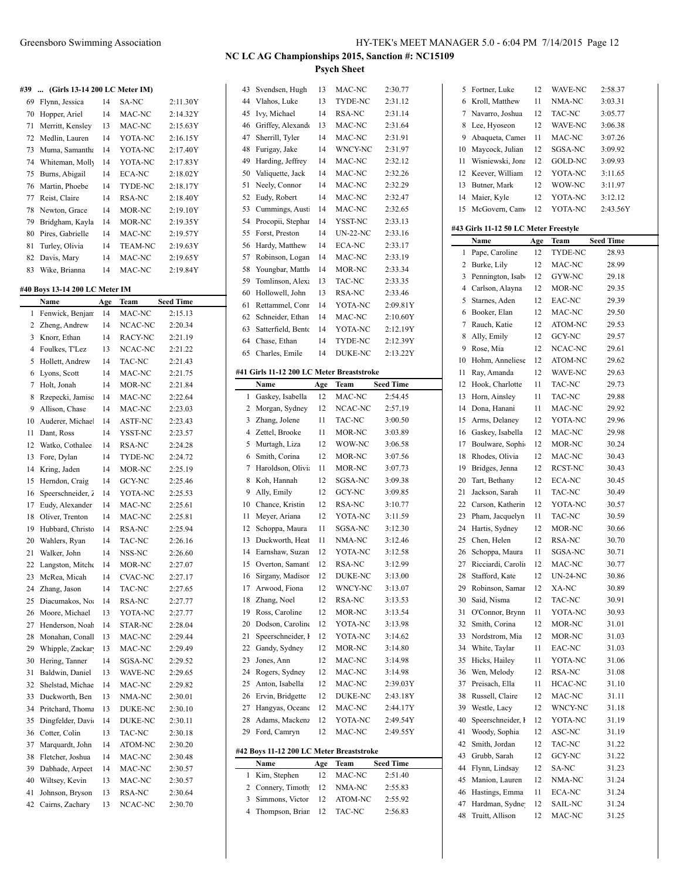**#39 ... (Girls 13-14 200 LC Meter IM)**

|    | $\frac{1}{2}$    |    |                |          |
|----|------------------|----|----------------|----------|
| 69 | Flynn, Jessica   | 14 | SA-NC          | 2:11.30Y |
| 70 | Hopper, Ariel    | 14 | MAC-NC         | 2:14.32Y |
| 71 | Merritt, Kensley | 13 | MAC-NC         | 2:15.63Y |
| 72 | Medlin, Lauren   | 14 | YOTA-NC        | 2:16.15Y |
| 73 | Muma, Samantha   | 14 | YOTA-NC        | 2:17.40Y |
| 74 | Whiteman, Molly  | 14 | YOTA-NC        | 2:17.83Y |
| 75 | Burns, Abigail   | 14 | ECA-NC         | 2:18.02Y |
| 76 | Martin, Phoebe   | 14 | TYDE-NC        | 2:18.17Y |
| 77 | Reist, Claire    | 14 | RSA-NC         | 2:18.40Y |
| 78 | Newton, Grace    | 14 | MOR-NC         | 2:19.10Y |
| 79 | Bridgham, Kayla  | 14 | MOR-NC         | 2:19.35Y |
| 80 | Pires, Gabrielle | 14 | MAC-NC         | 2:19.57Y |
| 81 | Turley, Olivia   | 14 | <b>TEAM-NC</b> | 2:19.63Y |
| 82 | Davis, Mary      | 14 | MAC-NC         | 2:19.65Y |
| 83 | Wike, Brianna    | 14 | MAC-NC         | 2:19.84Y |

#### **#40 Boys 13-14 200 LC Meter IM**

|                | Name              | Age | Team           | <b>Seed Time</b> |
|----------------|-------------------|-----|----------------|------------------|
| $\mathbf{1}$   | Fenwick, Benjan   | 14  | MAC-NC         | 2:15.13          |
| $\overline{c}$ | Zheng, Andrew     | 14  | NCAC-NC        | 2:20.34          |
| 3              | Knorr, Ethan      | 14  | RACY-NC        | 2:21.19          |
| $\overline{4}$ | Foulkes, T'Lez    | 13  | NCAC-NC        | 2:21.22          |
| 5              | Hollett, Andrew   | 14  | TAC-NC         | 2:21.43          |
| 6              | Lyons, Scott      | 14  | MAC-NC         | 2:21.75          |
| $\overline{7}$ | Holt, Jonah       | 14  | MOR-NC         | 2:21.84          |
| 8              | Rzepecki, Jamisc  | 14  | MAC-NC         | 2:22.64          |
| 9              | Allison, Chase    | 14  | MAC-NC         | 2:23.03          |
| 10             | Auderer, Michae.  | 14  | <b>ASTF-NC</b> | 2:23.43          |
| 11             | Dant, Ross        | 14  | YSST-NC        | 2:23.57          |
| 12             | Watko, Cothalee   | 14  | RSA-NC         | 2:24.28          |
| 13             | Fore, Dylan       | 14  | TYDE-NC        | 2:24.72          |
| 14             | Kring, Jaden      | 14  | MOR-NC         | 2:25.19          |
| 15             | Herndon, Craig    | 14  | <b>GCY-NC</b>  | 2:25.46          |
| 16             | Speerschneider, 2 | 14  | YOTA-NC        | 2:25.53          |
| 17             | Eudy, Alexander   | 14  | MAC-NC         | 2:25.61          |
| 18             | Oliver, Trenton   | 14  | MAC-NC         | 2:25.81          |
| 19             | Hubbard, Christc  | 14  | <b>RSA-NC</b>  | 2:25.94          |
| 20             | Wahlers, Ryan     | 14  | TAC-NC         | 2:26.16          |
| 21             | Walker, John      | 14  | NSS-NC         | 2:26.60          |
| 22             | Langston, Mitche  | 14  | MOR-NC         | 2:27.07          |
| 23             | McRea, Micah      | 14  | <b>CVAC-NC</b> | 2:27.17          |
| 24             | Zhang, Jason      | 14  | TAC-NC         | 2:27.65          |
| 25             | Diacumakos, No    | 14  | <b>RSA-NC</b>  | 2:27.77          |
| 26             | Moore, Michael    | 13  | YOTA-NC        | 2:27.77          |
| 27             | Henderson, Noal   | 14  | <b>STAR-NC</b> | 2:28.04          |
| 28             | Monahan, Conall   | 13  | MAC-NC         | 2:29.44          |
| 29             | Whipple, Zackar   | 13  | MAC-NC         | 2:29.49          |
| 30             | Hering, Tanner    | 14  | SGSA-NC        | 2:29.52          |
| 31             | Baldwin, Daniel   | 13  | WAVE-NC        | 2:29.65          |
| 32             | Shelstad, Michae  | 14  | MAC-NC         | 2:29.82          |
| 33             | Duckworth, Ben    | 13  | NMA-NC         | 2:30.01          |
| 34             | Pritchard, Thoma  | 13  | <b>DUKE-NC</b> | 2:30.10          |
| 35             | Dingfelder, Davi  | 14  | <b>DUKE-NC</b> | 2:30.11          |
| 36             | Cotter, Colin     | 13  | TAC-NC         | 2:30.18          |
| 37             | Marquardt, John   | 14  | ATOM-NC        | 2:30.20          |
| 38             | Fletcher, Joshua  | 14  | MAC-NC         | 2:30.48          |
| 39             | Dabhade, Arpeet   | 14  | MAC-NC         | 2:30.57          |
| 40             | Wiltsey, Kevin    | 13  | MAC-NC         | 2:30.57          |
| 41             | Johnson, Bryson   | 13  | <b>RSA-NC</b>  | 2:30.64          |
| 42             | Cairns, Zachary   | 13  | NCAC-NC        | 2:30.70          |
|                |                   |     |                |                  |

### **NC LC AG Championships 2015, Sanction #: NC15109 Psych Sheet**

| 20<br>21<br>22<br>23<br>24<br>25<br>26<br>27<br>28<br>29<br>1 | Dodson, Caroline<br>Speerschneider, I<br>Gandy, Sydney<br>Jones, Ann<br>Rogers, Sydney<br>Anton, Isabella<br>Ervin, Bridgette<br>Hangyas, Oceane<br>Adams, Mackenz<br>Ford, Camryn<br>#42 Boys 11-12 200 LC Meter Breaststroke<br>Name<br>Kim, Stephen | 12<br>12<br>12<br>12<br>12<br>12<br>12<br>12<br>12<br>12<br>Age<br>12 | YOTA-NC<br>YOTA-NC<br>MOR-NC<br>MAC-NC<br>MAC-NC<br>MAC-NC<br>DUKE-NC<br>MAC-NC<br>YOTA-NC<br>MAC-NC<br>Team<br>MAC-NC | 3:13.98<br>3:14.62<br>3:14.80<br>3:14.98<br>3:14.98<br>2:39.03Y<br>2:43.18Y<br>2:44.17Y<br>2:49.54Y<br>2:49.55Y<br>Seed Time<br>2:51.40 |
|---------------------------------------------------------------|--------------------------------------------------------------------------------------------------------------------------------------------------------------------------------------------------------------------------------------------------------|-----------------------------------------------------------------------|------------------------------------------------------------------------------------------------------------------------|-----------------------------------------------------------------------------------------------------------------------------------------|
|                                                               |                                                                                                                                                                                                                                                        |                                                                       |                                                                                                                        |                                                                                                                                         |
|                                                               |                                                                                                                                                                                                                                                        |                                                                       |                                                                                                                        |                                                                                                                                         |
|                                                               |                                                                                                                                                                                                                                                        |                                                                       |                                                                                                                        |                                                                                                                                         |
|                                                               |                                                                                                                                                                                                                                                        |                                                                       |                                                                                                                        |                                                                                                                                         |
|                                                               |                                                                                                                                                                                                                                                        |                                                                       |                                                                                                                        |                                                                                                                                         |
|                                                               |                                                                                                                                                                                                                                                        |                                                                       |                                                                                                                        |                                                                                                                                         |
|                                                               |                                                                                                                                                                                                                                                        |                                                                       |                                                                                                                        |                                                                                                                                         |
|                                                               |                                                                                                                                                                                                                                                        |                                                                       |                                                                                                                        |                                                                                                                                         |
|                                                               |                                                                                                                                                                                                                                                        |                                                                       |                                                                                                                        |                                                                                                                                         |
|                                                               |                                                                                                                                                                                                                                                        |                                                                       |                                                                                                                        |                                                                                                                                         |
|                                                               |                                                                                                                                                                                                                                                        |                                                                       |                                                                                                                        |                                                                                                                                         |
|                                                               |                                                                                                                                                                                                                                                        |                                                                       |                                                                                                                        |                                                                                                                                         |
|                                                               |                                                                                                                                                                                                                                                        |                                                                       |                                                                                                                        |                                                                                                                                         |
|                                                               |                                                                                                                                                                                                                                                        |                                                                       |                                                                                                                        |                                                                                                                                         |
| 19                                                            | Ross, Caroline                                                                                                                                                                                                                                         | 12                                                                    | MOR-NC                                                                                                                 | 3:13.54                                                                                                                                 |
| 18                                                            | Zhang, Noel                                                                                                                                                                                                                                            | 12                                                                    | RSA-NC                                                                                                                 | 3:13.53                                                                                                                                 |
| 17                                                            | Arwood, Fiona                                                                                                                                                                                                                                          | 12                                                                    | WNCY-NC                                                                                                                | 3:13.07                                                                                                                                 |
| 16                                                            | Sirgany, Madisor                                                                                                                                                                                                                                       | 12                                                                    | DUKE-NC                                                                                                                | 3:13.00                                                                                                                                 |
| 15                                                            | Overton, Samant                                                                                                                                                                                                                                        | 12                                                                    | <b>RSA-NC</b>                                                                                                          | 3:12.99                                                                                                                                 |
| 14                                                            | Earnshaw, Suzan                                                                                                                                                                                                                                        | 12                                                                    | YOTA-NC                                                                                                                | 3:12.58                                                                                                                                 |
| 13                                                            | Duckworth, Heat                                                                                                                                                                                                                                        | 11                                                                    | NMA-NC                                                                                                                 | 3:12.46                                                                                                                                 |
| 12                                                            | Schoppa, Maura                                                                                                                                                                                                                                         | 11                                                                    | SGSA-NC                                                                                                                | 3:12.30                                                                                                                                 |
| 11                                                            | Meyer, Ariana                                                                                                                                                                                                                                          | 12                                                                    | YOTA-NC                                                                                                                | 3:11.59                                                                                                                                 |
| 10                                                            | Chance, Kristin                                                                                                                                                                                                                                        | 12                                                                    | RSA-NC                                                                                                                 | 3:10.77                                                                                                                                 |
| 9                                                             | Ally, Emily                                                                                                                                                                                                                                            | 12                                                                    | GCY-NC                                                                                                                 | 3:09.85                                                                                                                                 |
| 8                                                             | Koh, Hannah                                                                                                                                                                                                                                            | 12                                                                    | SGSA-NC                                                                                                                | 3:09.38                                                                                                                                 |
| 7                                                             | Haroldson, Olivia                                                                                                                                                                                                                                      | 11                                                                    | MOR-NC                                                                                                                 | 3:07.73                                                                                                                                 |
| 6                                                             | Smith, Corina                                                                                                                                                                                                                                          | 12                                                                    | MOR-NC                                                                                                                 | 3:07.56                                                                                                                                 |
| 5                                                             | Murtagh, Liza                                                                                                                                                                                                                                          | 12                                                                    | WOW-NC                                                                                                                 | 3:06.58                                                                                                                                 |
| 3<br>4                                                        | Zhang, Jolene<br>Zettel, Brooke                                                                                                                                                                                                                        | 11<br>11                                                              | <b>TAC-NC</b><br>MOR-NC                                                                                                | 3:00.50<br>3:03.89                                                                                                                      |
| 2                                                             | Morgan, Sydney                                                                                                                                                                                                                                         | 12                                                                    | NCAC-NC                                                                                                                | 2:57.19                                                                                                                                 |
| 1                                                             | Gaskey, Isabella                                                                                                                                                                                                                                       | 12                                                                    | MAC-NC                                                                                                                 | 2:54.45                                                                                                                                 |
|                                                               | Name                                                                                                                                                                                                                                                   | Age                                                                   | Team                                                                                                                   | <b>Seed Time</b>                                                                                                                        |
|                                                               | #41 Girls 11-12 200 LC Meter Breaststroke                                                                                                                                                                                                              |                                                                       |                                                                                                                        |                                                                                                                                         |
|                                                               |                                                                                                                                                                                                                                                        |                                                                       |                                                                                                                        |                                                                                                                                         |
| 65                                                            | Charles, Emile                                                                                                                                                                                                                                         | 14                                                                    | DUKE-NC                                                                                                                | 2:13.22Y                                                                                                                                |
| 64                                                            | Chase, Ethan                                                                                                                                                                                                                                           | 14                                                                    | TYDE-NC                                                                                                                | 2:12.39Y                                                                                                                                |
| 63                                                            | Satterfield, Bento                                                                                                                                                                                                                                     | 14                                                                    | YOTA-NC                                                                                                                | 2:12.19Y                                                                                                                                |
| 62                                                            | Schneider, Ethan                                                                                                                                                                                                                                       | 14                                                                    | MAC-NC                                                                                                                 | 2:10.60Y                                                                                                                                |
| 61                                                            | Rettammel, Conr                                                                                                                                                                                                                                        | 14                                                                    | YOTA-NC                                                                                                                | 2:09.81Y                                                                                                                                |
| 60                                                            | Hollowell, John                                                                                                                                                                                                                                        | 13                                                                    | RSA-NC                                                                                                                 | 2:33.46                                                                                                                                 |
| 59                                                            | Tomlinson, Alexa                                                                                                                                                                                                                                       | 13                                                                    | <b>TAC-NC</b>                                                                                                          | 2:33.35                                                                                                                                 |
| 58                                                            | Youngbar, Matth                                                                                                                                                                                                                                        | 14                                                                    | MOR-NC                                                                                                                 | 2:33.34                                                                                                                                 |
| 57                                                            | Robinson, Logan                                                                                                                                                                                                                                        | 14                                                                    | MAC-NC                                                                                                                 | 2:33.19                                                                                                                                 |
| 56                                                            | Hardy, Matthew                                                                                                                                                                                                                                         | 14                                                                    | <b>ECA-NC</b>                                                                                                          | 2:33.17                                                                                                                                 |
| 55                                                            | Forst, Preston                                                                                                                                                                                                                                         | 14                                                                    | $UN-22-NC$                                                                                                             | 2:33.16                                                                                                                                 |
| 54                                                            | Procopii, Stephar                                                                                                                                                                                                                                      | 14                                                                    | YSST-NC                                                                                                                | 2:33.13                                                                                                                                 |
| 53                                                            | Cummings, Austi                                                                                                                                                                                                                                        | 14                                                                    | MAC-NC                                                                                                                 | 2:32.65                                                                                                                                 |
| 52                                                            | Eudy, Robert                                                                                                                                                                                                                                           | 14                                                                    | MAC-NC                                                                                                                 | 2:32.47                                                                                                                                 |
| 51                                                            | Neely, Connor                                                                                                                                                                                                                                          | 14                                                                    | MAC-NC                                                                                                                 | 2:32.29                                                                                                                                 |
| 50                                                            | Valiquette, Jack                                                                                                                                                                                                                                       | 14                                                                    | MAC-NC                                                                                                                 | 2:32.26                                                                                                                                 |
| 49                                                            | Harding, Jeffrey                                                                                                                                                                                                                                       | 14                                                                    | MAC-NC                                                                                                                 | 2:32.12                                                                                                                                 |
| 48                                                            | Furigay, Jake                                                                                                                                                                                                                                          | 14                                                                    | WNCY-NC                                                                                                                | 2:31.97                                                                                                                                 |
| 47                                                            | Sherrill, Tyler                                                                                                                                                                                                                                        | 14                                                                    | MAC-NC                                                                                                                 | 2:31.91                                                                                                                                 |
| 46                                                            | Griffey, Alexando                                                                                                                                                                                                                                      | 13                                                                    | MAC-NC                                                                                                                 | 2:31.64                                                                                                                                 |
| 45                                                            | Ivy, Michael                                                                                                                                                                                                                                           | 14                                                                    | RSA-NC                                                                                                                 | 2:31.14                                                                                                                                 |
|                                                               | Vlahos, Luke                                                                                                                                                                                                                                           | 13                                                                    | TYDE-NC                                                                                                                | 2:31.12                                                                                                                                 |
|                                                               | Svendsen, Hugh                                                                                                                                                                                                                                         | 13                                                                    | MAC-NC                                                                                                                 | 2:30.77                                                                                                                                 |
| 43<br>44                                                      |                                                                                                                                                                                                                                                        |                                                                       |                                                                                                                        |                                                                                                                                         |

Thompson, Brian 12 TAC-NC 2:56.83

| 5  | Fortner, Luke                         | 12  | WAVE-NC         | 2:58.37          |
|----|---------------------------------------|-----|-----------------|------------------|
| 6  | Kroll, Matthew                        | 11  | NMA-NC          | 3:03.31          |
| 7  | Navarro, Joshua                       | 12  | TAC-NC          | 3:05.77          |
| 8  | Lee, Hyoseon                          | 12  | <b>WAVE-NC</b>  | 3:06.38          |
| 9  | Abaqueta, Camer                       | 11  | MAC-NC          | 3:07.26          |
| 10 | Maycock, Julian                       | 12  | SGSA-NC         | 3:09.92          |
| 11 | Wisniewski, Jona                      | 12  | GOLD-NC         | 3:09.93          |
| 12 | Keever, William                       | 12  | YOTA-NC         | 3:11.65          |
| 13 | Butner, Mark                          | 12  | WOW-NC          | 3:11.97          |
|    |                                       |     |                 |                  |
| 14 | Maier, Kyle                           | 12  | YOTA-NC         | 3:12.12          |
| 15 | McGovern, Cam                         | 12  | YOTA-NC         | 2:43.56Y         |
|    | #43 Girls 11-12 50 LC Meter Freestyle |     |                 |                  |
|    | Name                                  | Age | Team            | <b>Seed Time</b> |
| 1  | Pape, Caroline                        | 12  | TYDE-NC         | 28.93            |
| 2  | Burke, Lily                           | 12  | MAC-NC          | 28.99            |
| 3  | Pennington, Isab                      | 12  | GYW-NC          |                  |
|    |                                       |     |                 | 29.18            |
| 4  | Carlson, Alayna                       | 12  | MOR-NC          | 29.35            |
| 5  | Starnes, Aden                         | 12  | EAC-NC          | 29.39            |
| 6  | Booker, Elan                          | 12  | MAC-NC          | 29.50            |
| 7  | Rauch, Katie                          | 12  | ATOM-NC         | 29.53            |
| 8  | Ally, Emily                           | 12  | <b>GCY-NC</b>   | 29.57            |
| 9  | Rose, Mia                             | 12  | NCAC-NC         | 29.61            |
| 10 | Hohm, Anneliese                       | 12  | ATOM-NC         | 29.62            |
| 11 | Ray, Amanda                           | 12  | WAVE-NC         | 29.63            |
| 12 | Hook, Charlotte                       | 11  | TAC-NC          | 29.73            |
| 13 | Horn, Ainsley                         | 11  | TAC-NC          | 29.88            |
| 14 | Dona, Hanani                          | 11  | MAC-NC          | 29.92            |
| 15 | Arms, Delaney                         | 12  | YOTA-NC         | 29.96            |
| 16 | Gaskey, Isabella                      | 12  | MAC-NC          | 29.98            |
| 17 | Boulware, Sophi-                      | 12  | MOR-NC          | 30.24            |
|    | Rhodes, Olivia                        |     | MAC-NC          |                  |
| 18 |                                       | 12  |                 | 30.43            |
| 19 | Bridges, Jenna                        | 12  | RCST-NC         | 30.43            |
| 20 | Tart, Bethany                         | 12  | ECA-NC          | 30.45            |
| 21 | Jackson, Sarah                        | 11  | TAC-NC          | 30.49            |
| 22 | Carson, Katherin                      | 12  | YOTA-NC         | 30.57            |
| 23 | Pham, Jacquelyn                       | 11  | TAC-NC          | 30.59            |
| 24 | Hartis, Sydney                        | 12  | MOR-NC          | 30.66            |
| 25 | Chen, Helen                           | 12  | RSA-NC          | 30.70            |
| 26 | Schoppa, Maura                        | 11  | SGSA-NC         | 30.71            |
| 27 | Ricciardi, Carolin                    | 12  | MAC-NC          | 30.77            |
| 28 | Stafford, Kate                        | 12  | <b>UN-24-NC</b> | 30.86            |
| 29 | Robinson, Samar                       | 12  | XA-NC           | 30.89            |
| 30 | Said, Nisma                           | 12  | TAC-NC          | 30.91            |
| 31 | O'Connor, Brynn                       | 11  | YOTA-NC         | 30.93            |
| 32 | Smith, Corina                         | 12  | MOR-NC          | 31.01            |
| 33 | Nordstrom, Mia                        | 12  | MOR-NC          | 31.03            |
| 34 | White, Taylar                         | 11  | EAC-NC          | 31.03            |
| 35 | Hicks, Hailey                         | 11  | YOTA-NC         | 31.06            |
| 36 | Wen, Melody                           | 12  | RSA-NC          | 31.08            |
|    | Preisach, Ella                        |     | HCAC-NC         |                  |
| 37 |                                       | 11  |                 | 31.10            |
| 38 | Russell, Claire                       | 12  | MAC-NC          | 31.11            |
| 39 | Westle, Lacy                          | 12  | WNCY-NC         | 31.18            |
| 40 | Speerschneider, I                     | 12  | YOTA-NC         | 31.19            |
| 41 | Woody, Sophia                         | 12  | ASC-NC          | 31.19            |
| 42 | Smith, Jordan                         | 12  | TAC-NC          | 31.22            |
| 43 | Grubb, Sarah                          | 12  | GCY-NC          | 31.22            |
| 44 | Flynn, Lindsay                        | 12  | SA-NC           | 31.23            |
| 45 | Manion, Lauren                        | 12  | NMA-NC          | 31.24            |
| 46 | Hastings, Emma                        | 11  | ECA-NC          | 31.24            |
| 47 | Hardman, Sydne                        | 12  | SAIL-NC         | 31.24            |
| 48 | Truitt, Allison                       | 12  | MAC-NC          | 31.25            |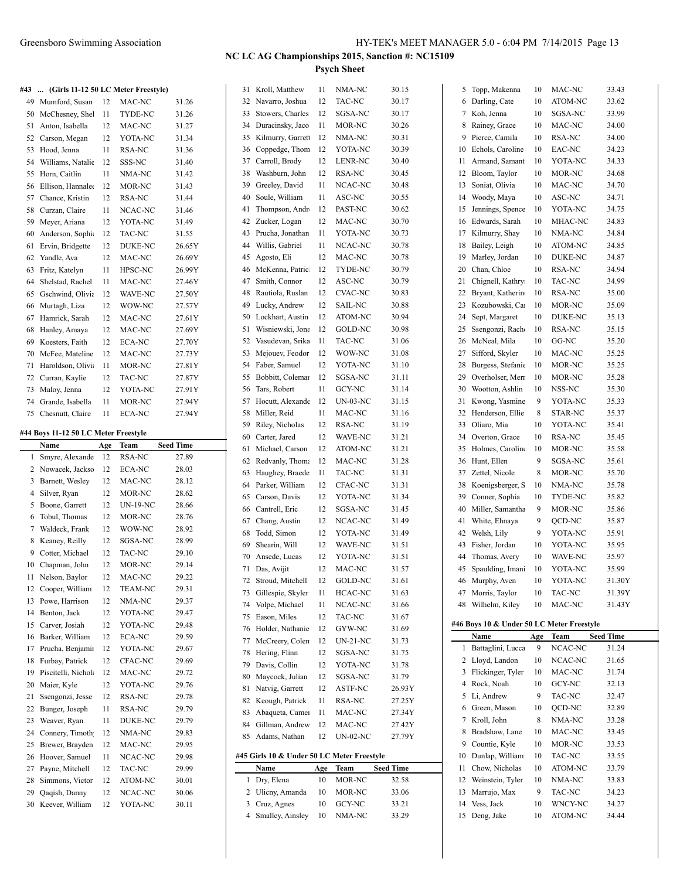|  |  |  |  |  |  | #43  (Girls 11-12 50 LC Meter Freestyle) |
|--|--|--|--|--|--|------------------------------------------|
|--|--|--|--|--|--|------------------------------------------|

| 49 | Mumford, Susan    | 12 | MAC-NC         | 31.26  |
|----|-------------------|----|----------------|--------|
| 50 | McChesney, She    | 11 | TYDE-NC        | 31.26  |
| 51 | Anton, Isabella   | 12 | MAC-NC         | 31.27  |
| 52 | Carson, Megan     | 12 | YOTA-NC        | 31.34  |
| 53 | Hood, Jenna       | 11 | RSA-NC         | 31.36  |
| 54 | Williams, Natalic | 12 | SSS-NC         | 31.40  |
| 55 | Horn, Caitlin     | 11 | NMA-NC         | 31.42  |
| 56 | Ellison, Hannale  | 12 | MOR-NC         | 31.43  |
| 57 | Chance, Kristin   | 12 | RSA-NC         | 31.44  |
| 58 | Curzan, Claire    | 11 | NCAC-NC        | 31.46  |
| 59 | Meyer, Ariana     | 12 | YOTA-NC        | 31.49  |
| 60 | Anderson, Sophi   | 12 | TAC-NC         | 31.55  |
| 61 | Ervin, Bridgette  | 12 | <b>DUKE-NC</b> | 26.65Y |
| 62 | Yandle, Ava       | 12 | MAC-NC         | 26.69Y |
| 63 | Fritz, Katelyn    | 11 | HPSC-NC        | 26.99Y |
| 64 | Shelstad, Rachel  | 11 | MAC-NC         | 27.46Y |
| 65 | Gschwind, Olivia  | 12 | <b>WAVE-NC</b> | 27.50Y |
| 66 | Murtagh, Liza     | 12 | WOW-NC         | 27.57Y |
| 67 | Hamrick, Sarah    | 12 | MAC-NC         | 27.61Y |
| 68 | Hanley, Amaya     | 12 | MAC-NC         | 27.69Y |
| 69 | Koesters, Faith   | 12 | ECA-NC         | 27.70Y |
| 70 | McFee, Mateline   | 12 | MAC-NC         | 27.73Y |
| 71 | Haroldson, Olivi  | 11 | MOR-NC         | 27.81Y |
| 72 | Curran, Kaylie    | 12 | TAC-NC         | 27.87Y |
| 73 | Maloy, Jenna      | 12 | YOTA-NC        | 27.91Y |
| 74 | Grande, Isabella  | 11 | MOR-NC         | 27.94Y |
| 75 | Chesnutt, Claire  | 11 | <b>ECA-NC</b>  | 27.94Y |
|    |                   |    |                |        |

#### **#44 Boys 11-12 50 LC Meter Freestyle**

|                | Name                | Age | Team            | <b>Seed Time</b> |
|----------------|---------------------|-----|-----------------|------------------|
| 1              | Smyre, Alexande     | 12  | <b>RSA-NC</b>   | 27.89            |
| 2              | Nowacek, Jackso     | 12  | <b>ECA-NC</b>   | 28.03            |
| 3              | Barnett, Wesley     | 12  | MAC-NC          | 28.12            |
| $\overline{4}$ | Silver, Ryan        | 12  | MOR-NC          | 28.62            |
| 5              | Boone, Garrett      | 12  | <b>UN-19-NC</b> | 28.66            |
| 6              | Tobul, Thomas       | 12  | MOR-NC          | 28.76            |
| 7              | Waldeck, Frank      | 12  | WOW-NC          | 28.92            |
| 8              | Keaney, Reilly      | 12  | SGSA-NC         | 28.99            |
| 9              | Cotter, Michael     | 12  | TAC-NC          | 29.10            |
| 10             | Chapman, John       | 12  | MOR-NC          | 29.14            |
| 11             | Nelson, Baylor      | 12  | MAC-NC          | 29.22            |
| 12             | Cooper, William     | 12  | <b>TEAM-NC</b>  | 29.31            |
| 13             | Powe, Harrison      | 12  | NMA-NC          | 29.37            |
| 14             | Benton, Jack        | 12  | YOTA-NC         | 29.47            |
| 15             | Carver, Josiah      | 12  | YOTA-NC         | 29.48            |
| 16             | Barker, William     | 12  | ECA-NC          | 29.59            |
| 17             | Prucha, Benjamir    | 12  | YOTA-NC         | 29.67            |
| 18             | Furbay, Patrick     | 12  | CFAC-NC         | 29.69            |
| 19             | Piscitelli, Nichola | 12  | MAC-NC          | 29.72            |
| 20             | Maier, Kyle         | 12  | YOTA-NC         | 29.76            |
| 21             | Ssengonzi, Jesse    | 12  | RSA-NC          | 29.78            |
| 22             | Bunger, Joseph      | 11  | RSA-NC          | 29.79            |
| 23             | Weaver, Ryan        | 11  | <b>DUKE-NC</b>  | 29.79            |
| 24             | Connery, Timoth     | 12  | NMA-NC          | 29.83            |
| 25             | Brewer, Brayden     | 12  | MAC-NC          | 29.95            |
| 26             | Hoover, Samuel      | 11  | NCAC-NC         | 29.98            |
| 27             | Payne, Mitchell     | 12  | TAC-NC          | 29.99            |
| 28             | Simmons, Victor     | 12  | ATOM-NC         | 30.01            |
| 29             | Qaqish, Danny       | 12  | NCAC-NC         | 30.06            |
| 30             | Keever, William     | 12  | YOTA-NC         | 30.11            |

| 31 | Kroll, Matthew                             | 11      | NMA-NC          | 30.15          |
|----|--------------------------------------------|---------|-----------------|----------------|
| 32 | Navarro, Joshua                            | 12      | TAC-NC          | 30.17          |
| 33 | Stowers, Charles                           | 12      | SGSA-NC         | 30.17          |
| 34 | Duracinsky, Jaco                           | 11      | MOR-NC          | 30.26          |
| 35 | Kilmurry, Garrett                          | 12      | NMA-NC          | 30.31          |
| 36 | Coppedge, Thom                             | 12      | YOTA-NC         | 30.39          |
| 37 | Carroll, Brody                             | 12      | LENR-NC         | 30.40          |
| 38 | Washburn, John                             | 12      | RSA-NC          | 30.45          |
| 39 | Greeley, David                             | 11      | NCAC-NC         | 30.48          |
| 40 | Soule, William                             | 11      | ASC-NC          | 30.55          |
| 41 | Thompson, Andr                             | 12      | PAST-NC         | 30.62          |
| 42 | Zucker, Logan                              | 12      | MAC-NC          | 30.70          |
| 43 | Prucha, Jonathan                           | 11      | YOTA-NC         | 30.73          |
| 44 | Willis, Gabriel                            | 11      | NCAC-NC         | 30.78          |
| 45 | Agosto, Eli                                | 12      | MAC-NC          | 30.78          |
| 46 | McKenna, Patric                            | 12      | TYDE-NC         | 30.79          |
| 47 | Smith, Connor                              | 12      | ASC-NC          | 30.79          |
| 48 | Rautiola, Ruslan                           | 12      | <b>CVAC-NC</b>  | 30.83          |
| 49 | Lucky, Andrew                              | 12      | <b>SAIL-NC</b>  | 30.88          |
| 50 | Lockhart, Austin                           | 12      | ATOM-NC         | 30.94          |
| 51 | Wisniewski, Jona                           | 12      | GOLD-NC         | 30.98          |
| 52 | Vasudevan, Srika                           | 11      | TAC-NC          | 31.06          |
| 53 | Mejouev, Feodor                            | 12      | WOW-NC          | 31.08          |
| 54 | Faber, Samuel                              | 12      | YOTA-NC         | 31.10          |
| 55 | Bobbitt, Colemar                           | 12      | SGSA-NC         |                |
| 56 | Tars, Robert                               | 11      | GCY-NC          | 31.11<br>31.14 |
| 57 | Hocutt, Alexande                           |         | <b>UN-03-NC</b> |                |
|    |                                            | 12      |                 | 31.15          |
| 58 | Miller, Reid                               | 11      | MAC-NC          | 31.16          |
| 59 | Riley, Nicholas                            | 12      | RSA-NC          | 31.19          |
| 60 | Carter, Jared                              | 12      | WAVE-NC         | 31.21          |
| 61 | Michael, Carson                            | 12      | ATOM-NC         | 31.21          |
| 62 | Redvanly, Thoma                            | 12      | MAC-NC          | 31.28          |
| 63 | Haughey, Braede                            | 11      | TAC-NC          | 31.31          |
| 64 | Parker, William                            | 12      | CFAC-NC         | 31.31          |
| 65 | Carson, Davis                              | 12      | YOTA-NC         | 31.34          |
| 66 | Cantrell, Eric                             | 12      | SGSA-NC         | 31.45          |
| 67 | Chang, Austin                              | 12      | NCAC-NC         | 31.49          |
| 68 | Todd, Simon                                | 12      | YOTA-NC         | 31.49          |
| 69 | Shearin, Will                              | 12      | WAVE-NC         | 31.51          |
| 70 | Ansede, Lucas                              | 12      | YOTA-NC         | 31.51          |
| 71 | Das, Avijit                                | 12      | MAC-NC          | 31.57          |
| 72 | Stroud, Mitchell                           | $12 \,$ | GOLD-NC         | 31.61          |
| 73 | Gillespie, Skyler                          | 11      | HCAC-NC         | 31.63          |
| 74 | Volpe, Michael                             | 11      | NCAC-NC         | 31.66          |
| 75 | Eason, Miles                               | 12      | TAC-NC          | 31.67          |
| 76 | Holder, Nathanie                           | 12      | GYW-NC          | 31.69          |
| 77 | McCreery, Colen                            | 12      | UN-21-NC        | 31.73          |
| 78 | Hering, Flinn                              | 12      | SGSA-NC         | 31.75          |
| 79 | Davis, Collin                              | 12      | YOTA-NC         | 31.78          |
| 80 | Maycock, Julian                            | 12      | SGSA-NC         | 31.79          |
| 81 | Natvig, Garrett                            | 12      | <b>ASTF-NC</b>  | 26.93Y         |
| 82 | Keough, Patrick                            | 11      | RSA-NC          | 27.25Y         |
| 83 | Abaqueta, Camer                            | 11      | MAC-NC          | 27.34Y         |
| 84 | Gillman, Andrew                            | 12      | MAC-NC          | 27.42Y         |
| 85 | Adams, Nathan                              | 12      | UN-02-NC        | 27.79Y         |
|    | #45 Girls 10 & Under 50 LC Meter Freestyle |         |                 |                |
|    | Name                                       | Age     | Team            | Seed Time      |
| 1  | Dry, Elena                                 | 10      | MOR-NC          | 32.58          |
| 2  | Ulicny, Amanda                             | 10      | MOR-NC          | 33.06          |
| 3  | Cruz, Agnes                                | 10      | GCY-NC          | 33.21          |
| 4  | Smalley, Ainsley                           | 10      | NMA-NC          | 33.29          |

| 5  | Topp, Makenna                             | 10  | MAC-NC         | 33.43     |  |  |  |  |  |  |  |
|----|-------------------------------------------|-----|----------------|-----------|--|--|--|--|--|--|--|
| 6  | Darling, Cate                             | 10  | ATOM-NC        | 33.62     |  |  |  |  |  |  |  |
| 7  | Koh, Jenna                                | 10  | SGSA-NC        | 33.99     |  |  |  |  |  |  |  |
| 8  | Rainey, Grace                             | 10  | MAC-NC         | 34.00     |  |  |  |  |  |  |  |
| 9  | Pierce, Camila                            | 10  | RSA-NC         | 34.00     |  |  |  |  |  |  |  |
| 10 | Echols, Caroline                          | 10  | EAC-NC         | 34.23     |  |  |  |  |  |  |  |
| 11 | Armand, Samant                            | 10  | YOTA-NC        | 34.33     |  |  |  |  |  |  |  |
| 12 | Bloom, Taylor                             | 10  | MOR-NC         | 34.68     |  |  |  |  |  |  |  |
| 13 | Soniat, Olivia                            | 10  | MAC-NC         | 34.70     |  |  |  |  |  |  |  |
| 14 | Woody, Maya                               | 10  | ASC-NC         | 34.71     |  |  |  |  |  |  |  |
| 15 | Jennings, Spence                          | 10  | YOTA-NC        | 34.75     |  |  |  |  |  |  |  |
| 16 | Edwards, Sarah                            | 10  | MHAC-NC        | 34.83     |  |  |  |  |  |  |  |
| 17 | Kilmurry, Shay                            | 10  | NMA-NC         | 34.84     |  |  |  |  |  |  |  |
| 18 | Bailey, Leigh                             | 10  | <b>ATOM-NC</b> | 34.85     |  |  |  |  |  |  |  |
| 19 | Marley, Jordan                            | 10  | DUKE-NC        | 34.87     |  |  |  |  |  |  |  |
| 20 | Chan, Chloe                               | 10  | RSA-NC         | 34.94     |  |  |  |  |  |  |  |
| 21 | Chignell, Kathryi                         | 10  | TAC-NC         | 34.99     |  |  |  |  |  |  |  |
| 22 | Bryant, Katherin                          | 10  | RSA-NC         | 35.00     |  |  |  |  |  |  |  |
| 23 | Kozubowski, Car                           | 10  | MOR-NC         | 35.09     |  |  |  |  |  |  |  |
| 24 | Sept, Margaret                            | 10  | <b>DUKE-NC</b> | 35.13     |  |  |  |  |  |  |  |
| 25 | Ssengonzi, Rach                           | 10  | RSA-NC         | 35.15     |  |  |  |  |  |  |  |
| 26 | McNeal, Mila                              | 10  | GG-NC          | 35.20     |  |  |  |  |  |  |  |
| 27 | Sifford, Skyler                           | 10  | MAC-NC         | 35.25     |  |  |  |  |  |  |  |
| 28 | Burgess, Stefanie                         | 10  | MOR-NC         | 35.25     |  |  |  |  |  |  |  |
| 29 | Overholser, Merr                          | 10  | MOR-NC         | 35.28     |  |  |  |  |  |  |  |
| 30 | Wootton, Ashlin                           | 10  | NSS-NC         | 35.30     |  |  |  |  |  |  |  |
| 31 | Kwong, Yasmine                            | 9   | YOTA-NC        | 35.33     |  |  |  |  |  |  |  |
| 32 | Henderson, Ellie                          | 8   | STAR-NC        | 35.37     |  |  |  |  |  |  |  |
| 33 | Oliaro, Mia                               | 10  | YOTA-NC        | 35.41     |  |  |  |  |  |  |  |
| 34 | Overton, Grace                            | 10  | RSA-NC         | 35.45     |  |  |  |  |  |  |  |
| 35 | Holmes, Caroline                          | 10  | MOR-NC         | 35.58     |  |  |  |  |  |  |  |
| 36 | Hunt, Ellen                               | 9   | SGSA-NC        | 35.61     |  |  |  |  |  |  |  |
| 37 | Zettel, Nicole                            | 8   | MOR-NC         | 35.70     |  |  |  |  |  |  |  |
| 38 | Koenigsberger, S                          | 10  | NMA-NC         | 35.78     |  |  |  |  |  |  |  |
| 39 | Conner, Sophia                            | 10  | TYDE-NC        | 35.82     |  |  |  |  |  |  |  |
| 40 | Miller, Samantha                          | 9   | MOR-NC         | 35.86     |  |  |  |  |  |  |  |
| 41 | White, Ehnaya                             | 9   | QCD-NC         | 35.87     |  |  |  |  |  |  |  |
| 42 | Welsh, Lily                               | 9   | YOTA-NC        | 35.91     |  |  |  |  |  |  |  |
| 43 | Fisher, Jordan                            | 10  | YOTA-NC        | 35.95     |  |  |  |  |  |  |  |
| 44 | Thomas, Avery                             | 10  | WAVE-NC        | 35.97     |  |  |  |  |  |  |  |
| 45 | Spaulding, Imani                          | 10  | YOTA-NC        | 35.99     |  |  |  |  |  |  |  |
| 46 | Murphy, Aven                              | 10  | YOTA-NC        | 31.30Y    |  |  |  |  |  |  |  |
| 47 | Morris, Taylor                            | 10  | TAC-NC         | 31.39Y    |  |  |  |  |  |  |  |
| 48 | Wilhelm, Kiley                            | 10  | MAC-NC         | 31.43Y    |  |  |  |  |  |  |  |
|    |                                           |     |                |           |  |  |  |  |  |  |  |
|    | #46 Boys 10 & Under 50 LC Meter Freestyle |     |                |           |  |  |  |  |  |  |  |
|    |                                           |     |                |           |  |  |  |  |  |  |  |
|    | Name                                      | Age | Team           | Seed Time |  |  |  |  |  |  |  |
| 1  | Battaglini, Lucca                         | 9   | NCAC-NC        | 31.24     |  |  |  |  |  |  |  |
| 2  | Lloyd, Landon                             | 10  | NCAC-NC        | 31.65     |  |  |  |  |  |  |  |
| 3  | Flickinger, Tyler                         | 10  | MAC-NC         | 31.74     |  |  |  |  |  |  |  |
| 4  | Rock, Noah                                | 10  | GCY-NC         | 32.13     |  |  |  |  |  |  |  |
| 5  | Li, Andrew                                | 9   | TAC-NC         | 32.47     |  |  |  |  |  |  |  |
| 6  | Green, Mason                              | 10  | QCD-NC         | 32.89     |  |  |  |  |  |  |  |
| 7  | Kroll, John                               | 8   | NMA-NC         | 33.28     |  |  |  |  |  |  |  |
| 8  | Bradshaw, Lane                            | 10  | MAC-NC         | 33.45     |  |  |  |  |  |  |  |
| 9  | Countie, Kyle                             | 10  | MOR-NC         | 33.53     |  |  |  |  |  |  |  |
| 10 | Dunlap, William                           | 10  | TAC-NC         | 33.55     |  |  |  |  |  |  |  |
| 11 | Chow, Nicholas                            | 10  | ATOM-NC        | 33.79     |  |  |  |  |  |  |  |
| 12 | Weinstein, Tyler                          | 10  | NMA-NC         | 33.83     |  |  |  |  |  |  |  |
| 13 | Marrujo, Max                              | 9   | TAC-NC         | 34.23     |  |  |  |  |  |  |  |
| 14 | Vess, Jack                                | 10  | WNCY-NC        | 34.27     |  |  |  |  |  |  |  |
| 15 | Deng, Jake                                | 10  | ATOM-NC        | 34.44     |  |  |  |  |  |  |  |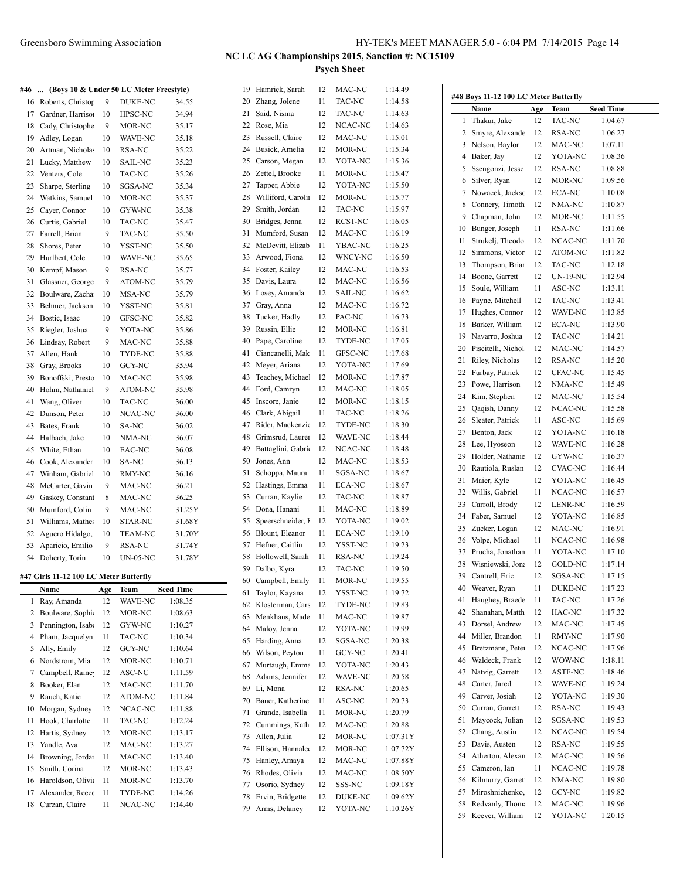|    | #46  (Boys 10 & Under 50 LC Meter Freestyle) |     |                 |                  | 19 | Hamrick, Sarah     | 12 | MAC-NC           | 1:14.49  |
|----|----------------------------------------------|-----|-----------------|------------------|----|--------------------|----|------------------|----------|
| 16 | Roberts, Christop                            | 9   | DUKE-NC         | 34.55            | 20 | Zhang, Jolene      | 11 | TAC-NC           | 1:14.58  |
| 17 | Gardner, Harriso                             | 10  | HPSC-NC         | 34.94            | 21 | Said, Nisma        | 12 | TAC-NC           | 1:14.63  |
| 18 | Cady, Christophe                             | 9   | MOR-NC          | 35.17            | 22 | Rose, Mia          | 12 | NCAC-NC          | 1:14.63  |
| 19 | Adley, Logan                                 | 10  | WAVE-NC         | 35.18            | 23 | Russell, Claire    | 12 | MAC-NC           | 1:15.01  |
| 20 | Artman, Nichola                              | 10  | RSA-NC          | 35.22            | 24 | Busick, Amelia     | 12 | MOR-NC           | 1:15.34  |
| 21 | Lucky, Matthew                               | 10  | SAIL-NC         | 35.23            | 25 | Carson, Megan      | 12 | YOTA-NC          | 1:15.36  |
| 22 | Venters, Cole                                | 10  | TAC-NC          | 35.26            | 26 | Zettel, Brooke     | 11 | MOR-NC           | 1:15.47  |
| 23 | Sharpe, Sterling                             | 10  | SGSA-NC         | 35.34            | 27 | Tapper, Abbie      | 12 | YOTA-NC          | 1:15.50  |
| 24 | Watkins, Samuel                              | 10  | MOR-NC          | 35.37            | 28 | Williford, Carolin | 12 | MOR-NC           | 1:15.77  |
| 25 | Cayer, Connor                                | 10  | GYW-NC          | 35.38            | 29 | Smith, Jordan      | 12 | TAC-NC           | 1:15.97  |
| 26 | Curtis, Gabriel                              | 10  | TAC-NC          | 35.47            | 30 | Bridges, Jenna     | 12 | RCST-NC          | 1:16.05  |
| 27 | Farrell, Brian                               | 9   | TAC-NC          | 35.50            | 31 | Mumford, Susan     | 12 | MAC-NC           | 1:16.19  |
| 28 | Shores, Peter                                | 10  | YSST-NC         | 35.50            | 32 | McDevitt, Elizab   | 11 | YBAC-NC          | 1:16.25  |
| 29 | Hurlbert, Cole                               | 10  | WAVE-NC         | 35.65            | 33 | Arwood, Fiona      | 12 | WNCY-NC          | 1:16.50  |
| 30 | Kempf, Mason                                 | 9   | RSA-NC          | 35.77            | 34 | Foster, Kailey     | 12 | MAC-NC           | 1:16.53  |
| 31 | Glassner, George                             | 9   | ATOM-NC         | 35.79            | 35 | Davis, Laura       | 12 | MAC-NC           | 1:16.56  |
| 32 | Boulware, Zacha                              | 10  |                 |                  | 36 | Losey, Amanda      | 12 | SAIL-NC          | 1:16.62  |
|    | Behmer, Jackson                              |     | MSA-NC          | 35.79            | 37 | Gray, Anna         | 12 | MAC-NC           | 1:16.72  |
| 33 |                                              | 10  | YSST-NC         | 35.81            |    | Tucker, Hadly      | 12 |                  |          |
| 34 | Bostic, Isaac                                | 10  | GFSC-NC         | 35.82            | 38 |                    |    | PAC-NC<br>MOR-NC | 1:16.73  |
| 35 | Riegler, Joshua                              | 9   | YOTA-NC         | 35.86            | 39 | Russin, Ellie      | 12 |                  | 1:16.81  |
| 36 | Lindsay, Robert                              | 9   | MAC-NC          | 35.88            | 40 | Pape, Caroline     | 12 | TYDE-NC          | 1:17.05  |
| 37 | Allen, Hank                                  | 10  | TYDE-NC         | 35.88            | 41 | Ciancanelli, Mak   | 11 | GFSC-NC          | 1:17.68  |
| 38 | Gray, Brooks                                 | 10  | GCY-NC          | 35.94            | 42 | Meyer, Ariana      | 12 | YOTA-NC          | 1:17.69  |
| 39 | Bonoffski, Prestc                            | 10  | MAC-NC          | 35.98            | 43 | Teachey, Michael   | 12 | MOR-NC           | 1:17.87  |
| 40 | Hohm, Nathaniel                              | 9   | ATOM-NC         | 35.98            | 44 | Ford, Camryn       | 12 | MAC-NC           | 1:18.05  |
| 41 | Wang, Oliver                                 | 10  | TAC-NC          | 36.00            | 45 | Inscore, Janie     | 12 | MOR-NC           | 1:18.15  |
| 42 | Dunson, Peter                                | 10  | NCAC-NC         | 36.00            | 46 | Clark, Abigail     | 11 | TAC-NC           | 1:18.26  |
| 43 | Bates, Frank                                 | 10  | SA-NC           | 36.02            | 47 | Rider, Mackenzie   | 12 | TYDE-NC          | 1:18.30  |
| 44 | Halbach, Jake                                | 10  | NMA-NC          | 36.07            | 48 | Grimsrud, Laurer   | 12 | WAVE-NC          | 1:18.44  |
| 45 | White, Ethan                                 | 10  | EAC-NC          | 36.08            | 49 | Battaglini, Gabri  | 12 | NCAC-NC          | 1:18.48  |
| 46 | Cook, Alexander                              | 10  | SA-NC           | 36.13            | 50 | Jones, Ann         | 12 | MAC-NC           | 1:18.53  |
| 47 | Winham, Gabriel                              | 10  | RMY-NC          | 36.16            | 51 | Schoppa, Maura     | 11 | SGSA-NC          | 1:18.67  |
| 48 | McCarter, Gavin                              | 9   | MAC-NC          | 36.21            | 52 | Hastings, Emma     | 11 | ECA-NC           | 1:18.67  |
| 49 | Gaskey, Constant                             | 8   | MAC-NC          | 36.25            | 53 | Curran, Kaylie     | 12 | TAC-NC           | 1:18.87  |
| 50 | Mumford, Colin                               | 9   | MAC-NC          | 31.25Y           | 54 | Dona, Hanani       | 11 | MAC-NC           | 1:18.89  |
| 51 | Williams, Mather                             | 10  | STAR-NC         | 31.68Y           | 55 | Speerschneider, I  | 12 | YOTA-NC          | 1:19.02  |
| 52 | Aguero Hidalgo,                              | 10  | <b>TEAM-NC</b>  | 31.70Y           | 56 | Blount, Eleanor    | 11 | ECA-NC           | 1:19.10  |
| 53 | Aparicio, Emilio                             | 9   | RSA-NC          | 31.74Y           | 57 | Hefner, Caitlin    | 12 | YSST-NC          | 1:19.23  |
|    | 54 Doherty, Torin                            | 10  | <b>UN-05-NC</b> | 31.78Y           | 58 | Hollowell, Sarah   | 11 | RSA-NC           | 1:19.24  |
|    |                                              |     |                 |                  |    | 59 Dalbo, Kyra     | 12 | TAC-NC           | 1:19.50  |
|    | #47 Girls 11-12 100 LC Meter Butterfly       |     |                 |                  | 60 | Campbell, Emily    | 11 | MOR-NC           | 1:19.55  |
|    | Name<br>Ray, Amanda                          | Age | Team            | <b>Seed Time</b> | 61 | Taylor, Kayana     | 12 | YSST-NC          | 1:19.72  |
| 1  |                                              | 12  | WAVE-NC         | 1:08.35          | 62 | Klosterman, Cars   | 12 | TYDE-NC          | 1:19.83  |
| 2  | Boulware, Sophi                              | 12  | MOR-NC          | 1:08.63          | 63 | Menkhaus, Made     | 11 | MAC-NC           | 1:19.87  |
| 3  | Pennington, Isab                             | 12  | GYW-NC          | 1:10.27          | 64 | Maloy, Jenna       | 12 | YOTA-NC          | 1:19.99  |
| 4  | Pham, Jacquelyn                              | 11  | TAC-NC          | 1:10.34          | 65 | Harding, Anna      | 12 | SGSA-NC          | 1:20.38  |
| 5  | Ally, Emily                                  | 12  | GCY-NC          | 1:10.64          | 66 | Wilson, Peyton     | 11 | GCY-NC           | 1:20.41  |
| 6  | Nordstrom, Mia                               | 12  | MOR-NC          | 1:10.71          | 67 | Murtaugh, Emma     | 12 | YOTA-NC          | 1:20.43  |
| 7  | Campbell, Raine                              | 12  | ASC-NC          | 1:11.59          | 68 | Adams, Jennifer    | 12 | WAVE-NC          | 1:20.58  |
| 8  | Booker, Elan                                 | 12  | MAC-NC          | 1:11.70          | 69 | Li, Mona           | 12 | RSA-NC           | 1:20.65  |
| 9  | Rauch, Katie                                 | 12  | ATOM-NC         | 1:11.84          | 70 | Bauer, Katherine   | 11 | ASC-NC           | 1:20.73  |
| 10 | Morgan, Sydney                               | 12  | NCAC-NC         | 1:11.88          | 71 | Grande, Isabella   | 11 | MOR-NC           | 1:20.79  |
| 11 | Hook, Charlotte                              | 11  | TAC-NC          | 1:12.24          | 72 | Cummings, Kath     | 12 | MAC-NC           | 1:20.88  |
| 12 | Hartis, Sydney                               | 12  | MOR-NC          | 1:13.17          | 73 | Allen, Julia       | 12 | MOR-NC           | 1:07.31  |
| 13 | Yandle, Ava                                  | 12  | MAC-NC          | 1:13.27          | 74 | Ellison, Hannalee  | 12 | MOR-NC           | 1:07.72  |
| 14 | Browning, Jordan                             | 11  | MAC-NC          | 1:13.40          | 75 | Hanley, Amaya      | 12 | MAC-NC           | 1:07.88  |
| 15 | Smith, Corina                                | 12  | MOR-NC          | 1:13.43          | 76 | Rhodes, Olivia     | 12 | MAC-NC           | 1:08.50  |
| 16 | Haroldson, Olivia                            | 11  | MOR-NC          | 1:13.70          | 77 | Osorio, Sydney     | 12 | SSS-NC           | 1:09.181 |
| 17 | Alexander, Reeco                             | 11  | TYDE-NC         | 1:14.26          | 78 | Ervin, Bridgette   | 12 | DUKE-NC          | 1:09.621 |
| 18 | Curzan, Claire                               | 11  | NCAC-NC         | 1:14.40          | 79 | Arms, Delaney      | 12 | YOTA-NC          | 1:10.26  |

| MAC-NC        | 1.14.49              |              | #48 Boys 11-12 100 LC Meter Butterfly |     |                 |                  |
|---------------|----------------------|--------------|---------------------------------------|-----|-----------------|------------------|
| TAC-NC        | 1:14.58              |              | Name                                  | Age | Team            | <b>Seed Time</b> |
| TAC-NC        | 1:14.63              | $\mathbf{1}$ | Thakur, Jake                          | 12  | TAC-NC          | 1:04.67          |
| NCAC-NC       | 1:14.63              | 2            | Smyre, Alexande                       | 12  | RSA-NC          | 1:06.27          |
| MAC-NC        | 1:15.01              | 3            | Nelson, Baylor                        | 12  | MAC-NC          | 1:07.11          |
| MOR-NC        | 1:15.34              | 4            | Baker, Jay                            | 12  | YOTA-NC         | 1:08.36          |
| YOTA-NC       | 1:15.36              | 5            | Ssengonzi, Jesse                      | 12  | <b>RSA-NC</b>   | 1:08.88          |
| MOR-NC        | 1:15.47              | 6            | Silver, Ryan                          | 12  | MOR-NC          | 1:09.56          |
| YOTA-NC       | 1:15.50              | 7            | Nowacek, Jackso                       | 12  | ECA-NC          | 1:10.08          |
| MOR-NC        | 1:15.77              | 8            | Connery, Timoth                       | 12  | NMA-NC          | 1:10.87          |
| TAC-NC        | 1:15.97              | 9            | Chapman, John                         | 12  | MOR-NC          | 1:11.55          |
| RCST-NC       | 1:16.05              | 10           | Bunger, Joseph                        | 11  | RSA-NC          | 1:11.66          |
| MAC-NC        | 1:16.19              | 11           | Strukelj, Theodor                     | 12  | NCAC-NC         | 1:11.70          |
| YBAC-NC       | 1:16.25              | 12           | Simmons, Victor                       | 12  | ATOM-NC         | 1:11.82          |
| WNCY-NC       | 1:16.50              | 13           | Thompson, Briar                       | 12  | TAC-NC          | 1:12.18          |
| MAC-NC        | 1:16.53              | 14           | Boone, Garrett                        | 12  | <b>UN-19-NC</b> | 1:12.94          |
| MAC-NC        | 1:16.56              | 15           | Soule, William                        | 11  | ASC-NC          |                  |
| SAIL-NC       | 1:16.62              |              |                                       |     |                 | 1:13.11          |
| MAC-NC        | 1:16.72              | 16           | Payne, Mitchell                       | 12  | TAC-NC          | 1:13.41          |
| PAC-NC        | 1:16.73              | 17           | Hughes, Connor                        | 12  | WAVE-NC         | 1:13.85          |
| MOR-NC        | 1:16.81              | 18           | Barker, William                       | 12  | <b>ECA-NC</b>   | 1:13.90          |
| TYDE-NC       | 1:17.05              | 19           | Navarro, Joshua                       | 12  | TAC-NC          | 1:14.21          |
| GFSC-NC       | 1:17.68              | 20           | Piscitelli, Nichola                   | 12  | MAC-NC          | 1:14.57          |
| YOTA-NC       | 1:17.69              | 21           | Riley, Nicholas                       | 12  | RSA-NC          | 1:15.20          |
| MOR-NC        | 1:17.87              | 22           | Furbay, Patrick                       | 12  | CFAC-NC         | 1:15.45          |
| MAC-NC        | 1:18.05              | 23           | Powe, Harrison                        | 12  | NMA-NC          | 1:15.49          |
| MOR-NC        | 1:18.15              | 24           | Kim, Stephen                          | 12  | MAC-NC          | 1:15.54          |
| TAC-NC        | 1:18.26              | 25           | Qaqish, Danny                         | 12  | NCAC-NC         | 1:15.58          |
| TYDE-NC       | 1:18.30              | 26           | Sleater, Patrick                      | 11  | ASC-NC          | 1:15.69          |
| WAVE-NC       | 1:18.44              | 27           | Benton, Jack                          | 12  | YOTA-NC         | 1:16.18          |
| NCAC-NC       | 1:18.48              | 28           | Lee, Hyoseon                          | 12  | WAVE-NC         | 1:16.28          |
| MAC-NC        | 1:18.53              | 29           | Holder, Nathanie                      | 12  | GYW-NC          | 1:16.37          |
| SGSA-NC       | 1:18.67              | 30           | Rautiola, Ruslan                      | 12  | <b>CVAC-NC</b>  | 1:16.44          |
| ECA-NC        | 1:18.67              | 31           | Maier, Kyle                           | 12  | YOTA-NC         | 1:16.45          |
| TAC-NC        | 1:18.87              | 32           | Willis, Gabriel                       | 11  | NCAC-NC         | 1:16.57          |
| MAC-NC        | 1:18.89              | 33           | Carroll, Brody                        | 12  | LENR-NC         | 1:16.59          |
| YOTA-NC       | 1:19.02              | 34           | Faber, Samuel                         | 12  | YOTA-NC         | 1:16.85          |
| <b>ECA-NC</b> | 1:19.10              | 35           | Zucker, Logan                         | 12  | MAC-NC          | 1:16.91          |
| YSST-NC       | 1:19.23              | 36           | Volpe, Michael                        | 11  | NCAC-NC         | 1:16.98          |
| RSA-NC        | 1:19.24              | 37           | Prucha, Jonathan                      | 11  | YOTA-NC         | 1:17.10          |
| TAC-NC        | 1:19.50              | 38           | Wisniewski, Jona                      | 12  | <b>GOLD-NC</b>  | 1:17.14          |
| MOR-NC        | 1:19.55              |              | 39 Cantrell, Eric                     | 12  | SGSA-NC         | 1:17.15          |
| YSST-NC       | 1:19.72              |              | 40 Weaver, Ryan                       | 11  | DUKE-NC         | 1:17.23          |
| TYDE-NC       | 1:19.83              |              | 41 Haughey, Braede                    | 11  | TAC-NC          | 1:17.26          |
| MAC-NC        | 1:19.87              | 42           | Shanahan, Matth                       | 12  | HAC-NC          | 1:17.32          |
| YOTA-NC       | 1:19.99              | 43           | Dorsel, Andrew                        | 12  | MAC-NC          | 1:17.45          |
| SGSA-NC       | 1:20.38              | 44           | Miller, Brandon                       | 11  | RMY-NC          | 1:17.90          |
| GCY-NC        | 1:20.41              | 45           | Bretzmann, Peter                      | 12  | NCAC-NC         | 1:17.96          |
| YOTA-NC       | 1:20.43              | 46           | Waldeck, Frank                        | 12  | WOW-NC          | 1:18.11          |
| WAVE-NC       | 1:20.58              | 47           | Natvig, Garrett                       | 12  | ASTF-NC         | 1:18.46          |
| RSA-NC        | 1:20.65              | 48           | Carter, Jared                         | 12  | WAVE-NC         | 1:19.24          |
| ASC-NC        | 1:20.73              | 49           | Carver, Josiah                        | 12  | YOTA-NC         | 1:19.30          |
| MOR-NC        | 1:20.79              |              | 50 Curran, Garrett                    | 12  | RSA-NC          | 1:19.43          |
| MAC-NC        | 1:20.88              | 51           | Maycock, Julian                       | 12  | SGSA-NC         | 1:19.53          |
| MOR-NC        | 1:07.31Y             | 52           | Chang, Austin                         | 12  | NCAC-NC         | 1:19.54          |
| MOR-NC        | 1:07.72Y             |              | 53 Davis, Austen                      | 12  | RSA-NC          | 1:19.55          |
| MAC-NC        | 1:07.88Y             | 54           | Atherton, Alexan                      | 12  | MAC-NC          | 1:19.56          |
| MAC-NC        | 1:08.50Y             |              | 55 Cameron, Ian                       | 11  | NCAC-NC         | 1:19.78          |
| SSS-NC        | 1:09.18Y             | 56           | Kilmurry, Garrett                     | 12  | NMA-NC          | 1:19.80          |
| DUKE-NC       |                      | 57           | Miroshnichenko,                       | 12  | GCY-NC          | 1:19.82          |
| YOTA-NC       | 1:09.62Y<br>1:10.26Y | 58           | Redvanly, Thoma                       | 12  | MAC-NC          | 1:19.96          |
|               |                      | 59           | Keever, William                       | 12  | YOTA-NC         | 1:20.15          |
|               |                      |              |                                       |     |                 |                  |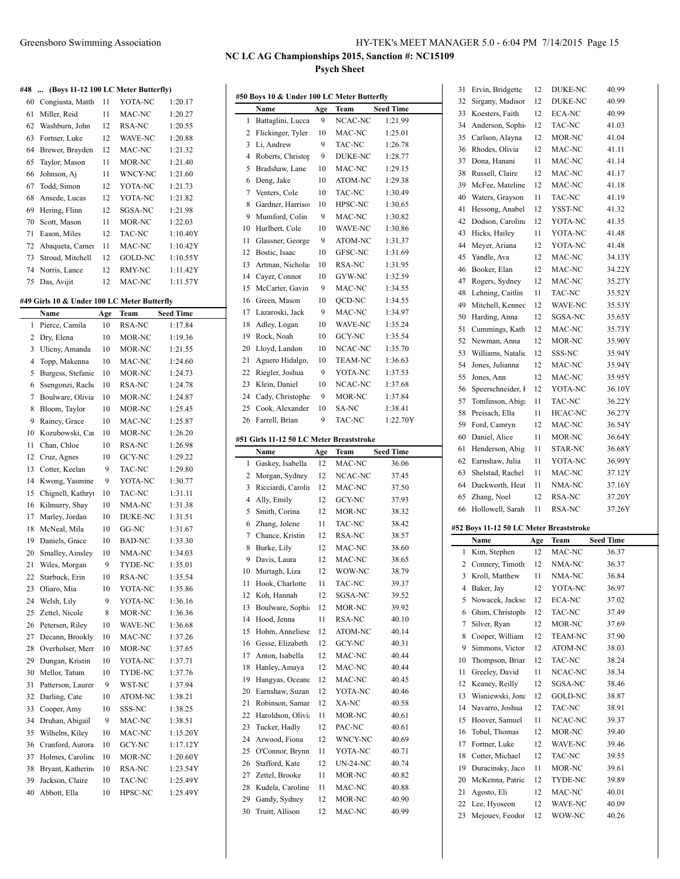| #48 | (Boys 11-12 100 LC Meter Butterfly) |    |                |          |
|-----|-------------------------------------|----|----------------|----------|
| 60  | Congiusta, Matth                    | 11 | YOTA-NC        | 1:20.17  |
| 61  | Miller, Reid                        | 11 | MAC-NC         | 1:20.27  |
| 62  | Washburn, John                      | 12 | RSA-NC         | 1:20.55  |
| 63  | Fortner, Luke                       | 12 | <b>WAVE-NC</b> | 1:20.88  |
| 64  | Brewer, Brayden                     | 12 | MAC-NC         | 1:21.32  |
| 65  | Taylor, Mason                       | 11 | MOR-NC         | 1:21.40  |
| 66  | Johnson, Aj                         | 11 | <b>WNCY-NC</b> | 1:21.60  |
| 67  | Todd, Simon                         | 12 | YOTA-NC        | 1:21.73  |
| 68  | Ansede, Lucas                       | 12 | YOTA-NC        | 1:21.82  |
| 69  | Hering, Flinn                       | 12 | SGSA-NC        | 1:21.98  |
| 70  | Scott, Mason                        | 11 | MOR-NC         | 1:22.03  |
| 71  | Eason, Miles                        | 12 | TAC-NC         | 1:10.40Y |
| 72  | Abaqueta, Camer                     | 11 | MAC-NC         | 1:10.42Y |
| 73  | Stroud, Mitchell                    | 12 | GOLD-NC        | 1:10.55Y |
| 74  | Norris, Lance                       | 12 | RMY-NC         | 1:11.42Y |
| 75  | Das, Avijit                         | 12 | MAC-NC         | 1:11.57Y |

#### **#49 Girls 10 & Under 100 LC Meter Butterfly**

|                | Name              | Age | Team           | <b>Seed Time</b> |
|----------------|-------------------|-----|----------------|------------------|
| 1              | Pierce, Camila    | 10  | <b>RSA-NC</b>  | 1:17.84          |
| $\overline{c}$ | Dry, Elena        | 10  | MOR-NC         | 1:19.36          |
| 3              | Ulicny, Amanda    | 10  | MOR-NC         | 1:21.55          |
| $\overline{4}$ | Topp, Makenna     | 10  | MAC-NC         | 1:24.60          |
| 5              | Burgess, Stefanie | 10  | MOR-NC         | 1:24.73          |
| 6              | Ssengonzi, Rache  | 10  | <b>RSA-NC</b>  | 1:24.78          |
| 7              | Boulware, Olivia  | 10  | MOR-NC         | 1:24.87          |
| 8              | Bloom, Taylor     | 10  | MOR-NC         | 1:25.45          |
| 9              | Rainey, Grace     | 10  | MAC-NC         | 1:25.87          |
| 10             | Kozubowski, Car   | 10  | MOR-NC         | 1:26.20          |
| 11             | Chan, Chloe       | 10  | <b>RSA-NC</b>  | 1:26.98          |
| 12             | Cruz, Agnes       | 10  | GCY-NC         | 1:29.22          |
| 13             | Cotter, Keelan    | 9   | TAC-NC         | 1:29.80          |
| 14             | Kwong, Yasmine    | 9   | YOTA-NC        | 1:30.77          |
| 15             | Chignell, Kathry: | 10  | TAC-NC         | 1:31.11          |
| 16             | Kilmurry, Shay    | 10  | NMA-NC         | 1:31.38          |
| 17             | Marley, Jordan    | 10  | <b>DUKE-NC</b> | 1:31.51          |
| 18             | McNeal, Mila      | 10  | GG-NC          | 1:31.67          |
| 19             | Daniels, Grace    | 10  | <b>BAD-NC</b>  | 1:33.30          |
| 20             | Smalley, Ainsley  | 10  | NMA-NC         | 1:34.03          |
| 21             | Wiles, Morgan     | 9   | TYDE-NC        | 1:35.01          |
| 22             | Starbuck, Erin    | 10  | <b>RSA-NC</b>  | 1:35.54          |
| 23             | Oliaro, Mia       | 10  | YOTA-NC        | 1:35.86          |
| 24             | Welsh, Lily       | 9   | YOTA-NC        | 1:36.16          |
| 25             | Zettel, Nicole    | 8   | MOR-NC         | 1:36.36          |
| 26             | Petersen, Riley   | 10  | WAVE-NC        | 1:36.68          |
| 27             | Decann, Brookly   | 10  | MAC-NC         | 1:37.26          |
| 28             | Overholser, Merr  | 10  | MOR-NC         | 1:37.65          |
| 29             | Dungan, Kristin   | 10  | YOTA-NC        | 1:37.71          |
| 30             | Mellor, Tatum     | 10  | TYDE-NC        | 1:37.76          |
| 31             | Patterson, Laurer | 9   | WST-NC         | 1:37.94          |
| 32             | Darling, Cate     | 10  | ATOM-NC        | 1:38.21          |
| 33             | Cooper, Amy       | 10  | SSS-NC         | 1:38.25          |
| 34             | Druhan, Abigail   | 9   | MAC-NC         | 1:38.51          |
| 35             | Wilhelm, Kiley    | 10  | MAC-NC         | 1:15.20Y         |
| 36             | Cranford, Aurora  | 10  | <b>GCY-NC</b>  | 1:17.12Y         |
| 37             | Holmes, Caroline  | 10  | MOR-NC         | 1:20.60Y         |
| 38             | Bryant, Katherin  | 10  | RSA-NC         | 1:23.54Y         |
| 39             | Jackson, Claire   | 10  | TAC-NC         | 1:25.49Y         |
| 40             | Abbott, Ella      | 10  | HPSC-NC        | 1:25.49Y         |

|    | #50 Boys 10 & Under 100 LC Meter Butterfly       |     |                 |                  |
|----|--------------------------------------------------|-----|-----------------|------------------|
|    | Name                                             | Age | Team            | <b>Seed Time</b> |
| 1  | Battaglini, Lucca                                | 9   | NCAC-NC         | 1:21.99          |
| 2  | Flickinger, Tyler                                | 10  | MAC-NC          | 1:25.01          |
| 3  | Li, Andrew                                       | 9   | TAC-NC          | 1:26.78          |
| 4  | Roberts, Christop                                | 9   | <b>DUKE-NC</b>  | 1:28.77          |
| 5  | Bradshaw, Lane                                   | 10  | MAC-NC          | 1:29.15          |
| 6  | Deng, Jake                                       | 10  | ATOM-NC         | 1:29.38          |
| 7  | Venters, Cole                                    | 10  | TAC-NC          | 1:30.49          |
| 8  | Gardner, Harrison                                | 10  | HPSC-NC         | 1:30.65          |
| 9  | Mumford, Colin                                   | 9   | MAC-NC          | 1:30.82          |
| 10 | Hurlbert, Cole                                   | 10  | WAVE-NC         | 1:30.86          |
| 11 | Glassner, George                                 | 9   | ATOM-NC         | 1:31.37          |
| 12 | Bostic, Isaac                                    | 10  | GFSC-NC         | 1:31.69          |
| 13 | Artman, Nichola:                                 | 10  | <b>RSA-NC</b>   | 1:31.95          |
| 14 | Cayer, Connor                                    | 10  | GYW-NC          | 1:32.59          |
| 15 | McCarter, Gavin                                  | 9   | MAC-NC          | 1:34.55          |
| 16 | Green, Mason                                     | 10  | <b>OCD-NC</b>   | 1:34.55          |
| 17 | Lazaroski, Jack                                  | 9   | MAC-NC          | 1:34.97          |
| 18 | Adley, Logan                                     | 10  | WAVE-NC         | 1:35.24          |
| 19 | Rock, Noah                                       | 10  | <b>GCY-NC</b>   | 1:35.54          |
| 20 | Lloyd, Landon                                    | 10  | NCAC-NC         | 1:35.70          |
| 21 | Aguero Hidalgo,                                  | 10  | <b>TEAM-NC</b>  | 1:36.63          |
| 22 | Riegler, Joshua                                  | 9   | YOTA-NC         | 1:37.53          |
| 23 | Klein, Daniel                                    | 10  | NCAC-NC         | 1:37.68          |
| 24 | Cady, Christophe                                 | 9   | MOR-NC          | 1:37.84          |
| 25 | Cook, Alexander                                  | 10  | SA-NC           | 1:38.41          |
| 26 | Farrell, Brian                                   | 9   | <b>TAC-NC</b>   | 1:22.70Y         |
|    |                                                  |     |                 |                  |
|    | #51 Girls 11-12 50 LC Meter Breaststroke<br>Name | Age | Team            | Seed Time        |
| 1  | Gaskey, Isabella                                 | 12  | MAC-NC          | 36.06            |
| 2  | Morgan, Sydney                                   | 12  | NCAC-NC         | 37.45            |
| 3  | Ricciardi, Carolin                               | 12  | MAC-NC          | 37.50            |
| 4  | Ally, Emily                                      | 12  | GCY-NC          | 37.93            |
| 5  | Smith, Corina                                    | 12  | MOR-NC          | 38.32            |
| 6  | Zhang, Jolene                                    | 11  | TAC-NC          | 38.42            |
| 7  | Chance, Kristin                                  | 12  | RSA-NC          | 38.57            |
| 8  | Burke, Lily                                      | 12  | MAC-NC          | 38.60            |
| 9  | Davis, Laura                                     | 12  | MAC-NC          | 38.65            |
| 10 | Murtagh, Liza                                    | 12  | WOW-NC          | 38.79            |
| 11 | Hook, Charlotte                                  | 11  | TAC-NC          | 39.37            |
| 12 | Koh, Hannah                                      | 12  | SGSA-NC         | 39.52            |
| 13 | Boulware, Sophie                                 | 12  | MOR-NC          | 39.92            |
| 14 | Hood, Jenna                                      | 11  | RSA-NC          | 40.10            |
| 15 | Hohm. Anneliese                                  | 12  | ATOM-NC         | 40.14            |
| 16 | Gesse, Elizabeth                                 | 12  | GCY-NC          | 40.31            |
| 17 | Anton, Isabella                                  | 12  | MAC-NC          | 40.44            |
| 18 | Hanley, Amaya                                    | 12  | MAC-NC          | 40.44            |
| 19 | Hangyas, Oceane                                  | 12  | MAC-NC          | 40.45            |
| 20 | Earnshaw, Suzan                                  | 12  | YOTA-NC         | 40.46            |
| 21 | Robinson, Samar                                  | 12  | XA-NC           | 40.58            |
|    | Haroldson, Olivia                                |     |                 |                  |
| 22 |                                                  | 11  | MOR-NC          | 40.61            |
| 23 | Tucker, Hadly                                    | 12  | PAC-NC          | 40.61            |
| 24 | Arwood, Fiona                                    | 12  | WNCY-NC         | 40.69            |
| 25 | O'Connor, Brynn                                  | 11  | YOTA-NC         | 40.71            |
| 26 | Stafford, Kate                                   | 12  | <b>UN-24-NC</b> | 40.74            |
| 27 | Zettel, Brooke                                   | 11  | MOR-NC          | 40.82            |
| 28 | Kudela, Caroline                                 | 11  | MAC-NC          | 40.88            |
| 29 | Gandy, Sydney                                    | 12  | MOR-NC          | 40.90            |
| 30 | Truitt, Allison                                  | 12  | MAC-NC          | 40.99            |

| 31       | Ervin, Bridgette                        | 12       | DUKE-NC           | 40.99            |
|----------|-----------------------------------------|----------|-------------------|------------------|
| 32       | Sirgany, Madisor                        | 12       | <b>DUKE-NC</b>    | 40.99            |
| 33       | Koesters, Faith                         | 12       | ECA-NC            | 40.99            |
| 34       | Anderson, Sophi-                        | 12       | TAC-NC            | 41.03            |
| 35       | Carlson, Alayna                         | 12       | MOR-NC            | 41.04            |
| 36       | Rhodes, Olivia                          | 12       | MAC-NC            | 41.11            |
| 37       | Dona, Hanani                            | 11       | MAC-NC            | 41.14            |
| 38       | Russell, Claire                         | 12       | MAC-NC            | 41.17            |
| 39       | McFee, Mateline                         | 12       | MAC-NC            | 41.18            |
| 40       | Waters, Grayson                         | 11       | TAC-NC            | 41.19            |
| 41       | Hessong, Anabel                         | 12       | YSST-NC           | 41.32            |
| 42       | Dodson, Caroline                        | 12       | YOTA-NC           | 41.35            |
| 43       | Hicks, Hailey                           | 11       | YOTA-NC           | 41.48            |
| 44       | Meyer, Ariana                           | 12       | YOTA-NC           | 41.48            |
| 45       | Yandle, Ava                             | 12       | MAC-NC            | 34.13Y           |
| 46       | Booker, Elan                            | 12       | MAC-NC            | 34.22Y           |
| 47       | Rogers, Sydney                          | 12       | MAC-NC            | 35.27Y           |
| 48       | Lehning, Caitlin                        | 11       | TAC-NC            | 35.52Y           |
| 49       | Mitchell, Kennec                        | 12       | <b>WAVE-NC</b>    | 35.53Y           |
| 50       | Harding, Anna                           | 12       | SGSA-NC           | 35.65Y           |
| 51       | Cummings, Kath                          | 12       | MAC-NC            | 35.73Y           |
| 52       | Newman, Anna                            | 12       | MOR-NC            | 35.90Y           |
| 53       | Williams, Natalic                       | 12       | SSS-NC            | 35.94Y           |
| 54       | Jones, Julianna                         | 12       | MAC-NC            | 35.94Y           |
| 55       | Jones, Ann                              | 12       | MAC-NC            | 35.95Y           |
| 56       | Speerschneider, I                       | 12       | YOTA-NC           | 36.10Y           |
| 57       | Tomlinson, Abiga                        | 11       | TAC-NC            | 36.22Y           |
| 58       | Preisach, Ella                          | 11       | HCAC-NC           | 36.27Y           |
| 59       | Ford, Camryn                            | 12       | MAC-NC            | 36.54Y           |
| 60       | Daniel, Alice                           | 11       | MOR-NC            | 36.64Y           |
| 61       | Henderson, Abig                         | 11       | STAR-NC           | 36.68Y           |
|          |                                         |          |                   |                  |
|          |                                         | 11       | YOTA-NC           |                  |
| 62       | Earnshaw, Julia                         | 11       |                   | 36.99Y           |
| 63<br>64 | Shelstad, Rachel                        | 11       | MAC-NC<br>NMA-NC  | 37.12Y           |
|          | Duckworth, Heat                         | 12       | RSA-NC            | 37.16Y           |
| 65<br>66 | Zhang, Noel<br>Hollowell, Sarah         | 11       | RSA-NC            | 37.20Y<br>37.26Y |
|          |                                         |          |                   |                  |
|          | #52 Boys 11-12 50 LC Meter Breaststroke |          |                   |                  |
|          | Name                                    | Age      | Team              | <b>Seed Time</b> |
| 1        | Kim, Stephen                            | 12       | MAC-NC            | 36.37            |
| 2        | Connery, Timoth                         | 12       | NMA-NC            | 36.37            |
| 3        | Kroll, Matthew                          | 11       | NMA-NC            | 36.84            |
| 4        | Baker, Jay                              | 12       | YOTA-NC           | 36.97            |
| 5        | Nowacek, Jackso                         | 12       | <b>ECA-NC</b>     | 37.02            |
| 6        | Ghim, Christoph                         | 12       | TAC-NC            | 37.49            |
| 7        | Silver, Ryan                            | 12       | MOR-NC            | 37.69            |
| 8        | Cooper, William                         | 12       | <b>TEAM-NC</b>    | 37.90            |
| 9        | Simmons, Victor                         | 12       | ATOM-NC           | 38.03            |
| 10       | Thompson, Briar                         | 12       | TAC-NC            | 38.24            |
| 11       | Greeley, David                          | 11       | NCAC-NC           | 38.34            |
| 12       | Keaney, Reilly                          | 12       | SGSA-NC           | 38.46            |
| 13       | Wisniewski, Jona                        | 12       | <b>GOLD-NC</b>    | 38.87            |
| 14       | Navarro, Joshua                         | 12       | TAC-NC            | 38.91            |
| 15       | Hoover, Samuel                          | 11       | NCAC-NC           | 39.37            |
| 16       | Tobul, Thomas                           | 12       | MOR-NC            | 39.40            |
| 17       | Fortner, Luke                           | 12       | WAVE-NC           | 39.46            |
| 18       | Cotter, Michael                         | 12       | TAC-NC            | 39.55            |
| 19       | Duracinsky, Jaco                        | 11       | MOR-NC            | 39.61            |
| 20       | McKenna, Patric                         | 12       | TYDE-NC           | 39.89            |
| 21       | Agosto, Eli                             | 12       | MAC-NC            | 40.01            |
| 22<br>23 | Lee, Hyoseon<br>Mejouev, Feodor         | 12<br>12 | WAVE-NC<br>WOW-NC | 40.09<br>40.26   |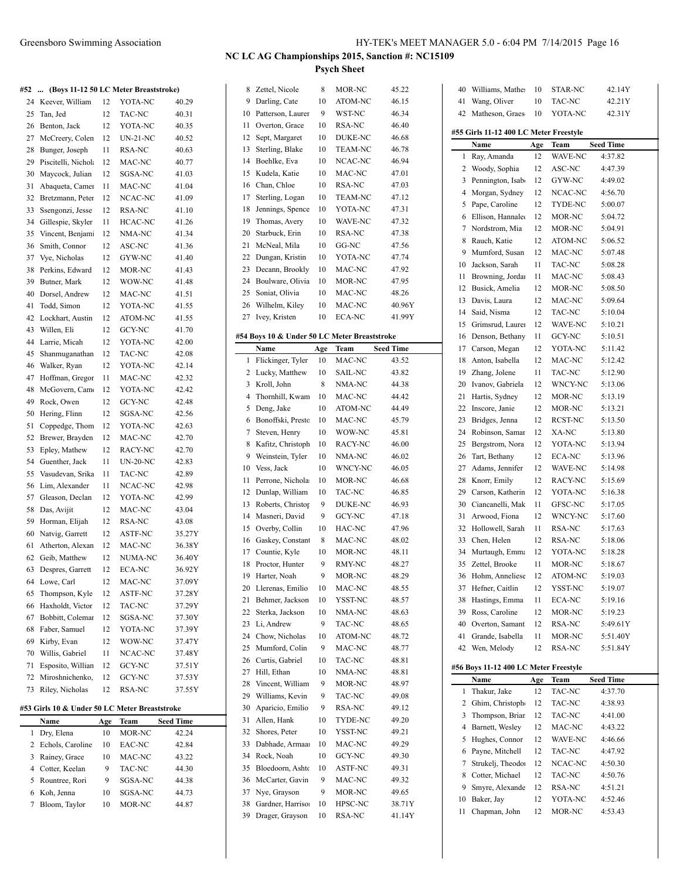#### Greensboro Swimming Association HY-TEK's MEET MANAGER 5.0 - 6:04 PM 7/14/2015 Page 16

### **NC LC AG Championships 2015, Sanction #: NC15109 Psych Sheet**

#### **#52 ... (Boys 11-12 50 LC Meter Breaststroke)**

| #34      | (DOYS 11-12 30 LC MEter Dreaststroke) |    |                         |        |
|----------|---------------------------------------|----|-------------------------|--------|
| 24       | Keever, William                       | 12 | YOTA-NC                 | 40.29  |
| 25       | Tan, Jed                              | 12 | <b>TAC-NC</b>           | 40.31  |
| 26       | Benton, Jack                          | 12 | YOTA-NC                 | 40.35  |
| 27       | McCreery, Colen                       | 12 | UN-21-NC                | 40.52  |
| 28       | Bunger, Joseph                        | 11 | RSA-NC                  | 40.63  |
| 29       | Piscitelli, Nichola                   | 12 | MAC-NC                  | 40.77  |
| 30       | Maycock, Julian                       | 12 | SGSA-NC                 | 41.03  |
| 31       | Abaqueta, Camer                       | 11 | MAC-NC                  | 41.04  |
| 32       | Bretzmann, Peter                      | 12 | NCAC-NC                 | 41.09  |
| 33       | Ssengonzi, Jesse                      | 12 | RSA-NC                  | 41.10  |
| 34       | Gillespie, Skyler                     | 11 | <b>HCAC-NC</b>          | 41.26  |
| 35       | Vincent, Benjam                       | 12 | NMA-NC                  | 41.34  |
| 36       | Smith, Connor                         | 12 | ASC-NC                  | 41.36  |
| 37       | Vye, Nicholas                         | 12 | GYW-NC                  | 41.40  |
| 38       | Perkins, Edward                       | 12 | MOR-NC                  | 41.43  |
| 39       | Butner, Mark                          | 12 | WOW-NC                  | 41.48  |
| 40       | Dorsel, Andrew                        | 12 | MAC-NC                  | 41.51  |
| 41       | Todd, Simon                           | 12 | YOTA-NC                 | 41.55  |
| 42       | Lockhart, Austin                      | 12 | ATOM-NC                 | 41.55  |
| 43       | Willen, Eli                           | 12 | <b>GCY-NC</b>           | 41.70  |
| 44       | Larrie, Micah                         | 12 | YOTA-NC                 | 42.00  |
| 45       | Shanmuganathan                        | 12 | <b>TAC-NC</b>           | 42.08  |
| 46       | Walker, Ryan                          | 12 | YOTA-NC                 | 42.14  |
| 47       | Hoffman, Gregor                       | 11 | MAC-NC                  | 42.32  |
| 48       | McGovern, Cam                         | 12 | YOTA-NC                 | 42.42  |
| 49       | Rock, Owen                            | 12 | <b>GCY-NC</b>           | 42.48  |
| 50       | Hering, Flinn                         | 12 | SGSA-NC                 | 42.56  |
| 51       | Coppedge, Thom                        | 12 | YOTA-NC                 | 42.63  |
| 52       | Brewer, Brayden                       | 12 | MAC-NC                  | 42.70  |
| 53       | Epley, Mathew                         | 12 | RACY-NC                 | 42.70  |
| 54       | Guenther, Jack                        | 11 | <b>UN-20-NC</b>         | 42.83  |
| 55       | Vasudevan, Srika                      | 11 | TAC-NC                  | 42.89  |
| 56       | Lim, Alexander                        | 11 | NCAC-NC                 | 42.98  |
| 57       | Gleason, Declan                       | 12 | YOTA-NC                 | 42.99  |
| 58       | Das, Avijit                           | 12 | MAC-NC                  | 43.04  |
| 59       | Horman, Elijah                        | 12 | RSA-NC                  | 43.08  |
| 60       | Natvig, Garrett                       | 12 | <b>ASTF-NC</b>          | 35.27Y |
| 61       | Atherton, Alexan                      | 12 | MAC-NC                  | 36.38Y |
| 62       | Geib, Matthew                         | 12 | NUMA-NC                 | 36.40Y |
| 63       | Despres, Garrett                      | 12 | <b>ECA-NC</b>           | 36.92Y |
| 64       | Lowe, Carl                            | 12 | MAC-NC                  | 37.09Y |
| 65       | Thompson, Kyle                        | 12 | ASTF-NC                 | 37.28Y |
| 66       | Haxholdt, Victor                      | 12 | TAC-NC                  | 37.29Y |
| 67       | Bobbitt, Coleman                      | 12 | SGSA-NC                 | 37.30Y |
| 68       | Faber, Samuel                         | 12 | YOTA-NC                 | 37.39Y |
| 69       |                                       |    | WOW-NC                  | 37.47Y |
|          | Kirby, Evan<br>Willis, Gabriel        | 12 | NCAC-NC                 |        |
| 70<br>71 |                                       | 11 |                         | 37.48Y |
|          | Esposito, Willian<br>Miroshnichenko,  | 12 | GCY-NC<br><b>GCY-NC</b> | 37.51Y |
| 72<br>73 | Riley, Nicholas                       | 12 | RSA-NC                  | 37.53Y |
|          |                                       | 12 |                         | 37.55Y |
|          |                                       |    |                         |        |

#### **#53 Girls 10 & Under 50 LC Meter Breaststroke**

|   | Name               | Age | Team    | <b>Seed Time</b> |
|---|--------------------|-----|---------|------------------|
|   | Dry, Elena         | 10  | MOR-NC  | 42.24            |
|   | 2 Echols, Caroline | 10  | EAC-NC  | 42.84            |
| 3 | Rainey, Grace      | 10  | MAC-NC  | 43.22            |
| 4 | Cotter, Keelan     | 9   | TAC-NC  | 44.30            |
|   | 5 Rountree, Rori   | 9   | SGSA-NC | 44.38            |
| 6 | Koh, Jenna         | 10  | SGSA-NC | 44.73            |
|   | Bloom, Taylor      | 10  | MOR-NC  | 44.87            |
|   |                    |     |         |                  |

| 8        | Zettel, Nicole                               | 8        | MOR-NC         | 45.22            |
|----------|----------------------------------------------|----------|----------------|------------------|
| 9        | Darling, Cate                                | 10       | ATOM-NC        | 46.15            |
| 10       | Patterson, Laurer                            | 9        | WST-NC         | 46.34            |
| 11       | Overton, Grace                               | 10       | RSA-NC         | 46.40            |
| 12       | Sept, Margaret                               | 10       | DUKE-NC        | 46.68            |
| 13       | Sterling, Blake                              | 10       | TEAM-NC        | 46.78            |
| 14       | Boehlke, Eva                                 | 10       | NCAC-NC        | 46.94            |
| 15       | Kudela, Katie                                | 10       | MAC-NC         | 47.01            |
| 16       | Chan, Chloe                                  | 10       | RSA-NC         | 47.03            |
| 17       | Sterling, Logan                              | 10       | TEAM-NC        | 47.12            |
| 18       | Jennings, Spence                             | 10       | YOTA-NC        | 47.31            |
| 19       | Thomas, Avery                                | 10       | WAVE-NC        | 47.32            |
| 20       | Starbuck, Erin                               | 10       | <b>RSA-NC</b>  | 47.38            |
| 21       | McNeal, Mila                                 | 10       | GG-NC          | 47.56            |
| 22       | Dungan, Kristin                              | 10       | YOTA-NC        | 47.74            |
| 23       | Decann, Brookly                              | 10       | MAC-NC         | 47.92            |
| 24       | Boulware, Olivia                             | 10       | MOR-NC         | 47.95            |
| 25       | Soniat, Olivia                               | 10       | MAC-NC         | 48.26            |
| 26       |                                              |          | MAC-NC         |                  |
|          | Wilhelm, Kiley                               | 10       | <b>ECA-NC</b>  | 40.96Y           |
| 27       | Ivey, Kristen                                | 10       |                | 41.99Y           |
|          | #54 Boys 10 & Under 50 LC Meter Breaststroke |          |                |                  |
|          | Name                                         | Age      | Team           | <b>Seed Time</b> |
| 1        | Flickinger, Tyler                            | 10       | MAC-NC         | 43.52            |
| 2        | Lucky, Matthew                               | 10       | SAIL-NC        | 43.82            |
| 3        | Kroll, John                                  | 8        | NMA-NC         | 44.38            |
| 4        | Thornhill, Kwam                              | 10       | MAC-NC         | 44.42            |
| 5        | Deng, Jake                                   | 10       | ATOM-NC        | 44.49            |
| 6        | Bonoffski, Presto                            | 10       | MAC-NC         | 45.79            |
| 7        | Steven, Henry                                | 10       | WOW-NC         | 45.81            |
| 8        | Kafitz, Christoph                            | 10       | RACY-NC        | 46.00            |
| 9        | Weinstein, Tyler                             | 10       | NMA-NC         | 46.02            |
| 10       | Vess, Jack                                   | 10       | WNCY-NC        | 46.05            |
| 11       | Perrone, Nichola                             | 10       | MOR-NC         | 46.68            |
| 12       | Dunlap, William                              | 10       | TAC-NC         | 46.85            |
| 13       | Roberts, Christop                            | 9        | DUKE-NC        | 46.93            |
| 14       | Masneri, David                               | 9        | <b>GCY-NC</b>  | 47.18            |
| 15       | Overby, Collin                               | 10       | HAC-NC         | 47.96            |
| 16       | Gaskey, Constant                             | 8        | MAC-NC         | 48.02            |
| 17       | Countie, Kyle                                | 10       | MOR-NC         | 48.11            |
| 18       | Proctor, Hunter                              | 9        | RMY-NC         | 48.27            |
| 19       | Harter, Noah                                 | 9        | MOR-NC         | 48.29            |
| 20       | Llerenas, Emilio                             | 10       | MAC-NC         | 48.55            |
| 21       | Behmer, Jackson                              | 10       | YSST-NC        | 48.57            |
| 22       | Sterka, Jackson                              | 10       | NMA-NC         | 48.63            |
| 23       | Li, Andrew                                   | 9        | TAC-NC         | 48.65            |
| 24       | Chow, Nicholas                               | 10       | ATOM-NC        | 48.72            |
| 25       | Mumford, Colin                               | 9        | MAC-NC         | 48.77            |
|          | Curtis, Gabriel                              |          | TAC-NC         |                  |
| 26<br>27 | Hill, Ethan                                  | 10<br>10 | NMA-NC         | 48.81<br>48.81   |
| 28       | Vincent, William                             | 9        |                |                  |
| 29       | Williams, Kevin                              | 9        | MOR-NC         | 48.97<br>49.08   |
|          |                                              |          | TAC-NC         |                  |
| 30       | Aparicio, Emilio<br>Allen, Hank              | 9        | RSA-NC         | 49.12            |
| 31       |                                              | 10       | TYDE-NC        | 49.20            |
| 32       | Shores, Peter                                | 10       | YSST-NC        | 49.21            |
| 33       | Dabhade, Armaa                               | 10       | MAC-NC         | 49.29            |
| 34       | Rock, Noah                                   | 10       | GCY-NC         | 49.30            |
| 35       | Bloedoorn, Ashtc                             | 10       | <b>ASTF-NC</b> | 49.31            |
| 36       | McCarter, Gavin                              | 9        | MAC-NC         | 49.32            |
| 37       | Nye, Grayson                                 | 9        | MOR-NC         | 49.65            |
| 38       | Gardner, Harrison                            | 10       | HPSC-NC        | 38.71Y           |
| 39       | Drager, Grayson                              | 10       | RSA-NC         | 41.14Y           |

| 40                                     | Williams, Mather                              | 10  | STAR-NC        | 42.14Y                      |  |  |  |  |  |
|----------------------------------------|-----------------------------------------------|-----|----------------|-----------------------------|--|--|--|--|--|
| 41                                     | Wang, Oliver                                  | 10  | TAC-NC         | 42.21Y                      |  |  |  |  |  |
| 42                                     | Matheson, Graes                               | 10  | YOTA-NC        | 42.31Y                      |  |  |  |  |  |
|                                        |                                               |     |                |                             |  |  |  |  |  |
| #55 Girls 11-12 400 LC Meter Freestyle |                                               |     |                |                             |  |  |  |  |  |
|                                        | Name                                          | Age | Team           | <b>Seed Time</b>            |  |  |  |  |  |
| 1                                      | Ray, Amanda                                   | 12  | <b>WAVE-NC</b> | 4:37.82                     |  |  |  |  |  |
| 2                                      | Woody, Sophia                                 | 12  | ASC-NC         | 4:47.39                     |  |  |  |  |  |
| 3                                      | Pennington, Isab                              | 12  | GYW-NC         | 4:49.02                     |  |  |  |  |  |
| 4                                      | Morgan, Sydney                                | 12  | NCAC-NC        | 4:56.70                     |  |  |  |  |  |
| 5                                      | Pape, Caroline                                | 12  | TYDE-NC        | 5:00.07                     |  |  |  |  |  |
| 6                                      | Ellison, Hannale                              | 12  | MOR-NC         | 5:04.72                     |  |  |  |  |  |
| 7                                      | Nordstrom, Mia                                | 12  | MOR-NC         | 5:04.91                     |  |  |  |  |  |
| 8                                      | Rauch, Katie                                  | 12  | ATOM-NC        | 5:06.52                     |  |  |  |  |  |
| 9                                      | Mumford, Susan                                | 12  | MAC-NC         | 5:07.48                     |  |  |  |  |  |
| 10                                     | Jackson, Sarah                                | 11  | TAC-NC         | 5:08.28                     |  |  |  |  |  |
| 11                                     | Browning, Jordan                              | 11  | MAC-NC         | 5:08.43                     |  |  |  |  |  |
| 12                                     | Busick, Amelia                                | 12  | MOR-NC         | 5:08.50                     |  |  |  |  |  |
| 13                                     | Davis, Laura                                  | 12  | MAC-NC         | 5:09.64                     |  |  |  |  |  |
| 14                                     | Said, Nisma                                   | 12  | TAC-NC         | 5:10.04                     |  |  |  |  |  |
| 15                                     | Grimsrud, Laurer                              | 12  | WAVE-NC        | 5:10.21                     |  |  |  |  |  |
| 16                                     | Denson, Bethany                               | 11  | GCY-NC         | 5:10.51                     |  |  |  |  |  |
| 17                                     | Carson, Megan                                 | 12  | YOTA-NC        | 5:11.42                     |  |  |  |  |  |
| 18                                     | Anton, Isabella                               | 12  | MAC-NC         | 5:12.42                     |  |  |  |  |  |
| 19                                     | Zhang, Jolene                                 | 11  | TAC-NC         | 5:12.90                     |  |  |  |  |  |
| 20                                     | Ivanov, Gabriela                              | 12  | WNCY-NC        | 5:13.06                     |  |  |  |  |  |
| 21                                     | Hartis, Sydney                                | 12  | MOR-NC         | 5:13.19                     |  |  |  |  |  |
| 22                                     | Inscore, Janie                                | 12  | MOR-NC         | 5:13.21                     |  |  |  |  |  |
| 23                                     | Bridges, Jenna                                | 12  | <b>RCST-NC</b> | 5:13.50                     |  |  |  |  |  |
| 24                                     | Robinson, Samar                               | 12  | XA-NC          | 5:13.80                     |  |  |  |  |  |
| 25                                     | Bergstrom, Nora                               | 12  | YOTA-NC        | 5:13.94                     |  |  |  |  |  |
| 26                                     | Tart, Bethany                                 | 12  | ECA-NC         | 5:13.96                     |  |  |  |  |  |
| 27                                     |                                               |     | WAVE-NC        | 5:14.98                     |  |  |  |  |  |
|                                        | Adams, Jennifer                               | 12  |                |                             |  |  |  |  |  |
| 28                                     | Knorr, Emily                                  | 12  | RACY-NC        | 5:15.69                     |  |  |  |  |  |
| 29                                     | Carson, Katherin                              | 12  | YOTA-NC        | 5:16.38                     |  |  |  |  |  |
| 30                                     | Ciancanelli, Mak                              | 11  | GFSC-NC        | 5:17.05                     |  |  |  |  |  |
| 31                                     | Arwood, Fiona                                 | 12  | WNCY-NC        | 5:17.60                     |  |  |  |  |  |
| 32                                     | Hollowell, Sarah                              | 11  | RSA-NC         | 5:17.63                     |  |  |  |  |  |
| 33                                     | Chen, Helen                                   | 12  | RSA-NC         | 5:18.06                     |  |  |  |  |  |
| 34                                     | Murtaugh, Emma                                | 12  | YOTA-NC        | 5:18.28                     |  |  |  |  |  |
| 35                                     | Zettel, Brooke                                | 11  | MOR-NC         | 5:18.67                     |  |  |  |  |  |
| 36                                     | Hohm, Anneliese                               | 12  | <b>ATOM-NC</b> | 5:19.03                     |  |  |  |  |  |
| 37                                     | Hefner, Caitlin                               | 12  | YSST-NC        | 5:19.07                     |  |  |  |  |  |
| 38                                     | Hastings, Emma                                | 11  | ECA-NC         | 5:19.16                     |  |  |  |  |  |
| 39                                     | Ross, Caroline                                | 12  | MOR-NC         | 5:19.23                     |  |  |  |  |  |
| 40                                     | Overton, Samant                               | 12  | RSA-NC         | 5:49.61Y                    |  |  |  |  |  |
| 41                                     | Grande, Isabella                              | 11  | MOR-NC         | 5:51.40Y                    |  |  |  |  |  |
| 42                                     | Wen, Melody                                   | 12  | RSA-NC         | 5:51.84Y                    |  |  |  |  |  |
|                                        |                                               |     |                |                             |  |  |  |  |  |
|                                        | #56 Boys 11-12 400 LC Meter Freestyle<br>Name |     |                |                             |  |  |  |  |  |
|                                        |                                               | Age | Team           | <b>Seed Time</b><br>4:37.70 |  |  |  |  |  |
| 1                                      | Thakur, Jake                                  | 12  | TAC-NC         |                             |  |  |  |  |  |
| 2                                      | Ghim, Christoph                               | 12  | TAC-NC         | 4:38.93                     |  |  |  |  |  |
| 3                                      | Thompson, Briar                               | 12  | TAC-NC         | 4:41.00                     |  |  |  |  |  |
| 4                                      | Barnett, Wesley                               | 12  | MAC-NC         | 4:43.22                     |  |  |  |  |  |
| 5                                      | Hughes, Connor                                | 12  | WAVE-NC        | 4:46.66                     |  |  |  |  |  |
| 6                                      | Payne, Mitchell                               | 12  | TAC-NC         | 4:47.92                     |  |  |  |  |  |
| 7                                      | Strukelj, Theodor                             | 12  | NCAC-NC        | 4:50.30                     |  |  |  |  |  |
| 8                                      | Cotter, Michael                               | 12  | TAC-NC         | 4:50.76                     |  |  |  |  |  |
| 9                                      | Smyre, Alexande                               | 12  | RSA-NC         | 4:51.21                     |  |  |  |  |  |
| 10                                     | Baker, Jay                                    | 12  | YOTA-NC        | 4:52.46                     |  |  |  |  |  |
| 11                                     | Chapman, John                                 | 12  | MOR-NC         | 4:53.43                     |  |  |  |  |  |
|                                        |                                               |     |                |                             |  |  |  |  |  |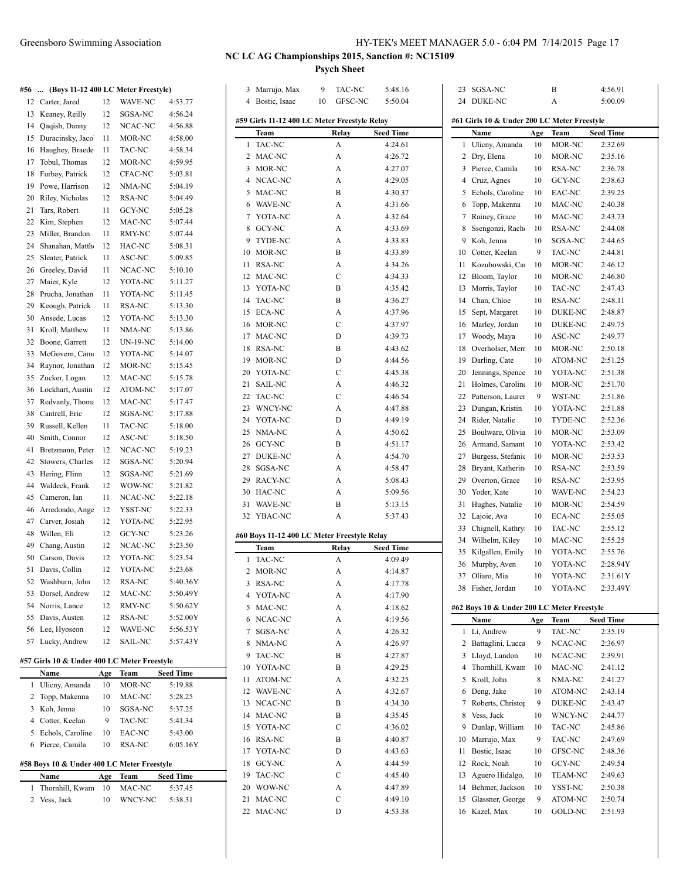SGSA-NC B 4:56.91

| 28       | Prucha, Jonathan                            | 11        | YOTA-NC            | 5:11.45              |
|----------|---------------------------------------------|-----------|--------------------|----------------------|
| 29       | Keough, Patrick                             | 11        | RSA-NC             | 5:13.30              |
| 30       | Ansede, Lucas                               | 12        | YOTA-NC            | 5:13.30              |
| 31       | Kroll, Matthew                              | 11        | NMA-NC             | 5:13.86              |
| 32       | Boone, Garrett                              | 12        | UN-19-NC           | 5:14.00              |
| 33       | McGovern, Cam                               | 12        | YOTA-NC            | 5:14.07              |
| 34       | Raynor, Jonathan                            | 12        | MOR-NC             | 5:15.45              |
| 35       | Zucker, Logan                               | 12        | MAC-NC             | 5:15.78              |
| 36<br>37 | Lockhart, Austin<br>Redvanly, Thoma         | 12<br>12  | ATOM-NC<br>MAC-NC  | 5:17.07<br>5:17.47   |
| 38       | Cantrell, Eric                              | 12        | SGSA-NC            | 5:17.88              |
| 39       | Russell, Kellen                             | 11        | TAC-NC             | 5:18.00              |
| 40       | Smith, Connor                               | 12        | ASC-NC             | 5:18.50              |
| 41       | Bretzmann, Peter                            | 12        | NCAC-NC            | 5:19.23              |
| 42       | Stowers, Charles                            | 12        | SGSA-NC            | 5:20.94              |
| 43       | Hering, Flinn                               | 12        | SGSA-NC            | 5:21.69              |
| 44       | Waldeck, Frank                              | 12        | WOW-NC             | 5:21.82              |
| 45       | Cameron, Ian                                | 11        | NCAC-NC            | 5:22.18              |
| 46<br>47 | Arredondo, Ange<br>Carver, Josiah           | 12        | YSST-NC<br>YOTA-NC | 5:22.33              |
| 48       | Willen, Eli                                 | 12<br>12  | GCY-NC             | 5:22.95<br>5:23.26   |
| 49       | Chang, Austin                               | 12        | NCAC-NC            | 5:23.50              |
| 50       | Carson, Davis                               | 12        | YOTA-NC            | 5:23.54              |
| 51       | Davis, Collin                               | 12        | YOTA-NC            | 5:23.68              |
| 52       | Washburn, John                              | 12        | RSA-NC             | 5:40.36Y             |
| 53       | Dorsel, Andrew                              | 12        | MAC-NC             | 5:50.49Y             |
| 54       | Norris, Lance                               | 12        | RMY-NC             | 5:50.62Y             |
| 55       | Davis, Austen                               | 12        | RSA-NC             | 5:52.00Y             |
| 56       | Lee, Hyoseon                                | 12        | WAVE-NC            | 5:56.53Y             |
| 57       | Lucky, Andrew                               | 12        | SAIL-NC            | 5:57.43Y             |
|          | #57 Girls 10 & Under 400 LC Meter Freestyle |           |                    |                      |
|          | Name                                        | Age       | Team               | Seed Time            |
| 1        | Ulicny, Amanda                              | 10        | MOR-NC             | 5:19.88              |
| 2<br>3   | Topp, Makenna<br>Koh, Jenna                 | 10<br>10  | MAC-NC<br>SGSA-NC  | 5:28.25<br>5:37.25   |
|          | Cotter, Keelan                              | 9         | TAC-NC             | 5:41.34              |
|          |                                             | 10        | EAC-NC             | 5:43.00              |
| 4<br>5   | Echols, Caroline                            |           |                    |                      |
| 6        | Pierce, Camila                              | 10        | RSA-NC             | 6:05.16Y             |
|          |                                             |           |                    |                      |
|          | #58 Boys 10 & Under 400 LC Meter Freestyle  |           |                    |                      |
| 1        | Name<br>Thornhill, Kwam                     | Age<br>10 | Team<br>MAC-NC     | Seed Time<br>5:37.45 |

| 3  | Marrujo, Max                                      | 9  | TAC-NC      | 5:48.16          |   |  |  |  |  |  |
|----|---------------------------------------------------|----|-------------|------------------|---|--|--|--|--|--|
| 4  | Bostic, Isaac                                     | 10 | GFSC-NC     | 5:50.04          |   |  |  |  |  |  |
|    |                                                   |    |             |                  |   |  |  |  |  |  |
|    | #59 Girls 11-12 400 LC Meter Freestyle Relay<br>ŧ |    |             |                  |   |  |  |  |  |  |
|    | Team                                              |    | Relay       | <b>Seed Time</b> |   |  |  |  |  |  |
| 1  | TAC-NC                                            |    | A           | 4:24.61          |   |  |  |  |  |  |
| 2  | MAC-NC                                            |    | A           | 4:26.72          |   |  |  |  |  |  |
| 3  | MOR-NC                                            |    | A           | 4:27.07          |   |  |  |  |  |  |
| 4  | NCAC-NC                                           |    | A           | 4:29.05          |   |  |  |  |  |  |
| 5  | MAC-NC                                            |    | B           | 4:30.37          |   |  |  |  |  |  |
|    | 6 WAVE-NC                                         |    | А           | 4:31.66          |   |  |  |  |  |  |
|    | 7 YOTA-NC                                         |    | A           | 4:32.64          |   |  |  |  |  |  |
| 8  | GCY-NC                                            |    | А           | 4:33.69          |   |  |  |  |  |  |
| 9  | TYDE-NC                                           |    | A           | 4:33.83          |   |  |  |  |  |  |
| 10 | MOR-NC                                            |    | B           | 4:33.89          |   |  |  |  |  |  |
| 11 | RSA-NC                                            |    | А           | 4:34.26          |   |  |  |  |  |  |
| 12 | MAC-NC                                            |    | C           | 4:34.33          |   |  |  |  |  |  |
| 13 | YOTA-NC                                           |    | B           | 4:35.42          |   |  |  |  |  |  |
| 14 | TAC-NC                                            |    | B           | 4:36.27          |   |  |  |  |  |  |
| 15 | ECA-NC                                            |    | A           | 4:37.96          |   |  |  |  |  |  |
| 16 | MOR-NC                                            |    | C           | 4:37.97          |   |  |  |  |  |  |
| 17 | MAC-NC                                            |    | D           | 4:39.73          |   |  |  |  |  |  |
| 18 | RSA-NC                                            |    | В           | 4:43.62          |   |  |  |  |  |  |
| 19 | <b>MOR-NC</b>                                     |    | D           | 4:44.56          |   |  |  |  |  |  |
| 20 | YOTA-NC                                           |    | C           | 4:45.38          |   |  |  |  |  |  |
| 21 | SAIL-NC                                           |    | А           | 4:46.32          |   |  |  |  |  |  |
| 22 | TAC-NC                                            |    | С           | 4:46.54          |   |  |  |  |  |  |
| 23 | WNCY-NC                                           |    | A           | 4:47.88          |   |  |  |  |  |  |
| 24 | YOTA-NC                                           |    | D           | 4:49.19          |   |  |  |  |  |  |
| 25 | NMA-NC                                            |    | A           | 4:50.62          |   |  |  |  |  |  |
| 26 | GCY-NC                                            |    | B           | 4:51.17          |   |  |  |  |  |  |
| 27 | DUKE-NC                                           |    | A           | 4:54.70          |   |  |  |  |  |  |
| 28 |                                                   |    | А           |                  |   |  |  |  |  |  |
| 29 | SGSA-NC<br>RACY-NC                                |    | A           | 4:58.47          |   |  |  |  |  |  |
| 30 |                                                   |    | A           | 5:08.43          |   |  |  |  |  |  |
| 31 | HAC-NC                                            |    |             | 5:09.56          |   |  |  |  |  |  |
|    | WAVE-NC                                           |    | B           | 5:13.15          |   |  |  |  |  |  |
| 32 | YBAC-NC                                           |    | A           | 5:37.43          |   |  |  |  |  |  |
|    | #60 Boys 11-12 400 LC Meter Freestyle Relay       |    |             |                  |   |  |  |  |  |  |
|    | Team                                              |    | Relay       | Seed Time        |   |  |  |  |  |  |
| 1  | TAC-NC                                            |    | A           | 4:09.49          |   |  |  |  |  |  |
| 2  | MOR-NC                                            |    | A           | 4:14.87          |   |  |  |  |  |  |
| 3  | RSA-NC                                            |    | A           | 4:17.78          |   |  |  |  |  |  |
| 4  | YOTA-NC                                           |    | A           | 4:17.90          |   |  |  |  |  |  |
| 5  | MAC-NC                                            |    | A           | 4:18.62          | Í |  |  |  |  |  |
| 6  | NCAC-NC                                           |    | A           | 4:19.56          |   |  |  |  |  |  |
| 7  | SGSA-NC                                           |    | A           | 4:26.32          |   |  |  |  |  |  |
| 8  | NMA-NC                                            |    | A           | 4:26.97          |   |  |  |  |  |  |
| 9  | TAC-NC                                            |    | B           | 4:27.87          |   |  |  |  |  |  |
| 10 | YOTA-NC                                           |    | B           | 4:29.25          |   |  |  |  |  |  |
| 11 | <b>ATOM-NC</b>                                    |    | A           | 4:32.25          |   |  |  |  |  |  |
| 12 | <b>WAVE-NC</b>                                    |    | A           | 4:32.67          |   |  |  |  |  |  |
| 13 | NCAC-NC                                           |    | B           | 4:34.30          |   |  |  |  |  |  |
| 14 | MAC-NC                                            |    | B           | 4:35.45          |   |  |  |  |  |  |
| 15 | YOTA-NC                                           |    | $\mathsf C$ | 4:36.02          |   |  |  |  |  |  |
| 16 | RSA-NC                                            |    | В           | 4:40.87          |   |  |  |  |  |  |
|    |                                                   |    |             |                  |   |  |  |  |  |  |
| 17 | YOTA-NC                                           |    | D           | 4:43.63          |   |  |  |  |  |  |
| 18 | GCY-NC                                            |    | A           | 4:44.59          |   |  |  |  |  |  |
| 19 | TAC-NC                                            |    | С           | 4:45.40          |   |  |  |  |  |  |
| 20 | WOW-NC                                            |    | A           | 4:47.89          |   |  |  |  |  |  |
| 21 | MAC-NC                                            |    | С           | 4:49.10          |   |  |  |  |  |  |
| 22 | MAC-NC                                            |    | D           | 4:53.38          |   |  |  |  |  |  |
|    |                                                   |    |             |                  |   |  |  |  |  |  |

|    | 24 DUKE-NC                                  |     | A              | 5:00.09          |  |
|----|---------------------------------------------|-----|----------------|------------------|--|
|    | #61 Girls 10 & Under 200 LC Meter Freestyle |     |                |                  |  |
|    | Name                                        | Age | Team           | <b>Seed Time</b> |  |
| 1  | Ulicny, Amanda                              | 10  | MOR-NC         | 2:32.69          |  |
| 2  | Dry, Elena                                  | 10  | MOR-NC         | 2:35.16          |  |
| 3  | Pierce, Camila                              | 10  | RSA-NC         | 2:36.78          |  |
| 4  | Cruz, Agnes                                 | 10  | GCY-NC         | 2:38.63          |  |
| 5  | Echols, Caroline                            | 10  | EAC-NC         | 2:39.25          |  |
| 6  | Topp, Makenna                               | 10  | MAC-NC         | 2:40.38          |  |
| 7  | Rainey, Grace                               | 10  | MAC-NC         | 2:43.73          |  |
| 8  | Ssengonzi, Racho                            | 10  | RSA-NC         | 2:44.08          |  |
| 9  | Koh, Jenna                                  | 10  | SGSA-NC        | 2:44.65          |  |
| 10 | Cotter, Keelan                              | 9   | TAC-NC         | 2:44.81          |  |
| 11 | Kozubowski, Car                             | 10  | MOR-NC         | 2:46.12          |  |
| 12 | Bloom, Taylor                               | 10  | MOR-NC         | 2:46.80          |  |
| 13 | Morris, Taylor                              | 10  | TAC-NC         | 2:47.43          |  |
|    | 14 Chan, Chloe                              | 10  | RSA-NC         | 2:48.11          |  |
| 15 | Sept, Margaret                              | 10  | <b>DUKE-NC</b> | 2:48.87          |  |
| 16 | Marley, Jordan                              | 10  | DUKE-NC        | 2:49.75          |  |
| 17 | Woody, Maya                                 | 10  | ASC-NC         | 2:49.77          |  |
| 18 | Overholser, Merr                            | 10  | MOR-NC         | 2:50.18          |  |
| 19 | Darling, Cate                               | 10  | ATOM-NC        | 2:51.25          |  |
| 20 | Jennings, Spence                            | 10  | YOTA-NC        | 2:51.38          |  |
| 21 | Holmes, Caroline                            | 10  | MOR-NC         | 2:51.70          |  |
| 22 | Patterson, Laurer                           | 9   | WST-NC         | 2:51.86          |  |
| 23 | Dungan, Kristin                             | 10  | YOTA-NC        | 2:51.88          |  |
| 24 | Rider, Natalie                              | 10  | TYDE-NC        | 2:52.36          |  |
| 25 | Boulware, Olivia                            | 10  | MOR-NC         | 2:53.09          |  |
| 26 | Armand, Samant                              | 10  | YOTA-NC        | 2:53.42          |  |
| 27 | Burgess, Stefanie                           | 10  | MOR-NC         | 2:53.53          |  |
| 28 | Bryant, Katherin                            | 10  | RSA-NC         | 2:53.59          |  |
| 29 | Overton, Grace                              | 10  | RSA-NC         | 2:53.95          |  |
| 30 | Yoder, Kate                                 | 10  | WAVE-NC        | 2:54.23          |  |
| 31 | Hughes, Natalie                             | 10  | MOR-NC         | 2:54.59          |  |
| 32 | Lajoie, Ava                                 | 10  | ECA-NC         | 2:55.05          |  |
| 33 | Chignell, Kathry                            | 10  | TAC-NC         | 2:55.12          |  |
| 34 | Wilhelm, Kiley                              | 10  | MAC-NC         | 2:55.25          |  |
| 35 | Kilgallen, Emily                            | 10  | YOTA-NC        | 2:55.76          |  |
| 36 | Murphy, Aven                                | 10  | YOTA-NC        | 2:28.94Y         |  |
| 37 | Oliaro, Mia                                 | 10  | YOTA-NC        | 2:31.61Y         |  |
| 38 | Fisher, Jordan                              | 10  | YOTA-NC        | 2:33.49Y         |  |
|    | #62 Boys 10 & Under 200 LC Meter Freestyle  |     |                |                  |  |
|    | Name                                        | Age | Team           | <b>Seed Time</b> |  |
| 1  | Li, Andrew                                  | 9   | TAC-NC         | 2:35.19          |  |
| 2  | Battaglini, Lucca                           | 9   | NCAC-NC        | 2:36.97          |  |
| 3  | Lloyd, Landon                               | 10  | NCAC-NC        | 2:39.91          |  |
| 4  | Thornhill, Kwam                             | 10  | MAC-NC         | 2:41.12          |  |
| 5  | Kroll, John                                 | 8   | NMA-NC         | 2:41.27          |  |
| 6  | Deng, Jake                                  | 10  | ATOM-NC        | 2:43.14          |  |
| 7  | Roberts, Christop                           | 9   | DUKE-NC        | 2:43.47          |  |
| 8  | Vess, Jack                                  | 10  | WNCY-NC        | 2:44.77          |  |
| 9  | Dunlap, William                             | 10  | TAC-NC         | 2:45.86          |  |
| 10 | Marrujo, Max                                | 9   | TAC-NC         | 2:47.69          |  |
| 11 | Bostic, Isaac                               | 10  | GFSC-NC        | 2:48.36          |  |
| 12 | Rock, Noah                                  | 10  | GCY-NC         | 2:49.54          |  |
| 13 | Aguero Hidalgo,                             | 10  | <b>TEAM-NC</b> | 2:49.63          |  |
| 14 | Behmer, Jackson                             | 10  | YSST-NC        | 2:50.38          |  |
| 15 | Glassner, George                            | 9   | ATOM-NC        | 2:50.74          |  |
| 16 | Kazel, Max                                  | 10  | GOLD-NC        | 2:51.93          |  |
|    |                                             |     |                |                  |  |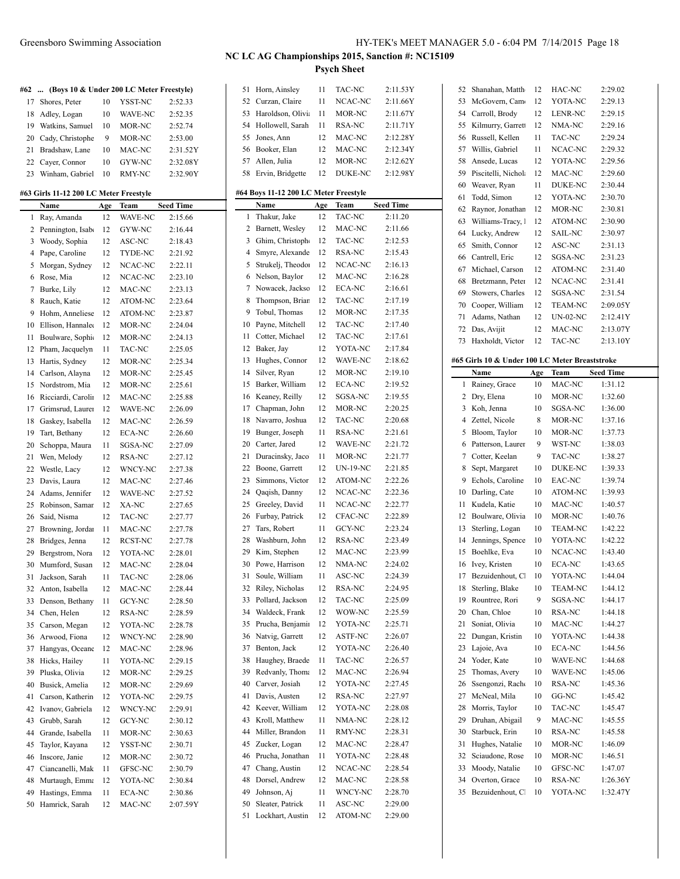**#62 ... (Boys 10 & Under 200 LC Meter Freestyle)** Shores, Peter 10 YSST-NC 2:52.33 Adley, Logan 10 WAVE-NC 2:52.35 Watkins, Samuel 10 MOR-NC 2:52.74 20 Cady, Christophe 9 MOR-NC 2:53.00 Bradshaw, Lane 10 MAC-NC 2:31.52Y Cayer, Connor 10 GYW-NC 2:32.08Y Winham, Gabriel 10 RMY-NC 2:32.90Y

**#63 Girls 11-12 200 LC Meter Freestyle**

|    | Name               | Age | Team    | <b>Seed Time</b> |    | Name          |
|----|--------------------|-----|---------|------------------|----|---------------|
| 1  | Ray, Amanda        | 12  | WAVE-NC | 2:15.66          | 1  | Thakur        |
| 2  | Pennington, Isab   | 12  | GYW-NC  | 2:16.44          | 2  | Barnet        |
| 3  | Woody, Sophia      | 12  | ASC-NC  | 2:18.43          | 3  | Ghim,         |
| 4  | Pape, Caroline     | 12  | TYDE-NC | 2:21.92          | 4  | Smyre,        |
| 5  | Morgan, Sydney     | 12  | NCAC-NC | 2:22.11          | 5  | Strukel       |
| 6  | Rose, Mia          | 12  | NCAC-NC | 2:23.10          | 6  | Nelson        |
| 7  | Burke, Lily        | 12  | MAC-NC  | 2:23.13          | 7  | Nowac         |
| 8  | Rauch, Katie       | 12  | ATOM-NC | 2:23.64          | 8  | Thomp         |
| 9  | Hohm, Anneliese    | 12  | ATOM-NC | 2:23.87          | 9  | Tobul,        |
| 10 | Ellison, Hannale   | 12  | MOR-NC  | 2:24.04          | 10 | Payne,        |
| 11 | Boulware, Sophi-   | 12  | MOR-NC  | 2:24.13          | 11 | Cotter,       |
| 12 | Pham, Jacquelyn    | 11  | TAC-NC  | 2:25.05          | 12 | Baker,        |
| 13 | Hartis, Sydney     | 12  | MOR-NC  | 2:25.34          | 13 | Hughe:        |
| 14 | Carlson, Alayna    | 12  | MOR-NC  | 2:25.45          | 14 | Silver,       |
| 15 | Nordstrom, Mia     | 12  | MOR-NC  | 2:25.61          | 15 | <b>Barker</b> |
| 16 | Ricciardi, Carolin | 12  | MAC-NC  | 2:25.88          | 16 | Keaney        |
| 17 | Grimsrud, Laurer   | 12  | WAVE-NC | 2:26.09          | 17 | Chapm         |
| 18 | Gaskey, Isabella   | 12  | MAC-NC  | 2:26.59          | 18 | Navarr        |
| 19 | Tart, Bethany      | 12  | ECA-NC  | 2:26.60          | 19 | Bunger        |
| 20 | Schoppa, Maura     | 11  | SGSA-NC | 2:27.09          | 20 | Carter,       |
| 21 | Wen, Melody        | 12  | RSA-NC  | 2:27.12          | 21 | Duraci        |
| 22 | Westle, Lacy       | 12  | WNCY-NC | 2:27.38          | 22 | Boone,        |
| 23 | Davis, Laura       | 12  | MAC-NC  | 2:27.46          | 23 | Simmo         |
| 24 | Adams, Jennifer    | 12  | WAVE-NC | 2:27.52          | 24 | Qaqish        |
| 25 | Robinson, Samar    | 12  | XA-NC   | 2:27.65          | 25 | Greele        |
| 26 | Said, Nisma        | 12  | TAC-NC  | 2:27.77          | 26 | Furbay        |
| 27 | Browning, Jordan   | 11  | MAC-NC  | 2:27.78          | 27 | Tars, R       |
| 28 | Bridges, Jenna     | 12  | RCST-NC | 2:27.78          | 28 | Washb         |
| 29 | Bergstrom, Nora    | 12  | YOTA-NC | 2:28.01          | 29 | Kim, S        |
| 30 | Mumford, Susan     | 12  | MAC-NC  | 2:28.04          | 30 | Powe,         |
| 31 | Jackson, Sarah     | 11  | TAC-NC  | 2:28.06          | 31 | Soule,        |
| 32 | Anton, Isabella    | 12  | MAC-NC  | 2:28.44          | 32 | Riley, 1      |
| 33 | Denson, Bethany    | 11  | GCY-NC  | 2:28.50          | 33 | Pollard       |
| 34 | Chen, Helen        | 12  | RSA-NC  | 2:28.59          | 34 | Waldeo        |
| 35 | Carson, Megan      | 12  | YOTA-NC | 2:28.78          | 35 | Prucha        |
| 36 | Arwood, Fiona      | 12  | WNCY-NC | 2:28.90          | 36 | Natvig        |
| 37 | Hangyas, Oceane    | 12  | MAC-NC  | 2:28.96          | 37 | Benton        |
| 38 | Hicks, Hailey      | 11  | YOTA-NC | 2:29.15          | 38 | Haugh         |
| 39 | Pluska, Olivia     | 12  | MOR-NC  | 2:29.25          | 39 | Redvar        |
| 40 | Busick, Amelia     | 12  | MOR-NC  | 2:29.69          | 40 | Carver.       |
| 41 | Carson, Katherin   | 12  | YOTA-NC | 2:29.75          | 41 | Davis,        |
| 42 | Ivanov, Gabriela   | 12  | WNCY-NC | 2:29.91          | 42 | Keever        |
| 43 | Grubb, Sarah       | 12  | GCY-NC  | 2:30.12          | 43 | Kroll, l      |
| 44 | Grande, Isabella   | 11  | MOR-NC  | 2:30.63          | 44 | Miller,       |
| 45 | Taylor, Kayana     | 12  | YSST-NC | 2:30.71          | 45 | Zucker        |
| 46 | Inscore, Janie     | 12  | MOR-NC  | 2:30.72          | 46 | Prucha        |
| 47 | Ciancanelli, Mak   | 11  | GFSC-NC | 2:30.79          | 47 | Chang,        |
| 48 | Murtaugh, Emma     | 12  | YOTA-NC | 2:30.84          | 48 | Dorsel.       |
| 49 | Hastings, Emma     | 11  | ECA-NC  | 2:30.86          | 49 | Johnso        |
| 50 | Hamrick, Sarah     | 12  | MAC-NC  | 2:07.59Y         | 50 | Sleater       |

| 51 | Horn, Ainsley                         | 11  | TAC-NC        | 2:11.53Y           |
|----|---------------------------------------|-----|---------------|--------------------|
| 52 | Curzan, Claire                        | 11  | NCAC-NC       | 2:11.66Y           |
| 53 | Haroldson, Olivia                     | 11  | MOR-NC        | 2:11.67Y           |
| 54 | Hollowell, Sarah                      | 11  | RSA-NC        | 2:11.71Y           |
| 55 | Jones, Ann                            | 12  | MAC-NC        | 2:12.28Y           |
| 56 | Booker, Elan                          | 12  | MAC-NC        | 2:12.34Y           |
| 57 | Allen, Julia                          | 12  | MOR-NC        | 2:12.62Y           |
| 58 | Ervin, Bridgette                      | 12  | DUKE-NC       | 2:12.98Y           |
|    |                                       |     |               |                    |
|    | #64 Boys 11-12 200 LC Meter Freestyle |     |               |                    |
|    | Name                                  | Age | Team          | <b>Seed Time</b>   |
| 1  | Thakur, Jake                          | 12  | <b>TAC-NC</b> | 2:11.20            |
| 2  | Barnett, Wesley                       | 12  | MAC-NC        | 2:11.66            |
| 3  | Ghim, Christoph                       | 12  | TAC-NC        | 2:12.53            |
| 4  | Smyre, Alexande                       | 12  | RSA-NC        | 2:15.43            |
| 5  | Strukelj, Theodor                     | 12  | NCAC-NC       | 2:16.13            |
| 6  | Nelson, Baylor                        | 12  | MAC-NC        | 2:16.28            |
| 7  | Nowacek, Jackso                       | 12  | ECA-NC        | 2:16.61            |
| 8  | Thompson, Brian                       | 12  | TAC-NC        | 2:17.19            |
| 9  | Tobul, Thomas                         | 12  | MOR-NC        | 2:17.35            |
| 10 | Payne, Mitchell                       | 12  | TAC-NC        | 2:17.40            |
| 11 | Cotter, Michael                       | 12  | TAC-NC        | 2:17.61            |
| 12 | Baker, Jay                            | 12  | YOTA-NC       | 2:17.84            |
| 13 | Hughes, Connor                        | 12  | WAVE-NC       | 2:18.62            |
| 14 | Silver, Ryan                          | 12  | MOR-NC        | 2:19.10            |
|    |                                       | 12  | <b>ECA-NC</b> | 2:19.52            |
| 15 | Barker, William                       |     |               |                    |
| 16 | Keaney, Reilly                        | 12  | SGSA-NC       | 2:19.55            |
| 17 | Chapman, John                         | 12  | MOR-NC        | 2:20.25            |
| 18 | Navarro, Joshua                       | 12  | TAC-NC        | 2:20.68            |
| 19 | Bunger, Joseph                        | 11  | RSA-NC        | 2:21.61            |
| 20 | Carter, Jared                         | 12  | WAVE-NC       | 2:21.72            |
| 21 | Duracinsky, Jaco                      | 11  | MOR-NC        | 2:21.77            |
| 22 | Boone, Garrett                        | 12  | UN-19-NC      | 2:21.85            |
| 23 | Simmons, Victor                       | 12  | ATOM-NC       | 2:22.26            |
| 24 | Qaqish, Danny                         | 12  | NCAC-NC       | 2:22.36            |
| 25 | Greeley, David                        | 11  | NCAC-NC       | 2:22.77            |
| 26 | Furbay, Patrick                       | 12  | CFAC-NC       | 2:22.89            |
| 27 | Tars, Robert                          | 11  | GCY-NC        | 2:23.24            |
| 28 | Washburn, John                        | 12  | RSA-NC        | 2:23.49            |
| 29 | Kim, Stephen                          | 12  | MAC-NC        | 2:23.99            |
| 30 | Powe, Harrison                        | 12  | NMA-NC        | 2:24.02            |
| 31 | Soule, William                        | 11  | ASC-NC        | 2:24.39            |
| 32 | Riley, Nicholas                       | 12  | RSA-NC        | 2:24.95            |
| 33 | Pollard, Jackson                      | 12  | TAC-NC        | 2:25.09            |
| 34 | Waldeck, Frank                        | 12  | WOW-NC        | 2:25.59            |
| 35 | Prucha, Benjamir                      | 12  | YOTA-NC       | 2:25.71            |
| 36 | Natvig, Garrett                       | 12  | ASTF-NC       | 2:26.07            |
| 37 | Benton, Jack                          | 12  | YOTA-NC       | 2:26.40            |
| 38 |                                       | 11  | TAC-NC        |                    |
| 39 | Haughey, Braede                       | 12  | MAC-NC        | 2:26.57<br>2:26.94 |
|    | Redvanly, Thoma                       |     |               |                    |
| 40 | Carver, Josiah                        | 12  | YOTA-NC       | 2:27.45            |
| 41 | Davis, Austen                         | 12  | RSA-NC        | 2:27.97            |
| 42 | Keever, William                       | 12  | YOTA-NC       | 2:28.08            |
| 43 | Kroll, Matthew                        | 11  | NMA-NC        | 2:28.12            |
| 44 | Miller, Brandon                       | 11  | RMY-NC        | 2:28.31            |
| 45 | Zucker, Logan                         | 12  | MAC-NC        | 2:28.47            |
| 46 | Prucha, Jonathan                      | 11  | YOTA-NC       | 2:28.48            |
| 47 | Chang, Austin                         | 12  | NCAC-NC       | 2:28.54            |
|    |                                       |     |               |                    |
| 48 | Dorsel, Andrew                        | 12  | MAC-NC        | 2:28.58            |
| 49 | Johnson, Aj                           | 11  | WNCY-NC       | 2:28.70            |
| 50 | Sleater, Patrick                      | 11  | ASC-NC        | 2:29.00            |

| 52       | Shanahan, Matth                                | 12       | HAC-NC            | 2:29.02              |
|----------|------------------------------------------------|----------|-------------------|----------------------|
| 53       | McGovern, Cam                                  | 12       | YOTA-NC           | 2:29.13              |
| 54       | Carroll, Brody                                 | 12       | LENR-NC           | 2:29.15              |
| 55       | Kilmurry, Garrett                              | 12       | NMA-NC            | 2:29.16              |
| 56       | Russell, Kellen                                | 11       | <b>TAC-NC</b>     | 2:29.24              |
| 57       | Willis, Gabriel                                | 11       | NCAC-NC           | 2:29.32              |
| 58       | Ansede, Lucas                                  | 12       | YOTA-NC           | 2:29.56              |
| 59       | Piscitelli, Nichola                            | 12       | MAC-NC            | 2:29.60              |
|          |                                                | 11       | <b>DUKE-NC</b>    | 2:30.44              |
| 60       | Weaver, Ryan                                   |          |                   |                      |
| 61       | Todd, Simon                                    | 12       | YOTA-NC           | 2:30.70              |
| 62       | Raynor, Jonathan                               | 12       | MOR-NC            | 2:30.81              |
| 63       | Williams-Tracy, 1                              | 12       | ATOM-NC           | 2:30.90              |
| 64       | Lucky, Andrew                                  | 12       | <b>SAIL-NC</b>    | 2:30.97              |
| 65       | Smith, Connor                                  | 12       | ASC-NC            | 2:31.13              |
| 66       | Cantrell, Eric                                 | 12       | SGSA-NC           | 2:31.23              |
| 67       | Michael, Carson                                | 12       | ATOM-NC           | 2:31.40              |
| 68       | Bretzmann, Peter                               | 12       | NCAC-NC           | 2:31.41              |
| 69       | Stowers, Charles                               | 12       | SGSA-NC           | 2:31.54              |
| 70       | Cooper, William                                | 12       | <b>TEAM-NC</b>    | 2:09.05Y             |
| 71       | Adams, Nathan                                  | 12       | <b>UN-02-NC</b>   | 2:12.41Y             |
| 72       | Das, Avijit                                    | 12       | MAC-NC            | 2:13.07Y             |
| 73       | Haxholdt, Victor                               | 12       | TAC-NC            | 2:13.10Y             |
|          |                                                |          |                   |                      |
|          | #65 Girls 10 & Under 100 LC Meter Breaststroke |          |                   |                      |
|          | <b>Name</b>                                    | Age      | Team              | <b>Seed Time</b>     |
| 1        | Rainey, Grace                                  | 10       | MAC-NC            | 1:31.12              |
| 2        | Dry, Elena                                     | 10       | MOR-NC            | 1:32.60              |
| 3        | Koh, Jenna                                     | 10       | SGSA-NC           | 1:36.00              |
| 4        | Zettel, Nicole                                 | 8        | MOR-NC            | 1:37.16              |
| 5        | Bloom, Taylor                                  | 10       | MOR-NC            | 1:37.73              |
|          |                                                |          |                   |                      |
| 6        | Patterson, Laurer                              | 9        | WST-NC            | 1:38.03              |
| 7        | Cotter, Keelan                                 | 9        | TAC-NC            | 1:38.27              |
| 8        | Sept, Margaret                                 | 10       | <b>DUKE-NC</b>    | 1:39.33              |
| 9        | Echols, Caroline                               | 10       | EAC-NC            | 1:39.74              |
| 10       | Darling, Cate                                  | 10       | ATOM-NC           | 1:39.93              |
| 11       | Kudela, Katie                                  | 10       | MAC-NC            | 1:40.57              |
| 12       | Boulware, Olivia                               | 10       | MOR-NC            | 1:40.76              |
| 13       | Sterling, Logan                                | 10       | <b>TEAM-NC</b>    | 1:42.22              |
| 14       | Jennings, Spence                               | 10       | YOTA-NC           | 1:42.22              |
| 15       | Boehlke, Eva                                   | 10       | NCAC-NC           | 1:43.40              |
| 16       | Ivey, Kristen                                  | 10       | <b>ECA-NC</b>     | 1:43.65              |
| 17       | Bezuidenhout, Cl                               | 10       | YOTA-NC           | 1:44.04              |
| 18       | Sterling, Blake                                | 10       | <b>TEAM-NC</b>    | 1:44.12              |
| 19       | Rountree, Rori                                 | 9        | SGSA-NC           | 1:44.17              |
| 20       | Chan, Chloe                                    | 10       | RSA-NC            | 1:44.18              |
|          |                                                | 10       |                   |                      |
| 21       | Soniat, Olivia                                 |          | MAC-NC            | 1:44.27              |
| 22       | Dungan, Kristin                                | 10       | YOTA-NC           | 1:44.38              |
| 23       | Lajoie, Ava                                    | 10       | ECA-NC            | 1:44.56              |
| 24       | Yoder, Kate                                    | 10       | WAVE-NC           | 1:44.68              |
| 25       | Thomas, Avery                                  | 10       | WAVE-NC           | 1:45.06              |
| 26       | Ssengonzi, Racho                               | 10       | RSA-NC            | 1:45.36              |
| 27       | McNeal, Mila                                   | 10       | GG-NC             | 1:45.42              |
| 28       | Morris, Taylor                                 | 10       | TAC-NC            | 1:45.47              |
| 29       | Druhan, Abigail                                | 9        | MAC-NC            | 1:45.55              |
| 30       | Starbuck, Erin                                 | 10       | RSA-NC            | 1:45.58              |
| 31       | Hughes, Natalie                                | 10       | MOR-NC            | 1:46.09              |
| 32       | Sciaudone, Rose                                | 10       | MOR-NC            | 1:46.51              |
| 33       | Moody, Natalie                                 | 10       | GFSC-NC           | 1:47.07              |
| 34<br>35 | Overton, Grace<br>Bezuidenhout, C              | 10<br>10 | RSA-NC<br>YOTA-NC | 1:26.36Y<br>1:32.47Y |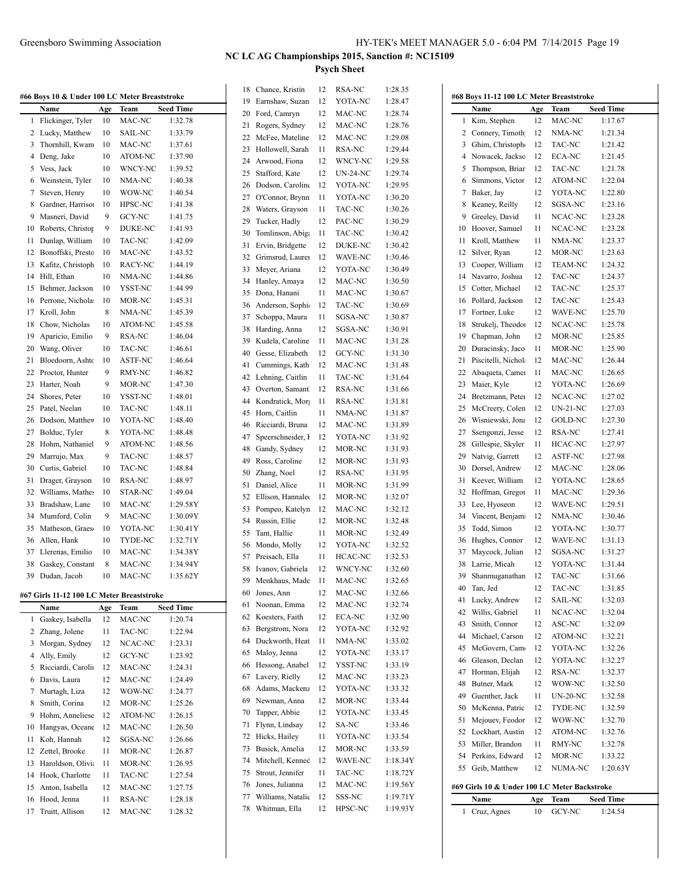| #66 Boys 10 & Under 100 LC Meter Breaststroke |                   |     |                |                  |  |  |
|-----------------------------------------------|-------------------|-----|----------------|------------------|--|--|
|                                               | Name              | Age | Team           | <b>Seed Time</b> |  |  |
| 1                                             | Flickinger, Tyler | 10  | MAC-NC         | 1:32.78          |  |  |
| 2                                             | Lucky, Matthew    | 10  | <b>SAIL-NC</b> | 1:33.79          |  |  |
| 3                                             | Thornhill, Kwam   | 10  | MAC-NC         | 1:37.61          |  |  |
| 4                                             | Deng, Jake        | 10  | <b>ATOM-NC</b> | 1:37.90          |  |  |
| 5                                             | Vess, Jack        | 10  | WNCY-NC        | 1:39.52          |  |  |
| 6                                             | Weinstein, Tyler  | 10  | NMA-NC         | 1:40.38          |  |  |
| 7                                             | Steven, Henry     | 10  | WOW-NC         | 1:40.54          |  |  |
| 8                                             | Gardner, Harriso  | 10  | <b>HPSC-NC</b> | 1:41.38          |  |  |
| 9                                             | Masneri, David    | 9   | GCY-NC         | 1:41.75          |  |  |
| 10                                            | Roberts, Christop | 9   | <b>DUKE-NC</b> | 1:41.93          |  |  |
| 11                                            | Dunlap, William   | 10  | TAC-NC         | 1:42.09          |  |  |
| 12                                            | Bonoffski, Prestc | 10  | MAC-NC         | 1:43.52          |  |  |
| 13                                            | Kafitz, Christoph | 10  | RACY-NC        | 1:44.19          |  |  |
| 14                                            | Hill, Ethan       | 10  | NMA-NC         | 1:44.86          |  |  |
| 15                                            | Behmer, Jackson   | 10  | YSST-NC        | 1:44.99          |  |  |
| 16                                            | Perrone, Nichola  | 10  | MOR-NC         | 1:45.31          |  |  |
| 17                                            | Kroll, John       | 8   | NMA-NC         | 1:45.39          |  |  |
| 18                                            | Chow, Nicholas    | 10  | ATOM-NC        | 1:45.58          |  |  |
| 19                                            | Aparicio, Emilio  | 9   | RSA-NC         | 1:46.04          |  |  |
| 20                                            | Wang, Oliver      | 10  | TAC-NC         | 1:46.61          |  |  |
| 21                                            | Bloedoorn, Ashto  | 10  | <b>ASTF-NC</b> | 1:46.64          |  |  |
| 22                                            | Proctor, Hunter   | 9   | RMY-NC         | 1:46.82          |  |  |
| 23                                            | Harter, Noah      | 9   | MOR-NC         | 1:47.30          |  |  |
| 24                                            | Shores, Peter     | 10  | YSST-NC        | 1:48.01          |  |  |
| 25                                            | Patel. Neelan     | 10  | TAC-NC         | 1:48.11          |  |  |
| 26                                            | Dodson, Matthev   | 10  | YOTA-NC        | 1:48.40          |  |  |
| 27                                            | Bolduc, Tyler     | 8   | YOTA-NC        | 1:48.48          |  |  |
| 28                                            | Hohm, Nathaniel   | 9   | ATOM-NC        | 1:48.56          |  |  |
| 29                                            | Marrujo, Max      | 9   | TAC-NC         | 1:48.57          |  |  |
| 30                                            | Curtis, Gabriel   | 10  | TAC-NC         | 1:48.84          |  |  |
| 31                                            | Drager, Grayson   | 10  | <b>RSA-NC</b>  | 1:48.97          |  |  |
| 32                                            | Williams, Mather  | 10  | STAR-NC        | 1:49.04          |  |  |
| 33                                            | Bradshaw, Lane    | 10  | MAC-NC         | 1:29.58Y         |  |  |

# **#67 Girls 11-12 100 LC Meter Breaststroke**

 $\overline{a}$ 

 Mumford, Colin 9 MAC-NC 1:30.09Y 35 Matheson, Graes 10 YOTA-NC 1:30.41Y Allen, Hank 10 TYDE-NC 1:32.71Y Llerenas, Emilio 10 MAC-NC 1:34.38Y 38 Gaskey, Constantine 8 MAC-NC 1:34.94Y Dudan, Jacob 10 MAC-NC 1:35.62Y

|    | Name               | Age | Team           | <b>Seed Time</b> |
|----|--------------------|-----|----------------|------------------|
| 1  | Gaskey, Isabella   | 12  | MAC-NC         | 1:20.74          |
| 2  | Zhang, Jolene      | 11  | TAC-NC         | 1:22.94          |
| 3  | Morgan, Sydney     | 12  | NCAC-NC        | 1:23.31          |
| 4  | Ally, Emily        | 12  | GCY-NC         | 1:23.92          |
| 5  | Ricciardi, Carolii | 12  | MAC-NC         | 1:24.31          |
| 6  | Davis, Laura       | 12  | MAC-NC         | 1:24.49          |
| 7  | Murtagh, Liza      | 12  | WOW-NC         | 1:24.77          |
| 8  | Smith, Corina      | 12  | MOR-NC         | 1:25.26          |
| 9  | Hohm, Anneliese    | 12  | <b>ATOM-NC</b> | 1:26.15          |
| 10 | Hangyas, Oceane    | 12  | MAC-NC         | 1:26.50          |
| 11 | Koh, Hannah        | 12  | SGSA-NC        | 1:26.66          |
| 12 | Zettel, Brooke     | 11  | MOR-NC         | 1:26.87          |
| 13 | Haroldson, Olivi   | 11  | MOR-NC         | 1:26.95          |
| 14 | Hook, Charlotte    | 11  | TAC-NC         | 1:27.54          |
| 15 | Anton, Isabella    | 12  | MAC-NC         | 1:27.75          |
| 16 | Hood, Jenna        | 11  | RSA-NC         | 1:28.18          |
| 17 | Truitt, Allison    | 12  | MAC-NC         | 1:28.32          |

| 19<br>20 |                   | 12 | RSA-NC          | 1:28.35  |
|----------|-------------------|----|-----------------|----------|
|          | Earnshaw, Suzan   | 12 | YOTA-NC         | 1:28.47  |
|          | Ford, Camryn      | 12 | MAC-NC          | 1:28.74  |
| 21       | Rogers, Sydney    | 12 | MAC-NC          | 1:28.76  |
| 22       | McFee, Mateline   | 12 | MAC-NC          | 1:29.08  |
| 23       | Hollowell, Sarah  | 11 | RSA-NC          | 1:29.44  |
| 24       | Arwood, Fiona     | 12 | WNCY-NC         | 1:29.58  |
| 25       | Stafford, Kate    | 12 | <b>UN-24-NC</b> | 1:29.74  |
| 26       | Dodson, Caroline  | 12 | YOTA-NC         | 1:29.95  |
|          |                   |    |                 |          |
| 27<br>28 | O'Connor, Brynn   | 11 | YOTA-NC         | 1:30.20  |
|          | Waters, Grayson   | 11 | TAC-NC          | 1:30.26  |
| 29       | Tucker, Hadly     | 12 | PAC-NC          | 1:30.29  |
| 30       | Tomlinson, Abiga  | 11 | <b>TAC-NC</b>   | 1:30.42  |
| 31       | Ervin, Bridgette  | 12 | DUKE-NC         | 1:30.42  |
| 32       | Grimsrud, Laurer  | 12 | WAVE-NC         | 1:30.46  |
| 33       | Meyer, Ariana     | 12 | YOTA-NC         | 1:30.49  |
| 34       | Hanley, Amaya     | 12 | MAC-NC          | 1:30.50  |
| 35       | Dona, Hanani      | 11 | MAC-NC          | 1:30.67  |
| 36       | Anderson, Sophie  | 12 | TAC-NC          | 1:30.69  |
| 37       | Schoppa, Maura    | 11 | SGSA-NC         | 1:30.87  |
| 38       | Harding, Anna     | 12 | SGSA-NC         | 1:30.91  |
| 39       | Kudela, Caroline  | 11 | MAC-NC          | 1:31.28  |
| 40       | Gesse, Elizabeth  | 12 | GCY-NC          | 1:31.30  |
| 41       | Cummings, Kath    | 12 | MAC-NC          | 1:31.48  |
| 42       | Lehning, Caitlin  | 11 | TAC-NC          | 1:31.64  |
| 43       | Overton, Samant   | 12 | RSA-NC          | 1:31.66  |
| 44       | Kondratick, Morg  | 11 | RSA-NC          | 1:31.81  |
| 45       | Horn, Caitlin     | 11 | NMA-NC          | 1:31.87  |
| 46       | Ricciardi, Bruna  | 12 | MAC-NC          | 1:31.89  |
| 47       | Speerschneider, I | 12 | YOTA-NC         | 1:31.92  |
| 48       | Gandy, Sydney     | 12 | MOR-NC          | 1:31.93  |
| 49       | Ross, Caroline    | 12 | MOR-NC          | 1:31.93  |
| 50       | Zhang, Noel       | 12 | RSA-NC          | 1:31.95  |
|          | Daniel, Alice     | 11 | MOR-NC          | 1:31.99  |
|          |                   |    | MOR-NC          | 1:32.07  |
| 51       |                   |    |                 |          |
| 52       | Ellison, Hannalee | 12 |                 |          |
| 53       | Pompeo, Katelyn   | 12 | MAC-NC          | 1:32.12  |
| 54       | Russin, Ellie     | 12 | MOR-NC          | 1:32.48  |
| 55       | Tant, Hallie      | 11 | MOR-NC          | 1:32.49  |
| 56       | Mondo, Molly      | 12 | YOTA-NC         | 1:32.52  |
| 57       | Preisach, Ella    | 11 | HCAC-NC         | 1:32.53  |
| 58       | Ivanov, Gabriela  | 12 | WNCY-NC         | 1:32.60  |
| 59       | Menkhaus, Made    | 11 | MAC-NC          | 1:32.65  |
| 60       | Jones, Ann        | 12 | MAC-NC          | 1:32.66  |
| 61       | Noonan, Emma      | 12 | MAC-NC          | 1:32.74  |
| 62       | Koesters, Faith   | 12 | <b>ECA-NC</b>   | 1:32.90  |
| 63       | Bergstrom, Nora   | 12 | YOTA-NC         | 1:32.92  |
| 64       | Duckworth, Heat   | 11 | NMA-NC          | 1:33.02  |
| 65       | Maloy, Jenna      | 12 | YOTA-NC         | 1:33.17  |
| 66       | Hessong, Anabel   | 12 | YSST-NC         | 1:33.19  |
| 67       | Lavery, Rielly    | 12 | MAC-NC          | 1:33.23  |
| 68       | Adams, Mackenz    | 12 | YOTA-NC         | 1:33.32  |
| 69       | Newman, Anna      | 12 | MOR-NC          | 1:33.44  |
| 70       | Tapper, Abbie     | 12 | YOTA-NC         | 1:33.45  |
| 71       | Flynn, Lindsay    | 12 | SA-NC           | 1:33.46  |
| 72       | Hicks, Hailey     | 11 | YOTA-NC         | 1:33.54  |
| 73       | Busick, Amelia    | 12 | MOR-NC          | 1:33.59  |
| 74       | Mitchell, Kenned  | 12 | WAVE-NC         | 1:18.34Y |
| 75       | Strout, Jennifer  | 11 | TAC-NC          | 1:18.72Y |
| 76       | Jones, Julianna   | 12 | MAC-NC          | 1:19.56Y |
| 77       | Williams, Natalie | 12 | SSS-NC          | 1:19.71Y |

|    | #68 Boys 11-12 100 LC Meter Breaststroke     |     |                 |                  |
|----|----------------------------------------------|-----|-----------------|------------------|
|    | Name                                         | Age | Team            | <b>Seed Time</b> |
| 1  | Kim, Stephen                                 | 12  | MAC-NC          | 1:17.67          |
| 2  | Connery, Timoth                              | 12  | NMA-NC          | 1:21.34          |
| 3  | Ghim, Christoph                              | 12  | TAC-NC          | 1:21.42          |
| 4  | Nowacek, Jackso                              | 12  | ECA-NC          | 1:21.45          |
| 5  | Thompson, Briar                              | 12  | TAC-NC          | 1:21.78          |
| 6  | Simmons, Victor                              | 12  | ATOM-NC         | 1:22.04          |
| 7  | Baker, Jay                                   | 12  | YOTA-NC         | 1:22.80          |
| 8  | Keaney, Reilly                               | 12  | SGSA-NC         | 1:23.16          |
| 9  | Greeley, David                               | 11  | NCAC-NC         | 1:23.28          |
| 10 | Hoover, Samuel                               | 11  | NCAC-NC         | 1:23.28          |
| 11 | Kroll, Matthew                               | 11  | NMA-NC          | 1:23.37          |
| 12 | Silver, Ryan                                 | 12  | MOR-NC          | 1:23.63          |
| 13 | Cooper, William                              | 12  | <b>TEAM-NC</b>  | 1:24.32          |
| 14 | Navarro, Joshua                              | 12  | TAC-NC          | 1:24.37          |
| 15 | Cotter, Michael                              | 12  | TAC-NC          | 1:25.37          |
| 16 | Pollard, Jackson                             | 12  | TAC-NC          | 1:25.43          |
| 17 | Fortner, Luke                                | 12  | WAVE-NC         | 1:25.70          |
| 18 | Strukelj, Theodor                            | 12  | NCAC-NC         | 1:25.78          |
| 19 | Chapman, John                                | 12  | MOR-NC          | 1:25.85          |
| 20 | Duracinsky, Jaco                             | 11  | MOR-NC          | 1:25.90          |
| 21 | Piscitelli, Nichola                          | 12  | MAC-NC          | 1:26.44          |
| 22 | Abaqueta, Camer                              | 11  | MAC-NC          | 1:26.65          |
| 23 | Maier, Kyle                                  | 12  | YOTA-NC         | 1:26.69          |
| 24 | Bretzmann, Peter                             | 12  | NCAC-NC         | 1:27.02          |
| 25 | McCreery, Colen                              | 12  |                 |                  |
| 26 |                                              | 12  | UN-21-NC        | 1:27.03          |
|    | Wisniewski, Jona                             |     | <b>GOLD-NC</b>  | 1:27.30          |
| 27 | Ssengonzi, Jesse                             | 12  | RSA-NC          | 1:27.41          |
| 28 | Gillespie, Skyler                            | 11  | HCAC-NC         | 1:27.97          |
| 29 | Natvig, Garrett                              | 12  | ASTF-NC         | 1:27.98          |
| 30 | Dorsel, Andrew                               | 12  | MAC-NC          | 1:28.06          |
| 31 | Keever, William                              | 12  | YOTA-NC         | 1:28.65          |
| 32 | Hoffman, Gregor                              | 11  | MAC-NC          | 1:29.36          |
| 33 | Lee, Hyoseon                                 | 12  | WAVE-NC         | 1:29.51          |
| 34 | Vincent, Benjam                              | 12  | NMA-NC          | 1:30.46          |
| 35 | Todd, Simon                                  | 12  | YOTA-NC         | 1:30.77          |
| 36 | Hughes, Connor                               | 12  | WAVE-NC         | 1:31.13          |
| 37 | Maycock, Julian                              | 12  | SGSA-NC         | 1:31.27          |
| 38 | Larrie, Micah                                | 12  | YOTA-NC         | 1:31.44          |
| 39 | Shanmuganathan                               | 12  | <b>TAC-NC</b>   | 1:31.66          |
| 40 | Tan, Jed                                     | 12  | TAC-NC          | 1:31.85          |
| 41 | Lucky, Andrew                                | 12  | SAIL-NC         | 1:32.03          |
| 42 | Willis, Gabriel                              | 11  | NCAC-NC         | 1:32.04          |
| 43 | Smith, Connor                                | 12  | ASC-NC          | 1:32.09          |
| 44 | Michael, Carson                              | 12  | ATOM-NC         | 1:32.21          |
| 45 | McGovern, Cam                                | 12  | YOTA-NC         | 1:32.26          |
| 46 | Gleason, Declan                              | 12  | YOTA-NC         | 1:32.27          |
| 47 | Horman, Elijah                               | 12  | RSA-NC          | 1:32.37          |
| 48 | Butner, Mark                                 | 12  | WOW-NC          | 1:32.50          |
| 49 | Guenther, Jack                               | 11  | <b>UN-20-NC</b> | 1:32.58          |
| 50 | McKenna, Patric                              | 12  | TYDE-NC         | 1:32.59          |
| 51 | Mejouev, Feodor                              | 12  | WOW-NC          | 1:32.70          |
| 52 | Lockhart, Austin                             | 12  | ATOM-NC         | 1:32.76          |
| 53 | Miller, Brandon                              | 11  | RMY-NC          | 1:32.78          |
| 54 | Perkins, Edward                              | 12  | MOR-NC          | 1:33.22          |
| 55 | Geib, Matthew                                | 12  | NUMA-NC         | 1:20.63Y         |
|    |                                              |     |                 |                  |
|    | #69 Girls 10 & Under 100 LC Meter Backstroke |     |                 |                  |
|    | Name                                         | Age | Team            | <b>Seed Time</b> |
| 1  | Cruz, Agnes                                  | 10  | GCY-NC          | 1:24.54          |
|    |                                              |     |                 |                  |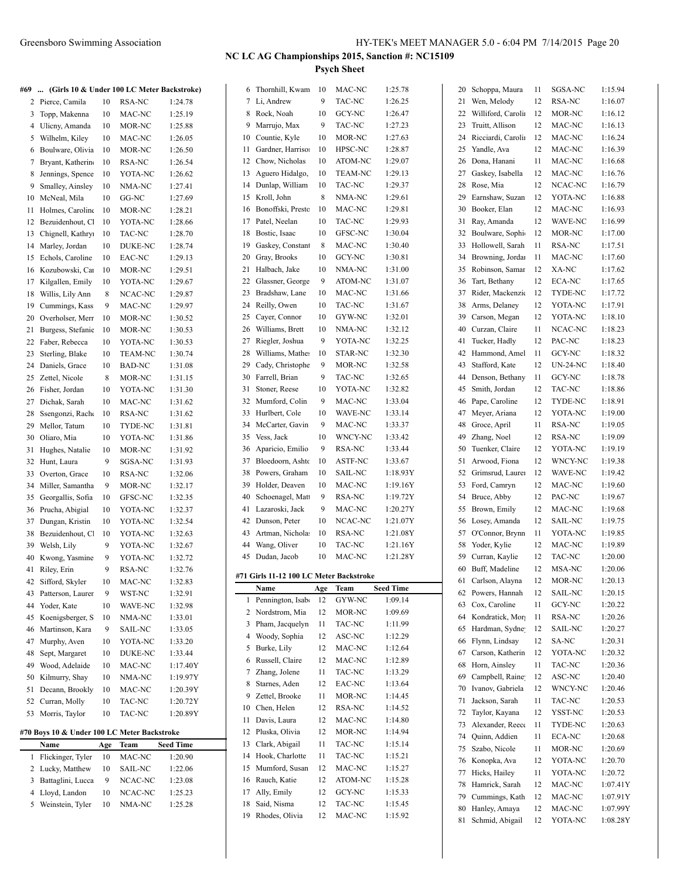|    | #69  (Girls 10 & Under 100 LC Meter Backstroke) |     |                |                  |    | 6 Thornhill, Kwam                       | 10       | MAC-NC           | 1:25.78            |    | 20 Schoppa, Maura                      | 11       | SGSA-NC                 | 1:15.94              |
|----|-------------------------------------------------|-----|----------------|------------------|----|-----------------------------------------|----------|------------------|--------------------|----|----------------------------------------|----------|-------------------------|----------------------|
|    | 2 Pierce, Camila                                | 10  | RSA-NC         | 1:24.78          |    | 7 Li, Andrew                            | 9        | TAC-NC           | 1:26.25            | 21 | Wen, Melody                            | 12       | <b>RSA-NC</b>           | 1:16.07              |
|    | 3 Topp, Makenna                                 | 10  | MAC-NC         | 1:25.19          | 8  | Rock, Noah                              | 10       | GCY-NC           | 1:26.47            | 22 | Williford, Carolin                     | 12       | MOR-NC                  | 1:16.12              |
|    | 4 Ulicny, Amanda                                | 10  | MOR-NC         | 1:25.88          | 9  | Marrujo, Max                            | 9        | TAC-NC           | 1:27.23            | 23 | Truitt, Allison                        | 12       | MAC-NC                  | 1:16.13              |
|    | 5 Wilhelm, Kiley                                | 10  | MAC-NC         | 1:26.05          | 10 | Countie, Kyle                           | 10       | MOR-NC           | 1:27.63            | 24 | Ricciardi, Carolin                     | 12       | MAC-NC                  | 1:16.24              |
|    | 6 Boulware, Olivia                              | 10  | MOR-NC         | 1:26.50          | 11 | Gardner, Harrison                       | 10       | HPSC-NC          | 1:28.87            |    | 25 Yandle, Ava                         | 12       | MAC-NC                  | 1:16.39              |
| 7  | Bryant, Katherin                                | 10  | <b>RSA-NC</b>  | 1:26.54          | 12 | Chow, Nicholas                          | 10       | ATOM-NC          | 1:29.07            | 26 | Dona, Hanani                           | 11       | MAC-NC                  | 1:16.68              |
| 8  | Jennings, Spence                                | 10  | YOTA-NC        | 1:26.62          | 13 | Aguero Hidalgo,                         | 10       | <b>TEAM-NC</b>   | 1:29.13            | 27 | Gaskey, Isabella                       | 12       | MAC-NC                  | 1:16.76              |
| 9  | Smalley, Ainsley                                | 10  | NMA-NC         | 1:27.41          | 14 | Dunlap, William                         | 10       | TAC-NC           | 1:29.37            | 28 | Rose, Mia                              | 12       | NCAC-NC                 | 1:16.79              |
|    | 10 McNeal, Mila                                 | 10  | GG-NC          | 1:27.69          | 15 | Kroll, John                             | $\,8\,$  | NMA-NC           | 1:29.61            | 29 | Earnshaw, Suzan                        | 12       | YOTA-NC                 | 1:16.88              |
|    | 11 Holmes, Caroline                             | 10  | MOR-NC         | 1:28.21          | 16 | Bonoffski, Presto                       | 10       | MAC-NC           | 1:29.81            | 30 | Booker, Elan                           | 12       | MAC-NC                  | 1:16.93              |
|    | Bezuidenhout, C                                 | 10  | YOTA-NC        | 1:28.66          | 17 | Patel, Neelan                           | 10       | TAC-NC           | 1:29.93            | 31 | Ray, Amanda                            | 12       | WAVE-NC                 | 1:16.99              |
| 12 |                                                 |     |                |                  | 18 | Bostic, Isaac                           | 10       | GFSC-NC          | 1:30.04            | 32 | Boulware, Sophi                        | 12       | MOR-NC                  | 1:17.00              |
| 13 | Chignell, Kathry                                | 10  | TAC-NC         | 1:28.70          |    |                                         | $\,8\,$  |                  | 1:30.40            |    |                                        | 11       |                         |                      |
| 14 | Marley, Jordan                                  | 10  | DUKE-NC        | 1:28.74          | 19 | Gaskey, Constant                        |          | MAC-NC           |                    | 33 | Hollowell, Sarah                       |          | RSA-NC                  | 1:17.51              |
| 15 | Echols, Caroline                                | 10  | EAC-NC         | 1:29.13          | 20 | Gray, Brooks                            | 10       | GCY-NC           | 1:30.81            | 34 | Browning, Jordan                       | 11       | MAC-NC                  | 1:17.60              |
|    | 16 Kozubowski, Car                              | 10  | MOR-NC         | 1:29.51          | 21 | Halbach, Jake                           | 10       | NMA-NC           | 1:31.00            |    | 35 Robinson, Samar                     | 12       | XA-NC                   | 1:17.62              |
| 17 | Kilgallen, Emily                                | 10  | YOTA-NC        | 1:29.67          | 22 | Glassner, George                        | 9        | ATOM-NC          | 1:31.07            | 36 | Tart, Bethany                          | 12       | <b>ECA-NC</b>           | 1:17.65              |
| 18 | Willis, Lily Ann                                | 8   | NCAC-NC        | 1:29.87          | 23 | Bradshaw, Lane                          | 10       | MAC-NC           | 1:31.66            | 37 | Rider, Mackenzie                       | 12       | TYDE-NC                 | 1:17.72              |
| 19 | Cummings, Kass                                  | 9   | MAC-NC         | 1:29.97          | 24 | Reilly, Owen                            | 10       | TAC-NC           | 1:31.67            | 38 | Arms, Delaney                          | 12       | YOTA-NC                 | 1:17.91              |
| 20 | Overholser, Merr                                | 10  | MOR-NC         | 1:30.52          | 25 | Cayer, Connor                           | 10       | GYW-NC           | 1:32.01            | 39 | Carson, Megan                          | 12       | YOTA-NC                 | 1:18.10              |
| 21 | Burgess, Stefanie                               | 10  | MOR-NC         | 1:30.53          | 26 | Williams, Brett                         | 10       | NMA-NC           | 1:32.12            | 40 | Curzan, Claire                         | 11       | NCAC-NC                 | 1:18.23              |
| 22 | Faber, Rebecca                                  | 10  | YOTA-NC        | 1:30.53          | 27 | Riegler, Joshua                         | 9        | YOTA-NC          | 1:32.25            | 41 | Tucker, Hadly                          | 12       | PAC-NC                  | 1:18.23              |
| 23 | Sterling, Blake                                 | 10  | <b>TEAM-NC</b> | 1:30.74          | 28 | Williams, Mathes                        | 10       | STAR-NC          | 1:32.30            | 42 | Hammond, Amel                          | 11       | GCY-NC                  | 1:18.32              |
| 24 | Daniels, Grace                                  | 10  | <b>BAD-NC</b>  | 1:31.08          | 29 | Cady, Christophe                        | 9        | MOR-NC           | 1:32.58            | 43 | Stafford, Kate                         | 12       | <b>UN-24-NC</b>         | 1:18.40              |
| 25 | Zettel, Nicole                                  | 8   | MOR-NC         | 1:31.15          | 30 | Farrell, Brian                          | 9        | TAC-NC           | 1:32.65            | 44 | Denson, Bethany                        | 11       | GCY-NC                  | 1:18.78              |
| 26 | Fisher, Jordan                                  | 10  | YOTA-NC        | 1:31.30          | 31 | Stoner, Reese                           | 10       | YOTA-NC          | 1:32.82            | 45 | Smith, Jordan                          | 12       | TAC-NC                  | 1:18.86              |
| 27 | Dichak, Sarah                                   | 10  | MAC-NC         | 1:31.62          | 32 | Mumford, Colin                          | 9        | MAC-NC           | 1:33.04            | 46 | Pape, Caroline                         | 12       | TYDE-NC                 | 1:18.91              |
| 28 | Ssengonzi, Racho                                | 10  | RSA-NC         | 1:31.62          | 33 | Hurlbert, Cole                          | 10       | WAVE-NC          | 1:33.14            | 47 | Meyer, Ariana                          | 12       | YOTA-NC                 | 1:19.00              |
| 29 | Mellor, Tatum                                   | 10  | TYDE-NC        | 1:31.81          | 34 | McCarter, Gavin                         | 9        | MAC-NC           | 1:33.37            | 48 | Groce, April                           | 11       | RSA-NC                  | 1:19.05              |
| 30 | Oliaro, Mia                                     | 10  | YOTA-NC        | 1:31.86          | 35 | Vess, Jack                              | 10       | WNCY-NC          | 1:33.42            | 49 | Zhang, Noel                            | 12       | RSA-NC                  | 1:19.09              |
| 31 | Hughes, Natalie                                 | 10  | MOR-NC         | 1:31.92          | 36 | Aparicio, Emilio                        | 9        | RSA-NC           | 1:33.44            | 50 | Tuenker, Claire                        | 12       | YOTA-NC                 | 1:19.19              |
|    | 32 Hunt, Laura                                  | 9   | SGSA-NC        | 1:31.93          | 37 | Bloedoorn, Ashto                        | 10       | ASTF-NC          | 1:33.67            | 51 | Arwood, Fiona                          | 12       | WNCY-NC                 | 1:19.38              |
| 33 | Overton, Grace                                  | 10  | RSA-NC         | 1:32.06          | 38 | Powers, Graham                          | 10       | <b>SAIL-NC</b>   | 1:18.93Y           | 52 | Grimsrud, Laurer                       | 12       | WAVE-NC                 | 1:19.42              |
| 34 | Miller, Samantha                                | 9   | MOR-NC         | 1:32.17          | 39 | Holder, Deaven                          | 10       | MAC-NC           | 1:19.16Y           | 53 | Ford, Camryn                           | 12       | MAC-NC                  | 1:19.60              |
| 35 | Georgallis, Sofia                               | 10  | GFSC-NC        | 1:32.35          | 40 | Schoenagel, Matt                        | 9        | RSA-NC           | 1:19.72Y           | 54 | Bruce, Abby                            | 12       | PAC-NC                  | 1:19.67              |
| 36 | Prucha, Abigial                                 | 10  | YOTA-NC        | 1:32.37          | 41 | Lazaroski, Jack                         | 9        | MAC-NC           | 1:20.27Y           |    | 55 Brown, Emily                        | 12       | MAC-NC                  | 1:19.68              |
| 37 | Dungan, Kristin                                 | 10  | YOTA-NC        | 1:32.54          | 42 | Dunson, Peter                           | 10       | NCAC-NC          | 1:21.07Y           |    | 56 Losey, Amanda                       | 12       | SAIL-NC                 | 1:19.75              |
| 38 | Bezuidenhout, C.                                | 10  | YOTA-NC        | 1:32.63          | 43 | Artman, Nichola:                        | 10       | RSA-NC           | 1:21.08Y           | 57 | O'Connor, Brynn                        | 11       | YOTA-NC                 | 1:19.85              |
| 39 | Welsh, Lily                                     | 9   | YOTA-NC        | 1:32.67          | 44 | Wang, Oliver                            | 10       | TAC-NC           | 1:21.16Y           | 58 | Yoder, Kylie                           | 12       | MAC-NC                  | 1:19.89              |
| 40 | Kwong, Yasmine                                  | 9   | YOTA-NC        | 1:32.72          |    | 45 Dudan, Jacob                         | 10       | MAC-NC           | 1:21.28Y           | 59 | Curran, Kaylie                         | 12       | TAC-NC                  | 1:20.00              |
|    | 41 Riley, Erin                                  | 9   | RSA-NC         | 1:32.76          |    |                                         |          |                  |                    |    | 60 Buff, Madeline                      | 12       | MSA-NC                  | 1:20.06              |
| 42 | Sifford, Skyler                                 | 10  |                |                  |    |                                         |          |                  |                    |    |                                        |          |                         |                      |
|    |                                                 |     |                |                  |    | #71 Girls 11-12 100 LC Meter Backstroke |          |                  |                    |    |                                        |          |                         |                      |
|    |                                                 |     | MAC-NC         | 1:32.83          |    | Name                                    | Age      | <b>Team</b>      | <b>Seed Time</b>   | 61 | Carlson, Alayna<br>62 Powers, Hannah   | 12<br>12 | MOR-NC<br>SAIL-NC       | 1:20.13<br>1:20.15   |
|    | 43 Patterson, Laurer                            | 9   | WST-NC         | 1:32.91          |    | Pennington, Isab                        | 12       | GYW-NC           | 1:09.14            | 63 | Cox, Caroline                          | 11       | GCY-NC                  | 1:20.22              |
| 44 | Yoder, Kate                                     | 10  | WAVE-NC        | 1:32.98          | 2  | Nordstrom, Mia                          | 12       | MOR-NC           | 1:09.69            |    |                                        |          |                         |                      |
| 45 | Koenigsberger, S                                | 10  | NMA-NC         | 1:33.01          | 3  | Pham, Jacquelyn                         | 11       | TAC-NC           | 1:11.99            | 64 | Kondratick, Mor                        | 11       | RSA-NC                  | 1:20.26              |
| 46 | Martinson, Kara                                 | 9   | SAIL-NC        | 1:33.05          | 4  | Woody, Sophia                           | 12       | ASC-NC           | 1:12.29            |    | 65 Hardman, Sydne                      | 12       | SAIL-NC                 | 1:20.27              |
| 47 | Murphy, Aven                                    | 10  | YOTA-NC        | 1:33.20          | 5  | Burke, Lily                             | 12       | MAC-NC           | 1:12.64            | 66 | Flynn, Lindsay                         | 12       | SA-NC                   | 1:20.31              |
| 48 | Sept, Margaret                                  | 10  | DUKE-NC        | 1:33.44          | 6  | Russell, Claire                         | 12       | MAC-NC           | 1:12.89            | 67 | Carson, Katherin                       | 12       | YOTA-NC                 | 1:20.32              |
| 49 | Wood, Adelaide                                  | 10  | MAC-NC         | 1:17.40Y         | 7  | Zhang, Jolene                           | 11       | TAC-NC           | 1:13.29            | 68 | Horn, Ainsley                          | 11       | TAC-NC                  | 1:20.36              |
| 50 | Kilmurry, Shay                                  | 10  | NMA-NC         | 1:19.97Y         | 8  | Starnes, Aden                           | 12       | EAC-NC           | 1:13.64            | 69 | Campbell, Raine                        | 12       | ASC-NC                  | 1:20.40              |
| 51 | Decann, Brookly                                 | 10  | MAC-NC         | 1:20.39Y         | 9  | Zettel, Brooke                          | 11       | MOR-NC           | 1:14.45            |    | 70 Ivanov, Gabriela                    | 12       | WNCY-NC                 | 1:20.46              |
| 52 | Curran, Molly                                   | 10  | TAC-NC         | 1:20.72Y         | 10 | Chen, Helen                             | 12       | RSA-NC           | 1:14.52            | 71 | Jackson, Sarah                         | 11       | TAC-NC                  | 1:20.53              |
|    | 53 Morris, Taylor                               | 10  | TAC-NC         | 1:20.89Y         | 11 | Davis, Laura                            | 12       | MAC-NC           | 1:14.80            |    | 72 Taylor, Kayana                      | 12       | YSST-NC                 | 1:20.53              |
|    |                                                 |     |                |                  | 12 | Pluska, Olivia                          | 12       | MOR-NC           |                    | 73 | Alexander, Reece                       | 11       | TYDE-NC                 | 1:20.63              |
|    | #70 Boys 10 & Under 100 LC Meter Backstroke     |     |                |                  | 13 |                                         | 11       |                  | 1:14.94            | 74 | Quinn, Addien                          | 11       | ECA-NC                  | 1:20.68              |
|    | Name                                            | Age | Team           | <b>Seed Time</b> |    | Clark, Abigail<br>14 Hook, Charlotte    |          | TAC-NC           | 1:15.14            |    | 75 Szabo, Nicole                       | 11       | MOR-NC                  | 1:20.69              |
|    | 1 Flickinger, Tyler                             | 10  | MAC-NC         | 1:20.90          |    |                                         | 11       | TAC-NC           | 1:15.21            |    | 76 Konopka, Ava                        | 12       | YOTA-NC                 | 1:20.70              |
|    | 2 Lucky, Matthew                                | 10  | SAIL-NC        | 1:22.06          | 15 | Mumford, Susan                          | 12       | MAC-NC           | 1:15.27            |    | 77 Hicks, Hailey                       | 11       | YOTA-NC                 | 1:20.72              |
|    | 3 Battaglini, Lucca                             | 9   | NCAC-NC        | 1:23.08          | 16 | Rauch, Katie                            | 12       | ATOM-NC          | 1:15.28            | 78 | Hamrick, Sarah                         | 12       | MAC-NC                  | 1:07.41Y             |
|    | 4 Lloyd, Landon                                 | 10  | NCAC-NC        | 1:25.23          | 17 | Ally, Emily                             | 12       | GCY-NC           | 1:15.33            | 79 | Cummings, Kath                         | 12       | MAC-NC                  | 1:07.91Y             |
|    | 5 Weinstein, Tyler                              | 10  | NMA-NC         | 1:25.28          | 18 | Said, Nisma<br>19 Rhodes, Olivia        | 12<br>12 | TAC-NC<br>MAC-NC | 1:15.45<br>1:15.92 |    | 80 Hanley, Amaya<br>81 Schmid, Abigail |          | 12 MAC-NC<br>12 YOTA-NC | 1:07.99Y<br>1:08.28Y |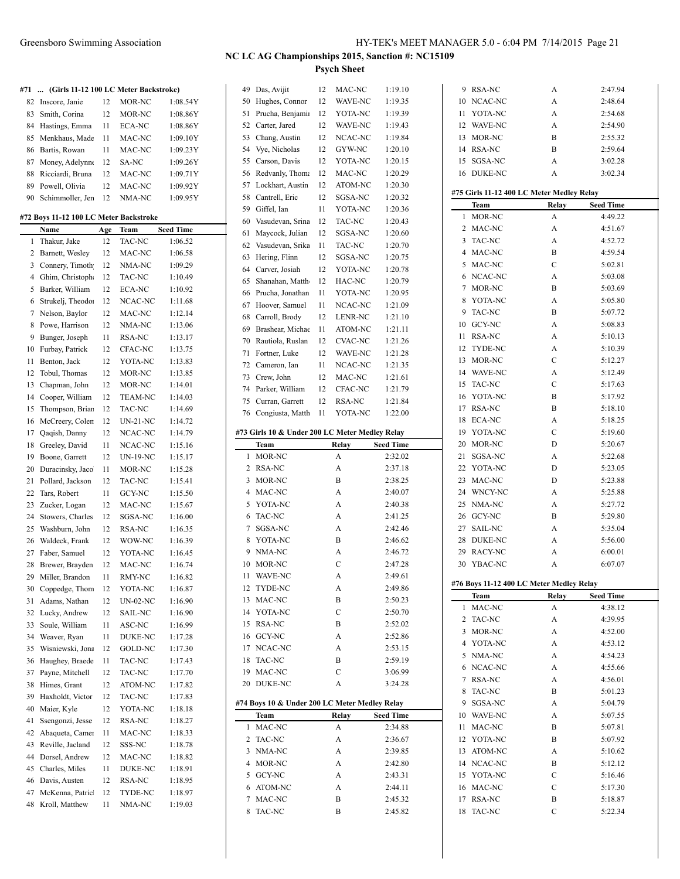**#71 ... (Girls 11-12 100 LC Meter Backstroke)** Inscore, Janie 12 MOR-NC 1:08.54Y Smith, Corina 12 MOR-NC 1:08.86Y Hastings, Emma 11 ECA-NC 1:08.86Y 85 Menkhaus, Made 11 MAC-NC 1:09.10Y Bartis, Rowan 11 MAC-NC 1:09.23Y 87 Money, Adelynne 12 SA-NC 1:09.26Y Ricciardi, Bruna 12 MAC-NC 1:09.71Y Powell, Olivia 12 MAC-NC 1:09.92Y 90 Schimmoller, Jen 12 NMA-NC 1:09.95Y

#### **#72 Boys 11-12 100 LC Meter Backstroke**

|                | Name              | Age | Team            | <b>Seed Time</b> |
|----------------|-------------------|-----|-----------------|------------------|
| 1              | Thakur, Jake      | 12  | TAC-NC          | 1:06.52          |
| 2              | Barnett, Wesley   | 12  | MAC-NC          | 1:06.58          |
| 3              | Connery, Timoth   | 12  | NMA-NC          | 1:09.29          |
| $\overline{4}$ | Ghim, Christoph   | 12  | TAC-NC          | 1:10.49          |
| 5              | Barker, William   | 12  | <b>ECA-NC</b>   | 1:10.92          |
| 6              | Strukelj, Theodo: | 12  | NCAC-NC         | 1:11.68          |
| 7              | Nelson, Baylor    | 12  | MAC-NC          | 1:12.14          |
| 8              | Powe, Harrison    | 12  | NMA-NC          | 1:13.06          |
| 9              | Bunger, Joseph    | 11  | <b>RSA-NC</b>   | 1:13.17          |
| 10             | Furbay, Patrick   | 12  | CFAC-NC         | 1:13.75          |
| 11             | Benton, Jack      | 12  | YOTA-NC         | 1:13.83          |
| 12             | Tobul, Thomas     | 12  | MOR-NC          | 1:13.85          |
| 13             | Chapman, John     | 12  | MOR-NC          | 1:14.01          |
| 14             | Cooper, William   | 12  | <b>TEAM-NC</b>  | 1:14.03          |
| 15             | Thompson, Briar   | 12  | TAC-NC          | 1:14.69          |
| 16             | McCreery, Colen   | 12  | <b>UN-21-NC</b> | 1:14.72          |
| 17             | Qaqish, Danny     | 12  | NCAC-NC         | 1:14.79          |
| 18             | Greeley, David    | 11  | NCAC-NC         | 1:15.16          |
| 19             | Boone, Garrett    | 12  | <b>UN-19-NC</b> | 1:15.17          |
| 20             | Duracinsky, Jaco  | 11  | MOR-NC          | 1:15.28          |
| 21             | Pollard, Jackson  | 12  | TAC-NC          | 1:15.41          |
| 22             | Tars, Robert      | 11  | GCY-NC          | 1:15.50          |
| 23             | Zucker, Logan     | 12  | MAC-NC          | 1:15.67          |
| 24             | Stowers, Charles  | 12  | SGSA-NC         | 1:16.00          |
| 25             | Washburn, John    | 12  | <b>RSA-NC</b>   | 1:16.35          |
| 26             | Waldeck, Frank    | 12  | WOW-NC          | 1:16.39          |
| 27             | Faber, Samuel     | 12  | YOTA-NC         | 1:16.45          |
| 28             | Brewer, Brayden   | 12  | MAC-NC          | 1:16.74          |
| 29             | Miller, Brandon   | 11  | RMY-NC          | 1:16.82          |
| 30             | Coppedge, Thom    | 12  | YOTA-NC         | 1:16.87          |
| 31             | Adams, Nathan     | 12  | <b>UN-02-NC</b> | 1:16.90          |
| 32             | Lucky, Andrew     | 12  | <b>SAIL-NC</b>  | 1:16.90          |
| 33             | Soule, William    | 11  | ASC-NC          | 1:16.99          |
| 34             | Weaver, Ryan      | 11  | <b>DUKE-NC</b>  | 1:17.28          |
| 35             | Wisniewski, Jona  | 12  | <b>GOLD-NC</b>  | 1:17.30          |
| 36             | Haughey, Braede   | 11  | TAC-NC          | 1:17.43          |
| 37             | Payne, Mitchell   | 12  | TAC-NC          | 1:17.70          |
| 38             | Himes, Grant      | 12  | ATOM-NC         | 1:17.82          |
| 39             | Haxholdt, Victor  | 12  | TAC-NC          | 1:17.83          |
| 40             | Maier, Kyle       | 12  | YOTA-NC         | 1:18.18          |
| 41             | Ssengonzi, Jesse  | 12  | RSA-NC          | 1:18.27          |
| 42             | Abaqueta, Camer   | 11  | MAC-NC          | 1:18.33          |
| 43             | Reville, Jacland  | 12  | SSS-NC          | 1:18.78          |
| 44             | Dorsel, Andrew    | 12  | MAC-NC          | 1:18.82          |
| 45             | Charles, Miles    | 11  | <b>DUKE-NC</b>  | 1:18.91          |
| 46             | Davis, Austen     | 12  | RSA-NC          | 1:18.95          |
| 47             | McKenna, Patric   | 12  | TYDE-NC         | 1:18.97          |
| 48             | Kroll, Matthew    | 11  | NMA-NC          | 1:19.03          |

| 49     | Das, Avijit                                    | 12 | MAC-NC  | 1:19.10            |
|--------|------------------------------------------------|----|---------|--------------------|
| 50     | Hughes, Connor                                 | 12 | WAVE-NC | 1:19.35            |
| 51     | Prucha, Benjamii                               | 12 | YOTA-NC | 1:19.39            |
| 52     | Carter, Jared                                  | 12 | WAVE-NC | 1:19.43            |
| 53     | Chang, Austin                                  | 12 | NCAC-NC | 1:19.84            |
| 54     | Vye, Nicholas                                  | 12 | GYW-NC  | 1:20.10            |
| 55     | Carson, Davis                                  | 12 | YOTA-NC | 1:20.15            |
| 56     | Redvanly, Thoma                                | 12 | MAC-NC  | 1:20.29            |
| 57     | Lockhart, Austin                               | 12 | ATOM-NC | 1:20.30            |
| 58     | Cantrell, Eric                                 | 12 | SGSA-NC | 1:20.32            |
| 59     | Giffel, Ian                                    | 11 | YOTA-NC | 1:20.36            |
| 60     | Vasudevan, Srina                               | 12 | TAC-NC  | 1:20.43            |
| 61     | Maycock, Julian                                | 12 | SGSA-NC | 1:20.60            |
| 62     | Vasudevan, Srika                               | 11 | TAC-NC  | 1:20.70            |
| 63     | Hering, Flinn                                  | 12 | SGSA-NC | 1:20.75            |
| 64     | Carver, Josiah                                 | 12 | YOTA-NC | 1:20.78            |
| 65     | Shanahan, Matth                                | 12 | HAC-NC  | 1:20.79            |
| 66     | Prucha, Jonathan                               | 11 | YOTA-NC | 1:20.95            |
| 67     | Hoover, Samuel                                 | 11 | NCAC-NC | 1:21.09            |
| 68     | Carroll, Brody                                 | 12 | LENR-NC | 1:21.10            |
| 69     | Brashear, Michae                               | 11 | ATOM-NC | 1:21.11            |
|        |                                                |    |         |                    |
| 70     | Rautiola, Ruslan                               | 12 | CVAC-NC | 1:21.26            |
| 71     | Fortner, Luke                                  | 12 | WAVE-NC | 1:21.28            |
| 72     | Cameron, Ian                                   | 11 | NCAC-NC | 1:21.35            |
| 73     | Crew, John                                     | 12 | MAC-NC  | 1:21.61            |
| 74     | Parker, William                                | 12 | CFAC-NC | 1:21.79            |
| 75     | Curran, Garrett                                | 12 | RSA-NC  | 1:21.84            |
| 76     | Congiusta, Matth                               | 11 | YOTA-NC | 1:22.00            |
|        | #73 Girls 10 & Under 200 LC Meter Medley Relay |    |         |                    |
|        | Team                                           |    | Relay   | <b>Seed Time</b>   |
|        |                                                |    |         |                    |
| 1      |                                                |    |         |                    |
|        | MOR-NC                                         |    | А       | 2:32.02            |
| 2      | RSA-NC                                         |    | А       | 2:37.18            |
| 3      | MOR-NC                                         |    | В       | 2:38.25            |
| 4      | MAC-NC                                         |    | A       | 2:40.07            |
| 5      | YOTA-NC                                        |    | A       | 2:40.38            |
| 6      | TAC-NC                                         |    | A       | 2:41.25            |
| 7      | SGSA-NC                                        |    | A       | 2:42.46            |
| 8      | YOTA-NC                                        |    | B       | 2:46.62            |
| 9      | NMA-NC                                         |    | A       | 2:46.72            |
| 10     | MOR-NC                                         |    | C       | 2:47.28            |
| 11     | <b>WAVE-NC</b>                                 |    | A       | 2:49.61            |
| 12     | TYDE-NC                                        |    | A       | 2:49.86            |
| 13     | MAC-NC                                         |    | Β       | 2:50.23            |
| 14     | YOTA-NC                                        |    | C       | 2:50.70            |
| 15     | <b>RSA-NC</b>                                  |    | B       | 2:52.02            |
| 16     | GCY-NC                                         |    | A       | 2:52.86            |
| 17     | NCAC-NC                                        |    | A       | 2:53.15            |
| 18     | TAC-NC                                         |    | В       | 2:59.19            |
| 19     | MAC-NC                                         |    | С       | 3:06.99            |
| 20     | DUKE-NC                                        |    | A       | 3:24.28            |
|        |                                                |    |         |                    |
|        | #74 Boys 10 & Under 200 LC Meter Medley Relay  |    |         |                    |
|        | Team                                           |    | Relay   | <b>Seed Time</b>   |
| 1      | MAC-NC                                         |    | A       | 2:34.88            |
| 2<br>3 | TAC-NC                                         |    | А       | 2:36.67            |
|        | NMA-NC                                         |    | A       | 2:39.85            |
| 4      | MOR-NC                                         |    | A       | 2:42.80            |
| 5      | GCY-NC                                         |    | A       | 2:43.31            |
| 6      | ATOM-NC                                        |    | A       | 2:44.11            |
| 7<br>8 | MAC-NC<br>TAC-NC                               |    | В<br>B  | 2:45.32<br>2:45.82 |

| 9                       | RSA-NC           | А                                         | 2:47.94            |
|-------------------------|------------------|-------------------------------------------|--------------------|
| 10                      | NCAC-NC          | A                                         | 2:48.64            |
| 11                      | YOTA-NC          | A                                         | 2:54.68            |
| 12                      | <b>WAVE-NC</b>   | A                                         | 2:54.90            |
| 13                      | MOR-NC           | B                                         | 2:55.32            |
| 14                      | RSA-NC           | B                                         | 2:59.64            |
| 15                      | SGSA-NC          | A                                         | 3:02.28            |
|                         |                  |                                           |                    |
| 16                      | <b>DUKE-NC</b>   | A                                         | 3:02.34            |
|                         |                  | #75 Girls 11-12 400 LC Meter Medley Relay |                    |
|                         | Team             | Relay                                     | <b>Seed Time</b>   |
| 1                       | MOR-NC           | A                                         | 4:49.22            |
| 2                       | MAC-NC           | А                                         | 4:51.67            |
| $\overline{\mathbf{3}}$ | TAC-NC           | A                                         | 4:52.72            |
| 4                       | MAC-NC           | B                                         | 4:59.54            |
| 5                       | MAC-NC           | C                                         | 5:02.81            |
|                         |                  |                                           |                    |
| 6                       | NCAC-NC          | A                                         | 5:03.08            |
| 7                       | MOR-NC           | B                                         | 5:03.69            |
| 8                       | YOTA-NC          | A                                         | 5:05.80            |
| 9                       | <b>TAC-NC</b>    | B                                         | 5:07.72            |
| 10                      | GCY-NC           | A                                         | 5:08.83            |
| 11                      | <b>RSA-NC</b>    | A                                         | 5:10.13            |
| 12                      | TYDE-NC          | А                                         | 5:10.39            |
| 13                      | MOR-NC           | C                                         | 5:12.27            |
| 14                      | WAVE-NC          | A                                         | 5:12.49            |
| 15                      | <b>TAC-NC</b>    | С                                         | 5:17.63            |
| 16                      | YOTA-NC          | B                                         | 5:17.92            |
| 17                      | RSA-NC           | B                                         | 5:18.10            |
| 18                      | <b>ECA-NC</b>    | A                                         | 5:18.25            |
| 19                      | YOTA-NC          | C                                         | 5:19.60            |
| 20                      | MOR-NC           | D                                         | 5:20.67            |
| 21                      | SGSA-NC          | A                                         | 5:22.68            |
| 22                      | YOTA-NC          | D                                         | 5:23.05            |
| 23                      | MAC-NC           | D                                         | 5:23.88            |
| 24                      | WNCY-NC          | A                                         | 5:25.88            |
| 25                      | NMA-NC           | A                                         | 5:27.72            |
| 26                      | GCY-NC           | B                                         | 5:29.80            |
| 27                      | SAIL-NC          | A                                         | 5:35.04            |
| 28                      | <b>DUKE-NC</b>   | A                                         | 5:56.00            |
| 29                      | RACY-NC          | A                                         | 6:00.01            |
| 30                      | YBAC-NC          | A                                         | 6:07.07            |
|                         |                  |                                           |                    |
|                         |                  | #76 Boys 11-12 400 LC Meter Medley Relay  |                    |
|                         | Team             | Relay                                     | <b>Seed Time</b>   |
| 1                       | MAC-NC           | A                                         | 4:38.12            |
| 2                       | TAC-NC           | A                                         | 4:39.95            |
| 3                       | MOR-NC           | A                                         | 4:52.00            |
| 4                       | YOTA-NC          | A                                         | 4:53.12            |
| 5                       | NMA-NC           | A                                         | 4:54.23            |
| 6                       | NCAC-NC          | A                                         | 4:55.66            |
| 7                       | <b>RSA-NC</b>    | A                                         | 4:56.01            |
| 8                       | <b>TAC-NC</b>    | B                                         | 5:01.23            |
| 9                       | SGSA-NC          | A                                         | 5:04.79            |
| 10                      | WAVE-NC          | A                                         | 5:07.55            |
| 11                      | MAC-NC           | B                                         | 5:07.81            |
| 12                      | YOTA-NC          | B                                         | 5:07.92            |
| 13                      | ATOM-NC          |                                           |                    |
|                         |                  | A                                         | 5:10.62            |
| 14                      | NCAC-NC          | B<br>С                                    | 5:12.12            |
| 15                      |                  |                                           | 5:16.46            |
|                         | YOTA-NC          |                                           |                    |
| 16                      | MAC-NC           | С                                         | 5:17.30            |
| 17<br>18                | RSA-NC<br>TAC-NC | B<br>C                                    | 5:18.87<br>5:22.34 |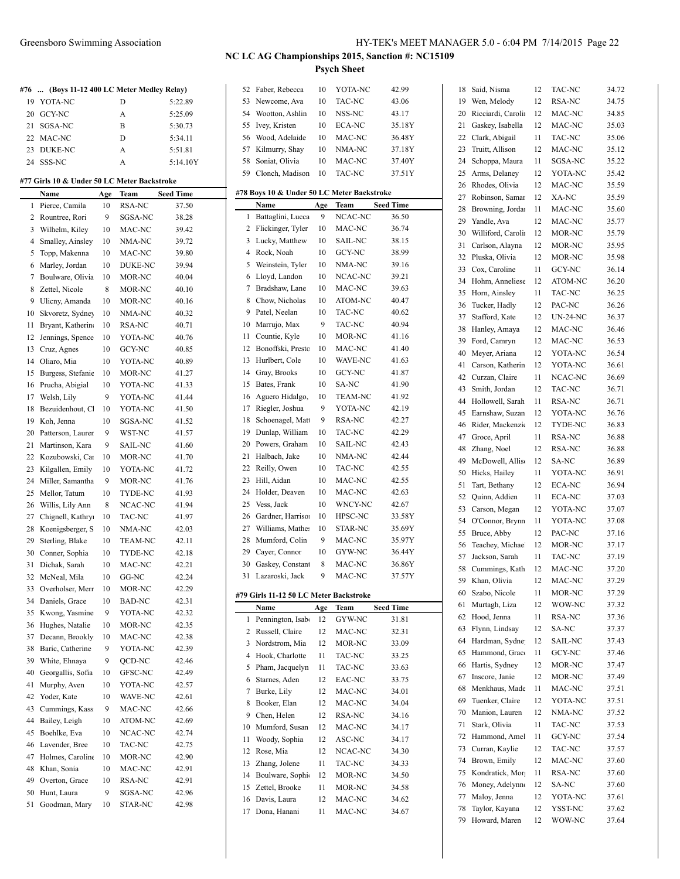| #76 | (Boys 11-12 400 LC Meter Medley Relay)      |     |                |                  |              | 52 Faber, Rebecca                          | 10           | YOTA-NC        | 42.99            | 18 | Said, Nisma        | 12 | TAC-NC          | 34.72 |
|-----|---------------------------------------------|-----|----------------|------------------|--------------|--------------------------------------------|--------------|----------------|------------------|----|--------------------|----|-----------------|-------|
|     | 19 YOTA-NC                                  |     | D              | 5:22.89          |              | 53 Newcome, Ava                            | 10           | TAC-NC         | 43.06            | 19 | Wen, Melody        | 12 | RSA-NC          | 34.75 |
| 20  | GCY-NC                                      |     | А              | 5:25.09          | 54           | Wootton, Ashlin                            | 10           | NSS-NC         | 43.17            | 20 | Ricciardi, Carolin | 12 | MAC-NC          | 34.85 |
| 21  | SGSA-NC                                     |     | B              | 5:30.73          |              | 55 Ivey, Kristen                           | 10           | ECA-NC         | 35.18Y           | 21 | Gaskey, Isabella   | 12 | MAC-NC          | 35.03 |
|     | 22 MAC-NC                                   |     | D              | 5:34.11          |              | 56 Wood, Adelaide                          | 10           | MAC-NC         | 36.48Y           | 22 | Clark, Abigail     | 11 | TAC-NC          | 35.06 |
| 23  | DUKE-NC                                     |     | A              | 5:51.81          |              | 57 Kilmurry, Shay                          | 10           | NMA-NC         | 37.18Y           | 23 | Truitt, Allison    | 12 | MAC-NC          | 35.12 |
| 24  | SSS-NC                                      |     | A              | 5:14.10Y         | 58           | Soniat, Olivia                             | 10           | MAC-NC         | 37.40Y           | 24 | Schoppa, Maura     | 11 | SGSA-NC         | 35.22 |
|     |                                             |     |                |                  |              | 59 Clonch, Madison                         | 10           | TAC-NC         | 37.51Y           | 25 | Arms, Delaney      | 12 | YOTA-NC         | 35.42 |
|     | #77 Girls 10 & Under 50 LC Meter Backstroke |     |                |                  |              |                                            |              |                |                  | 26 | Rhodes, Olivia     | 12 | MAC-NC          | 35.59 |
|     | Name                                        | Age | Team           | <b>Seed Time</b> |              | #78 Boys 10 & Under 50 LC Meter Backstroke |              |                |                  | 27 | Robinson, Samar    | 12 | XA-NC           | 35.59 |
| 1   | Pierce, Camila                              | 10  | RSA-NC         | 37.50            |              | Name                                       | Age          | Team           | <b>Seed Time</b> | 28 | Browning, Jordan   | 11 | MAC-NC          | 35.60 |
|     | 2 Rountree, Rori                            | 9   | SGSA-NC        | 38.28            | 1            | Battaglini, Lucca                          | 9            | NCAC-NC        | 36.50            |    | Yandle, Ava        |    | MAC-NC          | 35.77 |
|     | 3 Wilhelm, Kiley                            | 10  | MAC-NC         | 39.42            |              | 2 Flickinger, Tyler                        | 10           | MAC-NC         | 36.74            | 29 |                    | 12 |                 |       |
|     | 4 Smalley, Ainsley                          | 10  | NMA-NC         | 39.72            |              | 3 Lucky, Matthew                           | 10           | SAIL-NC        | 38.15            | 30 | Williford, Carolin | 12 | MOR-NC          | 35.79 |
|     | 5 Topp, Makenna                             | 10  | MAC-NC         | 39.80            |              | 4 Rock, Noah                               | 10           | GCY-NC         | 38.99            | 31 | Carlson, Alayna    | 12 | MOR-NC          | 35.95 |
|     | 6 Marley, Jordan                            | 10  | DUKE-NC        | 39.94            |              | 5 Weinstein, Tyler                         | 10           | NMA-NC         | 39.16            |    | 32 Pluska, Olivia  | 12 | MOR-NC          | 35.98 |
|     | 7 Boulware, Olivia                          | 10  | MOR-NC         | 40.04            |              | 6 Lloyd, Landon                            | 10           | NCAC-NC        | 39.21            | 33 | Cox, Caroline      | 11 | GCY-NC          | 36.14 |
|     | 8 Zettel, Nicole                            | 8   | MOR-NC         | 40.10            | 7            | Bradshaw, Lane                             | 10           | MAC-NC         | 39.63            | 34 | Hohm, Anneliese    | 12 | ATOM-NC         | 36.20 |
| 9   |                                             | 10  | MOR-NC         |                  | 8            | Chow, Nicholas                             | 10           | ATOM-NC        | 40.47            | 35 | Horn, Ainsley      | 11 | TAC-NC          | 36.25 |
|     | Ulicny, Amanda                              |     |                | 40.16            | 9            | Patel, Neelan                              | 10           | TAC-NC         | 40.62            | 36 | Tucker, Hadly      | 12 | PAC-NC          | 36.26 |
| 10  | Skvoretz, Sydney                            | 10  | NMA-NC         | 40.32            |              |                                            |              |                |                  | 37 | Stafford, Kate     | 12 | <b>UN-24-NC</b> | 36.37 |
| 11  | Bryant, Katherin                            | 10  | RSA-NC         | 40.71            |              | 10 Marrujo, Max                            | 9            | TAC-NC         | 40.94            | 38 | Hanley, Amaya      | 12 | MAC-NC          | 36.46 |
|     | 12 Jennings, Spence                         | 10  | YOTA-NC        | 40.76            | 11           | Countie, Kyle                              | 10           | MOR-NC         | 41.16            | 39 | Ford, Camryn       | 12 | MAC-NC          | 36.53 |
| 13  | Cruz, Agnes                                 | 10  | GCY-NC         | 40.85            |              | 12 Bonoffski, Prestc                       | 10           | MAC-NC         | 41.40            | 40 | Meyer, Ariana      | 12 | YOTA-NC         | 36.54 |
| 14  | Oliaro, Mia                                 | 10  | YOTA-NC        | 40.89            |              | 13 Hurlbert, Cole                          | 10           | WAVE-NC        | 41.63            | 41 | Carson, Katherin   | 12 | YOTA-NC         | 36.61 |
| 15  | Burgess, Stefanic                           | 10  | MOR-NC         | 41.27            | 14           | Gray, Brooks                               | 10           | GCY-NC         | 41.87            | 42 | Curzan, Claire     | 11 | NCAC-NC         | 36.69 |
| 16  | Prucha, Abigial                             | 10  | YOTA-NC        | 41.33            |              | 15 Bates, Frank                            | 10           | SA-NC          | 41.90            | 43 | Smith, Jordan      | 12 | TAC-NC          | 36.71 |
| 17  | Welsh, Lily                                 | 9   | YOTA-NC        | 41.44            |              | 16 Aguero Hidalgo,                         | 10           | <b>TEAM-NC</b> | 41.92            | 44 | Hollowell, Sarah   | 11 | RSA-NC          | 36.71 |
| 18  | Bezuidenhout, C                             | 10  | YOTA-NC        | 41.50            |              | 17 Riegler, Joshua                         | 9            | YOTA-NC        | 42.19            | 45 | Earnshaw, Suzan    | 12 | YOTA-NC         | 36.76 |
| 19  | Koh, Jenna                                  | 10  | SGSA-NC        | 41.52            | 18           | Schoenagel, Matt                           | 9            | RSA-NC         | 42.27            | 46 | Rider, Mackenzie   | 12 | TYDE-NC         | 36.83 |
| 20  | Patterson, Laurer                           | 9   | WST-NC         | 41.57            | 19           | Dunlap, William                            | 10           | TAC-NC         | 42.29            |    |                    | 11 | RSA-NC          | 36.88 |
| 21  | Martinson, Kara                             | 9   | SAIL-NC        | 41.60            |              | 20 Powers, Graham                          | 10           | SAIL-NC        | 42.43            | 47 | Groce, April       |    |                 | 36.88 |
|     | 22 Kozubowski, Car                          | 10  | MOR-NC         | 41.70            | 21           | Halbach, Jake                              | 10           | NMA-NC         | 42.44            | 48 | Zhang, Noel        | 12 | RSA-NC          |       |
| 23  | Kilgallen, Emily                            | 10  | YOTA-NC        | 41.72            |              | 22 Reilly, Owen                            | 10           | TAC-NC         | 42.55            | 49 | McDowell, Allise   | 12 | SA-NC           | 36.89 |
| 24  | Miller, Samantha                            | 9   | MOR-NC         | 41.76            |              | 23 Hill, Aidan                             | 10           | MAC-NC         | 42.55            | 50 | Hicks, Hailey      | 11 | YOTA-NC         | 36.91 |
| 25  | Mellor, Tatum                               | 10  | TYDE-NC        | 41.93            |              | 24 Holder, Deaven                          | 10           | MAC-NC         | 42.63            | 51 | Tart, Bethany      | 12 | ECA-NC          | 36.94 |
| 26  | Willis, Lily Ann                            | 8   | NCAC-NC        | 41.94            |              | 25 Vess, Jack                              | 10           | WNCY-NC        | 42.67            | 52 | Quinn, Addien      | 11 | ECA-NC          | 37.03 |
|     |                                             | 10  | TAC-NC         | 41.97            | 26           | Gardner, Harrison                          | 10           | HPSC-NC        | 33.58Y           | 53 | Carson, Megan      | 12 | YOTA-NC         | 37.07 |
| 27  | Chignell, Kathry                            |     |                |                  | 27           | Williams, Mather                           | 10           | STAR-NC        | 35.69Y           | 54 | O'Connor, Brynn    | 11 | YOTA-NC         | 37.08 |
| 28  | Koenigsberger, S                            | 10  | NMA-NC         | 42.03            |              |                                            |              |                |                  | 55 | Bruce, Abby        | 12 | PAC-NC          | 37.16 |
| 29  | Sterling, Blake                             | 10  | <b>TEAM-NC</b> | 42.11            | 28           | Mumford, Colin                             | 9            | MAC-NC         | 35.97Y           | 56 | Teachey, Michael   | 12 | MOR-NC          | 37.17 |
| 30  | Conner, Sophia                              | 10  | TYDE-NC        | 42.18            | 29           | Cayer, Connor                              | 10           | GYW-NC         | 36.44Y           |    | 57 Jackson, Sarah  | 11 | TAC-NC          | 37.19 |
|     | 31 Dichak, Sarah                            | 10  | MAC-NC         | 42.21            |              | 30 Gaskey, Constant                        | 8            | MAC-NC         | 36.86Y           |    | 58 Cummings, Kath  | 12 | MAC-NC          | 37.20 |
|     | 32 McNeal, Mila                             | 10  | GG-NC          | 42.24            |              | 31 Lazaroski, Jack                         | <sup>Q</sup> | MAC-NC         | 37.57Y           |    | 59 Khan, Olivia    |    | 12 MAC-NC       | 37.29 |
| 33. | Overholser, Merr                            | 10  | MOR-NC         | 42.29            |              | #79 Girls 11-12 50 LC Meter Backstroke     |              |                |                  | 60 | Szabo, Nicole      | 11 | MOR-NC          | 37.29 |
| 34  | Daniels, Grace                              | 10  | <b>BAD-NC</b>  | 42.31            |              | Name                                       | Age          | Team           | <b>Seed Time</b> |    | 61 Murtagh, Liza   | 12 | WOW-NC          | 37.32 |
| 35  | Kwong, Yasmine                              | 9   | YOTA-NC        | 42.32            | $\mathbf{1}$ | Pennington, Isab                           | 12           | GYW-NC         | 31.81            |    | 62 Hood, Jenna     | 11 | RSA-NC          | 37.36 |
| 36  | Hughes, Natalie                             | 10  | MOR-NC         | 42.35            |              |                                            |              |                |                  | 63 | Flynn, Lindsay     | 12 | SA-NC           | 37.37 |
|     | 37 Decann, Brookly                          | 10  | MAC-NC         | 42.38            |              | 2 Russell, Claire                          | 12           | MAC-NC         | 32.31            | 64 | Hardman, Sydne     | 12 | SAIL-NC         | 37.43 |
| 38  | Baric, Catherine                            | 9   | YOTA-NC        | 42.39            |              | 3 Nordstrom, Mia                           | 12           | MOR-NC         | 33.09            | 65 | Hammond, Grace     | 11 | GCY-NC          | 37.46 |
| 39  | White, Ehnaya                               | 9   | QCD-NC         | 42.46            |              | 4 Hook, Charlotte                          | 11           | TAC-NC         | 33.25            |    | Hartis, Sydney     | 12 | MOR-NC          | 37.47 |
| 40  | Georgallis, Sofia                           | 10  | GFSC-NC        | 42.49            |              | 5 Pham, Jacquelyn                          | 11           | TAC-NC         | 33.63            | 66 |                    |    |                 |       |
| 41  | Murphy, Aven                                | 10  | YOTA-NC        | 42.57            | 6            | Starnes, Aden                              | 12           | EAC-NC         | 33.75            |    | 67 Inscore, Janie  | 12 | MOR-NC          | 37.49 |
|     | 42 Yoder, Kate                              | 10  | WAVE-NC        | 42.61            |              | 7 Burke, Lily                              | 12           | MAC-NC         | 34.01            | 68 | Menkhaus, Made     | 11 | MAC-NC          | 37.51 |
| 43  | Cummings, Kass                              | 9   | MAC-NC         | 42.66            |              | 8 Booker, Elan                             | 12           | MAC-NC         | 34.04            | 69 | Tuenker, Claire    | 12 | YOTA-NC         | 37.51 |
| 44  | Bailey, Leigh                               | 10  | ATOM-NC        | 42.69            |              | 9 Chen, Helen                              | 12           | RSA-NC         | 34.16            | 70 | Manion, Lauren     | 12 | NMA-NC          | 37.52 |
| 45  | Boehlke, Eva                                | 10  | NCAC-NC        | 42.74            |              | 10 Mumford, Susan                          | 12           | MAC-NC         | 34.17            |    | 71 Stark, Olivia   | 11 | TAC-NC          | 37.53 |
|     |                                             |     |                |                  | 11           | Woody, Sophia                              | 12           | ASC-NC         | 34.17            |    | 72 Hammond, Amel   | 11 | GCY-NC          | 37.54 |
| 46  | Lavender, Bree                              | 10  | TAC-NC         | 42.75            |              | 12 Rose, Mia                               | 12           | NCAC-NC        | 34.30            | 73 | Curran, Kaylie     | 12 | TAC-NC          | 37.57 |
| 47  | Holmes, Caroline                            | 10  | MOR-NC         | 42.90            |              | 13 Zhang, Jolene                           | 11           | TAC-NC         | 34.33            | 74 | Brown, Emily       | 12 | MAC-NC          | 37.60 |
| 48  | Khan, Sonia                                 | 10  | MAC-NC         | 42.91            |              | 14 Boulware, Sophie                        | 12           | MOR-NC         | 34.50            | 75 | Kondratick, Mor    | 11 | RSA-NC          | 37.60 |
| 49  | Overton, Grace                              | 10  | RSA-NC         | 42.91            |              | 15 Zettel, Brooke                          | 11           | MOR-NC         | 34.58            | 76 | Money, Adelynne    | 12 | SA-NC           | 37.60 |
| 50  | Hunt, Laura                                 | 9   | SGSA-NC        | 42.96            |              | 16 Davis, Laura                            | 12           | MAC-NC         | 34.62            |    | 77 Maloy, Jenna    | 12 | YOTA-NC         | 37.61 |
| 51  | Goodman, Mary                               | 10  | STAR-NC        | 42.98            |              | 17 Dona, Hanani                            | 11           | MAC-NC         | 34.67            | 78 | Taylor, Kayana     | 12 | YSST-NC         | 37.62 |
|     |                                             |     |                |                  |              |                                            |              |                |                  |    | 79 Howard, Maren   | 12 | WOW-NC          | 37.64 |
|     |                                             |     |                |                  |              |                                            |              |                |                  |    |                    |    |                 |       |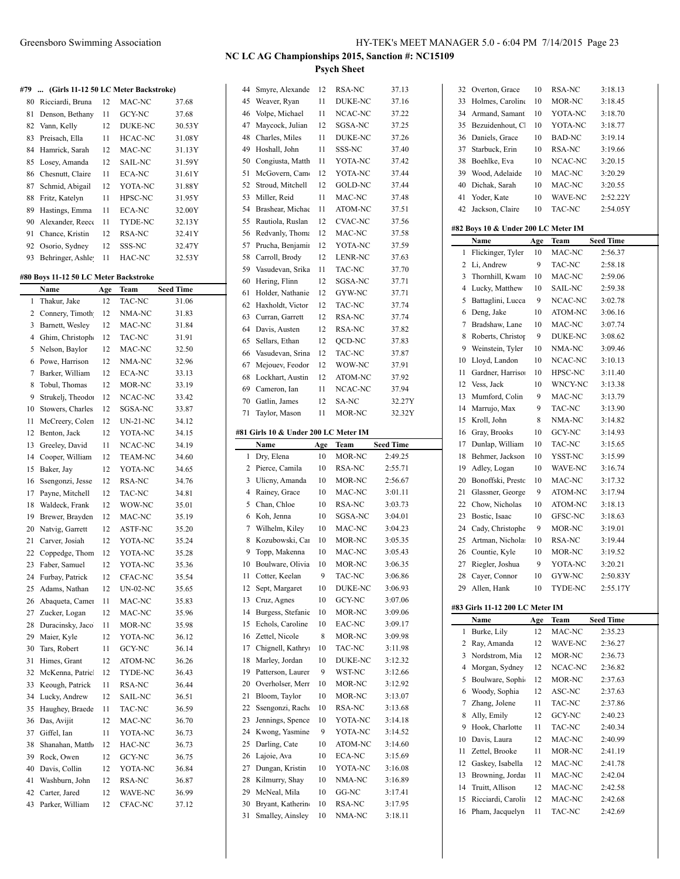#### **#79 ... (Girls 11-12 50 LC Meter Backstroke)**

|    | $\ldots$ roll is it is so fit in the measuremer |    |                |        |
|----|-------------------------------------------------|----|----------------|--------|
| 80 | Ricciardi, Bruna                                | 12 | MAC-NC         | 37.68  |
| 81 | Denson, Bethany                                 | 11 | <b>GCY-NC</b>  | 37.68  |
|    | 82 Vann, Kelly                                  | 12 | <b>DUKE-NC</b> | 30.53Y |
| 83 | Preisach, Ella                                  | 11 | <b>HCAC-NC</b> | 31.08Y |
| 84 | Hamrick, Sarah                                  | 12 | MAC-NC         | 31.13Y |
| 85 | Losey, Amanda                                   | 12 | <b>SAIL-NC</b> | 31.59Y |
| 86 | Chesnutt, Claire                                | 11 | ECA-NC         | 31.61Y |
| 87 | Schmid, Abigail                                 | 12 | YOTA-NC        | 31.88Y |
| 88 | Fritz, Katelyn                                  | 11 | HPSC-NC        | 31.95Y |
| 89 | Hastings, Emma                                  | 11 | ECA-NC         | 32.00Y |
| 90 | Alexander, Reeco                                | 11 | TYDE-NC        | 32.13Y |
| 91 | Chance, Kristin                                 | 12 | RSA-NC         | 32.41Y |
| 92 | Osorio, Sydney                                  | 12 | SSS-NC         | 32.47Y |
| 93 | Behringer, Ashle                                | 11 | HAC-NC         | 32.53Y |

#### **#80 Boys 11-12 50 LC Meter Backstroke**

| Thakur, Jake<br>TAC-NC<br>$\mathbf{1}$<br>12<br>Connery, Timoth<br>2<br>12<br>NMA-NC<br>Barnett, Wesley<br>3<br>12<br>MAC-NC<br>$\overline{4}$<br>Ghim, Christoph<br>TAC-NC<br>12<br>Nelson, Baylor<br>5<br>12<br>MAC-NC<br>6<br>Powe, Harrison<br>12<br>NMA-NC<br>$\overline{7}$<br>Barker, William<br><b>ECA-NC</b><br>12<br>8<br>Tobul, Thomas<br>MOR-NC<br>12<br>Strukelj, Theodo:<br>NCAC-NC<br>9<br>12<br>Stowers, Charles<br>SGSA-NC<br>10<br>12<br>11<br>McCreery, Colen<br>12<br><b>UN-21-NC</b><br>12<br>Benton, Jack<br>12<br>YOTA-NC<br>Greeley, David<br>NCAC-NC<br>13<br>11 | 31.06<br>31.83<br>31.84<br>31.91<br>32.50<br>32.96<br>33.13<br>33.19<br>33.42 |
|-------------------------------------------------------------------------------------------------------------------------------------------------------------------------------------------------------------------------------------------------------------------------------------------------------------------------------------------------------------------------------------------------------------------------------------------------------------------------------------------------------------------------------------------------------------------------------------------|-------------------------------------------------------------------------------|
|                                                                                                                                                                                                                                                                                                                                                                                                                                                                                                                                                                                           |                                                                               |
|                                                                                                                                                                                                                                                                                                                                                                                                                                                                                                                                                                                           |                                                                               |
|                                                                                                                                                                                                                                                                                                                                                                                                                                                                                                                                                                                           |                                                                               |
|                                                                                                                                                                                                                                                                                                                                                                                                                                                                                                                                                                                           |                                                                               |
|                                                                                                                                                                                                                                                                                                                                                                                                                                                                                                                                                                                           |                                                                               |
|                                                                                                                                                                                                                                                                                                                                                                                                                                                                                                                                                                                           |                                                                               |
|                                                                                                                                                                                                                                                                                                                                                                                                                                                                                                                                                                                           |                                                                               |
|                                                                                                                                                                                                                                                                                                                                                                                                                                                                                                                                                                                           |                                                                               |
|                                                                                                                                                                                                                                                                                                                                                                                                                                                                                                                                                                                           |                                                                               |
|                                                                                                                                                                                                                                                                                                                                                                                                                                                                                                                                                                                           | 33.87                                                                         |
|                                                                                                                                                                                                                                                                                                                                                                                                                                                                                                                                                                                           | 34.12                                                                         |
|                                                                                                                                                                                                                                                                                                                                                                                                                                                                                                                                                                                           | 34.15                                                                         |
|                                                                                                                                                                                                                                                                                                                                                                                                                                                                                                                                                                                           | 34.19                                                                         |
| 14<br>Cooper, William<br><b>TEAM-NC</b><br>12                                                                                                                                                                                                                                                                                                                                                                                                                                                                                                                                             | 34.60                                                                         |
| Baker, Jay<br>YOTA-NC<br>15<br>12                                                                                                                                                                                                                                                                                                                                                                                                                                                                                                                                                         | 34.65                                                                         |
| Ssengonzi, Jesse<br><b>RSA-NC</b><br>16<br>12                                                                                                                                                                                                                                                                                                                                                                                                                                                                                                                                             | 34.76                                                                         |
| 17<br>Payne, Mitchell<br>12<br>TAC-NC                                                                                                                                                                                                                                                                                                                                                                                                                                                                                                                                                     | 34.81                                                                         |
| 18<br>Waldeck, Frank<br>12<br>WOW-NC                                                                                                                                                                                                                                                                                                                                                                                                                                                                                                                                                      | 35.01                                                                         |
| 19<br>Brewer, Brayden<br>12<br>MAC-NC                                                                                                                                                                                                                                                                                                                                                                                                                                                                                                                                                     | 35.19                                                                         |
| Natvig, Garrett<br>20<br>12<br><b>ASTF-NC</b>                                                                                                                                                                                                                                                                                                                                                                                                                                                                                                                                             | 35.20                                                                         |
| Carver, Josiah<br>21<br>12<br>YOTA-NC                                                                                                                                                                                                                                                                                                                                                                                                                                                                                                                                                     | 35.24                                                                         |
| 22<br>Coppedge, Thom<br>12<br>YOTA-NC                                                                                                                                                                                                                                                                                                                                                                                                                                                                                                                                                     | 35.28                                                                         |
| 23<br>Faber, Samuel<br>12<br>YOTA-NC                                                                                                                                                                                                                                                                                                                                                                                                                                                                                                                                                      | 35.36                                                                         |
| 24<br>Furbay, Patrick<br>CFAC-NC<br>12                                                                                                                                                                                                                                                                                                                                                                                                                                                                                                                                                    | 35.54                                                                         |
| 25<br>Adams, Nathan<br>12<br><b>UN-02-NC</b>                                                                                                                                                                                                                                                                                                                                                                                                                                                                                                                                              | 35.65                                                                         |
| Abaqueta, Camer<br>26<br>11<br>MAC-NC                                                                                                                                                                                                                                                                                                                                                                                                                                                                                                                                                     | 35.83                                                                         |
| 27<br>Zucker, Logan<br>12<br>MAC-NC                                                                                                                                                                                                                                                                                                                                                                                                                                                                                                                                                       | 35.96                                                                         |
| Duracinsky, Jaco<br>28<br>11<br>MOR-NC                                                                                                                                                                                                                                                                                                                                                                                                                                                                                                                                                    | 35.98                                                                         |
| YOTA-NC<br>29<br>Maier, Kyle<br>12                                                                                                                                                                                                                                                                                                                                                                                                                                                                                                                                                        | 36.12                                                                         |
| 30<br>Tars, Robert<br>GCY-NC<br>11                                                                                                                                                                                                                                                                                                                                                                                                                                                                                                                                                        | 36.14                                                                         |
| 31<br>Himes, Grant<br>ATOM-NC<br>12                                                                                                                                                                                                                                                                                                                                                                                                                                                                                                                                                       | 36.26                                                                         |
| 32<br>McKenna, Patric<br>TYDE-NC<br>12                                                                                                                                                                                                                                                                                                                                                                                                                                                                                                                                                    | 36.43                                                                         |
| Keough, Patrick<br>33<br>11<br>RSA-NC                                                                                                                                                                                                                                                                                                                                                                                                                                                                                                                                                     | 36.44                                                                         |
| 34<br>Lucky, Andrew<br><b>SAIL-NC</b><br>12                                                                                                                                                                                                                                                                                                                                                                                                                                                                                                                                               | 36.51                                                                         |
| 35<br>Haughey, Braede<br>TAC-NC<br>11                                                                                                                                                                                                                                                                                                                                                                                                                                                                                                                                                     | 36.59                                                                         |
| Das, Avijit<br>MAC-NC<br>36<br>12                                                                                                                                                                                                                                                                                                                                                                                                                                                                                                                                                         | 36.70                                                                         |
| Giffel, Ian<br>37<br>11<br>YOTA-NC                                                                                                                                                                                                                                                                                                                                                                                                                                                                                                                                                        | 36.73                                                                         |
| 38<br>Shanahan, Matth<br>HAC-NC<br>12                                                                                                                                                                                                                                                                                                                                                                                                                                                                                                                                                     | 36.73                                                                         |
| 39<br>Rock, Owen<br>12<br><b>GCY-NC</b>                                                                                                                                                                                                                                                                                                                                                                                                                                                                                                                                                   | 36.75                                                                         |
| Davis, Collin<br>YOTA-NC<br>40<br>12                                                                                                                                                                                                                                                                                                                                                                                                                                                                                                                                                      | 36.84                                                                         |
| RSA-NC<br>41<br>Washburn, John<br>12                                                                                                                                                                                                                                                                                                                                                                                                                                                                                                                                                      | 36.87                                                                         |
| 42<br>Carter, Jared<br>12<br><b>WAVE-NC</b>                                                                                                                                                                                                                                                                                                                                                                                                                                                                                                                                               | 36.99                                                                         |
| 43<br>Parker, William<br>CFAC-NC<br>12                                                                                                                                                                                                                                                                                                                                                                                                                                                                                                                                                    | 37.12                                                                         |

|  | NC LC AG Championships 2015, Sanction #: NC15109 | <b>Psych Sheet</b> |       |    |
|--|--------------------------------------------------|--------------------|-------|----|
|  | 44 Smyre, Alexande 12 RSA-NC                     |                    | 37.13 | 31 |
|  | 45 Weaver, Ryan                                  | 11 DUKE-NC         | 37.16 |    |

| 45 | Weaver, Ryan                         | 11  | DUKE-NC        | 37.16            |
|----|--------------------------------------|-----|----------------|------------------|
| 46 | Volpe, Michael                       | 11  | NCAC-NC        | 37.22            |
| 47 | Maycock, Julian                      | 12  | SGSA-NC        | 37.25            |
| 48 | Charles, Miles                       | 11  | DUKE-NC        | 37.26            |
| 49 | Hoshall, John                        | 11  | SSS-NC         | 37.40            |
| 50 | Congiusta, Matth                     | 11  | YOTA-NC        | 37.42            |
| 51 | McGovern, Camo                       | 12  | YOTA-NC        | 37.44            |
| 52 | Stroud, Mitchell                     | 12  | <b>GOLD-NC</b> | 37.44            |
| 53 | Miller, Reid                         | 11  | MAC-NC         | 37.48            |
| 54 | Brashear, Michae                     | 11  | ATOM-NC        | 37.51            |
| 55 | Rautiola, Ruslan                     | 12  | <b>CVAC-NC</b> | 37.56            |
| 56 | Redvanly, Thoma                      | 12  | MAC-NC         | 37.58            |
|    |                                      | 12  | YOTA-NC        |                  |
| 57 | Prucha, Benjamii                     |     |                | 37.59            |
| 58 | Carroll, Brody                       | 12  | LENR-NC        | 37.63            |
| 59 | Vasudevan, Srika                     | 11  | TAC-NC         | 37.70            |
| 60 | Hering, Flinn                        | 12  | SGSA-NC        | 37.71            |
| 61 | Holder, Nathanie                     | 12  | GYW-NC         | 37.71            |
| 62 | Haxholdt, Victor                     | 12  | TAC-NC         | 37.74            |
| 63 | Curran, Garrett                      | 12  | <b>RSA-NC</b>  | 37.74            |
| 64 | Davis, Austen                        | 12  | RSA-NC         | 37.82            |
| 65 | Sellars, Ethan                       | 12  | QCD-NC         | 37.83            |
| 66 | Vasudevan, Srina                     | 12  | TAC-NC         | 37.87            |
| 67 | Mejouev, Feodor                      | 12  | WOW-NC         | 37.91            |
| 68 | Lockhart, Austin                     | 12  | ATOM-NC        | 37.92            |
| 69 | Cameron, Ian                         | 11  | NCAC-NC        | 37.94            |
| 70 | Gatlin, James                        | 12  | SA-NC          | 32.27Y           |
| 71 | Taylor, Mason                        | 11  | MOR-NC         | 32.32Y           |
|    |                                      |     |                |                  |
|    | #81 Girls 10 & Under 200 LC Meter IM |     |                |                  |
|    | Name                                 | Age | Team           | <b>Seed Time</b> |
| 1  | Dry, Elena                           | 10  | MOR-NC         | 2:49.25          |
|    |                                      |     |                |                  |
| 2  | Pierce, Camila                       | 10  | RSA-NC         | 2:55.71          |
| 3  | Ulicny, Amanda                       | 10  | MOR-NC         | 2:56.67          |
| 4  | Rainey, Grace                        | 10  | MAC-NC         | 3:01.11          |
| 5  | Chan, Chloe                          | 10  | RSA-NC         | 3:03.73          |
| 6  | Koh, Jenna                           | 10  | SGSA-NC        | 3:04.01          |
| 7  | Wilhelm, Kiley                       | 10  | MAC-NC         | 3:04.23          |
| 8  | Kozubowski, Car                      | 10  | MOR-NC         | 3:05.35          |
| 9  |                                      | 10  |                | 3:05.43          |
|    | Topp, Makenna                        |     | MAC-NC         |                  |
| 10 | Boulware, Olivia                     | 10  | MOR-NC         | 3:06.35          |
| 11 | Cotter, Keelan                       | 9   | TAC-NC         | 3:06.86          |
| 12 | Sept, Margaret                       | 10  | <b>DUKE-NC</b> | 3:06.93          |
| 13 | Cruz, Agnes                          | 10  | <b>GCY-NC</b>  | 3:07.06          |
| 14 | Burgess, Stefanie                    | 10  | MOR-NC         | 3:09.06          |
| 15 | Echols, Caroline                     | 10  | EAC-NC         | 3:09.17          |
| 16 | Zettel, Nicole                       | 8   | MOR-NC         | 3:09.98          |
| 17 | Chignell, Kathryi                    | 10  | TAC-NC         | 3:11.98          |
| 18 | Marley, Jordan                       | 10  | DUKE-NC        | 3:12.32          |
| 19 | Patterson, Laurer                    | 9   | WST-NC         | 3:12.66          |
| 20 | Overholser, Merr                     | 10  | MOR-NC         | 3:12.92          |
| 21 | Bloom, Taylor                        | 10  | MOR-NC         | 3:13.07          |
| 22 | Ssengonzi, Rache                     | 10  | RSA-NC         | 3:13.68          |
| 23 | Jennings, Spence                     | 10  | YOTA-NC        | 3:14.18          |
| 24 | Kwong, Yasmine                       | 9   | YOTA-NC        | 3:14.52          |
| 25 | Darling, Cate                        | 10  | ATOM-NC        | 3:14.60          |
| 26 | Lajoie, Ava                          | 10  | ECA-NC         | 3:15.69          |
| 27 | Dungan, Kristin                      | 10  | YOTA-NC        | 3:16.08          |
| 28 | Kilmurry, Shay                       | 10  | NMA-NC         | 3:16.89          |
| 29 | McNeal, Mila                         | 10  | GG-NC          | 3:17.41          |
| 30 | Bryant, Katherin                     | 10  | RSA-NC         | 3:17.95          |
| 31 | Smalley, Ainsley                     | 10  | NMA-NC         | 3:18.11          |

| 32 | Overton, Grace                      | 10  | RSA-NC         | 3:18.13          |
|----|-------------------------------------|-----|----------------|------------------|
| 33 | Holmes, Caroline                    | 10  | MOR-NC         | 3:18.45          |
| 34 | Armand, Samant                      | 10  | YOTA-NC        | 3:18.70          |
| 35 | Bezuidenhout, Cl                    | 10  | YOTA-NC        | 3:18.77          |
| 36 | Daniels, Grace                      | 10  | <b>BAD-NC</b>  | 3:19.14          |
| 37 | Starbuck, Erin                      | 10  | RSA-NC         | 3:19.66          |
| 38 | Boehlke, Eva                        | 10  | NCAC-NC        | 3:20.15          |
| 39 | Wood, Adelaide                      | 10  | MAC-NC         | 3:20.29          |
| 40 | Dichak, Sarah                       | 10  | MAC-NC         | 3:20.55          |
| 41 | Yoder, Kate                         | 10  | WAVE-NC        | 2:52.22Y         |
| 42 | Jackson, Claire                     | 10  | <b>TAC-NC</b>  | 2:54.05Y         |
|    |                                     |     |                |                  |
|    | #82 Boys 10 & Under 200 LC Meter IM |     |                |                  |
|    | <b>Name</b>                         | Age | Team           | <b>Seed Time</b> |
| 1  | Flickinger, Tyler                   | 10  | MAC-NC         | 2:56.37          |
| 2  | Li, Andrew                          | 9   | TAC-NC         | 2:58.18          |
| 3  | Thornhill, Kwam                     | 10  | MAC-NC         | 2:59.06          |
| 4  | Lucky, Matthew                      | 10  | <b>SAIL-NC</b> | 2:59.38          |
| 5  | Battaglini, Lucca                   | 9   | NCAC-NC        | 3:02.78          |
| 6  | Deng, Jake                          | 10  | ATOM-NC        | 3:06.16          |
| 7  | Bradshaw, Lane                      | 10  | MAC-NC         | 3:07.74          |
| 8  | Roberts, Christop                   | 9   | <b>DUKE-NC</b> | 3:08.62          |
| 9  | Weinstein, Tyler                    | 10  | NMA-NC         | 3:09.46          |
| 10 | Lloyd, Landon                       | 10  | NCAC-NC        | 3:10.13          |
| 11 | Gardner, Harriso                    | 10  | HPSC-NC        | 3:11.40          |
| 12 |                                     | 10  | WNCY-NC        |                  |
|    | Vess, Jack                          |     |                | 3:13.38          |
| 13 | Mumford, Colin                      | 9   | MAC-NC         | 3:13.79          |
| 14 | Marrujo, Max                        | 9   | TAC-NC         | 3:13.90          |
| 15 | Kroll, John                         | 8   | NMA-NC         | 3:14.82          |
| 16 | Gray, Brooks                        | 10  | GCY-NC         | 3:14.93          |
| 17 | Dunlap, William                     | 10  | TAC-NC         | 3:15.65          |
| 18 | Behmer, Jackson                     | 10  | YSST-NC        | 3:15.99          |
| 19 | Adley, Logan                        | 10  | WAVE-NC        | 3:16.74          |
| 20 | Bonoffski, Prestc                   | 10  | MAC-NC         | 3:17.32          |
|    |                                     |     | ATOM-NC        | 3:17.94          |
| 21 | Glassner, George                    | 9   |                |                  |
| 22 | Chow, Nicholas                      | 10  | ATOM-NC        | 3:18.13          |
| 23 | Bostic, Isaac                       | 10  | GFSC-NC        | 3:18.63          |
| 24 | Cady, Christophe                    | 9   | MOR-NC         | 3:19.01          |
| 25 | Artman, Nichola:                    | 10  | RSA-NC         | 3:19.44          |
| 26 | Countie, Kyle                       | 10  | MOR-NC         | 3:19.52          |
| 27 | Riegler, Joshua                     | 9   | YOTA-NC        | 3:20.21          |
| 28 | Cayer, Connor                       | 10  | GYW-NC         | 2:50.83Y         |
| 29 | Allen, Hank                         | 10  | TYDE-NC        | 2:55.17Y         |
|    |                                     |     |                |                  |
|    | #83 Girls 11-12 200 LC Meter IM     |     |                |                  |
|    | Name                                | Age | Team           | <b>Seed Time</b> |
| 1  | Burke, Lily                         | 12  | MAC-NC         | 2:35.23          |
| 2  | Ray, Amanda                         | 12  | WAVE-NC        | 2:36.27          |
| 3  | Nordstrom, Mia                      | 12  | MOR-NC         | 2:36.73          |
| 4  | Morgan, Sydney                      | 12  | NCAC-NC        | 2:36.82          |
| 5  | Boulware, Sophi-                    | 12  | MOR-NC         | 2:37.63          |
| 6  | Woody, Sophia                       | 12  | ASC-NC         | 2:37.63          |
| 7  | Zhang, Jolene                       | 11  | TAC-NC         | 2:37.86          |
| 8  | Ally, Emily                         | 12  | GCY-NC         | 2:40.23          |
| 9  | Hook, Charlotte                     | 11  | TAC-NC         | 2:40.34          |
| 10 | Davis, Laura                        | 12  | MAC-NC         | 2:40.99          |
| 11 | Zettel, Brooke                      | 11  | MOR-NC         | 2:41.19          |
| 12 | Gaskey, Isabella                    | 12  | MAC-NC         | 2:41.78          |
| 13 | Browning, Jordan                    | 11  | MAC-NC         | 2:42.04          |
| 14 | Truitt, Allison                     | 12  | MAC-NC         | 2:42.58          |

Pham, Jacquelyn 11 TAC-NC 2:42.69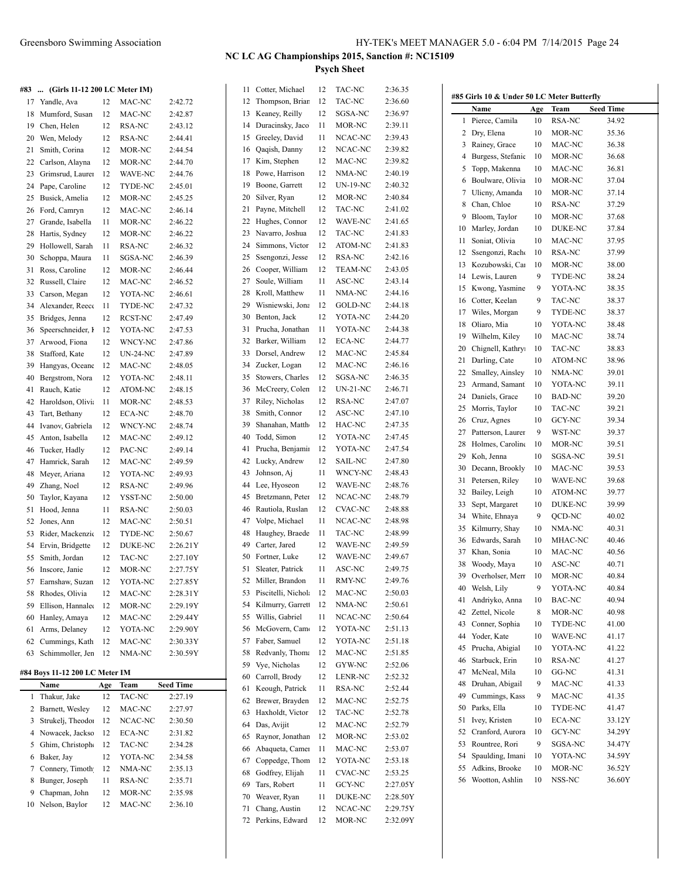**#83 ... (Girls 11-12 200 LC Meter IM)**

| 17 | Yandle, Ava       | 12            | MAC-NC          | 2:42.72  |
|----|-------------------|---------------|-----------------|----------|
| 18 | Mumford, Susan    | 12            | MAC-NC          | 2:42.87  |
| 19 | Chen, Helen       | 12            | RSA-NC          | 2:43.12  |
| 20 | Wen, Melody       | 12            | <b>RSA-NC</b>   | 2:44.41  |
| 21 | Smith, Corina     | 12            | MOR-NC          | 2:44.54  |
| 22 | Carlson, Alayna   | 12            | MOR-NC          | 2:44.70  |
| 23 | Grimsrud, Laurer  | 12            | <b>WAVE-NC</b>  | 2:44.76  |
| 24 | Pape, Caroline    | 12            | TYDE-NC         | 2:45.01  |
| 25 | Busick, Amelia    | 12            | MOR-NC          | 2:45.25  |
| 26 | Ford, Camryn      | 12            | MAC-NC          | 2:46.14  |
| 27 | Grande, Isabella  | 11            | MOR-NC          | 2:46.22  |
| 28 | Hartis, Sydney    | 12            | MOR-NC          | 2:46.22  |
| 29 | Hollowell, Sarah  | 11            | RSA-NC          | 2:46.32  |
| 30 | Schoppa, Maura    | 11            | SGSA-NC         | 2:46.39  |
| 31 | Ross, Caroline    | 12            | MOR-NC          | 2:46.44  |
| 32 | Russell, Claire   | 12            | MAC-NC          | 2:46.52  |
| 33 | Carson, Megan     | 12            | YOTA-NC         | 2:46.61  |
| 34 | Alexander, Reece  | 11            | TYDE-NC         | 2:47.32  |
| 35 | Bridges, Jenna    | 12            | RCST-NC         | 2:47.49  |
| 36 | Speerschneider, I | 12            | YOTA-NC         | 2:47.53  |
| 37 | Arwood, Fiona     | $12 \text{ }$ | WNCY-NC         | 2:47.86  |
| 38 | Stafford, Kate    | 12            | <b>UN-24-NC</b> | 2:47.89  |
| 39 | Hangyas, Oceane   | 12            | MAC-NC          | 2:48.05  |
| 40 | Bergstrom, Nora   | 12            | YOTA-NC         | 2:48.11  |
| 41 | Rauch, Katie      | 12            | ATOM-NC         | 2:48.15  |
| 42 | Haroldson, Olivi  | 11            | MOR-NC          | 2:48.53  |
| 43 | Tart, Bethany     | 12            | <b>ECA-NC</b>   | 2:48.70  |
| 44 | Ivanov, Gabriela  | $12 \text{ }$ | WNCY-NC         | 2:48.74  |
| 45 | Anton, Isabella   | 12            | MAC-NC          | 2:49.12  |
| 46 | Tucker, Hadly     | 12            | PAC-NC          | 2:49.14  |
| 47 | Hamrick, Sarah    | 12            | MAC-NC          | 2:49.59  |
| 48 | Meyer, Ariana     | 12            | YOTA-NC         | 2:49.93  |
| 49 | Zhang, Noel       | 12            | RSA-NC          | 2:49.96  |
| 50 | Taylor, Kayana    | 12            | YSST-NC         | 2:50.00  |
| 51 | Hood, Jenna       | 11            | RSA-NC          | 2:50.03  |
| 52 | Jones, Ann        | 12            | MAC-NC          | 2:50.51  |
| 53 | Rider, Mackenzio  | 12            | TYDE-NC         | 2:50.67  |
| 54 | Ervin, Bridgette  | 12            | <b>DUKE-NC</b>  | 2:26.21Y |
| 55 | Smith, Jordan     | 12            | TAC-NC          | 2:27.10Y |
| 56 | Inscore, Janie    | 12            | MOR-NC          | 2:27.75Y |
| 57 | Earnshaw, Suzan   | 12            | YOTA-NC         | 2:27.85Y |
| 58 | Rhodes, Olivia    | 12            | MAC-NC          | 2:28.31Y |
| 59 | Ellison, Hannale  | 12            | MOR-NC          | 2:29.19Y |
| 60 | Hanley, Amaya     | 12            | MAC-NC          | 2:29.44Y |
| 61 | Arms, Delaney     | 12            | YOTA-NC         | 2:29.90Y |
| 62 | Cummings, Kath    | 12            | MAC-NC          | 2:30.33Y |
| 63 | Schimmoller, Jen  | 12            | NMA-NC          | 2:30.59Y |
|    |                   |               |                 |          |

### **#84 Boys 11-12 200 LC Meter IM**

| Name              | Age                                | <b>Team</b> | <b>Seed Time</b> |
|-------------------|------------------------------------|-------------|------------------|
| Thakur, Jake      | 12                                 | TAC-NC      | 2:27.19          |
|                   | 12                                 | MAC-NC      | 2:27.97          |
| Strukelj, Theodo! | 12                                 | NCAC-NC     | 2:30.50          |
|                   | 12                                 | ECA-NC      | 2:31.82          |
| Ghim, Christoph   | 12                                 | TAC-NC      | 2:34.28          |
| Baker, Jay        | 12                                 | YOTA-NC     | 2:34.58          |
| Connery, Timoth   | 12                                 | NMA-NC      | 2:35.13          |
| Bunger, Joseph    | 11                                 | RSA-NC      | 2:35.71          |
| Chapman, John     | 12                                 | MOR-NC      | 2:35.98          |
| Nelson, Baylor    | 12                                 | MAC-NC      | 2:36.10          |
|                   | Barnett, Wesley<br>Nowacek, Jackso |             |                  |

 $\ddot{\phantom{a}}$ 

| 11 | Cotter, Michael                   | 12 | <b>TAC-NC</b>   | 2:36.35  |
|----|-----------------------------------|----|-----------------|----------|
| 12 | Thompson, Brian                   | 12 | TAC-NC          | 2:36.60  |
| 13 | Keaney, Reilly                    | 12 | SGSA-NC         | 2:36.97  |
| 14 | Duracinsky, Jaco                  | 11 | MOR-NC          | 2:39.11  |
| 15 | Greeley, David                    | 11 | NCAC-NC         | 2:39.43  |
| 16 | Qaqish, Danny                     | 12 | NCAC-NC         | 2:39.82  |
| 17 | Kim, Stephen                      | 12 | MAC-NC          | 2:39.82  |
| 18 | Powe, Harrison                    | 12 | NMA-NC          | 2:40.19  |
| 19 | Boone, Garrett                    | 12 | <b>UN-19-NC</b> | 2:40.32  |
| 20 | Silver, Ryan                      | 12 | MOR-NC          | 2:40.84  |
| 21 | Payne, Mitchell                   | 12 | TAC-NC          | 2:41.02  |
| 22 |                                   | 12 | WAVE-NC         | 2:41.65  |
| 23 | Hughes, Connor<br>Navarro, Joshua | 12 |                 |          |
|    |                                   |    | TAC-NC          | 2:41.83  |
| 24 | Simmons, Victor                   | 12 | ATOM-NC         | 2:41.83  |
| 25 | Ssengonzi, Jesse                  | 12 | RSA-NC          | 2:42.16  |
| 26 | Cooper, William                   | 12 | <b>TEAM-NC</b>  | 2:43.05  |
| 27 | Soule, William                    | 11 | ASC-NC          | 2:43.14  |
| 28 | Kroll, Matthew                    | 11 | NMA-NC          | 2:44.16  |
| 29 | Wisniewski, Jona                  | 12 | <b>GOLD-NC</b>  | 2:44.18  |
| 30 | Benton, Jack                      | 12 | YOTA-NC         | 2:44.20  |
| 31 | Prucha, Jonathan                  | 11 | YOTA-NC         | 2:44.38  |
| 32 | Barker, William                   | 12 | <b>ECA-NC</b>   | 2:44.77  |
| 33 | Dorsel, Andrew                    | 12 | MAC-NC          | 2:45.84  |
| 34 | Zucker, Logan                     | 12 | MAC-NC          | 2:46.16  |
| 35 | Stowers, Charles                  | 12 | SGSA-NC         | 2:46.35  |
| 36 | McCreery, Colen                   | 12 | UN-21-NC        | 2:46.71  |
| 37 | Riley, Nicholas                   | 12 | RSA-NC          | 2:47.07  |
| 38 | Smith, Connor                     | 12 | ASC-NC          | 2:47.10  |
| 39 | Shanahan, Matth                   | 12 | HAC-NC          | 2:47.35  |
| 40 | Todd, Simon                       | 12 | YOTA-NC         | 2:47.45  |
| 41 | Prucha, Benjamir                  | 12 | YOTA-NC         | 2:47.54  |
| 42 | Lucky, Andrew                     | 12 | <b>SAIL-NC</b>  | 2:47.80  |
| 43 | Johnson, Aj                       | 11 | WNCY-NC         | 2:48.43  |
| 44 | Lee, Hyoseon                      | 12 | WAVE-NC         | 2:48.76  |
| 45 | Bretzmann, Peter                  | 12 | NCAC-NC         | 2:48.79  |
| 46 | Rautiola, Ruslan                  | 12 | CVAC-NC         | 2:48.88  |
| 47 | Volpe, Michael                    | 11 | NCAC-NC         | 2:48.98  |
| 48 | Haughey, Braede                   | 11 | TAC-NC          | 2:48.99  |
| 49 | Carter, Jared                     | 12 | <b>WAVE-NC</b>  | 2:49.59  |
| 50 |                                   | 12 | WAVE-NC         | 2:49.67  |
| 51 | Fortner, Luke                     | 11 | ASC-NC          | 2:49.75  |
|    | Sleater, Patrick                  |    |                 |          |
| 52 | Miller, Brandon                   | 11 | RMY-NC          | 2:49.76  |
| 53 | Piscitelli, Nichola               | 12 | MAC-NC          | 2:50.03  |
| 54 | Kilmurry, Garrett                 | 12 | NMA-NC          | 2:50.61  |
| 55 | Willis, Gabriel                   | 11 | NCAC-NC         | 2:50.64  |
| 56 | McGovern, Came                    | 12 | YOTA-NC         | 2:51.13  |
| 57 | Faber, Samuel                     | 12 | YOTA-NC         | 2:51.18  |
| 58 | Redvanly, Thoma                   | 12 | MAC-NC          | 2:51.85  |
| 59 | Vye, Nicholas                     | 12 | GYW-NC          | 2:52.06  |
| 60 | Carroll, Brody                    | 12 | <b>LENR-NC</b>  | 2:52.32  |
| 61 | Keough, Patrick                   | 11 | RSA-NC          | 2:52.44  |
| 62 | Brewer, Brayden                   | 12 | MAC-NC          | 2:52.75  |
| 63 | Haxholdt, Victor                  | 12 | TAC-NC          | 2:52.78  |
| 64 | Das, Avijit                       | 12 | MAC-NC          | 2:52.79  |
| 65 | Raynor, Jonathan                  | 12 | MOR-NC          | 2:53.02  |
| 66 | Abaqueta, Camer                   | 11 | MAC-NC          | 2:53.07  |
| 67 | Coppedge, Thom                    | 12 | YOTA-NC         | 2:53.18  |
| 68 | Godfrey, Elijah                   | 11 | <b>CVAC-NC</b>  | 2:53.25  |
| 69 | Tars, Robert                      | 11 | GCY-NC          | 2:27.05Y |
| 70 | Weaver, Ryan                      | 11 | DUKE-NC         | 2:28.50Y |
| 71 | Chang, Austin                     | 12 | NCAC-NC         | 2:29.75Y |
| 72 | Perkins, Edward                   | 12 | MOR-NC          | 2:32.09Y |

| #85 Girls 10 & Under 50 LC Meter Butterfly |                   |     |                  |                  |  |  |  |
|--------------------------------------------|-------------------|-----|------------------|------------------|--|--|--|
|                                            | Name              | Age | Team             | <b>Seed Time</b> |  |  |  |
| 1                                          | Pierce, Camila    | 10  | RSA-NC           | 34.92            |  |  |  |
| 2                                          | Dry, Elena        | 10  | MOR-NC           | 35.36            |  |  |  |
| 3                                          | Rainey, Grace     | 10  | MAC-NC           | 36.38            |  |  |  |
| 4                                          | Burgess, Stefanie | 10  | MOR-NC           | 36.68            |  |  |  |
| 5                                          | Topp, Makenna     | 10  | MAC-NC           | 36.81            |  |  |  |
| 6                                          | Boulware, Olivia  | 10  | MOR-NC           | 37.04            |  |  |  |
| 7                                          | Ulicny, Amanda    | 10  | MOR-NC           | 37.14            |  |  |  |
| 8                                          | Chan, Chloe       | 10  | RSA-NC           | 37.29            |  |  |  |
| 9                                          | Bloom, Taylor     | 10  | MOR-NC           | 37.68            |  |  |  |
| 10                                         | Marley, Jordan    | 10  | DUKE-NC          | 37.84            |  |  |  |
| 11                                         | Soniat, Olivia    | 10  | MAC-NC           | 37.95            |  |  |  |
| 12                                         | Ssengonzi, Racho  | 10  | RSA-NC           | 37.99            |  |  |  |
| 13                                         | Kozubowski, Car   | 10  | MOR-NC           | 38.00            |  |  |  |
|                                            |                   |     |                  |                  |  |  |  |
| 14                                         | Lewis, Lauren     | 9   | TYDE-NC          | 38.24            |  |  |  |
| 15                                         | Kwong, Yasmine    | 9   | YOTA-NC          | 38.35            |  |  |  |
| 16                                         | Cotter, Keelan    | 9   | TAC-NC           | 38.37            |  |  |  |
| 17                                         | Wiles, Morgan     | 9   | TYDE-NC          | 38.37            |  |  |  |
| 18                                         | Oliaro, Mia       | 10  | YOTA-NC          | 38.48            |  |  |  |
| 19                                         | Wilhelm, Kiley    | 10  | MAC-NC           | 38.74            |  |  |  |
| 20                                         | Chignell, Kathry  | 10  | TAC-NC           | 38.83            |  |  |  |
| 21                                         | Darling, Cate     | 10  | ATOM-NC          | 38.96            |  |  |  |
| 22                                         | Smalley, Ainsley  | 10  | NMA-NC           | 39.01            |  |  |  |
| 23                                         | Armand, Samant    | 10  | YOTA-NC          | 39.11            |  |  |  |
| 24                                         | Daniels, Grace    | 10  | BAD-NC           | 39.20            |  |  |  |
| 25                                         | Morris, Taylor    | 10  | TAC-NC           | 39.21            |  |  |  |
| 26                                         | Cruz, Agnes       | 10  | GCY-NC           | 39.34            |  |  |  |
| 27                                         | Patterson, Laurer | 9   | WST-NC           | 39.37            |  |  |  |
| 28                                         | Holmes, Caroline  | 10  | MOR-NC           | 39.51            |  |  |  |
| 29                                         | Koh, Jenna        | 10  | SGSA-NC          | 39.51            |  |  |  |
| 30                                         | Decann, Brookly   | 10  | MAC-NC           | 39.53            |  |  |  |
| 31                                         | Petersen, Riley   | 10  | WAVE-NC          | 39.68            |  |  |  |
| 32                                         | Bailey, Leigh     | 10  | ATOM-NC          | 39.77            |  |  |  |
| 33                                         | Sept, Margaret    | 10  | DUKE-NC          | 39.99            |  |  |  |
| 34                                         | White, Ehnaya     | 9   | QCD-NC           | 40.02            |  |  |  |
| 35                                         | Kilmurry, Shay    | 10  | NMA-NC           | 40.31            |  |  |  |
| 36                                         | Edwards, Sarah    | 10  | MHAC-NC          | 40.46            |  |  |  |
| 37                                         | Khan, Sonia       | 10  | MAC-NC           | 40.56            |  |  |  |
| 38                                         | Woody, Maya       | 10  | ASC-NC           | 40.71            |  |  |  |
| 39                                         | Overholser, Merr  | 10  | MOR-NC           | 40.84            |  |  |  |
| 40                                         |                   | 9   | YOTA-NC          | 40.84            |  |  |  |
|                                            | Welsh, Lily       |     |                  |                  |  |  |  |
| 41<br>42                                   | Andriyko, Anna    | 10  | BAC-NC<br>MOR-NC | 40.94            |  |  |  |
|                                            | Zettel, Nicole    | 8   |                  | 40.98            |  |  |  |
| 43                                         | Conner, Sophia    | 10  | TYDE-NC          | 41.00            |  |  |  |
| 44                                         | Yoder, Kate       | 10  | WAVE-NC          | 41.17            |  |  |  |
| 45                                         | Prucha, Abigial   | 10  | YOTA-NC          | 41.22            |  |  |  |
| 46                                         | Starbuck, Erin    | 10  | RSA-NC           | 41.27            |  |  |  |
| 47                                         | McNeal, Mila      | 10  | GG-NC            | 41.31            |  |  |  |
| 48                                         | Druhan, Abigail   | 9   | MAC-NC           | 41.33            |  |  |  |
| 49                                         | Cummings, Kass    | 9   | MAC-NC           | 41.35            |  |  |  |
| 50                                         | Parks, Ella       | 10  | TYDE-NC          | 41.47            |  |  |  |
| 51                                         | Ivey, Kristen     | 10  | <b>ECA-NC</b>    | 33.12Y           |  |  |  |
| 52                                         | Cranford, Aurora  | 10  | GCY-NC           | 34.29Y           |  |  |  |
| 53                                         | Rountree, Rori    | 9   | SGSA-NC          | 34.47Y           |  |  |  |
| 54                                         | Spaulding, Imani  | 10  | YOTA-NC          | 34.59Y           |  |  |  |
| 55                                         | Adkins, Brooke    | 10  | MOR-NC           | 36.52Y           |  |  |  |
| 56                                         | Wootton, Ashlin   | 10  | NSS-NC           | 36.60Y           |  |  |  |
|                                            |                   |     |                  |                  |  |  |  |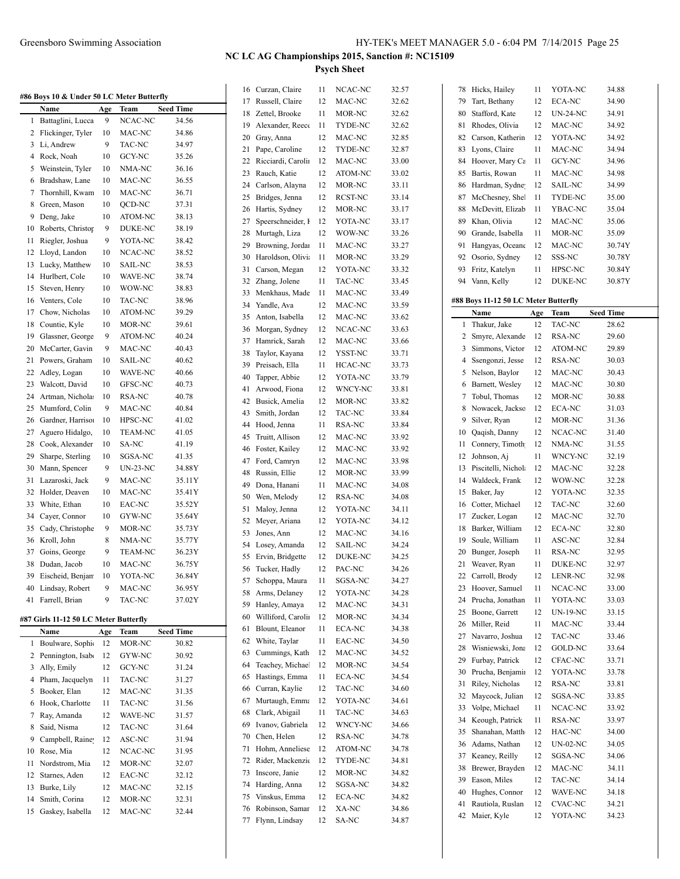|              |                                           |     |                |                  |    | 16 Curzan, Claire  | 11 | NCAC-NC | 32.57 |
|--------------|-------------------------------------------|-----|----------------|------------------|----|--------------------|----|---------|-------|
|              | #86 Boys 10 & Under 50 LC Meter Butterfly |     |                |                  | 17 | Russell, Claire    | 12 | MAC-NC  | 32.62 |
|              | Name                                      | Age | Team           | <b>Seed Time</b> | 18 | Zettel, Brooke     | 11 | MOR-NC  | 32.62 |
| $\mathbf{1}$ | Battaglini, Lucca                         | 9   | NCAC-NC        | 34.56            | 19 | Alexander, Reece   | 11 | TYDE-NC | 32.62 |
| 2            | Flickinger, Tyler                         | 10  | MAC-NC         | 34.86            | 20 | Gray, Anna         | 12 | MAC-NC  | 32.85 |
|              | 3 Li, Andrew                              | 9   | TAC-NC         | 34.97            | 21 | Pape, Caroline     | 12 | TYDE-NC | 32.87 |
| 4            | Rock, Noah                                | 10  | GCY-NC         | 35.26            | 22 | Ricciardi, Carolin | 12 | MAC-NC  | 33.00 |
| 5            | Weinstein, Tyler                          | 10  | NMA-NC         | 36.16            | 23 | Rauch, Katie       | 12 | ATOM-NC | 33.02 |
| 6            | Bradshaw, Lane                            | 10  | MAC-NC         | 36.55            | 24 | Carlson, Alayna    | 12 | MOR-NC  | 33.11 |
| 7            | Thornhill, Kwam                           | 10  | MAC-NC         | 36.71            | 25 | Bridges, Jenna     | 12 | RCST-NC | 33.14 |
| 8            | Green, Mason                              | 10  | QCD-NC         | 37.31            | 26 | Hartis, Sydney     | 12 | MOR-NC  | 33.17 |
| 9            | Deng, Jake                                | 10  | ATOM-NC        | 38.13            | 27 | Speerschneider, I  | 12 | YOTA-NC | 33.17 |
| 10           | Roberts, Christop                         | 9   | DUKE-NC        | 38.19            | 28 | Murtagh, Liza      | 12 | WOW-NC  | 33.26 |
| 11           | Riegler, Joshua                           | 9   | YOTA-NC        | 38.42            |    |                    |    |         |       |
| 12           | Lloyd, Landon                             | 10  | NCAC-NC        | 38.52            | 29 | Browning, Jordan   | 11 | MAC-NC  | 33.27 |
| 13           | Lucky, Matthew                            | 10  | SAIL-NC        | 38.53            | 30 | Haroldson, Olivia  | 11 | MOR-NC  | 33.29 |
| 14           | Hurlbert, Cole                            | 10  | WAVE-NC        | 38.74            | 31 | Carson, Megan      | 12 | YOTA-NC | 33.32 |
| 15           | Steven, Henry                             | 10  | WOW-NC         | 38.83            | 32 | Zhang, Jolene      | 11 | TAC-NC  | 33.45 |
| 16           | Venters, Cole                             | 10  | TAC-NC         |                  | 33 | Menkhaus, Made     | 11 | MAC-NC  | 33.49 |
|              |                                           |     |                | 38.96            | 34 | Yandle, Ava        | 12 | MAC-NC  | 33.59 |
| 17           | Chow, Nicholas                            | 10  | ATOM-NC        | 39.29            | 35 | Anton, Isabella    | 12 | MAC-NC  | 33.62 |
| 18           | Countie, Kyle                             | 10  | MOR-NC         | 39.61            | 36 | Morgan, Sydney     | 12 | NCAC-NC | 33.63 |
| 19           | Glassner, George                          | 9   | ATOM-NC        | 40.24            | 37 | Hamrick, Sarah     | 12 | MAC-NC  | 33.66 |
| 20           | McCarter, Gavin                           | 9   | MAC-NC         | 40.43            | 38 | Taylor, Kayana     | 12 | YSST-NC | 33.71 |
| 21           | Powers, Graham                            | 10  | SAIL-NC        | 40.62            | 39 | Preisach, Ella     | 11 | HCAC-NC | 33.73 |
| 22           | Adley, Logan                              | 10  | WAVE-NC        | 40.66            | 40 | Tapper, Abbie      | 12 | YOTA-NC | 33.79 |
| 23           | Walcott, David                            | 10  | GFSC-NC        | 40.73            | 41 | Arwood, Fiona      | 12 | WNCY-NC | 33.81 |
| 24           | Artman, Nichola:                          | 10  | RSA-NC         | 40.78            | 42 | Busick, Amelia     | 12 | MOR-NC  | 33.82 |
| 25           | Mumford, Colin                            | 9   | MAC-NC         | 40.84            | 43 | Smith, Jordan      | 12 |         |       |
| 26           | Gardner, Harriso                          | 10  | HPSC-NC        | 41.02            |    |                    |    | TAC-NC  | 33.84 |
| 27           | Aguero Hidalgo,                           | 10  | TEAM-NC        | 41.05            | 44 | Hood, Jenna        | 11 | RSA-NC  | 33.84 |
| 28           | Cook, Alexander                           | 10  | SA-NC          | 41.19            | 45 | Truitt, Allison    | 12 | MAC-NC  | 33.92 |
| 29           | Sharpe, Sterling                          | 10  | SGSA-NC        | 41.35            | 46 | Foster, Kailey     | 12 | MAC-NC  | 33.92 |
| 30           | Mann, Spencer                             | 9   | UN-23-NC       | 34.88Y           | 47 | Ford, Camryn       | 12 | MAC-NC  | 33.98 |
| 31           | Lazaroski, Jack                           | 9   | MAC-NC         | 35.11Y           | 48 | Russin, Ellie      | 12 | MOR-NC  | 33.99 |
| 32           |                                           |     |                |                  | 49 | Dona, Hanani       | 11 | MAC-NC  | 34.08 |
|              | Holder, Deaven                            | 10  | MAC-NC         | 35.41Y           | 50 | Wen, Melody        | 12 | RSA-NC  | 34.08 |
| 33           | White, Ethan                              | 10  | EAC-NC         | 35.52Y           | 51 | Maloy, Jenna       | 12 | YOTA-NC | 34.11 |
| 34           | Caver, Connor                             | 10  | GYW-NC         | 35.64Y           | 52 | Meyer, Ariana      | 12 | YOTA-NC | 34.12 |
| 35           | Cady, Christophe                          | 9   | MOR-NC         | 35.73Y           | 53 | Jones, Ann         | 12 | MAC-NC  | 34.16 |
| 36           | Kroll, John                               | 8   | NMA-NC         | 35.77Y           | 54 | Losey, Amanda      | 12 | SAIL-NC | 34.24 |
| 37           | Goins, George                             | 9   | <b>TEAM-NC</b> | 36.23Y           | 55 | Ervin, Bridgette   | 12 | DUKE-NC | 34.25 |
| 38           | Dudan, Jacob                              | 10  | MAC-NC         | 36.75Y           | 56 | Tucker, Hadly      | 12 | PAC-NC  | 34.26 |
|              | 39 Eischeid, Benjan                       | 10  | YOTA-NC        | 36.84Y           | 57 | Schoppa, Maura     | 11 | SGSA-NC | 34.27 |
|              | 40 Lindsay, Robert                        | 9   | MAC-NC         | 36.95Y           | 58 | Arms, Delaney      | 12 | YOTA-NC | 34.28 |
|              | 41 Farrell, Brian                         | 9   | TAC-NC         | 37.02Y           | 59 | Hanley, Amaya      | 12 |         |       |
|              |                                           |     |                |                  |    |                    |    | MAC-NC  | 34.31 |
|              | #87 Girls 11-12 50 LC Meter Butterfly     |     |                |                  | 60 | Williford, Carolin | 12 | MOR-NC  | 34.34 |
|              | Name                                      | Age | Team           | <b>Seed Time</b> | 61 | Blount, Eleanor    | 11 | ECA-NC  | 34.38 |
| $\mathbf{1}$ | Boulware, Sophi                           | 12  | MOR-NC         | 30.82            | 62 | White, Taylar      | 11 | EAC-NC  | 34.50 |
| 2            | Pennington, Isab                          | 12  | GYW-NC         | 30.92            | 63 | Cummings, Kath     | 12 | MAC-NC  | 34.52 |
| 3            | Ally, Emily                               | 12  | GCY-NC         | 31.24            | 64 | Teachey, Michael   | 12 | MOR-NC  | 34.54 |
| 4            | Pham, Jacquelyn                           | 11  | TAC-NC         | 31.27            | 65 | Hastings, Emma     | 11 | ECA-NC  | 34.54 |
| 5            | Booker, Elan                              | 12  | MAC-NC         | 31.35            | 66 | Curran, Kaylie     | 12 | TAC-NC  | 34.60 |
| 6            | Hook, Charlotte                           | 11  | TAC-NC         | 31.56            | 67 | Murtaugh, Emma     | 12 | YOTA-NC | 34.61 |
| 7            | Ray, Amanda                               | 12  | WAVE-NC        | 31.57            | 68 | Clark, Abigail     | 11 | TAC-NC  | 34.63 |
| 8            | Said, Nisma                               | 12  | TAC-NC         | 31.64            | 69 | Ivanov, Gabriela   | 12 | WNCY-NC | 34.66 |
|              |                                           |     |                |                  | 70 | Chen, Helen        | 12 | RSA-NC  | 34.78 |
| 9            | Campbell, Raine                           | 12  | ASC-NC         | 31.94            | 71 | Hohm, Anneliese    | 12 | ATOM-NC | 34.78 |
| 10           | Rose, Mia                                 | 12  | NCAC-NC        | 31.95            |    |                    |    |         |       |
| 11           | Nordstrom, Mia                            | 12  | MOR-NC         | 32.07            | 72 | Rider, Mackenzie   | 12 | TYDE-NC | 34.81 |
| 12           | Starnes, Aden                             | 12  | EAC-NC         | 32.12            | 73 | Inscore, Janie     | 12 | MOR-NC  | 34.82 |
| 13           | Burke, Lily                               | 12  | MAC-NC         | 32.15            | 74 | Harding, Anna      | 12 | SGSA-NC | 34.82 |
| 14           | Smith, Corina                             | 12  | MOR-NC         | 32.31            | 75 | Vinskus, Emma      | 12 | ECA-NC  | 34.82 |
| 15           | Gaskey, Isabella                          | 12  | MAC-NC         | 32.44            | 76 | Robinson, Samar    | 12 | XA-NC   | 34.86 |
|              |                                           |     |                |                  |    | 77 Flynn, Lindsay  | 12 | SA-NC   | 34.87 |

| 78 | Hicks, Hailey                        | 11  | YOTA-NC            | 34.88            |
|----|--------------------------------------|-----|--------------------|------------------|
| 79 | Tart, Bethany                        | 12  | ECA-NC             | 34.90            |
| 80 | Stafford, Kate                       | 12  | <b>UN-24-NC</b>    | 34.91            |
| 81 | Rhodes, Olivia                       | 12  | MAC-NC             | 34.92            |
|    |                                      | 12  |                    |                  |
| 82 | Carson, Katherin                     |     | YOTA-NC            | 34.92            |
| 83 | Lyons, Claire                        | 11  | MAC-NC             | 34.94            |
| 84 | Hoover, Mary Ca                      | 11  | GCY-NC             | 34.96            |
| 85 | Bartis, Rowan                        | 11  | MAC-NC             | 34.98            |
| 86 | Hardman, Sydne <sup>®</sup>          | 12  | SAIL-NC            | 34.99            |
| 87 | McChesney, Shel                      | 11  | TYDE-NC            | 35.00            |
| 88 | McDevitt, Elizab                     | 11  | YBAC-NC            | 35.04            |
| 89 | Khan, Olivia                         | 12  | MAC-NC             | 35.06            |
| 90 | Grande, Isabella                     | 11  | MOR-NC             | 35.09            |
| 91 | Hangyas, Oceane                      | 12  | MAC-NC             | 30.74Y           |
| 92 | Osorio, Sydney                       | 12  | SSS-NC             | 30.78Y           |
| 93 | Fritz, Katelyn                       | 11  | HPSC-NC            | 30.84Y           |
| 94 | Vann, Kelly                          | 12  | DUKE-NC            | 30.87Y           |
|    |                                      |     |                    |                  |
|    | #88 Boys 11-12 50 LC Meter Butterfly |     |                    |                  |
|    | Name                                 | Age | Team               | <b>Seed Time</b> |
| 1  | Thakur, Jake                         | 12  | TAC-NC             | 28.62            |
| 2  | Smyre, Alexande                      | 12  | RSA-NC             | 29.60            |
| 3  | Simmons, Victor                      | 12  | ATOM-NC            | 29.89            |
| 4  | Ssengonzi, Jesse                     | 12  | RSA-NC             | 30.03            |
| 5  | Nelson, Baylor                       | 12  | MAC-NC             | 30.43            |
| 6  | Barnett, Wesley                      | 12  | MAC-NC             | 30.80            |
|    |                                      | 12  | MOR-NC             |                  |
| 7  | Tobul, Thomas                        |     |                    | 30.88            |
| 8  | Nowacek, Jackso                      | 12  | ECA-NC             | 31.03            |
| 9  | Silver, Ryan                         | 12  | MOR-NC             | 31.36            |
| 10 | Qaqish, Danny                        | 12  | NCAC-NC            | 31.40            |
| 11 | Connery, Timoth                      | 12  | NMA-NC             | 31.55            |
| 12 | Johnson, Aj                          | 11  | WNCY-NC            | 32.19            |
| 13 | Piscitelli, Nichola                  | 12  | MAC-NC             | 32.28            |
| 14 | Waldeck, Frank                       | 12  | WOW-NC             | 32.28            |
| 15 | Baker, Jay                           | 12  | YOTA-NC            | 32.35            |
| 16 | Cotter, Michael                      | 12  | TAC-NC             | 32.60            |
| 17 | Zucker, Logan                        | 12  | MAC-NC             | 32.70            |
| 18 | Barker, William                      | 12  | <b>ECA-NC</b>      | 32.80            |
| 19 | Soule, William                       | 11  | ASC-NC             | 32.84            |
| 20 | Bunger, Joseph                       | 11  | RSA-NC             | 32.95            |
| 21 | Weaver, Ryan                         | 11  | <b>DUKE-NC</b>     | 32.97            |
| 22 | Carroll, Brody                       | 12  | LENR-NC            | 32.98            |
| 23 | Hoover, Samuel                       | 11  | NCAC-NC            | 33.00            |
| 24 | Prucha, Jonathan                     | 11  | YOTA-NC            | 33.03            |
| 25 | Boone, Garrett                       | 12  | UN-19-NC           | 33.15            |
| 26 | Miller, Reid                         | 11  | MAC-NC             | 33.44            |
| 27 | Navarro, Joshua                      | 12  | TAC-NC             | 33.46            |
|    |                                      |     |                    |                  |
| 28 | Wisniewski, Jona                     | 12  | GOLD-NC<br>CFAC-NC | 33.64            |
| 29 | Furbay, Patrick                      | 12  |                    | 33.71            |
| 30 | Prucha, Benjamir                     | 12  | YOTA-NC            | 33.78            |
| 31 | Riley, Nicholas                      | 12  | RSA-NC             | 33.81            |
| 32 | Maycock, Julian                      | 12  | SGSA-NC            | 33.85            |
| 33 | Volpe, Michael                       | 11  | NCAC-NC            | 33.92            |
| 34 | Keough, Patrick                      | 11  | RSA-NC             | 33.97            |
| 35 | Shanahan, Matth                      | 12  | HAC-NC             | 34.00            |
| 36 | Adams, Nathan                        | 12  | UN-02-NC           | 34.05            |
| 37 | Keaney, Reilly                       | 12  | SGSA-NC            | 34.06            |
| 38 | Brewer, Brayden                      | 12  | MAC-NC             | 34.11            |
| 39 | Eason, Miles                         | 12  | TAC-NC             | 34.14            |
| 40 | Hughes, Connor                       | 12  | WAVE-NC            | 34.18            |
| 41 | Rautiola, Ruslan                     | 12  | CVAC-NC            | 34.21            |
| 42 | Maier, Kyle                          | 12  | YOTA-NC            | 34.23            |
|    |                                      |     |                    |                  |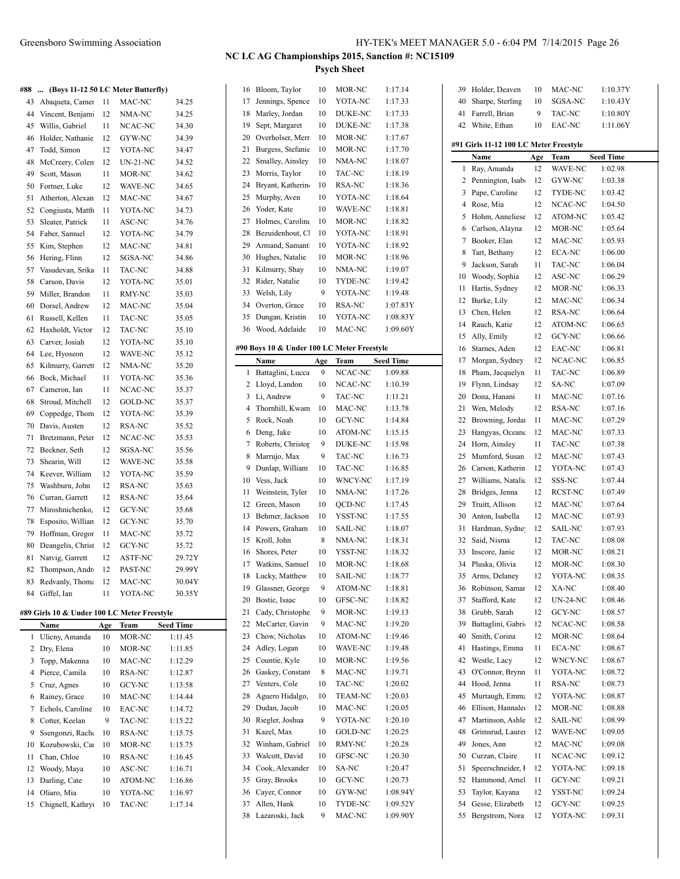**#88 ... (Boys 11-12 50 LC Meter Butterfly)**

|    | $(100)$ $\sigma$ $11$ $-12$ $\sigma$ $10$ |    | $m \sim m$      |        |
|----|-------------------------------------------|----|-----------------|--------|
| 43 | Abaqueta, Camer                           | 11 | MAC-NC          | 34.25  |
| 44 | Vincent, Benjam                           | 12 | NMA-NC          | 34.25  |
| 45 | Willis, Gabriel                           | 11 | NCAC-NC         | 34.30  |
| 46 | Holder, Nathanie                          | 12 | GYW-NC          | 34.39  |
| 47 | Todd, Simon                               | 12 | YOTA-NC         | 34.47  |
| 48 | McCreery, Colen                           | 12 | <b>UN-21-NC</b> | 34.52  |
| 49 | Scott, Mason                              | 11 | MOR-NC          | 34.62  |
| 50 | Fortner, Luke                             | 12 | <b>WAVE-NC</b>  | 34.65  |
| 51 | Atherton, Alexan                          | 12 | MAC-NC          | 34.67  |
| 52 | Congiusta, Matth                          | 11 | YOTA-NC         | 34.73  |
| 53 | Sleater, Patrick                          | 11 | ASC-NC          | 34.76  |
| 54 | Faber, Samuel                             | 12 | YOTA-NC         | 34.79  |
| 55 | Kim, Stephen                              | 12 | MAC-NC          | 34.81  |
| 56 | Hering, Flinn                             | 12 | SGSA-NC         | 34.86  |
| 57 | Vasudevan, Srika                          | 11 | TAC-NC          | 34.88  |
| 58 | Carson, Davis                             | 12 | YOTA-NC         | 35.01  |
| 59 | Miller, Brandon                           | 11 | RMY-NC          | 35.03  |
| 60 | Dorsel, Andrew                            | 12 | MAC-NC          | 35.04  |
| 61 | Russell, Kellen                           | 11 | TAC-NC          | 35.05  |
| 62 | Haxholdt, Victor                          | 12 | TAC-NC          | 35.10  |
| 63 | Carver, Josiah                            | 12 | YOTA-NC         | 35.10  |
| 64 | Lee, Hyoseon                              | 12 | WAVE-NC         | 35.12  |
| 65 | Kilmurry, Garrett                         | 12 | NMA-NC          | 35.20  |
| 66 | Bock, Michael                             | 11 | YOTA-NC         | 35.36  |
| 67 | Cameron, Ian                              | 11 | NCAC-NC         | 35.37  |
| 68 | Stroud, Mitchell                          | 12 | GOLD-NC         | 35.37  |
| 69 | Coppedge, Thom                            | 12 | YOTA-NC         | 35.39  |
| 70 | Davis, Austen                             | 12 | <b>RSA-NC</b>   | 35.52  |
| 71 | Bretzmann, Peter                          | 12 | NCAC-NC         | 35.53  |
| 72 | Beckner, Seth                             | 12 | SGSA-NC         | 35.56  |
| 73 | Shearin, Will                             | 12 | WAVE-NC         | 35.58  |
| 74 | Keever, William                           | 12 | YOTA-NC         | 35.59  |
| 75 | Washburn, John                            | 12 | RSA-NC          | 35.63  |
| 76 | Curran, Garrett                           | 12 | RSA-NC          | 35.64  |
| 77 | Miroshnichenko,                           | 12 | <b>GCY-NC</b>   | 35.68  |
| 78 | Esposito, Willian                         | 12 | GCY-NC          | 35.70  |
| 79 | Hoffman, Gregor                           | 11 | MAC-NC          | 35.72  |
| 80 | Deangelis, Christ                         | 12 | GCY-NC          | 35.72  |
| 81 | Natvig, Garrett                           | 12 | <b>ASTF-NC</b>  | 29.72Y |
| 82 | Thompson, Andr                            | 12 | PAST-NC         | 29.99Y |
| 83 | Redvanly, Thoma                           | 12 | MAC-NC          | 30.04Y |
| 84 | Giffel, Ian                               | 11 | YOTA-NC         | 30.35Y |

#### **#89 Girls 10 & Under 100 LC Meter Freestyle**

|    | Name             | Age | Team    | <b>Seed Time</b> |
|----|------------------|-----|---------|------------------|
| 1  | Ulicny, Amanda   | 10  | MOR-NC  | 1:11.45          |
| 2  | Dry, Elena       | 10  | MOR-NC  | 1:11.85          |
| 3  | Topp, Makenna    | 10  | MAC-NC  | 1:12.29          |
| 4  | Pierce, Camila   | 10  | RSA-NC  | 1:12.87          |
| 5  | Cruz, Agnes      | 10  | GCY-NC  | 1:13.58          |
| 6  | Rainey, Grace    | 10  | MAC-NC  | 1:14.44          |
| 7  | Echols, Caroline | 10  | EAC-NC  | 1:14.72          |
| 8  | Cotter, Keelan   | 9   | TAC-NC  | 1:15.22          |
| 9  | Ssengonzi, Racho | 10  | RSA-NC  | 1:15.75          |
| 10 | Kozubowski, Car  | 10  | MOR-NC  | 1:15.75          |
| 11 | Chan, Chloe      | 10  | RSA-NC  | 1:16.45          |
| 12 | Woody, Maya      | 10  | ASC-NC  | 1:16.71          |
| 13 | Darling, Cate    | 10  | ATOM-NC | 1:16.86          |
| 14 | Oliaro, Mia      | 10  | YOTA-NC | 1:16.97          |
| 15 | Chignell, Kathry | 10  | TAC-NC  | 1:17.14          |

| 16 | Bloom, Taylor                              | 10  | MOR-NC         | 1:17.14          |
|----|--------------------------------------------|-----|----------------|------------------|
| 17 | Jennings, Spence                           | 10  | YOTA-NC        | 1:17.33          |
| 18 | Marley, Jordan                             | 10  | DUKE-NC        | 1:17.33          |
| 19 | Sept, Margaret                             | 10  | DUKE-NC        | 1:17.38          |
| 20 | Overholser, Merr                           | 10  | MOR-NC         | 1:17.67          |
| 21 | Burgess, Stefanie                          | 10  | MOR-NC         | 1:17.70          |
| 22 | Smalley, Ainsley                           | 10  | NMA-NC         | 1:18.07          |
| 23 | Morris, Taylor                             | 10  | TAC-NC         | 1:18.19          |
| 24 | Bryant, Katherine                          | 10  | RSA-NC         | 1:18.36          |
| 25 | Murphy, Aven                               | 10  | YOTA-NC        | 1:18.64          |
| 26 | Yoder, Kate                                | 10  | WAVE-NC        | 1:18.81          |
| 27 | Holmes, Caroline                           | 10  | MOR-NC         | 1:18.82          |
| 28 | Bezuidenhout, Cl                           | 10  | YOTA-NC        | 1:18.91          |
| 29 | Armand, Samant                             | 10  | YOTA-NC        | 1:18.92          |
| 30 | Hughes, Natalie                            | 10  | MOR-NC         | 1:18.96          |
| 31 | Kilmurry, Shay                             | 10  | NMA-NC         | 1:19.07          |
| 32 | Rider, Natalie                             | 10  | TYDE-NC        | 1:19.42          |
| 33 | Welsh, Lily                                | 9   | YOTA-NC        | 1:19.48          |
| 34 | Overton, Grace                             | 10  | RSA-NC         | 1:07.83Y         |
| 35 | Dungan, Kristin                            | 10  | YOTA-NC        | 1:08.83Y         |
| 36 | Wood, Adelaide                             | 10  | MAC-NC         | 1:09.60Y         |
|    |                                            |     |                |                  |
|    | #90 Boys 10 & Under 100 LC Meter Freestyle |     |                |                  |
|    | Name                                       | Age | Team           | <b>Seed Time</b> |
| 1  | Battaglini, Lucca                          | 9   | NCAC-NC        | 1:09.88          |
| 2  | Lloyd, Landon                              | 10  | NCAC-NC        | 1:10.39          |
| 3  | Li, Andrew                                 | 9   | TAC-NC         | 1:11.21          |
| 4  | Thornhill, Kwam                            | 10  | MAC-NC         | 1:13.78          |
| 5  | Rock, Noah                                 | 10  | GCY-NC         | 1:14.84          |
|    |                                            |     |                |                  |
| 6  | Deng, Jake                                 | 10  | ATOM-NC        | 1:15.15          |
| 7  | Roberts, Christop                          | 9   | DUKE-NC        | 1:15.98          |
| 8  | Marrujo, Max                               | 9   | TAC-NC         | 1:16.73          |
| 9  | Dunlap, William                            | 10  | TAC-NC         | 1:16.85          |
| 10 | Vess, Jack                                 | 10  | WNCY-NC        | 1:17.19          |
| 11 | Weinstein, Tyler                           | 10  | NMA-NC         | 1:17.26          |
| 12 | Green, Mason                               | 10  | QCD-NC         | 1:17.45          |
| 13 | Behmer, Jackson                            | 10  | YSST-NC        | 1:17.55          |
| 14 | Powers, Graham                             | 10  | <b>SAIL-NC</b> | 1:18.07          |
| 15 | Kroll, John                                | 8   | NMA-NC         | 1:18.31          |
| 16 | Shores, Peter                              | 10  | YSST-NC        | 1:18.32          |
| 17 | Watkins, Samuel                            | 10  | MOR-NC         | 1:18.68          |
| 18 | Lucky, Matthew                             | 10  | SAIL-NC        | 1:18.77          |
| 19 | Glassner, George                           | 9   | ATOM-NC        | 1:18.81          |
| 20 | Bostic, Isaac                              | 10  | GFSC-NC        | 1:18.82          |
| 21 | Cady, Christophe                           | 9   | MOR-NC         | 1:19.13          |
| 22 | McCarter, Gavin                            | 9   | MAC-NC         | 1:19.20          |
| 23 | Chow, Nicholas                             | 10  | ATOM-NC        | 1:19.46          |
| 24 | Adley, Logan                               | 10  | WAVE-NC        | 1:19.48          |
| 25 | Countie, Kyle                              | 10  | MOR-NC         | 1:19.56          |
| 26 | Gaskey, Constant                           | 8   | MAC-NC         | 1:19.71          |
| 27 | Venters, Cole                              | 10  | TAC-NC         | 1:20.02          |
| 28 | Aguero Hidalgo,                            | 10  | <b>TEAM-NC</b> | 1:20.03          |
| 29 | Dudan, Jacob                               | 10  | MAC-NC         | 1:20.05          |
| 30 | Riegler, Joshua                            | 9   | YOTA-NC        | 1:20.10          |
| 31 | Kazel, Max                                 | 10  | GOLD-NC        | 1:20.25          |
| 32 | Winham, Gabriel                            | 10  | RMY-NC         | 1:20.28          |
| 33 | Walcott, David                             | 10  | GFSC-NC        | 1:20.30          |
| 34 | Cook, Alexander                            | 10  | SA-NC          | 1:20.47          |
| 35 | Gray, Brooks                               | 10  | GCY-NC         | 1:20.73          |
| 36 | Cayer, Connor                              | 10  | GYW-NC         | 1:08.94Y         |
| 37 | Allen, Hank                                | 10  | TYDE-NC        | 1:09.52Y         |

| 39 | Holder, Deaven                         | 10  | MAC-NC          | 1:10.37Y         |
|----|----------------------------------------|-----|-----------------|------------------|
| 40 | Sharpe, Sterling                       | 10  | SGSA-NC         | 1:10.43Y         |
| 41 | Farrell, Brian                         | 9   | TAC-NC          | 1:10.80Y         |
| 42 | White, Ethan                           | 10  | EAC-NC          | 1:11.06Y         |
|    |                                        |     |                 |                  |
|    | #91 Girls 11-12 100 LC Meter Freestyle |     |                 |                  |
|    | Name                                   | Age | Team            | <b>Seed Time</b> |
| 1  | Ray, Amanda                            | 12  | WAVE-NC         | 1:02.98          |
| 2  | Pennington, Isab                       | 12  | GYW-NC          | 1:03.38          |
| 3  | Pape, Caroline                         | 12  | <b>TYDE-NC</b>  | 1:03.42          |
| 4  | Rose, Mia                              | 12  | NCAC-NC         | 1:04.50          |
| 5  | Hohm, Anneliese                        | 12  | ATOM-NC         | 1:05.42          |
| 6  | Carlson, Alayna                        | 12  | MOR-NC          | 1:05.64          |
| 7  | Booker, Elan                           | 12  | MAC-NC          | 1:05.93          |
| 8  | Tart, Bethany                          | 12  | <b>ECA-NC</b>   | 1:06.00          |
| 9  | Jackson, Sarah                         | 11  | TAC-NC          | 1:06.04          |
| 10 | Woody, Sophia                          | 12  | ASC-NC          | 1:06.29          |
| 11 | Hartis, Sydney                         | 12  | MOR-NC          | 1:06.33          |
| 12 | Burke, Lily                            | 12  | MAC-NC          | 1:06.34          |
| 13 | Chen, Helen                            | 12  | <b>RSA-NC</b>   | 1:06.64          |
| 14 | Rauch, Katie                           | 12  | ATOM-NC         | 1:06.65          |
| 15 | Ally, Emily                            | 12  | GCY-NC          | 1:06.66          |
| 16 | Starnes, Aden                          | 12  | EAC-NC          | 1:06.81          |
| 17 | Morgan, Sydney                         | 12  | NCAC-NC         | 1:06.85          |
| 18 | Pham, Jacquelyn                        | 11  | TAC-NC          | 1:06.89          |
| 19 | Flynn, Lindsay                         | 12  | SA-NC           | 1:07.09          |
| 20 | Dona, Hanani                           | 11  | MAC-NC          | 1:07.16          |
| 21 | Wen, Melody                            | 12  | RSA-NC          |                  |
| 22 | Browning, Jordan                       |     | MAC-NC          | 1:07.16          |
|    |                                        | 11  |                 | 1:07.29          |
| 23 | Hangyas, Oceane                        | 12  | MAC-NC          | 1:07.33          |
| 24 | Horn, Ainsley                          | 11  | TAC-NC          | 1:07.38          |
| 25 | Mumford, Susan                         | 12  | MAC-NC          | 1:07.43          |
| 26 | Carson, Katherin                       | 12  | YOTA-NC         | 1:07.43          |
| 27 | Williams, Natalie                      | 12  | SSS-NC          | 1:07.44          |
| 28 | Bridges, Jenna                         | 12  | RCST-NC         | 1:07.49          |
| 29 | Truitt, Allison                        | 12  | MAC-NC          | 1:07.64          |
| 30 | Anton, Isabella                        | 12  | MAC-NC          | 1:07.93          |
| 31 | Hardman, Sydne                         | 12  | SAIL-NC         | 1:07.93          |
| 32 | Said, Nisma                            | 12  | TAC-NC          | 1:08.08          |
| 33 | Inscore, Janie                         | 12  | MOR-NC          | 1:08.21          |
| 34 | Pluska, Olivia                         | 12  | MOR-NC          | 1:08.30          |
| 35 | Arms, Delaney                          | 12  | YOTA-NC         | 1:08.35          |
| 36 | Robinson, Samar                        | 12  | XA-NC           | 1:08.40          |
| 37 | Stafford, Kate                         | 12  | <b>UN-24-NC</b> | 1:08.46          |
| 38 | Grubb, Sarah                           | 12  | GCY-NC          | 1:08.57          |
| 39 | Battaglini, Gabri                      | 12  | NCAC-NC         | 1:08.58          |
| 40 | Smith, Corina                          | 12  | MOR-NC          | 1:08.64          |
| 41 | Hastings, Emma                         | 11  | ECA-NC          | 1:08.67          |
| 42 | Westle, Lacy                           | 12  | WNCY-NC         | 1:08.67          |
| 43 | O'Connor, Brynn                        | 11  | YOTA-NC         | 1:08.72          |
| 44 | Hood, Jenna                            | 11  | RSA-NC          | 1:08.73          |
| 45 | Murtaugh, Emma                         | 12  | YOTA-NC         | 1:08.87          |
| 46 | Ellison, Hannalee                      | 12  | MOR-NC          | 1:08.88          |
| 47 | Martinson, Ashle                       | 12  | <b>SAIL-NC</b>  | 1:08.99          |
| 48 | Grimsrud, Laurer                       | 12  | WAVE-NC         | 1:09.05          |
| 49 | Jones, Ann                             | 12  | MAC-NC          | 1:09.08          |
| 50 | Curzan, Claire                         | 11  | NCAC-NC         | 1:09.12          |
| 51 | Speerschneider, I                      | 12  | YOTA-NC         | 1:09.18          |
| 52 | Hammond, Amel                          | 11  | GCY-NC          | 1:09.21          |
| 53 | Taylor, Kayana                         | 12  | YSST-NC         | 1:09.24          |
| 54 | Gesse, Elizabeth                       | 12  | GCY-NC          | 1:09.25          |
| 55 | Bergstrom, Nora                        | 12  | YOTA-NC         | 1:09.31          |
|    |                                        |     |                 |                  |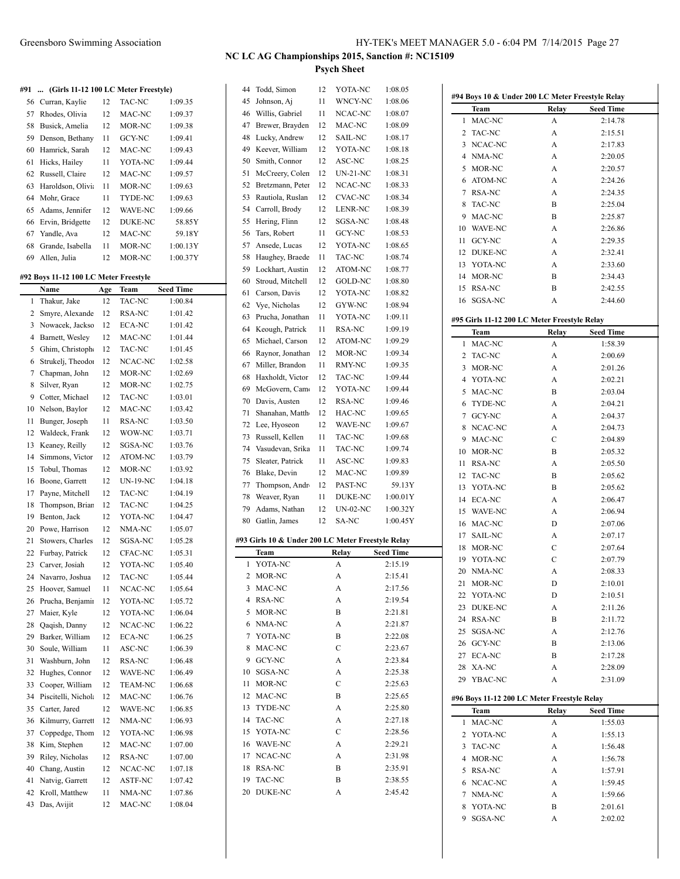#### **#91 ... (Girls 11-12 100 LC Meter Freestyle)**

|     | $\ldots$ (OHIS II-12 TOV LC MIGHT FIGGIVIO) |    |                |          |
|-----|---------------------------------------------|----|----------------|----------|
| 56  | Curran, Kaylie                              | 12 | TAC-NC         | 1:09.35  |
| 57  | Rhodes, Olivia                              | 12 | MAC-NC         | 1:09.37  |
| 58  | Busick, Amelia                              | 12 | MOR-NC         | 1:09.38  |
| 59  | Denson, Bethany                             | 11 | GCY-NC         | 1:09.41  |
| 60  | Hamrick, Sarah                              | 12 | MAC-NC         | 1:09.43  |
| 61  | Hicks, Hailey                               | 11 | YOTA-NC        | 1:09.44  |
| 62  | Russell, Claire                             | 12 | MAC-NC         | 1:09.57  |
| 63  | Haroldson, Olivi                            | 11 | MOR-NC         | 1:09.63  |
| 64  | Mohr, Grace                                 | 11 | TYDE-NC        | 1:09.63  |
| 65. | Adams, Jennifer                             | 12 | <b>WAVE-NC</b> | 1:09.66  |
| 66  | Ervin, Bridgette                            | 12 | <b>DUKE-NC</b> | 58.85Y   |
| 67  | Yandle, Ava                                 | 12 | MAC-NC         | 59.18Y   |
| 68  | Grande, Isabella                            | 11 | MOR-NC         | 1:00.13Y |
| 69  | Allen, Julia                                | 12 | MOR-NC         | 1:00.37Y |
|     |                                             |    |                |          |

### **#92 Boys 11-12 100 LC Meter Freestyle**

|                | Name                | Age | Team            | <b>Seed Time</b> |
|----------------|---------------------|-----|-----------------|------------------|
| $\mathbf{1}$   | Thakur, Jake        | 12  | TAC-NC          | 1:00.84          |
| $\overline{c}$ | Smyre, Alexande     | 12  | RSA-NC          | 1:01.42          |
| 3              | Nowacek, Jacksc     | 12  | <b>ECA-NC</b>   | 1:01.42          |
| $\overline{4}$ | Barnett, Wesley     | 12  | MAC-NC          | 1:01.44          |
| 5              | Ghim, Christoph     | 12  | TAC-NC          | 1:01.45          |
| 6              | Strukelj, Theodo:   | 12  | NCAC-NC         | 1:02.58          |
| $\overline{7}$ | Chapman, John       | 12  | MOR-NC          | 1:02.69          |
| 8              | Silver, Ryan        | 12  | MOR-NC          | 1:02.75          |
| 9              | Cotter, Michael     | 12  | TAC-NC          | 1:03.01          |
| 10             | Nelson, Baylor      | 12  | MAC-NC          | 1:03.42          |
| 11             | Bunger, Joseph      | 11  | RSA-NC          | 1:03.50          |
| 12             | Waldeck, Frank      | 12  | WOW-NC          | 1:03.71          |
| 13             | Keaney, Reilly      | 12  | <b>SGSA-NC</b>  | 1:03.76          |
| 14             | Simmons, Victor     | 12  | ATOM-NC         | 1:03.79          |
| 15             | Tobul, Thomas       | 12  | MOR-NC          | 1:03.92          |
| 16             | Boone, Garrett      | 12  | <b>UN-19-NC</b> | 1:04.18          |
| 17             | Payne, Mitchell     | 12  | TAC-NC          | 1:04.19          |
| 18             | Thompson, Briar     | 12  | TAC-NC          | 1:04.25          |
| 19             | Benton, Jack        | 12  | YOTA-NC         | 1:04.47          |
| 20             | Powe, Harrison      | 12  | NMA-NC          | 1:05.07          |
| 21             | Stowers, Charles    | 12  | SGSA-NC         | 1:05.28          |
| 22             | Furbay, Patrick     | 12  | CFAC-NC         | 1:05.31          |
| 23             | Carver, Josiah      | 12  | YOTA-NC         | 1:05.40          |
| 24             | Navarro, Joshua     | 12  | <b>TAC-NC</b>   | 1:05.44          |
| 25             | Hoover, Samuel      | 11  | NCAC-NC         | 1:05.64          |
| 26             | Prucha, Benjamir    | 12  | YOTA-NC         | 1:05.72          |
| 27             | Maier, Kyle         | 12  | YOTA-NC         | 1:06.04          |
| 28             | Qaqish, Danny       | 12  | NCAC-NC         | 1:06.22          |
| 29             | Barker, William     | 12  | <b>ECA-NC</b>   | 1:06.25          |
| 30             | Soule, William      | 11  | ASC-NC          | 1:06.39          |
| 31             | Washburn, John      | 12  | RSA-NC          | 1:06.48          |
| 32             | Hughes, Connor      | 12  | WAVE-NC         | 1:06.49          |
| 33             | Cooper, William     | 12  | <b>TEAM-NC</b>  | 1:06.68          |
| 34             | Piscitelli, Nichola | 12  | MAC-NC          | 1:06.76          |
| 35             | Carter, Jared       | 12  | <b>WAVE-NC</b>  | 1:06.85          |
| 36             | Kilmurry, Garret    | 12  | NMA-NC          | 1:06.93          |
| 37             | Coppedge, Thom      | 12  | YOTA-NC         | 1:06.98          |
| 38             | Kim, Stephen        | 12  | MAC-NC          | 1:07.00          |
| 39             | Riley, Nicholas     | 12  | RSA-NC          | 1:07.00          |
| 40             | Chang, Austin       | 12  | NCAC-NC         | 1:07.18          |
| 41             | Natvig, Garrett     | 12  | <b>ASTF-NC</b>  | 1:07.42          |
| 42             | Kroll, Matthew      | 11  | NMA-NC          | 1:07.86          |
| 43             | Das, Avijit         | 12  | MAC-NC          | 1:08.04          |
|                |                     |     |                 |                  |

| 44     | Todd, Simon                                               | 12 | YOTA-NC         | 1:08.05              |
|--------|-----------------------------------------------------------|----|-----------------|----------------------|
| 45     | Johnson, Aj                                               | 11 | WNCY-NC         | 1:08.06              |
| 46     | Willis, Gabriel                                           | 11 | NCAC-NC         | 1:08.07              |
| 47     | Brewer, Brayden                                           | 12 | MAC-NC          | 1:08.09              |
| 48     | Lucky, Andrew                                             | 12 | <b>SAIL-NC</b>  | 1:08.17              |
| 49     | Keever, William                                           | 12 | YOTA-NC         | 1:08.18              |
| 50     | Smith, Connor                                             | 12 | ASC-NC          | 1:08.25              |
| 51     | McCreery, Colen                                           | 12 | UN-21-NC        | 1:08.31              |
| 52     | Bretzmann, Peter                                          | 12 | NCAC-NC         | 1:08.33              |
| 53     | Rautiola, Ruslan                                          | 12 | <b>CVAC-NC</b>  | 1:08.34              |
| 54     | Carroll, Brody                                            | 12 | LENR-NC         | 1:08.39              |
| 55     | Hering, Flinn                                             | 12 | SGSA-NC         | 1:08.48              |
| 56     |                                                           | 11 | GCY-NC          |                      |
|        | Tars, Robert                                              |    |                 | 1:08.53<br>1:08.65   |
| 57     | Ansede, Lucas                                             | 12 | YOTA-NC         |                      |
| 58     | Haughey, Braede                                           | 11 | <b>TAC-NC</b>   | 1:08.74              |
| 59     | Lockhart, Austin                                          | 12 | <b>ATOM-NC</b>  | 1:08.77              |
| 60     | Stroud, Mitchell                                          | 12 | GOLD-NC         | 1:08.80              |
| 61     | Carson, Davis                                             | 12 | YOTA-NC         | 1:08.82              |
| 62     | Vye, Nicholas                                             | 12 | GYW-NC          | 1:08.94              |
| 63     | Prucha, Jonathan                                          | 11 | YOTA-NC         | 1:09.11              |
| 64     | Keough, Patrick                                           | 11 | <b>RSA-NC</b>   | 1:09.19              |
| 65     | Michael, Carson                                           | 12 | ATOM-NC         | 1:09.29              |
| 66     | Raynor, Jonathan                                          | 12 | MOR-NC          | 1:09.34              |
| 67     | Miller, Brandon                                           | 11 | RMY-NC          | 1:09.35              |
| 68     | Haxholdt, Victor                                          | 12 | TAC-NC          | 1:09.44              |
| 69     | McGovern, Came                                            | 12 | YOTA-NC         | 1:09.44              |
| 70     | Davis, Austen                                             | 12 | RSA-NC          | 1:09.46              |
| 71     | Shanahan, Matth                                           | 12 | HAC-NC          | 1:09.65              |
| 72     | Lee, Hyoseon                                              | 12 | WAVE-NC         | 1:09.67              |
| 73     | Russell, Kellen                                           | 11 | TAC-NC          | 1:09.68              |
| 74     | Vasudevan, Srika                                          | 11 | TAC-NC          | 1:09.74              |
| 75     | Sleater, Patrick                                          | 11 | ASC-NC          | 1:09.83              |
| 76     | Blake, Devin                                              | 12 | MAC-NC          | 1:09.89              |
| 77     | Thompson, Andr                                            | 12 | PAST-NC         | 59.13Y               |
| 78     | Weaver, Ryan                                              | 11 | DUKE-NC         | 1:00.01Y             |
| 79     | Adams, Nathan                                             | 12 | <b>UN-02-NC</b> | 1:00.32Y             |
|        |                                                           |    |                 | 1:00.45Y             |
| 80     | Gatlin, James                                             | 12 | SA-NC           |                      |
|        |                                                           |    |                 |                      |
|        | #93 Girls 10 & Under 200 LC Meter Freestyle Relay<br>Team |    |                 |                      |
| 1      | YOTA-NC                                                   |    | Relay<br>А      | Seed Time<br>2:15.19 |
| 2      | MOR-NC                                                    |    | A               | 2:15.41              |
|        |                                                           |    |                 |                      |
| 3<br>4 | MAC-NC                                                    |    | A<br>A          | 2:17.56              |
| 5      | RSA-NC<br>MOR-NC                                          |    | B               | 2:19.54<br>2:21.81   |
| 6      | NMA-NC                                                    |    |                 | 2:21.87              |
|        |                                                           |    | A               |                      |
| 7      | YOTA-NC                                                   |    | B               | 2:22.08<br>2:23.67   |
| 8      | MAC-NC                                                    |    | C               |                      |
| 9      | <b>GCY-NC</b>                                             |    | A               | 2:23.84              |
| 10     | SGSA-NC                                                   |    | A               | 2:25.38              |
| 11     | MOR-NC                                                    |    | C               | 2:25.63              |
| 12     | MAC-NC                                                    |    | B               | 2:25.65              |
| 13     | TYDE-NC                                                   |    | A               | 2:25.80              |
| 14     | TAC-NC                                                    |    | A               | 2:27.18              |
| 15     | YOTA-NC                                                   |    | C               | 2:28.56              |
| 16     | WAVE-NC                                                   |    | A               | 2:29.21              |
| 17     | NCAC-NC                                                   |    | A               | 2:31.98              |
| 18     | <b>RSA-NC</b>                                             |    | B               | 2:35.91              |
| 19     | <b>TAC-NC</b>                                             |    | B               | 2:38.55              |
| 20     | <b>DUKE-NC</b>                                            |    | А               | 2:45.42              |

| #94 Boys 10 & Under 200 LC Meter Freestyle Relay |                |                                              |                  |  |  |  |
|--------------------------------------------------|----------------|----------------------------------------------|------------------|--|--|--|
|                                                  | Team           | Relay                                        | <b>Seed Time</b> |  |  |  |
| 1                                                | MAC-NC         | A                                            | 2:14.78          |  |  |  |
| 2                                                | <b>TAC-NC</b>  | А                                            | 2:15.51          |  |  |  |
| 3                                                | NCAC-NC        | А                                            | 2:17.83          |  |  |  |
| 4                                                | NMA-NC         | A                                            | 2:20.05          |  |  |  |
| 5                                                | MOR-NC         | A                                            | 2:20.57          |  |  |  |
| 6                                                | ATOM-NC        | A                                            | 2:24.26          |  |  |  |
| 7                                                | <b>RSA-NC</b>  | A                                            | 2:24.35          |  |  |  |
| 8                                                | TAC-NC         | B                                            | 2:25.04          |  |  |  |
| 9                                                | MAC-NC         | B                                            | 2:25.87          |  |  |  |
| 10                                               | WAVE-NC        | А                                            | 2:26.86          |  |  |  |
| 11                                               | GCY-NC         | A                                            | 2:29.35          |  |  |  |
| 12                                               | <b>DUKE-NC</b> | A                                            | 2:32.41          |  |  |  |
| 13                                               | YOTA-NC        | А                                            | 2:33.60          |  |  |  |
| 14                                               | MOR-NC         | B                                            | 2:34.43          |  |  |  |
|                                                  |                |                                              |                  |  |  |  |
| 15                                               | <b>RSA-NC</b>  | B                                            | 2:42.55          |  |  |  |
| 16                                               | SGSA-NC        | A                                            | 2:44.60          |  |  |  |
|                                                  |                | #95 Girls 11-12 200 LC Meter Freestyle Relay |                  |  |  |  |
|                                                  | Team           | Relay                                        | <b>Seed Time</b> |  |  |  |
| 1                                                | MAC-NC         | A                                            | 1:58.39          |  |  |  |
| 2                                                | <b>TAC-NC</b>  | A                                            | 2:00.69          |  |  |  |
| 3                                                | MOR-NC         | A                                            | 2:01.26          |  |  |  |
| 4                                                | YOTA-NC        | А                                            | 2:02.21          |  |  |  |
| 5                                                | MAC-NC         | B                                            | 2:03.04          |  |  |  |
| 6                                                | TYDE-NC        | A                                            | 2:04.21          |  |  |  |
| 7                                                | <b>GCY-NC</b>  | A                                            | 2:04.37          |  |  |  |
|                                                  |                |                                              |                  |  |  |  |
| 8                                                | NCAC-NC        | А                                            | 2:04.73          |  |  |  |
| 9                                                | MAC-NC         | C                                            | 2:04.89          |  |  |  |
| 10                                               | MOR-NC         | B                                            | 2:05.32          |  |  |  |
| 11                                               | <b>RSA-NC</b>  | A                                            | 2:05.50          |  |  |  |
| 12                                               | <b>TAC-NC</b>  | B                                            | 2:05.62          |  |  |  |
| 13                                               | YOTA-NC        | B                                            | 2:05.62          |  |  |  |
| 14                                               | <b>ECA-NC</b>  | A                                            | 2:06.47          |  |  |  |
| 15                                               | WAVE-NC        | A                                            | 2:06.94          |  |  |  |
| 16                                               | MAC-NC         | D                                            | 2:07.06          |  |  |  |
| 17                                               | <b>SAIL-NC</b> | A                                            | 2:07.17          |  |  |  |
| 18                                               | MOR-NC         | C                                            | 2:07.64          |  |  |  |
| 19                                               | YOTA-NC        | $\overline{C}$                               | 2:07.79          |  |  |  |
| 20                                               | NMA-NC         | A                                            | 2:08.33          |  |  |  |
| 21                                               | MOR-NC         | D                                            | 2:10.01          |  |  |  |
| 22                                               | YOTA-NC        | D                                            | 2:10.51          |  |  |  |
| 23                                               | DUKE-NC        | А                                            | 2:11.26          |  |  |  |
| 24                                               | RSA-NC         | B                                            | 2:11.72          |  |  |  |
| 25                                               | SGSA-NC        | А                                            | 2:12.76          |  |  |  |
| 26                                               | GCY-NC         | B                                            | 2:13.06          |  |  |  |
| 27                                               | <b>ECA-NC</b>  | B                                            | 2:17.28          |  |  |  |
| 28                                               | XA-NC          | A                                            | 2:28.09          |  |  |  |
|                                                  | 29 YBAC-NC     | A                                            | 2:31.09          |  |  |  |
|                                                  |                |                                              |                  |  |  |  |
| #96 Boys 11-12 200 LC Meter Freestyle Relay      |                |                                              |                  |  |  |  |
|                                                  | Team           | Relay                                        | <b>Seed Time</b> |  |  |  |
| 1                                                | MAC-NC         | A                                            | 1:55.03          |  |  |  |
| 2                                                | YOTA-NC        | A                                            | 1:55.13          |  |  |  |
| 3                                                | TAC-NC         | A                                            | 1:56.48          |  |  |  |
| 4                                                | MOR-NC         | A                                            | 1:56.78          |  |  |  |
| 5                                                | RSA-NC         | А                                            | 1:57.91          |  |  |  |
| 6                                                | NCAC-NC        | A                                            | 1:59.45          |  |  |  |
| 7                                                | NMA-NC         | A                                            | 1:59.66          |  |  |  |
| 8                                                | YOTA-NC        | B                                            | 2:01.61          |  |  |  |
| 9                                                | SGSA-NC        | A                                            | 2:02.02          |  |  |  |
|                                                  |                |                                              |                  |  |  |  |